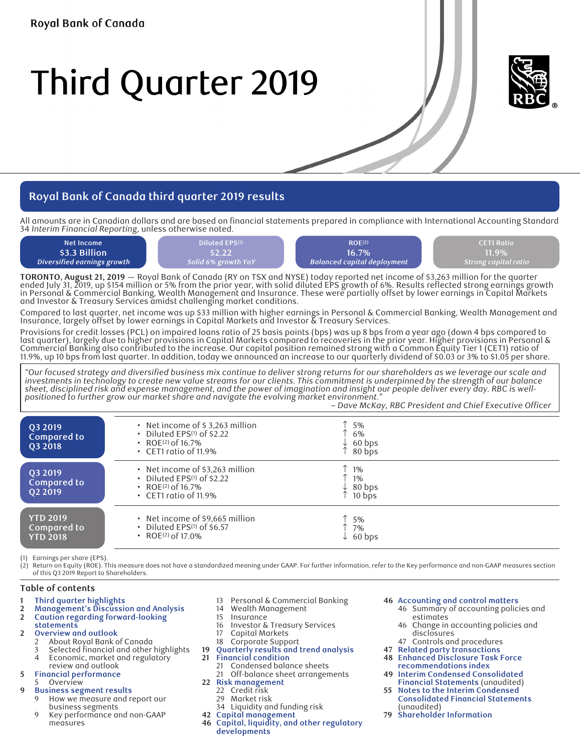# **Third Quarter 2019**



# **Royal Bank of Canada third quarter 2019 results**

All amounts are in Canadian dollars and are based on financial statements prepared in compliance with International Accounting Standard 34 *Interim Financial Reporting*, unless otherwise noted.

| Net Income '                | Diluted EPS <sup>(1)</sup> | ROE(2)                      | CET1 Ratio           |
|-----------------------------|----------------------------|-----------------------------|----------------------|
| \$3.3 Billion               | \$2.22"                    | 16.7%                       | 11.9%                |
| Diversified earnings growth | Solid 6% growth YoY        | Balanced capital deployment | Strong capital ratio |

**TORONTO, August 21, 2019** — Royal Bank of Canada (RY on TSX and NYSE) today reported net income of \$3,263 million for the quarter ended July 31, 2019, up \$154 million or 5% from the prior year, with solid diluted EPS growth of 6%. Results reflected strong earnings growth in Personal & Commercial Banking, Wealth Management and Insurance. These were partially offset by lower earnings in Capital Markets and Investor & Treasury Services amidst challenging market conditions.

Compared to last quarter, net income was up \$33 million with higher earnings in Personal & Commercial Banking, Wealth Management and Insurance, largely offset by lower earnings in Capital Markets and Investor & Treasury Services.

Provisions for credit losses (PCL) on impaired loans ratio of 25 basis points (bps) was up 8 bps from a year ago (down 4 bps compared to last quarter), largely due to higher provisions in Capital Markets compared to recoveries in the prior year. Higher provisions in Personal & Commercial Banking also contributed to the increase. Our capital position remained strong with a Common Equity Tier 1 (CET1) ratio of 11.9%, up 10 bps from last quarter. In addition, today we announced an increase to our quarterly dividend of \$0.03 or 3% to \$1.05 per share.

*"Our focused strategy and diversified business mix continue to deliver strong returns for our shareholders as we leverage our scale and investments in technology to create new value streams for our clients. This commitment is underpinned by the strength of our balance sheet, disciplined risk and expense management, and the power of imagination and insight our people deliver every day. RBC is wellpositioned to further grow our market share and navigate the evolving market environment."*

| - Dave McKay, RBC President and Chief Executive Officer |  |  |  |  |  |
|---------------------------------------------------------|--|--|--|--|--|
|---------------------------------------------------------|--|--|--|--|--|

| Q3 2019<br>Compared to<br>03 2018                 | $\cdot$ Net income of \$3,263 million<br>$\cdot$ Diluted EPS <sup>(1)</sup> of \$2.22<br>• ROE(2) of $16.7\%$<br>• CET1 ratio of 11.9% | ↑ 5%<br>6%<br>$\downarrow$ 60 bps<br>80 bps     |
|---------------------------------------------------|----------------------------------------------------------------------------------------------------------------------------------------|-------------------------------------------------|
| Q3 2019<br>Compared to<br>02 2019                 | • Net income of \$3,263 million<br>$\cdot$ Diluted EPS <sup>(1)</sup> of \$2.22<br>• ROE(2) of $16.7\%$<br>$\cdot$ CET1 ratio of 11.9% | $1\%$<br>$1\%$<br>$\downarrow$ 80 bps<br>10 bps |
| <b>YTD 2019</b><br>Compared to<br><b>YTD 2018</b> | $\cdot$ Net income of \$9,665 million<br>• Diluted EPS <sup>(1)</sup> of \$6.57<br>ROE(2) of 17,0%<br>$\bullet$                        | ↑ 5%<br>7%<br>$\downarrow$ 60 bps               |

(1) Earnings per share (EPS).

(2) Return on Equity (ROE). This measure does not have a standardized meaning under GAAP. For further information, refer to the Key performance and non-GAAP measures section of this Q3 2019 Report to Shareholders.

#### **Table of contents**

- **1 Third quarter highlights**
- **2 Management's Discussion and Analysis**
- **2 Caution regarding forward-looking**
- **statements 2 Overview and outlook**
	- 2 About Royal Bank of Canada
		- 3 Selected financial and other highlights
	- 4 Economic, market and regulatory
	- review and outlook **5 Financial performance**
- **Overview**

# **9 Business segment results**

- How we measure and report our business segments
- 9 Key performance and non-GAAP measures
- 13 Personal & Commercial Banking<br>14 Wealth Management
- 14 Wealth Management<br>15 Insurance
- 15 Insurance<br>16 Investor &
- 16 Investor & Treasury Services<br>17 Capital Markets
- Capital Markets
- 18 Corporate Support

#### **19 Quarterly results and trend analysis 21 Financial condition**

- 
- 21 Condensed balance sheets<br>21 Off-balance sheet arranger Off-balance sheet arrangements
- **22 Risk management**
	- 22 Credit risk
	- 29 Market risk
	- 34 Liquidity and funding risk
- **42 Capital management 46 Capital, liquidity, and other regulatory developments**

#### **46 Accounting and control matters**

- 46 Summary of accounting policies and estimates
- 46 Change in accounting policies and disclosures
- 47 Controls and procedures
- **47 Related party transactions**
- **48 Enhanced Disclosure Task Force recommendations index**
- **49 Interim Condensed Consolidated Financial Statements** (unaudited)
- **55 Notes to the Interim Condensed Consolidated Financial Statements** (unaudited)
- **79 Shareholder Information**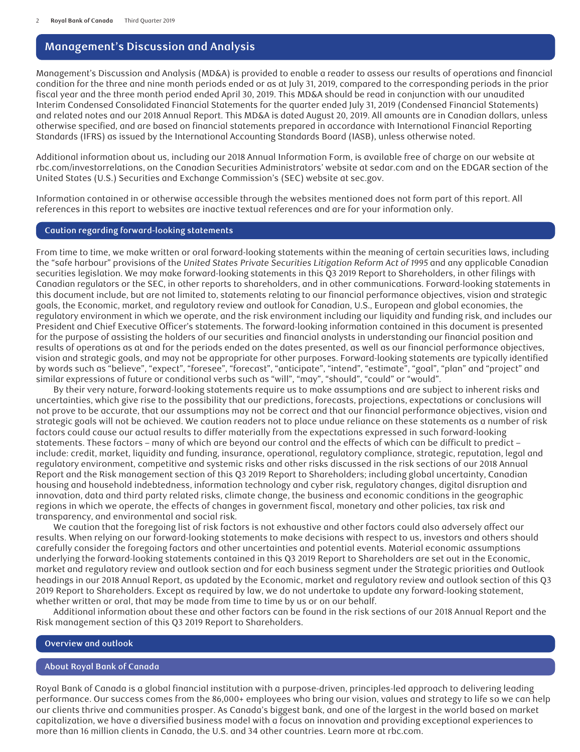# **Management's Discussion and Analysis**

Management's Discussion and Analysis (MD&A) is provided to enable a reader to assess our results of operations and financial condition for the three and nine month periods ended or as at July 31, 2019, compared to the corresponding periods in the prior fiscal year and the three month period ended April 30, 2019. This MD&A should be read in conjunction with our unaudited Interim Condensed Consolidated Financial Statements for the quarter ended July 31, 2019 (Condensed Financial Statements) and related notes and our 2018 Annual Report. This MD&A is dated August 20, 2019. All amounts are in Canadian dollars, unless otherwise specified, and are based on financial statements prepared in accordance with International Financial Reporting Standards (IFRS) as issued by the International Accounting Standards Board (IASB), unless otherwise noted.

Additional information about us, including our 2018 Annual Information Form, is available free of charge on our website at rbc.com/investorrelations, on the Canadian Securities Administrators' website at sedar.com and on the EDGAR section of the United States (U.S.) Securities and Exchange Commission's (SEC) website at sec.gov.

Information contained in or otherwise accessible through the websites mentioned does not form part of this report. All references in this report to websites are inactive textual references and are for your information only.

#### **Caution regarding forward-looking statements**

From time to time, we make written or oral forward-looking statements within the meaning of certain securities laws, including the "safe harbour" provisions of the *United States Private Securities Litigation Reform Act of 1995* and any applicable Canadian securities legislation. We may make forward-looking statements in this Q3 2019 Report to Shareholders, in other filings with Canadian regulators or the SEC, in other reports to shareholders, and in other communications. Forward-looking statements in this document include, but are not limited to, statements relating to our financial performance objectives, vision and strategic goals, the Economic, market, and regulatory review and outlook for Canadian, U.S., European and global economies, the regulatory environment in which we operate, and the risk environment including our liquidity and funding risk, and includes our President and Chief Executive Officer's statements. The forward-looking information contained in this document is presented for the purpose of assisting the holders of our securities and financial analysts in understanding our financial position and results of operations as at and for the periods ended on the dates presented, as well as our financial performance objectives, vision and strategic goals, and may not be appropriate for other purposes. Forward-looking statements are typically identified by words such as "believe", "expect", "foresee", "forecast", "anticipate", "intend", "estimate", "goal", "plan" and "project" and similar expressions of future or conditional verbs such as "will", "may", "should", "could" or "would".

By their very nature, forward-looking statements require us to make assumptions and are subject to inherent risks and uncertainties, which give rise to the possibility that our predictions, forecasts, projections, expectations or conclusions will not prove to be accurate, that our assumptions may not be correct and that our financial performance objectives, vision and strategic goals will not be achieved. We caution readers not to place undue reliance on these statements as a number of risk factors could cause our actual results to differ materially from the expectations expressed in such forward-looking statements. These factors – many of which are beyond our control and the effects of which can be difficult to predict – include: credit, market, liquidity and funding, insurance, operational, regulatory compliance, strategic, reputation, legal and regulatory environment, competitive and systemic risks and other risks discussed in the risk sections of our 2018 Annual Report and the Risk management section of this Q3 2019 Report to Shareholders; including global uncertainty, Canadian housing and household indebtedness, information technology and cyber risk, regulatory changes, digital disruption and innovation, data and third party related risks, climate change, the business and economic conditions in the geographic regions in which we operate, the effects of changes in government fiscal, monetary and other policies, tax risk and transparency, and environmental and social risk.

We caution that the foregoing list of risk factors is not exhaustive and other factors could also adversely affect our results. When relying on our forward-looking statements to make decisions with respect to us, investors and others should carefully consider the foregoing factors and other uncertainties and potential events. Material economic assumptions underlying the forward-looking statements contained in this Q3 2019 Report to Shareholders are set out in the Economic, market and regulatory review and outlook section and for each business segment under the Strategic priorities and Outlook headings in our 2018 Annual Report, as updated by the Economic, market and regulatory review and outlook section of this Q3 2019 Report to Shareholders. Except as required by law, we do not undertake to update any forward-looking statement, whether written or oral, that may be made from time to time by us or on our behalf.

Additional information about these and other factors can be found in the risk sections of our 2018 Annual Report and the Risk management section of this Q3 2019 Report to Shareholders.

#### **Overview and outlook**

#### **About Royal Bank of Canada**

Royal Bank of Canada is a global financial institution with a purpose-driven, principles-led approach to delivering leading performance. Our success comes from the 86,000+ employees who bring our vision, values and strategy to life so we can help our clients thrive and communities prosper. As Canada's biggest bank, and one of the largest in the world based on market capitalization, we have a diversified business model with a focus on innovation and providing exceptional experiences to more than 16 million clients in Canada, the U.S. and 34 other countries. Learn more at rbc.com.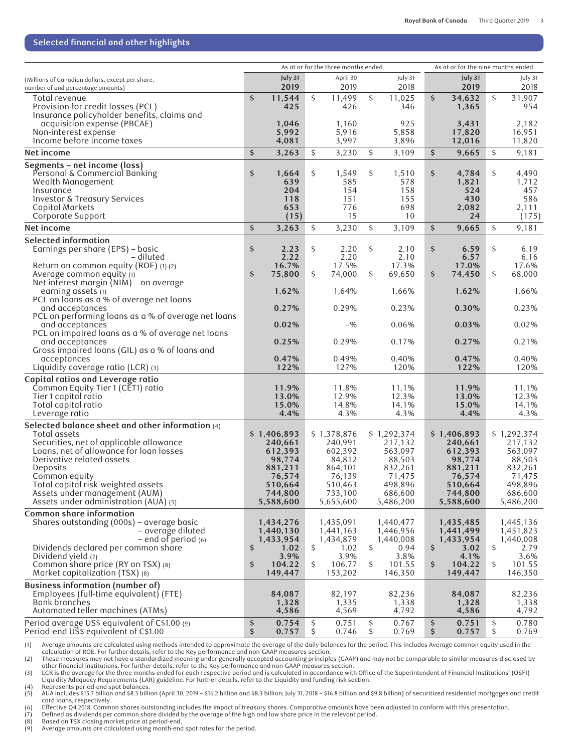|                                                                                                                                                                                                                                                                                                                                  |          |                                                                                                     |          | As at or for the three months ended                                                                 | As at or for the nine months ended |                                                                                                     |          |                                                                                                     |          |                                                                                                     |
|----------------------------------------------------------------------------------------------------------------------------------------------------------------------------------------------------------------------------------------------------------------------------------------------------------------------------------|----------|-----------------------------------------------------------------------------------------------------|----------|-----------------------------------------------------------------------------------------------------|------------------------------------|-----------------------------------------------------------------------------------------------------|----------|-----------------------------------------------------------------------------------------------------|----------|-----------------------------------------------------------------------------------------------------|
| (Millions of Canadian dollars, except per share,<br>number of and percentage amounts)                                                                                                                                                                                                                                            |          | July 31<br>2019                                                                                     |          | April 30<br>2019                                                                                    |                                    | July 31<br>2018                                                                                     |          | July 31<br>2019                                                                                     |          | July 31<br>2018                                                                                     |
| Total revenue<br>Provision for credit losses (PCL)<br>Insurance policyholder benefits, claims and                                                                                                                                                                                                                                | \$       | 11,544<br>425                                                                                       | $\zeta$  | 11,499<br>426                                                                                       | \$                                 | 11,025<br>346                                                                                       | \$       | 34,632<br>1,365                                                                                     | \$       | 31,907<br>954                                                                                       |
| acquisition expense (PBCAE)<br>Non-interest expense<br>Income before income taxes                                                                                                                                                                                                                                                |          | 1,046<br>5,992<br>4,081                                                                             |          | 1,160<br>5,916<br>3,997                                                                             |                                    | 925<br>5,858<br>3,896                                                                               |          | 3,431<br>17,820<br>12,016                                                                           |          | 2,182<br>16,951<br>11,820                                                                           |
| Net income                                                                                                                                                                                                                                                                                                                       | \$       | 3,263                                                                                               | \$       | 3,230                                                                                               | \$                                 | 3,109                                                                                               | \$       | 9,665                                                                                               | \$       | 9,181                                                                                               |
| Segments – net income (loss)<br>Personal & Commercial Banking<br>Wealth Management<br>Insurance<br><b>Investor &amp; Treasury Services</b><br>Capital Markets<br>Corporate Support                                                                                                                                               | \$       | 1,664<br>639<br>204<br>118<br>653<br>(15)                                                           | \$       | 1,549<br>585<br>154<br>151<br>776<br>15                                                             | \$                                 | 1,510<br>578<br>158<br>155<br>698<br>10                                                             | \$       | 4,784<br>1,821<br>524<br>430<br>2,082<br>24                                                         | \$       | 4,490<br>1,712<br>457<br>586<br>2,111<br>(175)                                                      |
| Net income                                                                                                                                                                                                                                                                                                                       | \$       | 3,263                                                                                               | \$       | 3,230                                                                                               | \$                                 | 3,109                                                                                               | \$       | 9,665                                                                                               | \$       | 9,181                                                                                               |
| Selected information<br>Earnings per share (EPS) - basic<br>– diluted<br>Return on common equity (ROE) (1) (2)<br>Average common equity (1)<br>Net interest margin (NIM) – on average                                                                                                                                            | \$<br>\$ | 2.23<br>2.22<br>16.7%<br>75,800                                                                     | \$<br>\$ | 2.20<br>2.20<br>17.5%<br>74,000                                                                     | \$<br>\$                           | 2.10<br>2.10<br>17.3%<br>69,650                                                                     | \$<br>\$ | 6.59<br>6.57<br>17.0%<br>74,450                                                                     | \$<br>\$ | 6.19<br>6.16<br>17.6%<br>68,000                                                                     |
| earning assets (1)                                                                                                                                                                                                                                                                                                               |          | 1.62%                                                                                               |          | 1.64%                                                                                               |                                    | 1.66%                                                                                               |          | 1.62%                                                                                               |          | 1.66%                                                                                               |
| PCL on loans as a % of average net loans<br>and acceptances<br>PCL on performing loans as a % of average net loans                                                                                                                                                                                                               |          | 0.27%                                                                                               |          | 0.29%                                                                                               |                                    | 0.23%                                                                                               |          | 0.30%                                                                                               |          | 0.23%                                                                                               |
| and acceptances                                                                                                                                                                                                                                                                                                                  |          | 0.02%                                                                                               |          | $-$ %                                                                                               |                                    | 0.06%                                                                                               |          | 0.03%                                                                                               |          | 0.02%                                                                                               |
| PCL on impaired loans as a % of average net loans<br>and acceptances<br>Gross impaired loans (GIL) as a % of loans and                                                                                                                                                                                                           |          | 0.25%                                                                                               |          | 0.29%                                                                                               |                                    | 0.17%                                                                                               |          | 0.27%                                                                                               |          | 0.21%                                                                                               |
| acceptances<br>Liquidity coverage ratio (LCR) (3)                                                                                                                                                                                                                                                                                |          | 0.47%<br>122%                                                                                       |          | 0.49%<br>127%                                                                                       |                                    | 0.40%<br>120%                                                                                       |          | 0.47%<br>122%                                                                                       |          | 0.40%<br>120%                                                                                       |
| Capital ratios and Leverage ratio<br>Common Equity Tier 1 (CET1) ratio<br>Tier 1 capital ratio<br>Total capital ratio<br>Leverage ratio                                                                                                                                                                                          |          | 11.9%<br>13.0%<br>15.0%<br>4.4%                                                                     |          | 11.8%<br>12.9%<br>14.8%<br>4.3%                                                                     |                                    | 11.1%<br>12.3%<br>14.1%<br>4.3%                                                                     |          | 11.9%<br>13.0%<br>15.0%<br>4.4%                                                                     |          | 11.1%<br>12.3%<br>14.1%<br>4.3%                                                                     |
| Selected balance sheet and other information (4)<br>Total assets<br>Securities, net of applicable allowance<br>Loans, net of allowance for loan losses<br>Derivative related assets<br>Deposits<br>Common equity<br>Total capital risk-weighted assets<br>Assets under management (AUM)<br>Assets under administration (AUA) (5) |          | \$1,406,893<br>240,661<br>612,393<br>98,774<br>881,211<br>76,574<br>510,664<br>744,800<br>5,588,600 |          | \$1,378,876<br>240,991<br>602,392<br>84,812<br>864,101<br>76,139<br>510,463<br>133,100<br>5,655,600 |                                    | \$1,292,374<br>217.132<br>563.097<br>88,503<br>832,261<br>71,475<br>498,896<br>686,600<br>5,486,200 |          | \$1,406,893<br>240,661<br>612,393<br>98,774<br>881,211<br>76,574<br>510,664<br>/44,800<br>5,588,600 |          | \$1,292,374<br>217,132<br>563,097<br>88,503<br>832,261<br>71,475<br>498,896<br>686,600<br>5,486,200 |
| Common share information<br>Shares outstanding (000s) - average basic<br>- average diluted<br>$-$ end of period $(6)$<br>Dividends declared per common share<br>Dividend yield (7)<br>Common share price (RY on TSX) (8)<br>Market capitalization (TSX) (8)                                                                      | \$<br>\$ | 1,434,276<br>1,440,130<br>1,433,954<br>1.02<br>3.9%<br>104.22<br>149,447                            | \$<br>\$ | 1,435,091<br>1,441,163<br>1,434,879<br>1.02<br>3.9%<br>106.77<br>153,202                            | \$<br>\$                           | 1,440,477<br>1,446,956<br>1,440,008<br>0.94<br>3.8%<br>101.55<br>146,350                            | \$<br>\$ | 1,435,485<br>1,441,499<br>1,433,954<br>3.02<br>4.1%<br>104.22<br>149,447                            | \$<br>\$ | 1,445,136<br>1,451,823<br>1,440,008<br>2.79<br>3.6%<br>101.55<br>146,350                            |
| Business information (number of)<br>Employees (full-time equivalent) (FTE)<br><b>Bank branches</b><br>Automated teller machines (ATMs)                                                                                                                                                                                           |          | 84,087<br>1,328<br>4,586                                                                            |          | 82.197<br>1,335<br>4,569                                                                            |                                    | 82,236<br>1,338<br>4,792                                                                            |          | 84,087<br>1,328<br>4,586                                                                            |          | 82,236<br>1,338<br>4,792                                                                            |
| Period average US\$ equivalent of C\$1.00 (9)<br>Period-end US\$ equivalent of C\$1.00                                                                                                                                                                                                                                           | \$<br>\$ | 0.754<br>0.757                                                                                      | \$<br>\$ | 0.751<br>0.746                                                                                      | \$<br>\$                           | 0.767<br>0.769                                                                                      | \$<br>\$ | 0.751<br>0.757                                                                                      | \$<br>\$ | 0.780<br>0.769                                                                                      |

Period-end US\$ equivalent of C\$1.00  $\begin{array}{r} \text{S} \text{O.757} \text{S} \text{O.746} \text{S} \text{O.769} \text{S} \text{O.757} \text{S} \text{O.769} \end{array}$ <br>(1) Average amounts are calculated using methods intended to approximate the average of the daily bal

(2) These measures may not have a standardized meaning under generally accepted accounting principles (GAAP) and may not be comparable to similar measures disclosed by<br>other financial institutions. For further details, ref

(5) AUA includes \$15.7 billion and \$8.3 billion (April 30, 2019 – \$16.2 billion and \$8.3 billion; July 31, 2018 – \$16.8 billion and \$9.8 billion) of securitized residential mortgages and credit

card loans, respectively. (6) Effective Q4 2018, Common shares outstanding includes the impact of treasury shares. Comparative amounts have been adjusted to conform with this presentation.

(7) Defined as dividends per common share divided by the average of the high and low share price in the relevant period.<br>
(8) Based on TSX closing market price at period-end.<br>
(9) Average amounts are calculated using month

(8) Based on TSX closing market price at period-end. (9) Average amounts are calculated using month-end spot rates for the period.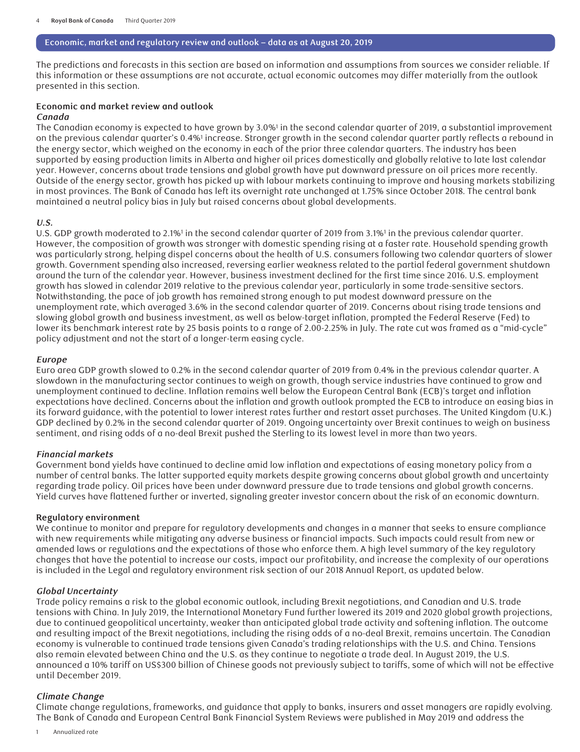#### **Economic, market and regulatory review and outlook – data as at August 20, 2019**

The predictions and forecasts in this section are based on information and assumptions from sources we consider reliable. If this information or these assumptions are not accurate, actual economic outcomes may differ materially from the outlook presented in this section.

#### **Economic and market review and outlook Canada**

The Canadian economy is expected to have grown by 3.0%1 in the second calendar quarter of 2019, a substantial improvement on the previous calendar quarter's 0.4%1 increase. Stronger growth in the second calendar quarter partly reflects a rebound in the energy sector, which weighed on the economy in each of the prior three calendar quarters. The industry has been supported by easing production limits in Alberta and higher oil prices domestically and globally relative to late last calendar year. However, concerns about trade tensions and global growth have put downward pressure on oil prices more recently. Outside of the energy sector, growth has picked up with labour markets continuing to improve and housing markets stabilizing in most provinces. The Bank of Canada has left its overnight rate unchanged at 1.75% since October 2018. The central bank maintained a neutral policy bias in July but raised concerns about global developments.

#### **U.S.**

U.S. GDP growth moderated to 2.1%<sup>1</sup> in the second calendar quarter of 2019 from 3.1%<sup>1</sup> in the previous calendar quarter. However, the composition of growth was stronger with domestic spending rising at a faster rate. Household spending growth was particularly strong, helping dispel concerns about the health of U.S. consumers following two calendar quarters of slower growth. Government spending also increased, reversing earlier weakness related to the partial federal government shutdown around the turn of the calendar year. However, business investment declined for the first time since 2016. U.S. employment growth has slowed in calendar 2019 relative to the previous calendar year, particularly in some trade-sensitive sectors. Notwithstanding, the pace of job growth has remained strong enough to put modest downward pressure on the unemployment rate, which averaged 3.6% in the second calendar quarter of 2019. Concerns about rising trade tensions and slowing global growth and business investment, as well as below-target inflation, prompted the Federal Reserve (Fed) to lower its benchmark interest rate by 25 basis points to a range of 2.00-2.25% in July. The rate cut was framed as a "mid-cycle" policy adjustment and not the start of a longer-term easing cycle.

#### **Europe**

Euro area GDP growth slowed to 0.2% in the second calendar quarter of 2019 from 0.4% in the previous calendar quarter. A slowdown in the manufacturing sector continues to weigh on growth, though service industries have continued to grow and unemployment continued to decline. Inflation remains well below the European Central Bank (ECB)'s target and inflation expectations have declined. Concerns about the inflation and growth outlook prompted the ECB to introduce an easing bias in its forward guidance, with the potential to lower interest rates further and restart asset purchases. The United Kingdom (U.K.) GDP declined by 0.2% in the second calendar quarter of 2019. Ongoing uncertainty over Brexit continues to weigh on business sentiment, and rising odds of a no-deal Brexit pushed the Sterling to its lowest level in more than two years.

#### **Financial markets**

Government bond yields have continued to decline amid low inflation and expectations of easing monetary policy from a number of central banks. The latter supported equity markets despite growing concerns about global growth and uncertainty regarding trade policy. Oil prices have been under downward pressure due to trade tensions and global growth concerns. Yield curves have flattened further or inverted, signaling greater investor concern about the risk of an economic downturn.

#### **Regulatory environment**

We continue to monitor and prepare for regulatory developments and changes in a manner that seeks to ensure compliance with new requirements while mitigating any adverse business or financial impacts. Such impacts could result from new or amended laws or regulations and the expectations of those who enforce them. A high level summary of the key regulatory changes that have the potential to increase our costs, impact our profitability, and increase the complexity of our operations is included in the Legal and regulatory environment risk section of our 2018 Annual Report, as updated below.

#### **Global Uncertainty**

Trade policy remains a risk to the global economic outlook, including Brexit negotiations, and Canadian and U.S. trade tensions with China. In July 2019, the International Monetary Fund further lowered its 2019 and 2020 global growth projections, due to continued geopolitical uncertainty, weaker than anticipated global trade activity and softening inflation. The outcome and resulting impact of the Brexit negotiations, including the rising odds of a no-deal Brexit, remains uncertain. The Canadian economy is vulnerable to continued trade tensions given Canada's trading relationships with the U.S. and China. Tensions also remain elevated between China and the U.S. as they continue to negotiate a trade deal. In August 2019, the U.S. announced a 10% tariff on US\$300 billion of Chinese goods not previously subject to tariffs, some of which will not be effective until December 2019.

#### **Climate Change**

Climate change regulations, frameworks, and guidance that apply to banks, insurers and asset managers are rapidly evolving. The Bank of Canada and European Central Bank Financial System Reviews were published in May 2019 and address the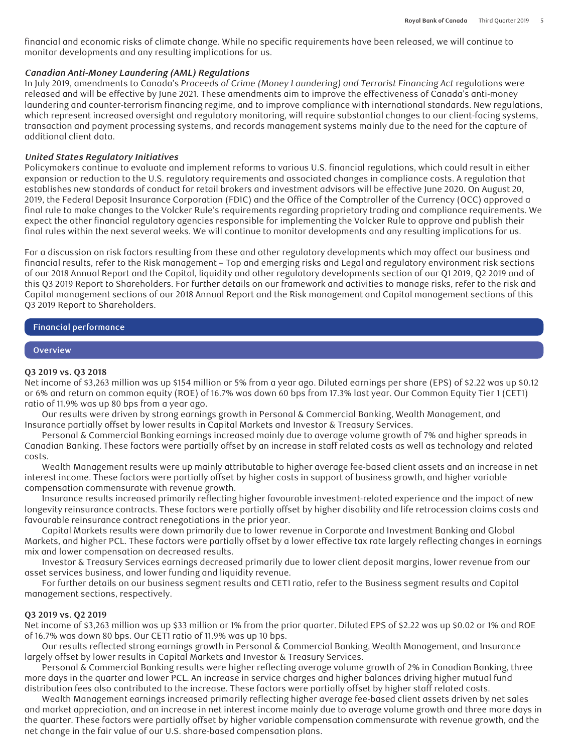financial and economic risks of climate change. While no specific requirements have been released, we will continue to monitor developments and any resulting implications for us.

#### **Canadian Anti-Money Laundering (AML) Regulations**

In July 2019, amendments to Canada's *Proceeds of Crime (Money Laundering) and Terrorist Financing Act* regulations were released and will be effective by June 2021. These amendments aim to improve the effectiveness of Canada's anti-money laundering and counter-terrorism financing regime, and to improve compliance with international standards. New regulations, which represent increased oversight and regulatory monitoring, will require substantial changes to our client-facing systems, transaction and payment processing systems, and records management systems mainly due to the need for the capture of additional client data.

#### **United States Regulatory Initiatives**

Policymakers continue to evaluate and implement reforms to various U.S. financial regulations, which could result in either expansion or reduction to the U.S. regulatory requirements and associated changes in compliance costs. A regulation that establishes new standards of conduct for retail brokers and investment advisors will be effective June 2020. On August 20, 2019, the Federal Deposit Insurance Corporation (FDIC) and the Office of the Comptroller of the Currency (OCC) approved a final rule to make changes to the Volcker Rule's requirements regarding proprietary trading and compliance requirements. We expect the other financial regulatory agencies responsible for implementing the Volcker Rule to approve and publish their final rules within the next several weeks. We will continue to monitor developments and any resulting implications for us.

For a discussion on risk factors resulting from these and other regulatory developments which may affect our business and financial results, refer to the Risk management – Top and emerging risks and Legal and regulatory environment risk sections of our 2018 Annual Report and the Capital, liquidity and other regulatory developments section of our Q1 2019, Q2 2019 and of this Q3 2019 Report to Shareholders. For further details on our framework and activities to manage risks, refer to the risk and Capital management sections of our 2018 Annual Report and the Risk management and Capital management sections of this Q3 2019 Report to Shareholders.

#### **Financial performance**

#### **Overview**

#### **Q3 2019 vs. Q3 2018**

Net income of \$3,263 million was up \$154 million or 5% from a year ago. Diluted earnings per share (EPS) of \$2.22 was up \$0.12 or 6% and return on common equity (ROE) of 16.7% was down 60 bps from 17.3% last year. Our Common Equity Tier 1 (CET1) ratio of 11.9% was up 80 bps from a year ago.

Our results were driven by strong earnings growth in Personal & Commercial Banking, Wealth Management, and Insurance partially offset by lower results in Capital Markets and Investor & Treasury Services.

Personal & Commercial Banking earnings increased mainly due to average volume growth of 7% and higher spreads in Canadian Banking. These factors were partially offset by an increase in staff related costs as well as technology and related costs.

Wealth Management results were up mainly attributable to higher average fee-based client assets and an increase in net interest income. These factors were partially offset by higher costs in support of business growth, and higher variable compensation commensurate with revenue growth.

Insurance results increased primarily reflecting higher favourable investment-related experience and the impact of new longevity reinsurance contracts. These factors were partially offset by higher disability and life retrocession claims costs and favourable reinsurance contract renegotiations in the prior year.

Capital Markets results were down primarily due to lower revenue in Corporate and Investment Banking and Global Markets, and higher PCL. These factors were partially offset by a lower effective tax rate largely reflecting changes in earnings mix and lower compensation on decreased results.

Investor & Treasury Services earnings decreased primarily due to lower client deposit margins, lower revenue from our asset services business, and lower funding and liquidity revenue.

For further details on our business segment results and CET1 ratio, refer to the Business segment results and Capital management sections, respectively.

#### **Q3 2019 vs. Q2 2019**

Net income of \$3,263 million was up \$33 million or 1% from the prior quarter. Diluted EPS of \$2.22 was up \$0.02 or 1% and ROE of 16.7% was down 80 bps. Our CET1 ratio of 11.9% was up 10 bps.

Our results reflected strong earnings growth in Personal & Commercial Banking, Wealth Management, and Insurance largely offset by lower results in Capital Markets and Investor & Treasury Services.

Personal & Commercial Banking results were higher reflecting average volume growth of 2% in Canadian Banking, three more days in the quarter and lower PCL. An increase in service charges and higher balances driving higher mutual fund distribution fees also contributed to the increase. These factors were partially offset by higher staff related costs.

Wealth Management earnings increased primarily reflecting higher average fee-based client assets driven by net sales and market appreciation, and an increase in net interest income mainly due to average volume growth and three more days in the quarter. These factors were partially offset by higher variable compensation commensurate with revenue growth, and the net change in the fair value of our U.S. share-based compensation plans.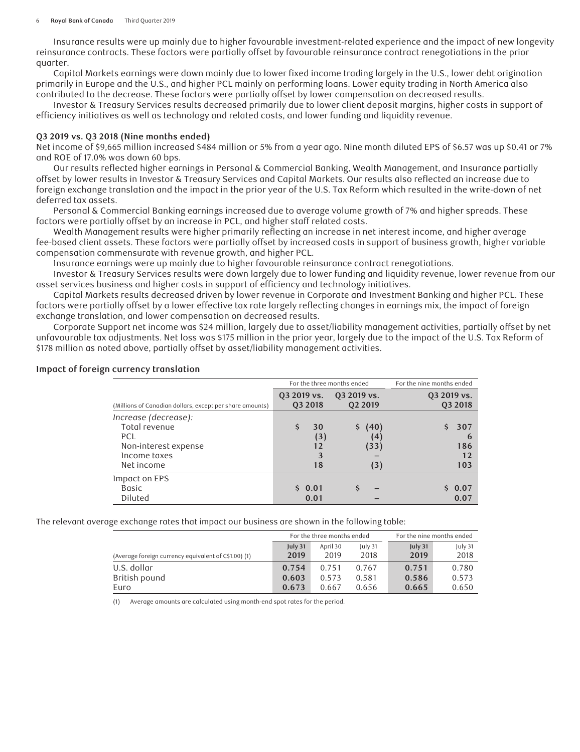Insurance results were up mainly due to higher favourable investment-related experience and the impact of new longevity reinsurance contracts. These factors were partially offset by favourable reinsurance contract renegotiations in the prior quarter.

Capital Markets earnings were down mainly due to lower fixed income trading largely in the U.S., lower debt origination primarily in Europe and the U.S., and higher PCL mainly on performing loans. Lower equity trading in North America also contributed to the decrease. These factors were partially offset by lower compensation on decreased results.

Investor & Treasury Services results decreased primarily due to lower client deposit margins, higher costs in support of efficiency initiatives as well as technology and related costs, and lower funding and liquidity revenue.

#### **Q3 2019 vs. Q3 2018 (Nine months ended)**

Net income of \$9,665 million increased \$484 million or 5% from a year ago. Nine month diluted EPS of \$6.57 was up \$0.41 or 7% and ROE of 17.0% was down 60 bps.

Our results reflected higher earnings in Personal & Commercial Banking, Wealth Management, and Insurance partially offset by lower results in Investor & Treasury Services and Capital Markets. Our results also reflected an increase due to foreign exchange translation and the impact in the prior year of the U.S. Tax Reform which resulted in the write-down of net deferred tax assets.

Personal & Commercial Banking earnings increased due to average volume growth of 7% and higher spreads. These factors were partially offset by an increase in PCL, and higher staff related costs.

Wealth Management results were higher primarily reflecting an increase in net interest income, and higher average fee-based client assets. These factors were partially offset by increased costs in support of business growth, higher variable compensation commensurate with revenue growth, and higher PCL.

Insurance earnings were up mainly due to higher favourable reinsurance contract renegotiations.

Investor & Treasury Services results were down largely due to lower funding and liquidity revenue, lower revenue from our asset services business and higher costs in support of efficiency and technology initiatives.

Capital Markets results decreased driven by lower revenue in Corporate and Investment Banking and higher PCL. These factors were partially offset by a lower effective tax rate largely reflecting changes in earnings mix, the impact of foreign exchange translation, and lower compensation on decreased results.

Corporate Support net income was \$24 million, largely due to asset/liability management activities, partially offset by net unfavourable tax adjustments. Net loss was \$175 million in the prior year, largely due to the impact of the U.S. Tax Reform of \$178 million as noted above, partially offset by asset/liability management activities.

|                                                          |             | For the three months ended | For the nine months ended |  |  |
|----------------------------------------------------------|-------------|----------------------------|---------------------------|--|--|
|                                                          | 03 2019 vs. | 03 2019 vs.                | Q3 2019 vs.               |  |  |
| (Millions of Canadian dollars, except per share amounts) | 03 2018     | 02 2019                    | 03 2018                   |  |  |
| Increase (decrease):                                     |             |                            |                           |  |  |
| Total revenue                                            | \$<br>30    | (40)<br>S                  | 307                       |  |  |
| <b>PCL</b>                                               | (3)         | (4)                        | $\mathbf{6}$              |  |  |
| Non-interest expense                                     | 12          | (33)                       | 186                       |  |  |
| Income taxes                                             | 3           |                            | 12                        |  |  |
| Net income                                               | 18          | (3)                        | 103                       |  |  |
| Impact on EPS                                            |             |                            |                           |  |  |
| <b>Basic</b>                                             | $S$ 0.01    | \$                         | \$ 0.07                   |  |  |
| Diluted                                                  | 0.01        |                            | 0.07                      |  |  |
|                                                          |             |                            |                           |  |  |

#### **Impact of foreign currency translation**

The relevant average exchange rates that impact our business are shown in the following table:

|                                                      |         | For the three months ended |         | For the nine months ended |         |  |
|------------------------------------------------------|---------|----------------------------|---------|---------------------------|---------|--|
|                                                      | July 31 | April 30                   | July 31 | July 31                   | July 31 |  |
| (Average foreign currency equivalent of C\$1.00) (1) | 2019    | 2019                       | 2018    | 2019                      | 2018    |  |
| U.S. dollar                                          | 0.754   | 0.751                      | 0.767   | 0.751                     | 0.780   |  |
| British pound                                        | 0.603   | 0.573                      | 0.581   | 0.586                     | 0.573   |  |
| Euro                                                 | 0.673   | 0.667                      | 0.656   | 0.665                     | 0.650   |  |
|                                                      |         |                            |         |                           |         |  |

Average amounts are calculated using month-end spot rates for the period.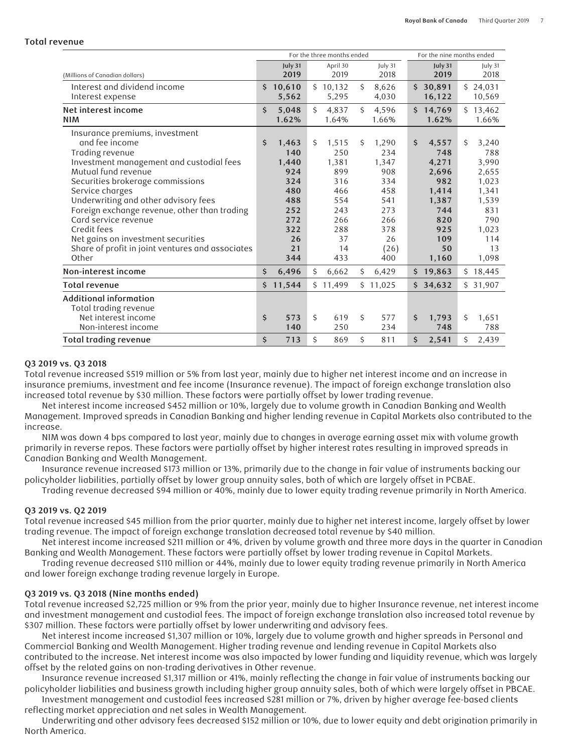|                                                  |                    |          |    | For the three months ended |    | For the nine months ended |    |          |    |          |
|--------------------------------------------------|--------------------|----------|----|----------------------------|----|---------------------------|----|----------|----|----------|
|                                                  |                    | July 31  |    | April 30                   |    | July 31                   |    | July 31  |    | July 31  |
| (Millions of Canadian dollars)                   |                    | 2019     |    | 2019                       |    | 2018                      |    | 2019     |    | 2018     |
| Interest and dividend income                     |                    | \$10.610 |    | \$10,132                   | \$ | 8,626                     |    | \$30.891 |    | \$24,031 |
| Interest expense                                 |                    | 5,562    |    | 5,295                      |    | 4,030                     |    | 16,122   |    | 10,569   |
| Net interest income                              | $\dot{\mathsf{S}}$ | 5.048    | Ś. | 4,837                      | Ŝ. | 4,596                     |    | \$14,769 |    | \$13,462 |
| <b>NIM</b>                                       |                    | 1.62%    |    | 1.64%                      |    | 1.66%                     |    | 1.62%    |    | 1.66%    |
| Insurance premiums, investment                   |                    |          |    |                            |    |                           |    |          |    |          |
| and fee income                                   | \$                 | 1,463    | \$ | 1,515                      | S  | 1,290                     | \$ | 4,557    | \$ | 3,240    |
| Trading revenue                                  |                    | 140      |    | 250                        |    | 234                       |    | 748      |    | 788      |
| Investment management and custodial fees         |                    | 1,440    |    | 1,381                      |    | 1,347                     |    | 4,271    |    | 3,990    |
| Mutual fund revenue                              |                    | 924      |    | 899                        |    | 908                       |    | 2,696    |    | 2,655    |
| Securities brokerage commissions                 |                    | 324      |    | 316                        |    | 334                       |    | 982      |    | 1.023    |
| Service charges                                  |                    | 480      |    | 466                        |    | 458                       |    | 1,414    |    | 1,341    |
| Underwriting and other advisory fees             |                    | 488      |    | 554                        |    | 541                       |    | 1,387    |    | 1,539    |
| Foreign exchange revenue, other than trading     |                    | 252      |    | 243                        |    | 273                       |    | 744      |    | 831      |
| Card service revenue                             |                    | 272      |    | 266                        |    | 266                       |    | 820      |    | 790      |
| Credit fees                                      |                    | 322      |    | 288                        |    | 378                       |    | 925      |    | 1.023    |
| Net gains on investment securities               |                    | 26       |    | 37                         |    | 26                        |    | 109      |    | 114      |
| Share of profit in joint ventures and associates |                    | 21       |    | 14                         |    | (26)                      |    | 50       |    | 13       |
| Other                                            |                    | 344      |    | 433                        |    | 400                       |    | 1,160    |    | 1,098    |
| Non-interest income                              | \$                 | 6,496    | \$ | 6,662                      | \$ | 6,429                     |    | \$19,863 |    | \$18,445 |
| <b>Total revenue</b>                             | $\mathsf{S}$       | 11,544   | Ŝ. | 11,499                     |    | \$11,025                  |    | \$34,632 |    | \$31,907 |
| <b>Additional information</b>                    |                    |          |    |                            |    |                           |    |          |    |          |
| Total trading revenue                            |                    |          |    |                            |    |                           |    |          |    |          |
| Net interest income                              | \$                 | 573      | Ś  | 619                        | Ŝ. | 577                       | \$ | 1,793    | \$ | 1,651    |
| Non-interest income                              |                    | 140      |    | 250                        |    | 234                       |    | 748      |    | 788      |
| Total trading revenue                            | \$                 | 713      | Ś. | 869                        | \$ | 811                       | \$ | 2,541    | \$ | 2,439    |

#### **Total revenue**

#### **Q3 2019 vs. Q3 2018**

Total revenue increased \$519 million or 5% from last year, mainly due to higher net interest income and an increase in insurance premiums, investment and fee income (Insurance revenue). The impact of foreign exchange translation also increased total revenue by \$30 million. These factors were partially offset by lower trading revenue.

Net interest income increased \$452 million or 10%, largely due to volume growth in Canadian Banking and Wealth Management. Improved spreads in Canadian Banking and higher lending revenue in Capital Markets also contributed to the increase.

NIM was down 4 bps compared to last year, mainly due to changes in average earning asset mix with volume growth primarily in reverse repos. These factors were partially offset by higher interest rates resulting in improved spreads in Canadian Banking and Wealth Management.

Insurance revenue increased \$173 million or 13%, primarily due to the change in fair value of instruments backing our policyholder liabilities, partially offset by lower group annuity sales, both of which are largely offset in PCBAE.

Trading revenue decreased \$94 million or 40%, mainly due to lower equity trading revenue primarily in North America.

#### **Q3 2019 vs. Q2 2019**

Total revenue increased \$45 million from the prior quarter, mainly due to higher net interest income, largely offset by lower trading revenue. The impact of foreign exchange translation decreased total revenue by \$40 million.

Net interest income increased \$211 million or 4%, driven by volume growth and three more days in the quarter in Canadian Banking and Wealth Management. These factors were partially offset by lower trading revenue in Capital Markets.

Trading revenue decreased \$110 million or 44%, mainly due to lower equity trading revenue primarily in North America and lower foreign exchange trading revenue largely in Europe.

#### **Q3 2019 vs. Q3 2018 (Nine months ended)**

Total revenue increased \$2,725 million or 9% from the prior year, mainly due to higher Insurance revenue, net interest income and investment management and custodial fees. The impact of foreign exchange translation also increased total revenue by \$307 million. These factors were partially offset by lower underwriting and advisory fees.

Net interest income increased \$1,307 million or 10%, largely due to volume growth and higher spreads in Personal and Commercial Banking and Wealth Management. Higher trading revenue and lending revenue in Capital Markets also contributed to the increase. Net interest income was also impacted by lower funding and liquidity revenue, which was largely offset by the related gains on non-trading derivatives in Other revenue.

Insurance revenue increased \$1,317 million or 41%, mainly reflecting the change in fair value of instruments backing our policyholder liabilities and business growth including higher group annuity sales, both of which were largely offset in PBCAE. Investment management and custodial fees increased \$281 million or 7%, driven by higher average fee-based clients

reflecting market appreciation and net sales in Wealth Management. Underwriting and other advisory fees decreased \$152 million or 10%, due to lower equity and debt origination primarily in North America.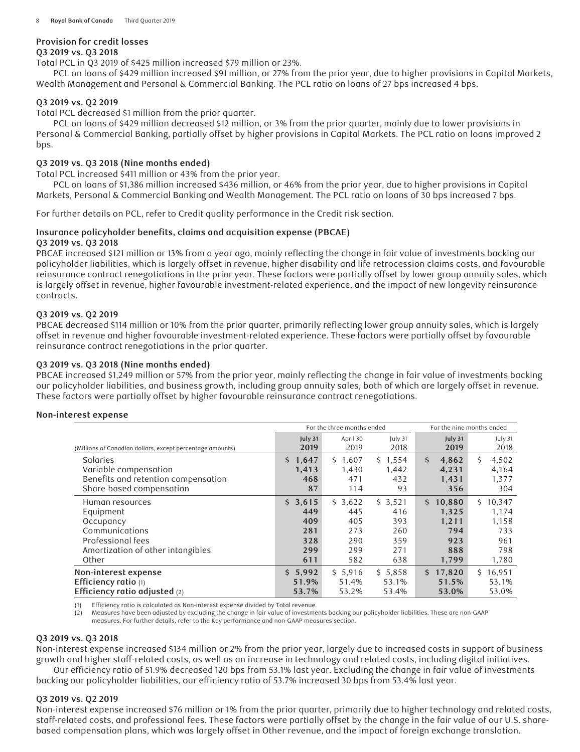#### **Provision for credit losses**

#### **Q3 2019 vs. Q3 2018**

Total PCL in Q3 2019 of \$425 million increased \$79 million or 23%.

PCL on loans of \$429 million increased \$91 million, or 27% from the prior year, due to higher provisions in Capital Markets, Wealth Management and Personal & Commercial Banking. The PCL ratio on loans of 27 bps increased 4 bps.

#### **Q3 2019 vs. Q2 2019**

Total PCL decreased \$1 million from the prior quarter.

PCL on loans of \$429 million decreased \$12 million, or 3% from the prior quarter, mainly due to lower provisions in Personal & Commercial Banking, partially offset by higher provisions in Capital Markets. The PCL ratio on loans improved 2 bps.

#### **Q3 2019 vs. Q3 2018 (Nine months ended)**

Total PCL increased \$411 million or 43% from the prior year.

PCL on loans of \$1,386 million increased \$436 million, or 46% from the prior year, due to higher provisions in Capital Markets, Personal & Commercial Banking and Wealth Management. The PCL ratio on loans of 30 bps increased 7 bps.

For further details on PCL, refer to Credit quality performance in the Credit risk section.

#### **Insurance policyholder benefits, claims and acquisition expense (PBCAE) Q3 2019 vs. Q3 2018**

PBCAE increased \$121 million or 13% from a year ago, mainly reflecting the change in fair value of investments backing our policyholder liabilities, which is largely offset in revenue, higher disability and life retrocession claims costs, and favourable reinsurance contract renegotiations in the prior year. These factors were partially offset by lower group annuity sales, which is largely offset in revenue, higher favourable investment-related experience, and the impact of new longevity reinsurance contracts.

#### **Q3 2019 vs. Q2 2019**

PBCAE decreased \$114 million or 10% from the prior quarter, primarily reflecting lower group annuity sales, which is largely offset in revenue and higher favourable investment-related experience. These factors were partially offset by favourable reinsurance contract renegotiations in the prior quarter.

#### **Q3 2019 vs. Q3 2018 (Nine months ended)**

PBCAE increased \$1,249 million or 57% from the prior year, mainly reflecting the change in fair value of investments backing our policyholder liabilities, and business growth, including group annuity sales, both of which are largely offset in revenue. These factors were partially offset by higher favourable reinsurance contract renegotiations.

#### **Non-interest expense**

|                                                                                                                                |                                                       | For the three months ended                        |                                                   | For the nine months ended                                    |                                                          |  |  |
|--------------------------------------------------------------------------------------------------------------------------------|-------------------------------------------------------|---------------------------------------------------|---------------------------------------------------|--------------------------------------------------------------|----------------------------------------------------------|--|--|
| (Millions of Canadian dollars, except percentage amounts)                                                                      | July 31<br>2019                                       | April 30<br>2019                                  | July 31<br>2018                                   | July 31<br>2019                                              | July 31<br>2018                                          |  |  |
| <b>Salaries</b><br>Variable compensation<br>Benefits and retention compensation<br>Share-based compensation                    | 1,647<br>S.<br>1,413<br>468<br>87                     | \$1,607<br>1,430<br>471<br>114                    | \$1,554<br>1,442<br>432<br>93                     | \$<br>4,862<br>4,231<br>1,431<br>356                         | 4,502<br>Ŝ.<br>4,164<br>1,377<br>304                     |  |  |
| Human resources<br>Equipment<br>Occupancy<br>Communications<br>Professional fees<br>Amortization of other intangibles<br>Other | Ś.<br>3,615<br>449<br>409<br>281<br>328<br>299<br>611 | \$3,622<br>445<br>405<br>273<br>290<br>299<br>582 | \$3,521<br>416<br>393<br>260<br>359<br>271<br>638 | 10,880<br>Ś.<br>1,325<br>1.211<br>794<br>923<br>888<br>1,799 | \$10,347<br>1.174<br>1,158<br>733<br>961<br>798<br>1,780 |  |  |
| Non-interest expense<br>Efficiency ratio $(1)$<br>Efficiency ratio adjusted (2)                                                | 5,992<br>Ś.<br>51.9%<br>53.7%                         | \$5,916<br>51.4%<br>53.2%                         | \$5.858<br>53.1%<br>53.4%                         | 17.820<br>S.<br>51.5%<br>53.0%                               | 16.951<br>Ŝ.<br>53.1%<br>53.0%                           |  |  |

(1) Efficiency ratio is calculated as Non-interest expense divided by Total revenue.

(2) Measures have been adjusted by excluding the change in fair value of investments backing our policyholder liabilities. These are non-GAAP measures. For further details, refer to the Key performance and non-GAAP measures section.

#### **Q3 2019 vs. Q3 2018**

Non-interest expense increased \$134 million or 2% from the prior year, largely due to increased costs in support of business growth and higher staff-related costs, as well as an increase in technology and related costs, including digital initiatives.

Our efficiency ratio of 51.9% decreased 120 bps from 53.1% last year. Excluding the change in fair value of investments backing our policyholder liabilities, our efficiency ratio of 53.7% increased 30 bps from 53.4% last year.

#### **Q3 2019 vs. Q2 2019**

Non-interest expense increased \$76 million or 1% from the prior quarter, primarily due to higher technology and related costs, staff-related costs, and professional fees. These factors were partially offset by the change in the fair value of our U.S. sharebased compensation plans, which was largely offset in Other revenue, and the impact of foreign exchange translation.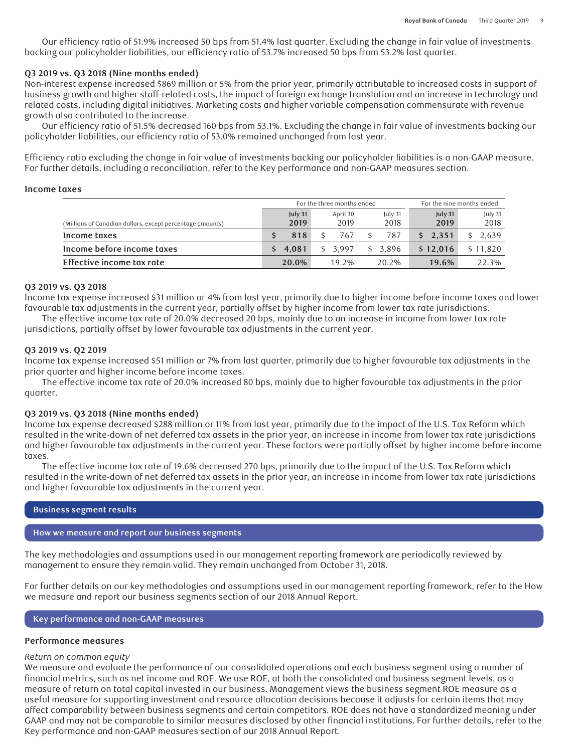Our efficiency ratio of 51.9% increased 50 bps from 51.4% last quarter. Excluding the change in fair value of investments backing our policyholder liabilities, our efficiency ratio of 53.7% increased 50 bps from 53.2% last quarter.

#### **Q3 2019 vs. Q3 2018 (Nine months ended)**

Non-interest expense increased \$869 million or 5% from the prior year, primarily attributable to increased costs in support of business growth and higher staff-related costs, the impact of foreign exchange translation and an increase in technology and related costs, including digital initiatives. Marketing costs and higher variable compensation commensurate with revenue growth also contributed to the increase.

Our efficiency ratio of 51.5% decreased 160 bps from 53.1%. Excluding the change in fair value of investments backing our policyholder liabilities, our efficiency ratio of 53.0% remained unchanged from last year.

Efficiency ratio excluding the change in fair value of investments backing our policyholder liabilities is a non-GAAP measure. For further details, including a reconciliation, refer to the Key performance and non-GAAP measures section.

#### **Income taxes**

|                                                           |         | For the three months ended |         | For the nine months ended |          |  |  |
|-----------------------------------------------------------|---------|----------------------------|---------|---------------------------|----------|--|--|
|                                                           | July 31 | April 30                   | July 31 | July 31                   | July 31  |  |  |
| (Millions of Canadian dollars, except percentage amounts) | 2019    | 2019                       | 2018    | 2019                      | 2018     |  |  |
| Income taxes                                              | 818     | 767                        | 787     | 2.351                     | 2,639    |  |  |
| Income before income taxes                                | 4.081   | 3.997                      | 3.896   | \$12.016                  | \$11,820 |  |  |
| Effective income tax rate                                 | 20.0%   | 19.2%                      | 20.2%   | 19.6%                     | 22.3%    |  |  |
|                                                           |         |                            |         |                           |          |  |  |

#### **Q3 2019 vs. Q3 2018**

Income tax expense increased \$31 million or 4% from last year, primarily due to higher income before income taxes and lower favourable tax adjustments in the current year, partially offset by higher income from lower tax rate jurisdictions.

The effective income tax rate of 20.0% decreased 20 bps, mainly due to an increase in income from lower tax rate jurisdictions, partially offset by lower favourable tax adjustments in the current year.

#### **Q3 2019 vs. Q2 2019**

Income tax expense increased \$51 million or 7% from last quarter, primarily due to higher favourable tax adjustments in the prior quarter and higher income before income taxes.

The effective income tax rate of 20.0% increased 80 bps, mainly due to higher favourable tax adjustments in the prior quarter.

#### **Q3 2019 vs. Q3 2018 (Nine months ended)**

Income tax expense decreased \$288 million or 11% from last year, primarily due to the impact of the U.S. Tax Reform which resulted in the write-down of net deferred tax assets in the prior year, an increase in income from lower tax rate jurisdictions and higher favourable tax adjustments in the current year. These factors were partially offset by higher income before income taxes.

The effective income tax rate of 19.6% decreased 270 bps, primarily due to the impact of the U.S. Tax Reform which resulted in the write-down of net deferred tax assets in the prior year, an increase in income from lower tax rate jurisdictions and higher favourable tax adjustments in the current year.

#### **Business segment results**

#### **How we measure and report our business segments**

The key methodologies and assumptions used in our management reporting framework are periodically reviewed by management to ensure they remain valid. They remain unchanged from October 31, 2018.

For further details on our key methodologies and assumptions used in our management reporting framework, refer to the How we measure and report our business segments section of our 2018 Annual Report.

#### **Key performance and non-GAAP measures**

# **Performance measures**

#### *Return on common equity*

We measure and evaluate the performance of our consolidated operations and each business segment using a number of financial metrics, such as net income and ROE. We use ROE, at both the consolidated and business segment levels, as a measure of return on total capital invested in our business. Management views the business segment ROE measure as a useful measure for supporting investment and resource allocation decisions because it adjusts for certain items that may affect comparability between business segments and certain competitors. ROE does not have a standardized meaning under GAAP and may not be comparable to similar measures disclosed by other financial institutions. For further details, refer to the Key performance and non-GAAP measures section of our 2018 Annual Report.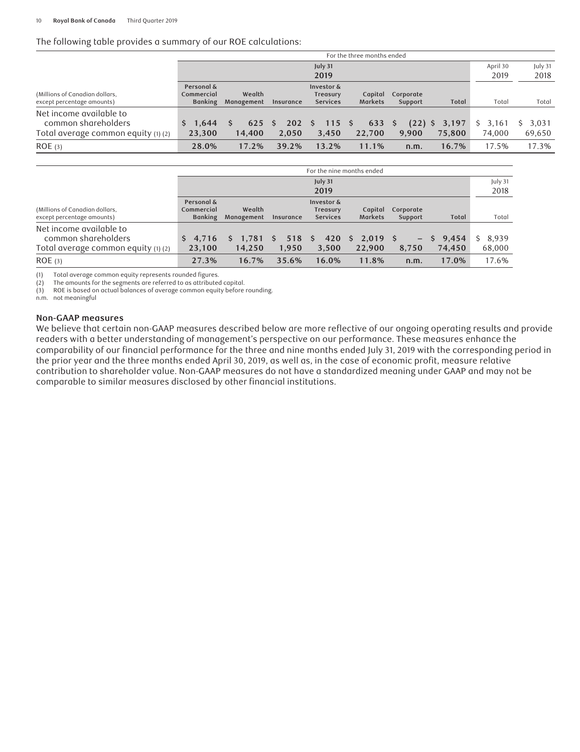#### The following table provides a summary of our ROE calculations:

|                                                                                       | For the three months ended                 |                      |                     |                                             |                               |                           |                       |                      |                 |  |  |
|---------------------------------------------------------------------------------------|--------------------------------------------|----------------------|---------------------|---------------------------------------------|-------------------------------|---------------------------|-----------------------|----------------------|-----------------|--|--|
|                                                                                       |                                            | July 31<br>2019      |                     |                                             |                               |                           |                       |                      |                 |  |  |
| (Millions of Canadian dollars,<br>except percentage amounts)                          | Personal &<br>Commercial<br><b>Banking</b> | Wealth<br>Management | Insurance           | Investor &<br>Treasury<br><b>Services</b>   | Capital<br><b>Markets</b>     | Corporate<br>Support      | Total                 | Total                | Total           |  |  |
| Net income available to<br>common shareholders<br>Total average common equity (1) (2) | 1.644<br>S.<br>23,300                      | 625<br>14,400        | 202<br>\$.<br>2,050 | $\nabla$ S $\triangleright$<br>115<br>3,450 | 633<br><sub>S</sub><br>22,700 | (22)<br><b>S</b><br>9.900 | 3,197<br>S,<br>75,800 | 3.161<br>S<br>74,000 | 3,031<br>69,650 |  |  |
| ROE(3)                                                                                | 28.0%                                      | 17.2%                | 39.2%               | 13.2%                                       | 11.1%                         | n.m.                      | 16.7%                 | 17.5%                | 17.3%           |  |  |

|                                                                                       | For the nine months ended                  |                               |              |                                           |                             |                      |                                 |                       |  |  |  |
|---------------------------------------------------------------------------------------|--------------------------------------------|-------------------------------|--------------|-------------------------------------------|-----------------------------|----------------------|---------------------------------|-----------------------|--|--|--|
|                                                                                       |                                            | July 31<br>2019               |              |                                           |                             |                      |                                 |                       |  |  |  |
| (Millions of Canadian dollars,<br>except percentage amounts)                          | Personal &<br>Commercial<br><b>Banking</b> | Wealth<br>Management          | Insurance    | Investor &<br>Treasury<br><b>Services</b> | Capital<br><b>Markets</b>   | Corporate<br>Support | Total                           | Total                 |  |  |  |
| Net income available to<br>common shareholders<br>Total average common equity (1) (2) | 4.716<br>S.<br>23,100                      | $1.781 \;$ \$<br>S.<br>14,250 | 518<br>1,950 | 420<br>S.<br>3,500                        | $2,019$ \$<br>\$.<br>22,900 | $-$<br>8,750         | 9,454<br><sub>S</sub><br>74,450 | 8.939<br>S.<br>68,000 |  |  |  |
| ROE(3)                                                                                | 27.3%                                      | 16.7%                         | 35.6%        | 16.0%                                     | 11.8%                       | n.m.                 | 17.0%                           | 17.6%                 |  |  |  |

(1) Total average common equity represents rounded figures.

(2) The amounts for the segments are referred to as attributed capital.<br>
(3) ROE is based on actual balances of average common equity before

ROE is based on actual balances of average common equity before rounding.

n.m. not meaningful

#### **Non-GAAP measures**

We believe that certain non-GAAP measures described below are more reflective of our ongoing operating results and provide readers with a better understanding of management's perspective on our performance. These measures enhance the comparability of our financial performance for the three and nine months ended July 31, 2019 with the corresponding period in the prior year and the three months ended April 30, 2019, as well as, in the case of economic profit, measure relative contribution to shareholder value. Non-GAAP measures do not have a standardized meaning under GAAP and may not be comparable to similar measures disclosed by other financial institutions.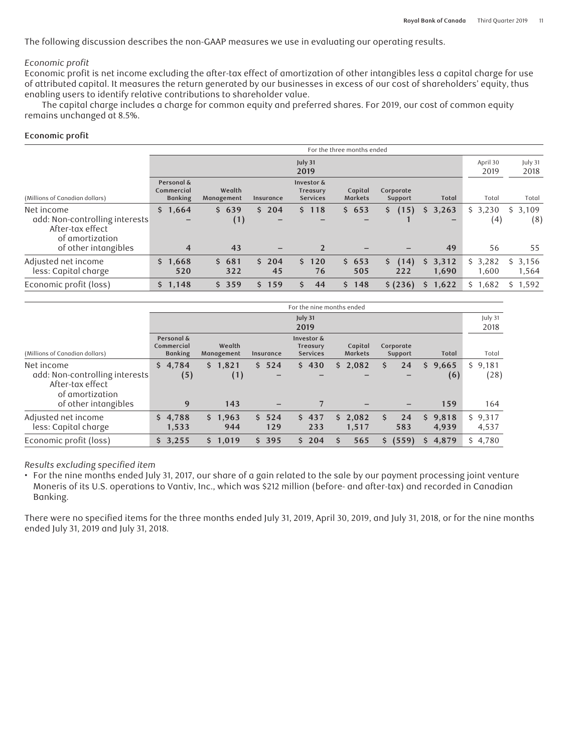The following discussion describes the non-GAAP measures we use in evaluating our operating results.

#### *Economic profit*

Economic profit is net income excluding the after-tax effect of amortization of other intangibles less a capital charge for use of attributed capital. It measures the return generated by our businesses in excess of our cost of shareholders' equity, thus enabling users to identify relative contributions to shareholder value.

The capital charge includes a charge for common equity and preferred shares. For 2019, our cost of common equity remains unchanged at 8.5%.

#### **Economic profit**

|                                                                                                             |                                            |                      |             |                                           | For the three months ended |                      |                   |                      |                      |
|-------------------------------------------------------------------------------------------------------------|--------------------------------------------|----------------------|-------------|-------------------------------------------|----------------------------|----------------------|-------------------|----------------------|----------------------|
|                                                                                                             |                                            |                      |             | July 31<br>2019                           |                            |                      |                   | April 30<br>2019     | July 31<br>2018      |
| (Millions of Canadian dollars)                                                                              | Personal &<br>Commercial<br><b>Banking</b> | Wealth<br>Management | Insurance   | Investor &<br>Treasury<br><b>Services</b> | Capital<br>Markets         | Corporate<br>Support | Total             | Total                | Total                |
| Net income<br>add: Non-controlling interests<br>After-tax effect<br>of amortization<br>of other intangibles | 1,664<br>S.<br>4                           | \$639<br>(1)<br>43   | \$204       | 118<br>Ś.                                 | \$653                      | \$<br>(15)           | 3,263<br>S.<br>49 | \$3,230<br>(4)<br>56 | \$3,109<br>(8)<br>55 |
| Adjusted net income<br>less: Capital charge                                                                 | 1,668<br>S.<br>520                         | \$681<br>322         | \$204<br>45 | 120<br>Ś.<br>76                           | \$653<br>505               | \$.<br>(14)<br>222   | \$3,312<br>1,690  | \$3,282<br>1.600     | \$3,156<br>1,564     |
| Economic profit (loss)                                                                                      | \$1,148                                    | \$359                | 159<br>S.   | 44<br>\$                                  | \$148                      | \$ (236)             | 1,622<br>S.       | \$1,682              | \$1,592              |

|                                                                                                             |                                            |                       |                  | For the nine months ended                 |                           |                      |                           |                        |
|-------------------------------------------------------------------------------------------------------------|--------------------------------------------|-----------------------|------------------|-------------------------------------------|---------------------------|----------------------|---------------------------|------------------------|
|                                                                                                             |                                            |                       |                  | July 31<br>2019                           |                           |                      |                           | July 31<br>2018        |
| (Millions of Canadian dollars)                                                                              | Personal &<br>Commercial<br><b>Banking</b> | Wealth<br>Management  | Insurance        | Investor &<br>Treasury<br><b>Services</b> | Capital<br><b>Markets</b> | Corporate<br>Support | Total                     | Total                  |
| Net income<br>add: Non-controlling interests<br>After-tax effect<br>of amortization<br>of other intangibles | 4,784<br>\$<br>(5)<br>9                    | \$1,821<br>(1)<br>143 | 524<br>S.        | \$430                                     | \$2,082                   | 24<br>Ś              | 9,665<br>S.<br>(6)<br>159 | \$9,181<br>(28)<br>164 |
| Adjusted net income<br>less: Capital charge                                                                 | 4.788<br>S.<br>1,533                       | 1.963<br>S.<br>944    | 524<br>S.<br>129 | \$437<br>233                              | \$2.082<br>1.517          | \$.<br>24<br>583     | \$9,818<br>4.939          | \$9,317<br>4,537       |
| Economic profit (loss)                                                                                      | \$3,255                                    | \$1,019               | \$395            | \$204                                     | 565<br>$\mathsf{S}$       | (559)<br>S.          | 4,879<br>\$               | \$4,780                |

*Results excluding specified item*

• For the nine months ended July 31, 2017, our share of a gain related to the sale by our payment processing joint venture Moneris of its U.S. operations to Vantiv, Inc., which was \$212 million (before- and after-tax) and recorded in Canadian Banking.

There were no specified items for the three months ended July 31, 2019, April 30, 2019, and July 31, 2018, or for the nine months ended July 31, 2019 and July 31, 2018.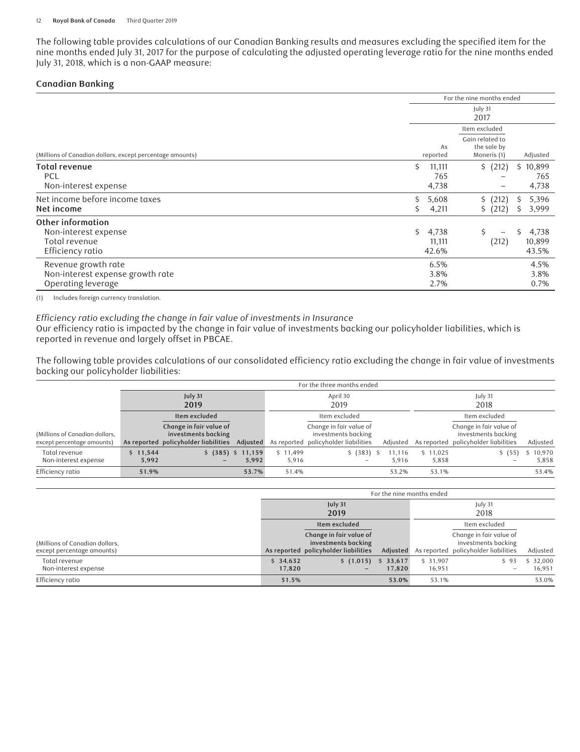#### 12 **Royal Bank of Canada** Third Quarter 2019

The following table provides calculations of our Canadian Banking results and measures excluding the specified item for the nine months ended July 31, 2017 for the purpose of calculating the adjusted operating leverage ratio for the nine months ended July 31, 2018, which is a non-GAAP measure:

#### **Canadian Banking**

|                                                           |     |          | For the nine months ended |             |
|-----------------------------------------------------------|-----|----------|---------------------------|-------------|
|                                                           |     |          | July 31                   |             |
|                                                           |     |          | 2017                      |             |
|                                                           |     |          | Item excluded             |             |
|                                                           |     |          | Gain related to           |             |
|                                                           |     | As       | the sale by               |             |
| (Millions of Canadian dollars, except percentage amounts) |     | reported | Moneris (1)               | Adjusted    |
| Total revenue                                             | \$  | 11,111   | \$ (212)                  | \$10,899    |
| PCL                                                       |     | 765      |                           | 765         |
| Non-interest expense                                      |     | 4,738    | -                         | 4,738       |
| Net income before income taxes                            | \$. | 5,608    | (212)<br>\$.              | \$<br>5,396 |
| Net income                                                | \$. | 4,211    | (212)<br>\$.              | \$<br>3,999 |
| Other information                                         |     |          |                           |             |
| Non-interest expense                                      | \$  | 4,738    | \$<br>$\qquad \qquad -$   | \$<br>4,738 |
| Total revenue                                             |     | 11,111   | (212)                     | 10,899      |
| Efficiency ratio                                          |     | 42.6%    |                           | 43.5%       |
| Revenue growth rate                                       |     | 6.5%     |                           | 4.5%        |
| Non-interest expense growth rate                          |     | 3.8%     |                           | 3.8%        |
| Operating leverage                                        |     | 2.7%     |                           | 0.7%        |

(1) Includes foreign currency translation.

### *Efficiency ratio excluding the change in fair value of investments in Insurance*

Our efficiency ratio is impacted by the change in fair value of investments backing our policyholder liabilities, which is reported in revenue and largely offset in PBCAE.

The following table provides calculations of our consolidated efficiency ratio excluding the change in fair value of investments backing our policyholder liabilities:

|                                                              |                   |                                                                                        |                             | For the three months ended |                                                                                        |                 |                   |                                                                                        |                   |  |  |
|--------------------------------------------------------------|-------------------|----------------------------------------------------------------------------------------|-----------------------------|----------------------------|----------------------------------------------------------------------------------------|-----------------|-------------------|----------------------------------------------------------------------------------------|-------------------|--|--|
|                                                              |                   | July 31<br>2019                                                                        |                             |                            | April 30<br>2019                                                                       |                 | July 31<br>2018   |                                                                                        |                   |  |  |
|                                                              |                   | Item excluded                                                                          |                             |                            | Item excluded                                                                          |                 |                   | Item excluded                                                                          |                   |  |  |
| (Millions of Canadian dollars,<br>except percentage amounts) |                   | Change in fair value of<br>investments backing<br>As reported policyholder liabilities | Adjusted                    |                            | Change in fair value of<br>investments backing<br>As reported policyholder ligbilities | Adjusted        |                   | Change in fair value of<br>investments backing<br>As reported policyholder liabilities | Adjusted          |  |  |
| Total revenue<br>Non-interest expense                        | \$11.544<br>5,992 |                                                                                        | \$ (385) \$ 11,159<br>5.992 | \$11,499<br>5,916          | \$ (383) \$<br>$\hspace{0.1mm}-\hspace{0.1mm}$                                         | 11.116<br>5.916 | \$11,025<br>5,858 | \$ (55)                                                                                | \$10,970<br>5,858 |  |  |
| Efficiency ratio                                             | 51.9%             |                                                                                        | 53.7%                       | 51.4%                      |                                                                                        | 53.2%           | 53.1%             |                                                                                        | 53.4%             |  |  |

|                                                              |                    |                                                                                        |                    | For the nine months ended |                                                                                        |                    |
|--------------------------------------------------------------|--------------------|----------------------------------------------------------------------------------------|--------------------|---------------------------|----------------------------------------------------------------------------------------|--------------------|
|                                                              |                    | July 31<br>2019                                                                        |                    |                           |                                                                                        |                    |
|                                                              |                    | Item excluded                                                                          |                    |                           | Item excluded                                                                          |                    |
| (Millions of Canadian dollars,<br>except percentage amounts) |                    | Change in fair value of<br>investments backing<br>As reported policyholder liabilities | Adjusted           |                           | Change in fair value of<br>investments backing<br>As reported policyholder liabilities | Adjusted           |
| Total revenue<br>Non-interest expense                        | \$34,632<br>17,820 | \$(1,015)                                                                              | \$33,617<br>17,820 | \$31,907<br>16,951        | \$93                                                                                   | \$32,000<br>16.951 |
| Efficiency ratio                                             | 51.5%              |                                                                                        | 53.0%              | 53.1%                     |                                                                                        | 53.0%              |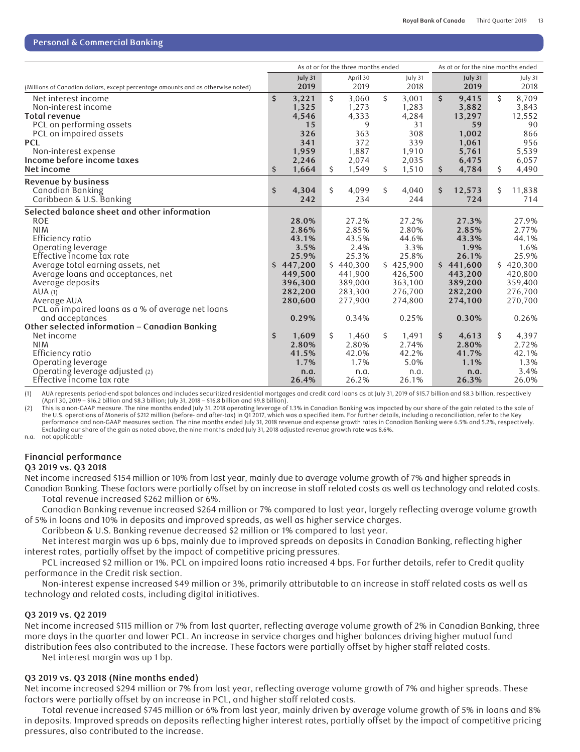|                                                                                  |             | As at or for the three months ended |             | As at or for the nine months ended |           |    |           |  |
|----------------------------------------------------------------------------------|-------------|-------------------------------------|-------------|------------------------------------|-----------|----|-----------|--|
|                                                                                  | July 31     | April 30                            | July 31     |                                    | July 31   |    | July 31   |  |
| (Millions of Canadian dollars, except percentage amounts and as otherwise noted) | 2019        | 2019                                | 2018        |                                    | 2019      |    | 2018      |  |
| Net interest income                                                              | \$<br>3,221 | \$<br>3,060                         | \$<br>3,001 | \$                                 | 9,415     | \$ | 8,709     |  |
| Non-interest income                                                              | 1,325       | 1,273                               | 1,283       |                                    | 3,882     |    | 3,843     |  |
| <b>Total revenue</b>                                                             | 4,546       | 4,333                               | 4,284       |                                    | 13,297    |    | 12,552    |  |
| PCL on performing assets                                                         | 15          | 9                                   | 31          |                                    | 59        |    | 90        |  |
| PCL on impaired assets                                                           | 326         | 363                                 | 308         |                                    | 1,002     |    | 866       |  |
| <b>PCL</b>                                                                       | 341         | 372                                 | 339         |                                    | 1,061     |    | 956       |  |
| Non-interest expense                                                             | 1,959       | 1,887                               | 1,910       |                                    | 5,761     |    | 5,539     |  |
| Income before income taxes                                                       | 2,246       | 2,074                               | 2,035       |                                    | 6,475     |    | 6,057     |  |
| Net income                                                                       | \$<br>1,664 | \$<br>1,549                         | \$<br>1,510 | \$                                 | 4,784     | \$ | 4,490     |  |
| Revenue by business                                                              |             |                                     |             |                                    |           |    |           |  |
| Canadian Banking                                                                 | \$<br>4,304 | \$<br>4.099                         | \$<br>4,040 | \$                                 | 12,573    | \$ | 11,838    |  |
| Caribbean & U.S. Banking                                                         | 242         | 234                                 | 244         |                                    | 724       |    | 714       |  |
| Selected balance sheet and other information                                     |             |                                     |             |                                    |           |    |           |  |
| <b>ROE</b>                                                                       | 28.0%       | 27.2%                               | 27.2%       |                                    | 27.3%     |    | 27.9%     |  |
| <b>NIM</b>                                                                       | 2.86%       | 2.85%                               | 2.80%       |                                    | 2.85%     |    | 2.77%     |  |
| Efficiency ratio                                                                 | 43.1%       | 43.5%                               | 44.6%       |                                    | 43.3%     |    | 44.1%     |  |
| Operating leverage                                                               | 3.5%        | 2.4%                                | 3.3%        |                                    | 1.9%      |    | 1.6%      |  |
| Effective income tax rate                                                        | 25.9%       | 25.3%                               | 25.8%       |                                    | 26.1%     |    | 25.9%     |  |
| Average total earning assets, net                                                | \$447,200   | \$440,300                           | \$425,900   |                                    | \$441,600 |    | \$420,300 |  |
| Average loans and acceptances, net                                               | 449,500     | 441,900                             | 426,500     |                                    | 443,200   |    | 420,800   |  |
| Average deposits                                                                 | 396,300     | 389,000                             | 363,100     |                                    | 389,200   |    | 359,400   |  |
| AUA(1)                                                                           | 282,200     | 283,300                             | 276,700     |                                    | 282,200   |    | 276,700   |  |
| Average AUA                                                                      | 280,600     | 277,900                             | 274,800     |                                    | 274,100   |    | 270,700   |  |
| PCL on impaired loans as a % of average net loans                                |             |                                     |             |                                    |           |    |           |  |
| and acceptances                                                                  | 0.29%       | 0.34%                               | 0.25%       |                                    | 0.30%     |    | 0.26%     |  |
| Other selected information - Canadian Banking                                    |             |                                     |             |                                    |           |    |           |  |
| Net income                                                                       | \$<br>1,609 | \$<br>1,460                         | \$<br>1,491 | \$                                 | 4,613     | \$ | 4,397     |  |
| <b>NIM</b>                                                                       | 2.80%       | 2.80%                               | 2.74%       |                                    | 2.80%     |    | 2.72%     |  |
| Efficiency ratio                                                                 | 41.5%       | 42.0%                               | 42.2%       |                                    | 41.7%     |    | 42.1%     |  |
| Operating leverage                                                               | 1.7%        | 1.7%                                | 5.0%        |                                    | 1.1%      |    | 1.3%      |  |
| Operating leverage adjusted (2)                                                  | n.a.        | n.a.                                | n.a.        |                                    | n.a.      |    | 3.4%      |  |
| Effective income tax rate                                                        | 26.4%       | 26.2%                               | 26.1%       |                                    | 26.3%     |    | 26.0%     |  |

(1) AUA represents period-end spot balances and includes securitized residential mortgages and credit card loans as at July 31, 2019 of \$15.7 billion and \$8.3 billion, respectively (April 30, 2019 – \$16.2 billion and \$8.3 billion; July 31, 2018 – \$16.8 billion and \$9.8 billion).

(2) This is a non-GAAP measure. The nine months ended July 31, 2018 operating leverage of 1.3% in Canadian Banking was impacted by our share of the gain related to the sale of the U.S. operations of Moneris of \$212 million (before- and after-tax) in Q1 2017, which was a specified item. For further details, including a reconciliation, refer to the Key performance and non-GAAP measures section. The nine months ended July 31, 2018 revenue and expense growth rates in Canadian Banking were 6.5% and 5.2%, respectively. Excluding our share of the gain as noted above, the nine months ended July 31, 2018 adjusted revenue growth rate was 8.6%. n.a. not applicable

# **Financial performance**

# **Q3 2019 vs. Q3 2018**

Net income increased \$154 million or 10% from last year, mainly due to average volume growth of 7% and higher spreads in

Canadian Banking. These factors were partially offset by an increase in staff related costs as well as technology and related costs. Total revenue increased \$262 million or 6%.

Canadian Banking revenue increased \$264 million or 7% compared to last year, largely reflecting average volume growth of 5% in loans and 10% in deposits and improved spreads, as well as higher service charges.

Caribbean & U.S. Banking revenue decreased \$2 million or 1% compared to last year.

Net interest margin was up 6 bps, mainly due to improved spreads on deposits in Canadian Banking, reflecting higher interest rates, partially offset by the impact of competitive pricing pressures.

PCL increased \$2 million or 1%. PCL on impaired loans ratio increased 4 bps. For further details, refer to Credit quality performance in the Credit risk section.

Non-interest expense increased \$49 million or 3%, primarily attributable to an increase in staff related costs as well as technology and related costs, including digital initiatives.

# **Q3 2019 vs. Q2 2019**

Net income increased \$115 million or 7% from last quarter, reflecting average volume growth of 2% in Canadian Banking, three more days in the quarter and lower PCL. An increase in service charges and higher balances driving higher mutual fund distribution fees also contributed to the increase. These factors were partially offset by higher staff related costs.

Net interest margin was up 1 bp.

# **Q3 2019 vs. Q3 2018 (Nine months ended)**

Net income increased \$294 million or 7% from last year, reflecting average volume growth of 7% and higher spreads. These factors were partially offset by an increase in PCL, and higher staff related costs.

Total revenue increased \$745 million or 6% from last year, mainly driven by average volume growth of 5% in loans and 8% in deposits. Improved spreads on deposits reflecting higher interest rates, partially offset by the impact of competitive pricing pressures, also contributed to the increase.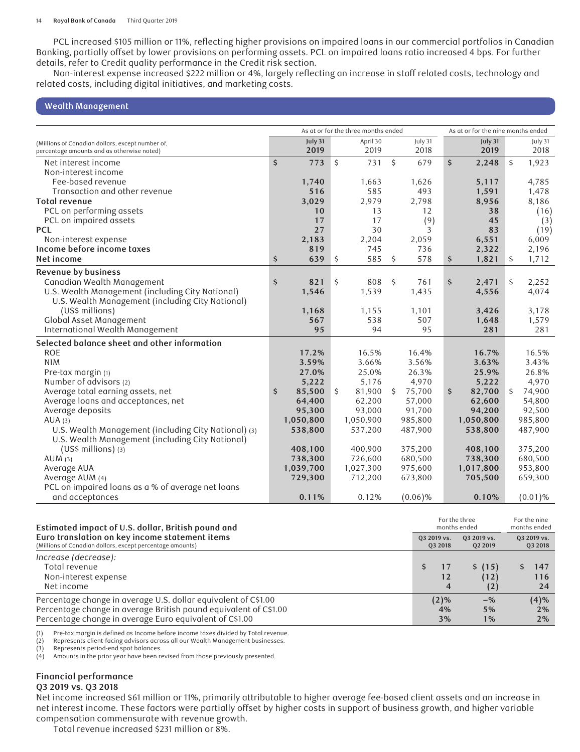PCL increased \$105 million or 11%, reflecting higher provisions on impaired loans in our commercial portfolios in Canadian Banking, partially offset by lower provisions on performing assets. PCL on impaired loans ratio increased 4 bps. For further details, refer to Credit quality performance in the Credit risk section.

Non-interest expense increased \$222 million or 4%, largely reflecting an increase in staff related costs, technology and related costs, including digital initiatives, and marketing costs.

#### **Wealth Management**

|                                                      |              | As at or for the three months ended |                        | As at or for the nine months ended |                             |  |  |  |  |
|------------------------------------------------------|--------------|-------------------------------------|------------------------|------------------------------------|-----------------------------|--|--|--|--|
| (Millions of Canadian dollars, except number of,     | July 31      | April 30                            | July 31                | July 31                            | July 31                     |  |  |  |  |
| percentage amounts and as otherwise noted)           | 2019         | 2019                                | 2018                   | 2019                               | 2018                        |  |  |  |  |
| Net interest income                                  | \$<br>773    | \$<br>731                           | \$<br>679              | \$<br>2,248                        | $\mathsf{\hat{S}}$<br>1,923 |  |  |  |  |
| Non-interest income                                  |              |                                     |                        |                                    |                             |  |  |  |  |
| Fee-based revenue                                    | 1,740        | 1,663                               | 1,626                  | 5,117                              | 4,785                       |  |  |  |  |
| Transaction and other revenue                        | 516          | 585                                 | 493                    | 1,591                              | 1,478                       |  |  |  |  |
| <b>Total revenue</b>                                 | 3,029        | 2,979                               | 2,798                  | 8,956                              | 8,186                       |  |  |  |  |
| PCL on performing assets                             | 10           | 13                                  | 12                     | 38                                 | (16)                        |  |  |  |  |
| PCL on impaired assets                               | 17           | 17                                  | (9)                    | 45                                 | (3)                         |  |  |  |  |
| <b>PCL</b>                                           | 27           | 30                                  | 3                      | 83                                 | (19)                        |  |  |  |  |
| Non-interest expense                                 | 2,183        | 2,204                               | 2,059                  | 6,551                              | 6,009                       |  |  |  |  |
| Income before income taxes                           | 819          | 745                                 | 736                    | 2,322                              | 2,196                       |  |  |  |  |
| Net income                                           | \$<br>639    | \$<br>585                           | 578<br>\$              | \$<br>1,821                        | \$<br>1,712                 |  |  |  |  |
| <b>Revenue by business</b>                           |              |                                     |                        |                                    |                             |  |  |  |  |
| Canadian Wealth Management                           | \$<br>821    | \$<br>808                           | $\mathsf{S}$<br>761    | \$<br>2,471                        | $\mathsf{S}$<br>2,252       |  |  |  |  |
| U.S. Wealth Management (including City National)     | 1,546        | 1,539                               | 1,435                  | 4,556                              | 4,074                       |  |  |  |  |
| U.S. Wealth Management (including City National)     |              |                                     |                        |                                    |                             |  |  |  |  |
| (US\$ millions)                                      | 1,168        | 1,155                               | 1,101                  | 3,426                              | 3,178                       |  |  |  |  |
| Global Asset Management                              | 567          | 538                                 | 507                    | 1,648                              | 1,579                       |  |  |  |  |
| International Wealth Management                      | 95           | 94                                  | 95                     | 281                                | 281                         |  |  |  |  |
| Selected balance sheet and other information         |              |                                     |                        |                                    |                             |  |  |  |  |
| <b>ROE</b>                                           | 17.2%        | 16.5%                               | 16.4%                  | 16.7%                              | 16.5%                       |  |  |  |  |
| <b>NIM</b>                                           | 3.59%        | 3.66%                               | 3.56%                  | 3.63%                              | 3.43%                       |  |  |  |  |
| Pre-tax margin (1)                                   | 27.0%        | 25.0%                               | 26.3%                  | 25.9%                              | 26.8%                       |  |  |  |  |
| Number of advisors (2)                               | 5,222        | 5,176                               | 4,970                  | 5,222                              | 4,970                       |  |  |  |  |
| Average total earning assets, net                    | 85,500<br>\$ | \$<br>81,900                        | $\mathsf{S}$<br>75,700 | \$<br>82,700                       | \$<br>74.900                |  |  |  |  |
| Average loans and acceptances, net                   | 64,400       | 62,200                              | 57,000                 | 62,600                             | 54,800                      |  |  |  |  |
| Average deposits                                     | 95,300       | 93,000                              | 91,700                 | 94,200                             | 92,500                      |  |  |  |  |
| AUA(3)                                               | 1,050,800    | 1,050,900                           | 985,800                | 1,050,800                          | 985,800                     |  |  |  |  |
| U.S. Wealth Management (including City National) (3) | 538,800      | 537,200                             | 487,900                | 538,800                            | 487,900                     |  |  |  |  |
| U.S. Wealth Management (including City National)     |              |                                     |                        |                                    |                             |  |  |  |  |
| (US\$ millions) (3)                                  | 408,100      | 400.900                             | 375,200                | 408,100                            | 375.200                     |  |  |  |  |
| AUM(3)                                               | 738,300      | 726,600                             | 680,500                | 738,300                            | 680,500                     |  |  |  |  |
| Average AUA                                          | 1,039,700    | 1,027,300                           | 975,600                | 1,017,800                          | 953,800                     |  |  |  |  |
| Average AUM (4)                                      | 729,300      | 712,200                             | 673,800                | 705,500                            | 659,300                     |  |  |  |  |
| PCL on impaired loans as a % of average net loans    |              |                                     |                        |                                    |                             |  |  |  |  |
| and acceptances                                      | 0.11%        | 0.12%                               | $(0.06)$ %             | 0.10%                              | $(0.01)$ %                  |  |  |  |  |

| Estimated impact of U.S. dollar, British pound and                          |             | For the three<br>months ended |                  |  |  |
|-----------------------------------------------------------------------------|-------------|-------------------------------|------------------|--|--|
| Euro translation on key income statement items                              | Q3 2019 vs. | Q3 2019 vs.                   | Q3 2019 vs.      |  |  |
| (Millions of Canadian dollars, except percentage amounts)                   | Q3 2018     | Q <sub>2</sub> 2019           | Q3 2018          |  |  |
| Increase (decrease):<br>Total revenue<br>Non-interest expense<br>Net income | 4           | \$(15)<br>12)<br>(2)          | 147<br>116<br>24 |  |  |
| Percentage change in average U.S. dollar equivalent of C\$1.00              | (2)%        | $-$ %                         | (4)%             |  |  |
| Percentage change in average British pound equivalent of C\$1.00            | 4%          | 5%                            | 2%               |  |  |
| Percentage change in average Euro equivalent of C\$1.00                     | 3%          | $1\%$                         | 2%               |  |  |

(1) Pre-tax margin is defined as Income before income taxes divided by Total revenue.

(2) Represents client-facing advisors across all our Wealth Management businesses.

(3) Represents period-end spot balances.

(4) Amounts in the prior year have been revised from those previously presented.

#### **Financial performance Q3 2019 vs. Q3 2018**

Net income increased \$61 million or 11%, primarily attributable to higher average fee-based client assets and an increase in net interest income. These factors were partially offset by higher costs in support of business growth, and higher variable compensation commensurate with revenue growth.

Total revenue increased \$231 million or 8%.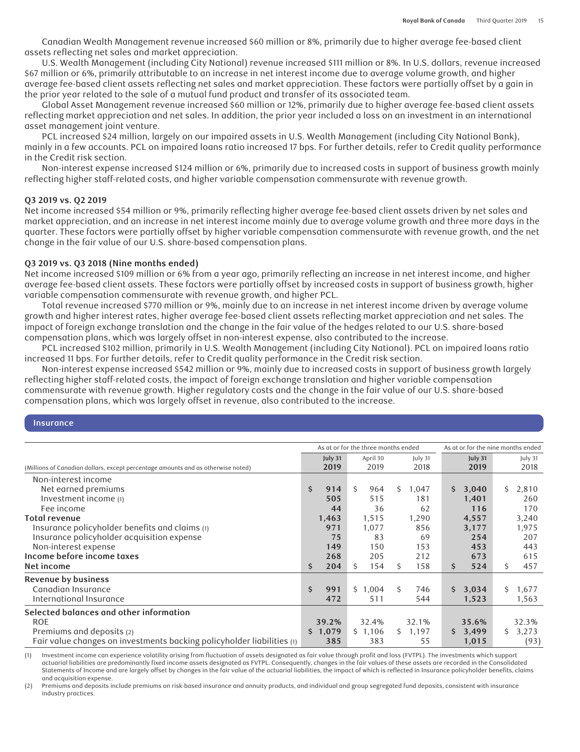Canadian Wealth Management revenue increased \$60 million or 8%, primarily due to higher average fee-based client assets reflecting net sales and market appreciation.

U.S. Wealth Management (including City National) revenue increased \$111 million or 8%. In U.S. dollars, revenue increased \$67 million or 6%, primarily attributable to an increase in net interest income due to average volume growth, and higher average fee-based client assets reflecting net sales and market appreciation. These factors were partially offset by a gain in the prior year related to the sale of a mutual fund product and transfer of its associated team.

Global Asset Management revenue increased \$60 million or 12%, primarily due to higher average fee-based client assets reflecting market appreciation and net sales. In addition, the prior year included a loss on an investment in an international asset management joint venture.

PCL increased \$24 million, largely on our impaired assets in U.S. Wealth Management (including City National Bank), mainly in a few accounts. PCL on impaired loans ratio increased 17 bps. For further details, refer to Credit quality performance in the Credit risk section.

Non-interest expense increased \$124 million or 6%, primarily due to increased costs in support of business growth mainly reflecting higher staff-related costs, and higher variable compensation commensurate with revenue growth.

#### **Q3 2019 vs. Q2 2019**

Net income increased \$54 million or 9%, primarily reflecting higher average fee-based client assets driven by net sales and market appreciation, and an increase in net interest income mainly due to average volume growth and three more days in the quarter. These factors were partially offset by higher variable compensation commensurate with revenue growth, and the net change in the fair value of our U.S. share-based compensation plans.

#### **Q3 2019 vs. Q3 2018 (Nine months ended)**

Net income increased \$109 million or 6% from a year ago, primarily reflecting an increase in net interest income, and higher average fee-based client assets. These factors were partially offset by increased costs in support of business growth, higher variable compensation commensurate with revenue growth, and higher PCL.

Total revenue increased \$770 million or 9%, mainly due to an increase in net interest income driven by average volume growth and higher interest rates, higher average fee-based client assets reflecting market appreciation and net sales. The impact of foreign exchange translation and the change in the fair value of the hedges related to our U.S. share-based compensation plans, which was largely offset in non-interest expense, also contributed to the increase.

PCL increased \$102 million, primarily in U.S. Wealth Management (including City National). PCL on impaired loans ratio increased 11 bps. For further details, refer to Credit quality performance in the Credit risk section.

Non-interest expense increased \$542 million or 9%, mainly due to increased costs in support of business growth largely reflecting higher staff-related costs, the impact of foreign exchange translation and higher variable compensation commensurate with revenue growth. Higher regulatory costs and the change in the fair value of our U.S. share-based compensation plans, which was largely offset in revenue, also contributed to the increase.

#### **Insurance**

|                                                                                  |                 | As at or for the three months ended | As at or for the nine months ended |                 |                 |  |  |
|----------------------------------------------------------------------------------|-----------------|-------------------------------------|------------------------------------|-----------------|-----------------|--|--|
| (Millions of Canadian dollars, except percentage amounts and as otherwise noted) | July 31<br>2019 | April 30<br>2019                    | July 31<br>2018                    | July 31<br>2019 | July 31<br>2018 |  |  |
| Non-interest income                                                              |                 |                                     |                                    |                 |                 |  |  |
| Net earned premiums                                                              | \$<br>914       | \$<br>964                           | Ś.<br>1,047                        | 3,040<br>Ś      | 2,810<br>\$     |  |  |
| Investment income (1)                                                            | 505             | 515                                 | 181                                | 1,401           | 260             |  |  |
| Fee income                                                                       | 44              | 36                                  | 62                                 | 116             | 170             |  |  |
| <b>Total revenue</b>                                                             | 1,463           | 1,515                               | 1,290                              | 4,557           | 3,240           |  |  |
| Insurance policyholder benefits and claims (1)                                   | 971             | 1,077                               | 856                                | 3,177           | 1,975           |  |  |
| Insurance policyholder acquisition expense                                       | 75              | 83                                  | 69                                 | 254             | 207             |  |  |
| Non-interest expense                                                             | 149             | 150                                 | 153                                | 453             | 443             |  |  |
| Income before income taxes                                                       | 268             | 205                                 | 212                                | 673             | 615             |  |  |
| Net income                                                                       | \$<br>204       | 154<br>S                            | 158<br>S.                          | 524<br>\$       | 457<br>\$       |  |  |
| Revenue by business                                                              |                 |                                     |                                    |                 |                 |  |  |
| Canadian Insurance                                                               | \$<br>991       | \$1,004                             | S.<br>746                          | 3,034<br>S.     | Ś.<br>1,677     |  |  |
| International Insurance                                                          | 472             | 511                                 | 544                                | 1,523           | 1,563           |  |  |
| Selected balances and other information                                          |                 |                                     |                                    |                 |                 |  |  |
| <b>ROE</b>                                                                       | 39.2%           | 32.4%                               | 32.1%                              | 35.6%           | 32.3%           |  |  |
| Premiums and deposits (2)                                                        | \$1,079         | \$1,106                             | \$1,197                            | 3,499<br>Ŝ.     | 3,273<br>\$     |  |  |
| Fair value changes on investments backing policyholder liabilities (1)           | 385             | 383                                 | 55                                 | 1,015           | (93)            |  |  |

actuarial liabilities are predominantly fixed income assets designated as FVTPL. Consequently, changes in the fair values of these assets are recorded in the Consolidated Statements of Income and are largely offset by changes in the fair value of the actuarial liabilities, the impact of which is reflected in Insurance policyholder benefits, claims and acquisition expense.

(2) Premiums and deposits include premiums on risk-based insurance and annuity products, and individual and group segregated fund deposits, consistent with insurance industry practices.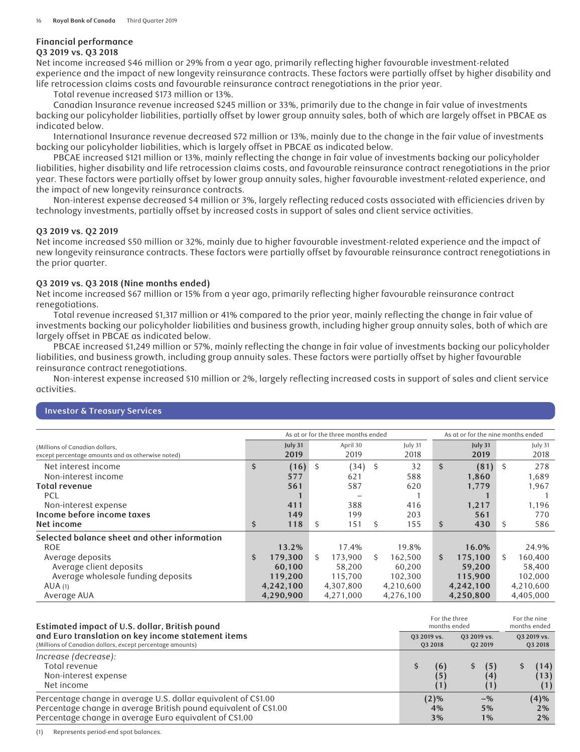# **Financial performance**

#### **Q3 2019 vs. Q3 2018**

Net income increased \$46 million or 29% from a year ago, primarily reflecting higher favourable investment-related experience and the impact of new longevity reinsurance contracts. These factors were partially offset by higher disability and life retrocession claims costs and favourable reinsurance contract renegotiations in the prior year.

Total revenue increased \$173 million or 13%.

Canadian Insurance revenue increased \$245 million or 33%, primarily due to the change in fair value of investments backing our policyholder liabilities, partially offset by lower group annuity sales, both of which are largely offset in PBCAE as indicated below.

International Insurance revenue decreased \$72 million or 13%, mainly due to the change in the fair value of investments backing our policyholder liabilities, which is largely offset in PBCAE as indicated below.

PBCAE increased \$121 million or 13%, mainly reflecting the change in fair value of investments backing our policyholder liabilities, higher disability and life retrocession claims costs, and favourable reinsurance contract renegotiations in the prior year. These factors were partially offset by lower group annuity sales, higher favourable investment-related experience, and the impact of new longevity reinsurance contracts.

Non-interest expense decreased \$4 million or 3%, largely reflecting reduced costs associated with efficiencies driven by technology investments, partially offset by increased costs in support of sales and client service activities.

#### **Q3 2019 vs. Q2 2019**

Net income increased \$50 million or 32%, mainly due to higher favourable investment-related experience and the impact of new longevity reinsurance contracts. These factors were partially offset by favourable reinsurance contract renegotiations in the prior quarter.

#### **Q3 2019 vs. Q3 2018 (Nine months ended)**

**Investor & Treasury Services**

Net income increased \$67 million or 15% from a year ago, primarily reflecting higher favourable reinsurance contract renegotiations.

Total revenue increased \$1,317 million or 41% compared to the prior year, mainly reflecting the change in fair value of investments backing our policyholder liabilities and business growth, including higher group annuity sales, both of which are largely offset in PBCAE as indicated below.

PBCAE increased \$1,249 million or 57%, mainly reflecting the change in fair value of investments backing our policyholder liabilities, and business growth, including group annuity sales. These factors were partially offset by higher favourable reinsurance contract renegotiations.

Non-interest expense increased \$10 million or 2%, largely reflecting increased costs in support of sales and client service activities.

|                                                   |               |    | As at or for the three months ended |    |           | As at or for the nine months ended |    |           |
|---------------------------------------------------|---------------|----|-------------------------------------|----|-----------|------------------------------------|----|-----------|
| (Millions of Canadian dollars,                    | July 31       |    | April 30                            |    | July 31   | July 31                            |    | July 31   |
| except percentage amounts and as otherwise noted) | 2019          |    | 2019                                |    | 2018      | 2019                               |    | 2018      |
| Net interest income                               | \$<br>(16)    | \$ | (34)                                | \$ | 32        | \$<br>(81)                         | \$ | 278       |
| Non-interest income                               | 577           |    | 621                                 |    | 588       | 1,860                              |    | 1,689     |
| <b>Total revenue</b>                              | 561           |    | 587                                 |    | 620       | 1,779                              |    | 1,967     |
| PCL                                               |               |    |                                     |    |           |                                    |    |           |
| Non-interest expense                              | 411           |    | 388                                 |    | 416       | 1,217                              |    | 1,196     |
| Income before income taxes                        | 149           |    | 199                                 |    | 203       | 561                                |    | 770       |
| Net income                                        | \$<br>118     | \$ | 151                                 | Ś  | 155       | \$<br>430                          | \$ | 586       |
| Selected balance sheet and other information      |               |    |                                     |    |           |                                    |    |           |
| <b>ROE</b>                                        | 13.2%         |    | 17.4%                               |    | 19.8%     | 16.0%                              |    | 24.9%     |
| Average deposits                                  | \$<br>179,300 | Ŝ. | 173,900                             | Š. | 162,500   | \$<br>175,100                      | Ŝ. | 160,400   |
| Average client deposits                           | 60,100        |    | 58,200                              |    | 60,200    | 59,200                             |    | 58,400    |
| Average wholesale funding deposits                | 119,200       |    | 115,700                             |    | 102,300   | 115,900                            |    | 102,000   |
| AUA(1)                                            | 4,242,100     |    | 4,307,800                           |    | 4,210,600 | 4,242,100                          |    | 4,210,600 |
| Average AUA                                       | 4,290,900     |    | 4,271,000                           |    | 4,276,100 | 4,250,800                          |    | 4,405,000 |
|                                                   |               |    |                                     |    |           |                                    |    |           |

#### **Estimated impact of U.S. dollar, British pound and Euro translation on key income statement items** (Millions of Canadian dollars, except percentage amounts) For the three months ended For the nine months ended **Q3 2019 vs. Q3 2018 Q3 2019 vs. Q2 2019 Q3 2019 vs. Q3 2018** *Increase (decrease):* Total revenue **\$ (6) \$ (5) \$ (14)** Non-interest expense **(5) (4) (13)** Net income **(1) (1) (1)** Percentage change in average U.S. dollar equivalent of C\$1.00 **(2)% –% (4)%** Percentage change in average British pound equivalent of C\$1.00 **4% 5% 2%** Percentage change in average Euro equivalent of C\$1.00<br>(1) Represents period-end spot balances.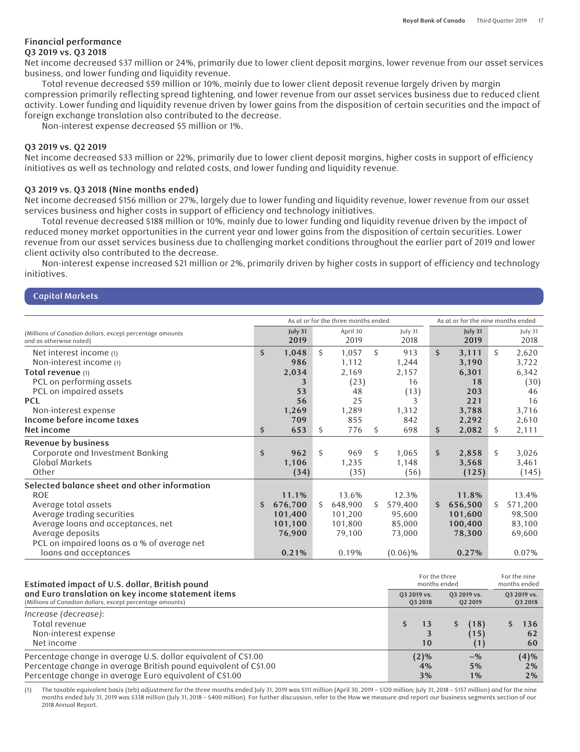#### **Financial performance Q3 2019 vs. Q3 2018**

Net income decreased \$37 million or 24%, primarily due to lower client deposit margins, lower revenue from our asset services business, and lower funding and liquidity revenue.

Total revenue decreased \$59 million or 10%, mainly due to lower client deposit revenue largely driven by margin compression primarily reflecting spread tightening, and lower revenue from our asset services business due to reduced client activity. Lower funding and liquidity revenue driven by lower gains from the disposition of certain securities and the impact of foreign exchange translation also contributed to the decrease.

Non-interest expense decreased \$5 million or 1%.

#### **Q3 2019 vs. Q2 2019**

Net income decreased \$33 million or 22%, primarily due to lower client deposit margins, higher costs in support of efficiency initiatives as well as technology and related costs, and lower funding and liquidity revenue.

#### **Q3 2019 vs. Q3 2018 (Nine months ended)**

Net income decreased \$156 million or 27%, largely due to lower funding and liquidity revenue, lower revenue from our asset services business and higher costs in support of efficiency and technology initiatives.

Total revenue decreased \$188 million or 10%, mainly due to lower funding and liquidity revenue driven by the impact of reduced money market opportunities in the current year and lower gains from the disposition of certain securities. Lower revenue from our asset services business due to challenging market conditions throughout the earlier part of 2019 and lower client activity also contributed to the decrease.

Non-interest expense increased \$21 million or 2%, primarily driven by higher costs in support of efficiency and technology initiatives.

#### **Capital Markets**

|                                                                                     |                 |     | As at or for the three months ended |              | As at or for the nine months ended |                    |                 |    |                 |
|-------------------------------------------------------------------------------------|-----------------|-----|-------------------------------------|--------------|------------------------------------|--------------------|-----------------|----|-----------------|
| (Millions of Canadian dollars, except percentage amounts<br>and as otherwise noted) | July 31<br>2019 |     | April 30<br>2019                    |              | July 31<br>2018                    |                    | July 31<br>2019 |    | July 31<br>2018 |
| Net interest income (1)                                                             | \$<br>1,048     | \$  | 1,057                               | \$           | 913                                | $\mathsf{\hat{S}}$ | 3,111           | \$ | 2,620           |
| Non-interest income (1)                                                             | 986             |     | 1,112                               |              | 1,244                              |                    | 3,190           |    | 3,722           |
| Total revenue (1)                                                                   | 2,034           |     | 2,169                               |              | 2,157                              |                    | 6,301           |    | 6,342           |
| PCL on performing assets                                                            | 3               |     | (23)                                |              | 16                                 |                    | 18              |    | (30)            |
| PCL on impaired assets                                                              | 53              |     | 48                                  |              | (13)                               |                    | 203             |    | 46              |
| <b>PCL</b>                                                                          | 56              |     | 25                                  |              | 3                                  |                    | 221             |    | 16              |
| Non-interest expense                                                                | 1,269           |     | 1,289                               |              | 1,312                              |                    | 3,788           |    | 3,716           |
| Income before income taxes                                                          | 709             |     | 855                                 |              | 842                                |                    | 2,292           |    | 2,610           |
| Net income                                                                          | \$<br>653       | Ŝ.  | 776                                 | <sup>S</sup> | 698                                | $\mathsf{\hat{S}}$ | 2,082           | \$ | 2,111           |
| <b>Revenue by business</b>                                                          |                 |     |                                     |              |                                    |                    |                 |    |                 |
| Corporate and Investment Banking                                                    | \$<br>962       | \$. | 969                                 | Ŝ.           | 1,065                              | $\dot{\mathsf{S}}$ | 2,858           | \$ | 3,026           |
| <b>Global Markets</b>                                                               | 1,106           |     | 1,235                               |              | 1,148                              |                    | 3,568           |    | 3,461           |
| Other                                                                               | (34)            |     | (35)                                |              | (56)                               |                    | (125)           |    | (145)           |
| Selected balance sheet and other information                                        |                 |     |                                     |              |                                    |                    |                 |    |                 |
| <b>ROE</b>                                                                          | 11.1%           |     | 13.6%                               |              | 12.3%                              |                    | 11.8%           |    | 13.4%           |
| Average total assets                                                                | \$<br>676,700   | Ŝ.  | 648,900                             | S            | 579,400                            | $\mathsf{\hat{S}}$ | 656,500         | \$ | 571,200         |
| Average trading securities                                                          | 101,400         |     | 101,200                             |              | 95,600                             |                    | 101,600         |    | 98,500          |
| Average loans and acceptances, net                                                  | 101,100         |     | 101,800                             |              | 85,000                             |                    | 100,400         |    | 83,100          |
| Average deposits                                                                    | 76,900          |     | 79,100                              |              | 73,000                             |                    | 78,300          |    | 69,600          |
| PCL on impaired loans as a % of average net                                         |                 |     |                                     |              |                                    |                    |                 |    |                 |
| loans and acceptances                                                               | 0.21%           |     | 0.19%                               |              | $(0.06)$ %                         |                    | 0.27%           |    | 0.07%           |

| Estimated impact of U.S. dollar, British pound                                                                                                                                                |                  | For the three<br>months ended                                |                        |  |  |  |
|-----------------------------------------------------------------------------------------------------------------------------------------------------------------------------------------------|------------------|--------------------------------------------------------------|------------------------|--|--|--|
| and Euro translation on key income statement items<br>(Millions of Canadian dollars, except percentage amounts)                                                                               |                  | 03 2019 vs.<br>03 2019 vs.<br>Q3 2018<br>Q <sub>2</sub> 2019 | Q3 2019 vs.<br>Q3 2018 |  |  |  |
| Increase (decrease):<br>Total revenue<br>Non-interest expense<br>Net income                                                                                                                   | 13<br>10         | (18)<br>15                                                   | 136<br>62<br>60        |  |  |  |
| Percentage change in average U.S. dollar equivalent of C\$1.00<br>Percentage change in average British pound equivalent of C\$1.00<br>Percentage change in average Euro equivalent of C\$1.00 | (2)%<br>4%<br>3% | $-$ %<br>5%<br>$1\%$                                         | (4)%<br>2%<br>2%       |  |  |  |

(1) The taxable equivalent basis (teb) adjustment for the three months ended July 31, 2019 was \$111 million (April 30, 2019 – \$120 million; July 31, 2018 – \$157 million) and for the nine months ended July 31, 2019 was \$338 million (July 31, 2018 – \$400 million). For further discussion, refer to the How we measure and report our business segments section of our 2018 Annual Report.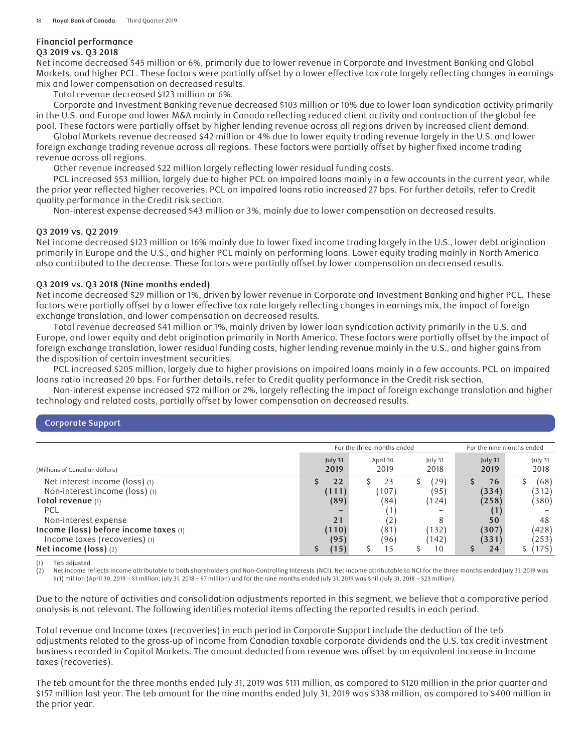#### **Financial performance**

#### **Q3 2019 vs. Q3 2018**

Net income decreased \$45 million or 6%, primarily due to lower revenue in Corporate and Investment Banking and Global Markets, and higher PCL. These factors were partially offset by a lower effective tax rate largely reflecting changes in earnings mix and lower compensation on decreased results.

Total revenue decreased \$123 million or 6%.

Corporate and Investment Banking revenue decreased \$103 million or 10% due to lower loan syndication activity primarily in the U.S. and Europe and lower M&A mainly in Canada reflecting reduced client activity and contraction of the global fee pool. These factors were partially offset by higher lending revenue across all regions driven by increased client demand.

Global Markets revenue decreased \$42 million or 4% due to lower equity trading revenue largely in the U.S. and lower foreign exchange trading revenue across all regions. These factors were partially offset by higher fixed income trading revenue across all regions.

Other revenue increased \$22 million largely reflecting lower residual funding costs.

PCL increased \$53 million, largely due to higher PCL on impaired loans mainly in a few accounts in the current year, while the prior year reflected higher recoveries. PCL on impaired loans ratio increased 27 bps. For further details, refer to Credit quality performance in the Credit risk section.

Non-interest expense decreased \$43 million or 3%, mainly due to lower compensation on decreased results.

#### **Q3 2019 vs. Q2 2019**

Net income decreased \$123 million or 16% mainly due to lower fixed income trading largely in the U.S., lower debt origination primarily in Europe and the U.S., and higher PCL mainly on performing loans. Lower equity trading mainly in North America also contributed to the decrease. These factors were partially offset by lower compensation on decreased results.

#### **Q3 2019 vs. Q3 2018 (Nine months ended)**

Net income decreased \$29 million or 1%, driven by lower revenue in Corporate and Investment Banking and higher PCL. These factors were partially offset by a lower effective tax rate largely reflecting changes in earnings mix, the impact of foreign exchange translation, and lower compensation on decreased results.

Total revenue decreased \$41 million or 1%, mainly driven by lower loan syndication activity primarily in the U.S. and Europe, and lower equity and debt origination primarily in North America. These factors were partially offset by the impact of foreign exchange translation, lower residual funding costs, higher lending revenue mainly in the U.S., and higher gains from the disposition of certain investment securities.

PCL increased \$205 million, largely due to higher provisions on impaired loans mainly in a few accounts. PCL on impaired loans ratio increased 20 bps. For further details, refer to Credit quality performance in the Credit risk section.

Non-interest expense increased \$72 million or 2%, largely reflecting the impact of foreign exchange translation and higher technology and related costs, partially offset by lower compensation on decreased results.

#### **Corporate Support**

|                                                                        |                 | For the three months ended |                 | For the nine months ended |                 |  |  |
|------------------------------------------------------------------------|-----------------|----------------------------|-----------------|---------------------------|-----------------|--|--|
| (Millions of Canadian dollars)                                         | July 31<br>2019 | April 30<br>2019           | July 31<br>2018 | July 31<br>2019           | July 31<br>2018 |  |  |
| Net interest income (loss) (1)<br>Non-interest income (loss) (1)       | 22<br>(111)     | 23<br>(107)                | 29)<br>(95)     | 76<br>(334)               | (68)<br>(312)   |  |  |
| Total revenue (1)<br>PCL                                               | (89)            | (84)                       | (124)           | (258)                     | (380)           |  |  |
| Non-interest expense                                                   | 21              |                            | 8               | 50                        | 48              |  |  |
| Income (loss) before income taxes (1)<br>Income taxes (recoveries) (1) | (110)<br>(95)   | (81)<br>(96)               | (132)<br>142)   | (307)<br>(331)            | (428)<br>(253)  |  |  |
| Net income ( $\log$ ) (2)                                              | 15)             | 15                         | 10              | 24                        | (175)           |  |  |

Teb adjusted.

(2) Net income reflects income attributable to both shareholders and Non-Controlling Interests (NCI). Net income attributable to NCI for the three months ended July 31, 2019 was \$(1) million (April 30, 2019 – \$1 million; July 31, 2018 – \$7 million) and for the nine months ended July 31, 2019 was \$nil (July 31, 2018 – \$23 million).

Due to the nature of activities and consolidation adjustments reported in this segment, we believe that a comparative period analysis is not relevant. The following identifies material items affecting the reported results in each period.

Total revenue and Income taxes (recoveries) in each period in Corporate Support include the deduction of the teb adjustments related to the gross-up of income from Canadian taxable corporate dividends and the U.S. tax credit investment business recorded in Capital Markets. The amount deducted from revenue was offset by an equivalent increase in Income taxes (recoveries).

The teb amount for the three months ended July 31, 2019 was \$111 million, as compared to \$120 million in the prior quarter and \$157 million last year. The teb amount for the nine months ended July 31, 2019 was \$338 million, as compared to \$400 million in the prior year.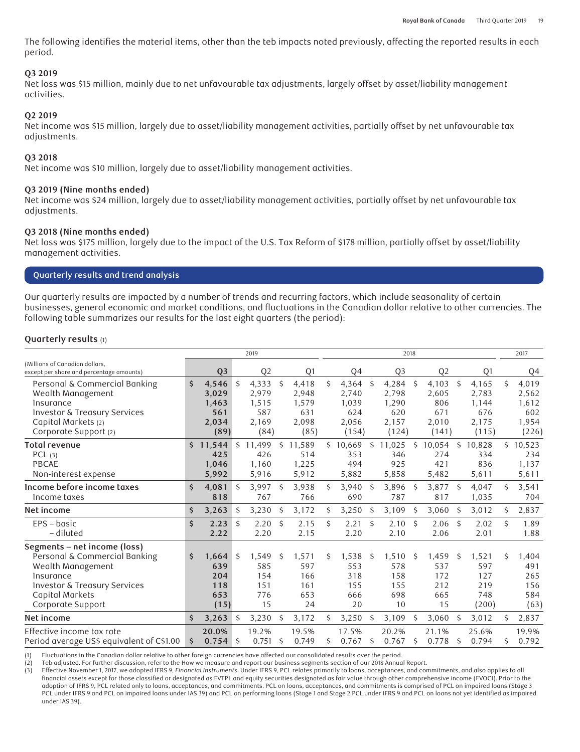The following identifies the material items, other than the teb impacts noted previously, affecting the reported results in each period.

#### **Q3 2019**

Net loss was \$15 million, mainly due to net unfavourable tax adjustments, largely offset by asset/liability management activities.

#### **Q2 2019**

Net income was \$15 million, largely due to asset/liability management activities, partially offset by net unfavourable tax adjustments.

#### **Q3 2018**

Net income was \$10 million, largely due to asset/liability management activities.

#### **Q3 2019 (Nine months ended)**

Net income was \$24 million, largely due to asset/liability management activities, partially offset by net unfavourable tax adjustments.

#### **Q3 2018 (Nine months ended)**

Net loss was \$175 million, largely due to the impact of the U.S. Tax Reform of \$178 million, partially offset by asset/liability management activities.

#### **Quarterly results and trend analysis**

Our quarterly results are impacted by a number of trends and recurring factors, which include seasonality of certain businesses, general economic and market conditions, and fluctuations in the Canadian dollar relative to other currencies. The following table summarizes our results for the last eight quarters (the period):

#### **Quarterly results** (1)

|                                                                                                                                                                                    |                                                       |              | 2019                                            |                                                       |     |                                                  |              | 2018                                             |               |                                                |     |                                                  |    | 2017                                             |
|------------------------------------------------------------------------------------------------------------------------------------------------------------------------------------|-------------------------------------------------------|--------------|-------------------------------------------------|-------------------------------------------------------|-----|--------------------------------------------------|--------------|--------------------------------------------------|---------------|------------------------------------------------|-----|--------------------------------------------------|----|--------------------------------------------------|
| (Millions of Canadian dollars,<br>except per share and percentage amounts)                                                                                                         | Q <sub>3</sub>                                        |              | Q <sub>2</sub>                                  | Q1                                                    |     | Q4                                               |              | Q <sub>3</sub>                                   |               | Q <sub>2</sub>                                 |     | Q1                                               |    | Q4                                               |
| Personal & Commercial Banking<br>Wealth Management<br>Insurance<br><b>Investor &amp; Treasury Services</b><br>Capital Markets (2)<br>Corporate Support (2)                         | \$<br>4,546<br>3,029<br>1,463<br>561<br>2,034<br>(89) | \$           | 4,333<br>2,979<br>1,515<br>587<br>2,169<br>(84) | \$<br>4,418<br>2,948<br>1,579<br>631<br>2,098<br>(85) | \$  | 4,364<br>2,740<br>1,039<br>624<br>2,056<br>(154) | \$           | 4,284<br>2,798<br>1,290<br>620<br>2,157<br>(124) | \$            | 4,103<br>2,605<br>806<br>671<br>2,010<br>(141) | Ŝ.  | 4,165<br>2,783<br>1,144<br>676<br>2,175<br>(115) | \$ | 4,019<br>2,562<br>1,612<br>602<br>1,954<br>(226) |
| <b>Total revenue</b><br>PCL(3)<br><b>PBCAE</b><br>Non-interest expense                                                                                                             | \$<br>11,544<br>425<br>1,046<br>5,992                 | \$           | 11,499<br>426<br>1,160<br>5,916                 | \$<br>11,589<br>514<br>1,225<br>5,912                 |     | \$10,669<br>353<br>494<br>5,882                  | \$           | 11,025<br>346<br>925<br>5,858                    | \$            | 10,054<br>274<br>421<br>5,482                  | \$. | 10,828<br>334<br>836<br>5,611                    |    | \$10,523<br>234<br>1,137<br>5,611                |
| Income before income taxes<br>Income taxes                                                                                                                                         | \$<br>4,081<br>818                                    | \$           | 3,997<br>767                                    | \$<br>3,938<br>766                                    | \$  | 3,940<br>690                                     | \$           | 3,896<br>787                                     | <sup>\$</sup> | 3,877<br>817                                   | Ŝ.  | 4,047<br>1,035                                   | \$ | 3,541<br>704                                     |
| Net income                                                                                                                                                                         | \$<br>3,263                                           | \$           | 3,230                                           | \$<br>3,172                                           | \$  | 3,250                                            | \$           | 3,109                                            | <sup>\$</sup> | 3,060                                          | \$  | 3,012                                            | \$ | 2,837                                            |
| $EPS - basic$<br>- diluted                                                                                                                                                         | \$<br>2.23<br>2.22                                    | \$           | 2.20<br>2.20                                    | \$<br>2.15<br>2.15                                    | Ś.  | 2.21<br>2.20                                     | Ŝ.           | 2.10<br>2.10                                     | <sup>S</sup>  | 2.06<br>2.06                                   | Ŝ.  | 2.02<br>2.01                                     | Ś  | 1.89<br>1.88                                     |
| Segments - net income (loss)<br>Personal & Commercial Banking<br>Wealth Management<br>Insurance<br><b>Investor &amp; Treasury Services</b><br>Capital Markets<br>Corporate Support | \$<br>1,664<br>639<br>204<br>118<br>653<br>(15)       | \$           | 1,549<br>585<br>154<br>151<br>776<br>15         | \$<br>1,571<br>597<br>166<br>161<br>653<br>24         | Ś   | 1,538<br>553<br>318<br>155<br>666<br>20          | <sup>S</sup> | 1,510<br>578<br>158<br>155<br>698<br>10          | <sup>\$</sup> | 1,459<br>537<br>172<br>212<br>665<br>15        | \$  | 1,521<br>597<br>127<br>219<br>748<br>(200)       | \$ | 1,404<br>491<br>265<br>156<br>584<br>(63)        |
| Net income                                                                                                                                                                         | \$<br>3,263                                           | \$           | 3,230                                           | \$<br>3,172                                           | \$. | 3,250                                            | \$           | 3,109                                            | <sup>\$</sup> | 3,060                                          | \$  | 3,012                                            | Ś. | 2,837                                            |
| Effective income tax rate<br>Period average US\$ equivalent of C\$1.00                                                                                                             | \$<br>20.0%<br>0.754                                  | <sup>S</sup> | 19.2%<br>0.751                                  | \$<br>19.5%<br>0.749                                  | Ś.  | 17.5%<br>0.767                                   | Ŝ.           | 20.2%<br>0.767                                   | \$            | 21.1%<br>0.778                                 | Ŝ.  | 25.6%<br>0.794                                   | \$ | 19.9%<br>0.792                                   |

(1) Fluctuations in the Canadian dollar relative to other foreign currencies have affected our consolidated results over the period.

(2) Teb adjusted. For further discussion, refer to the How we measure and report our business segments section of our 2018 Annual Report.

(3) Effective November 1, 2017, we adopted IFRS 9, *Financial Instruments*. Under IFRS 9, PCL relates primarily to loans, acceptances, and commitments, and also applies to all financial assets except for those classified or designated as FVTPL and equity securities designated as fair value through other comprehensive income (FVOCI). Prior to the adoption of IFRS 9, PCL related only to loans, acceptances, and commitments. PCL on loans, acceptances, and commitments is comprised of PCL on impaired loans (Stage 3 PCL under IFRS 9 and PCL on impaired loans under IAS 39) and PCL on performing loans (Stage 1 and Stage 2 PCL under IFRS 9 and PCL on loans not yet identified as impaired under IAS 39).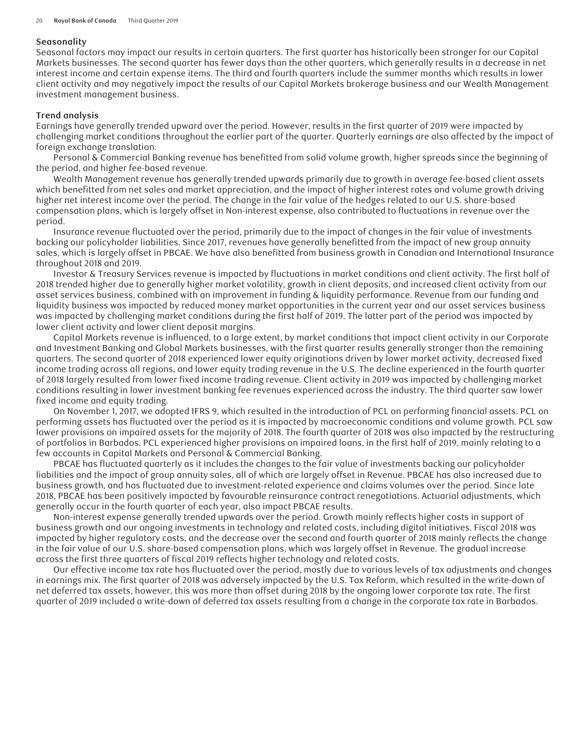#### **Seasonality**

Seasonal factors may impact our results in certain quarters. The first quarter has historically been stronger for our Capital Markets businesses. The second quarter has fewer days than the other quarters, which generally results in a decrease in net interest income and certain expense items. The third and fourth quarters include the summer months which results in lower client activity and may negatively impact the results of our Capital Markets brokerage business and our Wealth Management investment management business.

#### **Trend analysis**

Earnings have generally trended upward over the period. However, results in the first quarter of 2019 were impacted by challenging market conditions throughout the earlier part of the quarter. Quarterly earnings are also affected by the impact of foreign exchange translation.

Personal & Commercial Banking revenue has benefitted from solid volume growth, higher spreads since the beginning of the period, and higher fee-based revenue.

Wealth Management revenue has generally trended upwards primarily due to growth in average fee-based client assets which benefitted from net sales and market appreciation, and the impact of higher interest rates and volume growth driving higher net interest income over the period. The change in the fair value of the hedges related to our U.S. share-based compensation plans, which is largely offset in Non-interest expense, also contributed to fluctuations in revenue over the period.

Insurance revenue fluctuated over the period, primarily due to the impact of changes in the fair value of investments backing our policyholder liabilities. Since 2017, revenues have generally benefitted from the impact of new group annuity sales, which is largely offset in PBCAE. We have also benefitted from business growth in Canadian and International Insurance throughout 2018 and 2019.

Investor & Treasury Services revenue is impacted by fluctuations in market conditions and client activity. The first half of 2018 trended higher due to generally higher market volatility, growth in client deposits, and increased client activity from our asset services business, combined with an improvement in funding & liquidity performance. Revenue from our funding and liquidity business was impacted by reduced money market opportunities in the current year and our asset services business was impacted by challenging market conditions during the first half of 2019. The latter part of the period was impacted by lower client activity and lower client deposit margins.

Capital Markets revenue is influenced, to a large extent, by market conditions that impact client activity in our Corporate and Investment Banking and Global Markets businesses, with the first quarter results generally stronger than the remaining quarters. The second quarter of 2018 experienced lower equity originations driven by lower market activity, decreased fixed income trading across all regions, and lower equity trading revenue in the U.S. The decline experienced in the fourth quarter of 2018 largely resulted from lower fixed income trading revenue. Client activity in 2019 was impacted by challenging market conditions resulting in lower investment banking fee revenues experienced across the industry. The third quarter saw lower fixed income and equity trading.

On November 1, 2017, we adopted IFRS 9, which resulted in the introduction of PCL on performing financial assets. PCL on performing assets has fluctuated over the period as it is impacted by macroeconomic conditions and volume growth. PCL saw lower provisions on impaired assets for the majority of 2018. The fourth quarter of 2018 was also impacted by the restructuring of portfolios in Barbados. PCL experienced higher provisions on impaired loans, in the first half of 2019, mainly relating to a few accounts in Capital Markets and Personal & Commercial Banking.

PBCAE has fluctuated quarterly as it includes the changes to the fair value of investments backing our policyholder liabilities and the impact of group annuity sales, all of which are largely offset in Revenue. PBCAE has also increased due to business growth, and has fluctuated due to investment-related experience and claims volumes over the period. Since late 2018, PBCAE has been positively impacted by favourable reinsurance contract renegotiations. Actuarial adjustments, which generally occur in the fourth quarter of each year, also impact PBCAE results.

Non-interest expense generally trended upwards over the period. Growth mainly reflects higher costs in support of business growth and our ongoing investments in technology and related costs, including digital initiatives. Fiscal 2018 was impacted by higher regulatory costs, and the decrease over the second and fourth quarter of 2018 mainly reflects the change in the fair value of our U.S. share-based compensation plans, which was largely offset in Revenue. The gradual increase across the first three quarters of fiscal 2019 reflects higher technology and related costs.

Our effective income tax rate has fluctuated over the period, mostly due to various levels of tax adjustments and changes in earnings mix. The first quarter of 2018 was adversely impacted by the U.S. Tax Reform, which resulted in the write-down of net deferred tax assets, however, this was more than offset during 2018 by the ongoing lower corporate tax rate. The first quarter of 2019 included a write-down of deferred tax assets resulting from a change in the corporate tax rate in Barbados.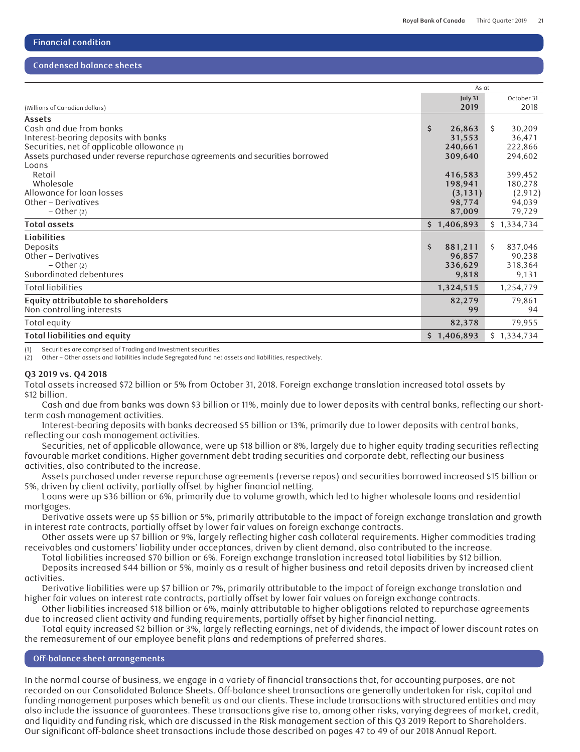#### **Condensed balance sheets**

|                                                                              | As at         |               |
|------------------------------------------------------------------------------|---------------|---------------|
|                                                                              | July 31       | October 31    |
| (Millions of Canadian dollars)                                               | 2019          | 2018          |
| Assets                                                                       |               |               |
| Cash and due from banks                                                      | \$<br>26,863  | \$<br>30,209  |
| Interest-bearing deposits with banks                                         | 31,553        | 36,471        |
| Securities, net of applicable allowance (1)                                  | 240,661       | 222,866       |
| Assets purchased under reverse repurchase agreements and securities borrowed | 309,640       | 294,602       |
| Logns                                                                        |               |               |
| Retail                                                                       | 416,583       | 399,452       |
| Wholesale                                                                    | 198,941       | 180,278       |
| Allowance for loan losses                                                    | (3, 131)      | (2, 912)      |
| Other - Derivatives                                                          | 98,774        | 94,039        |
| $-$ Other $(2)$                                                              | 87,009        | 79,729        |
| <b>Total assets</b>                                                          | \$1,406,893   | \$1,334,734   |
| Liabilities                                                                  |               |               |
| Deposits                                                                     | \$<br>881,211 | Ŝ.<br>837,046 |
| Other - Derivatives                                                          | 96,857        | 90,238        |
| $-$ Other (2)                                                                | 336,629       | 318,364       |
| Subordinated debentures                                                      | 9,818         | 9,131         |
| <b>Total liabilities</b>                                                     | 1,324,515     | 1,254,779     |
| Equity attributable to shareholders                                          | 82,279        | 79,861        |
| Non-controlling interests                                                    | 99            | 94            |
| Total equity                                                                 | 82,378        | 79,955        |
| <b>Total liabilities and equity</b>                                          | \$1,406,893   | \$1,334,734   |

(1) Securities are comprised of Trading and Investment securities.

(2) Other – Other assets and liabilities include Segregated fund net assets and liabilities, respectively.

#### **Q3 2019 vs. Q4 2018**

Total assets increased \$72 billion or 5% from October 31, 2018. Foreign exchange translation increased total assets by \$12 billion.

Cash and due from banks was down \$3 billion or 11%, mainly due to lower deposits with central banks, reflecting our shortterm cash management activities.

Interest-bearing deposits with banks decreased \$5 billion or 13%, primarily due to lower deposits with central banks, reflecting our cash management activities.

Securities, net of applicable allowance, were up \$18 billion or 8%, largely due to higher equity trading securities reflecting favourable market conditions. Higher government debt trading securities and corporate debt, reflecting our business activities, also contributed to the increase.

Assets purchased under reverse repurchase agreements (reverse repos) and securities borrowed increased \$15 billion or 5%, driven by client activity, partially offset by higher financial netting.

Loans were up \$36 billion or 6%, primarily due to volume growth, which led to higher wholesale loans and residential mortgages.

Derivative assets were up \$5 billion or 5%, primarily attributable to the impact of foreign exchange translation and growth in interest rate contracts, partially offset by lower fair values on foreign exchange contracts.

Other assets were up \$7 billion or 9%, largely reflecting higher cash collateral requirements. Higher commodities trading receivables and customers' liability under acceptances, driven by client demand, also contributed to the increase.

Total liabilities increased \$70 billion or 6%. Foreign exchange translation increased total liabilities by \$12 billion.

Deposits increased \$44 billion or 5%, mainly as a result of higher business and retail deposits driven by increased client activities.

Derivative liabilities were up \$7 billion or 7%, primarily attributable to the impact of foreign exchange translation and higher fair values on interest rate contracts, partially offset by lower fair values on foreign exchange contracts.

Other liabilities increased \$18 billion or 6%, mainly attributable to higher obligations related to repurchase agreements due to increased client activity and funding requirements, partially offset by higher financial netting.

Total equity increased \$2 billion or 3%, largely reflecting earnings, net of dividends, the impact of lower discount rates on the remeasurement of our employee benefit plans and redemptions of preferred shares.

#### **Off-balance sheet arrangements**

In the normal course of business, we engage in a variety of financial transactions that, for accounting purposes, are not recorded on our Consolidated Balance Sheets. Off-balance sheet transactions are generally undertaken for risk, capital and funding management purposes which benefit us and our clients. These include transactions with structured entities and may also include the issuance of guarantees. These transactions give rise to, among other risks, varying degrees of market, credit, and liquidity and funding risk, which are discussed in the Risk management section of this Q3 2019 Report to Shareholders. Our significant off-balance sheet transactions include those described on pages 47 to 49 of our 2018 Annual Report.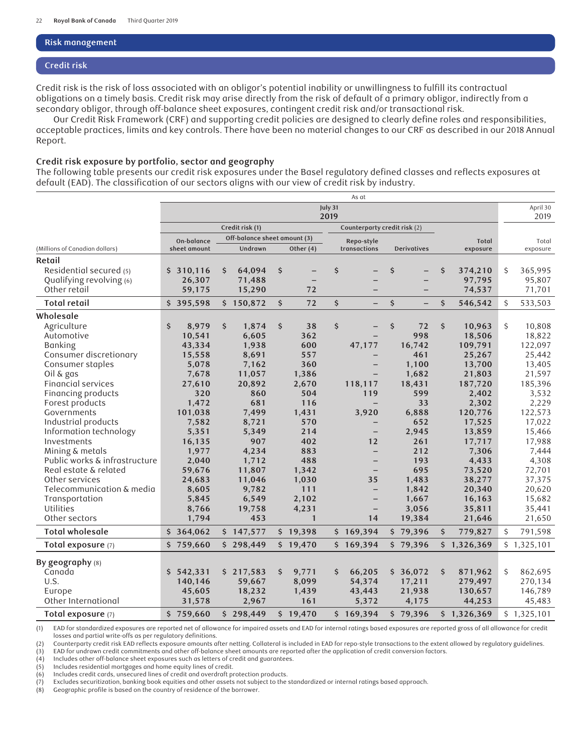**Risk management**

#### **Credit risk**

Credit risk is the risk of loss associated with an obligor's potential inability or unwillingness to fulfill its contractual obligations on a timely basis. Credit risk may arise directly from the risk of default of a primary obligor, indirectly from a secondary obligor, through off-balance sheet exposures, contingent credit risk and/or transactional risk.

Our Credit Risk Framework (CRF) and supporting credit policies are designed to clearly define roles and responsibilities, acceptable practices, limits and key controls. There have been no material changes to our CRF as described in our 2018 Annual Report.

#### **Credit risk exposure by portfolio, sector and geography**

The following table presents our credit risk exposures under the Basel regulatory defined classes and reflects exposures at default (EAD). The classification of our sectors aligns with our view of credit risk by industry.

| As at                          |              |    |                              |                    |              |                 |                              |    |                    |    |             |                    |                  |
|--------------------------------|--------------|----|------------------------------|--------------------|--------------|-----------------|------------------------------|----|--------------------|----|-------------|--------------------|------------------|
|                                |              |    |                              |                    |              | July 31<br>2019 |                              |    |                    |    |             |                    | April 30<br>2019 |
|                                |              |    | Credit risk (1)              |                    |              |                 | Counterparty credit risk (2) |    |                    |    |             |                    |                  |
|                                | On-balance   |    | Off-balance sheet amount (3) |                    |              | Repo-style      |                              |    |                    |    | Total       |                    | Total            |
| (Millions of Canadian dollars) | sheet amount |    | Undrawn                      |                    | Other $(4)$  |                 | transactions                 |    | <b>Derivatives</b> |    | exposure    |                    | exposure         |
| Retail                         |              |    |                              |                    |              |                 |                              |    |                    |    |             |                    |                  |
| Residential secured (5)        | \$310,116    | \$ | 64,094                       | \$                 |              | \$              |                              | \$ |                    | \$ | 374,210     | \$                 | 365,995          |
| Qualifying revolving (6)       | 26,307       |    | 71,488                       |                    |              |                 |                              |    |                    |    | 97,795      |                    | 95,807           |
| Other retail                   | 59,175       |    | 15,290                       |                    | 72           |                 |                              |    |                    |    | 74,537      |                    | 71,701           |
| <b>Total retail</b>            | \$395,598    |    | \$150,872                    | \$                 | 72           | \$              | $\overline{\phantom{0}}$     | \$ |                    | \$ | 546,542     | \$                 | 533,503          |
| Wholesale                      |              |    |                              |                    |              |                 |                              |    |                    |    |             |                    |                  |
| Agriculture                    | \$<br>8,979  | \$ | 1,874                        | $\dot{\mathsf{S}}$ | 38           | \$              | $\overline{\phantom{0}}$     | \$ | 72                 | \$ | 10,963      | \$                 | 10,808           |
| Automotive                     | 10,541       |    | 6,605                        |                    | 362          |                 |                              |    | 998                |    | 18,506      |                    | 18,822           |
| <b>Banking</b>                 | 43,334       |    | 1,938                        |                    | 600          |                 | 47,177                       |    | 16,742             |    | 109,791     |                    | 122,097          |
| Consumer discretionary         | 15,558       |    | 8,691                        |                    | 557          |                 |                              |    | 461                |    | 25,267      |                    | 25,442           |
| Consumer staples               | 5,078        |    | 7,162                        |                    | 360          |                 | $\overline{\phantom{0}}$     |    | 1,100              |    | 13,700      |                    | 13,405           |
| Oil $\&$ gas                   | 7,678        |    | 11,057                       |                    | 1,386        |                 | $\qquad \qquad -$            |    | 1,682              |    | 21,803      |                    | 21,597           |
| <b>Financial services</b>      | 27,610       |    | 20,892                       |                    | 2,670        |                 | 118,117                      |    | 18,431             |    | 187,720     |                    | 185,396          |
| Financing products             | 320          |    | 860                          |                    | 504          |                 | 119                          |    | 599                |    | 2,402       |                    | 3,532            |
| Forest products                | 1,472        |    | 681                          |                    | 116          |                 |                              |    | 33                 |    | 2,302       |                    | 2,229            |
| Governments                    | 101,038      |    | 7,499                        |                    | 1,431        |                 | 3,920                        |    | 6,888              |    | 120,776     |                    | 122,573          |
| Industrial products            | 7,582        |    | 8,721                        |                    | 570          |                 |                              |    | 652                |    | 17,525      |                    | 17,022           |
| Information technology         | 5,351        |    | 5,349                        |                    | 214          |                 | $\qquad \qquad -$            |    | 2,945              |    | 13,859      |                    | 15,466           |
| Investments                    | 16,135       |    | 907                          |                    | 402          |                 | 12                           |    | 261                |    | 17,717      |                    | 17,988           |
| Mining & metals                | 1,977        |    | 4,234                        |                    | 883          |                 | $-$                          |    | 212                |    | 7,306       |                    | 7,444            |
| Public works & infrastructure  | 2,040        |    | 1,712                        |                    | 488          |                 | -                            |    | 193                |    | 4,433       |                    | 4,308            |
| Real estate & related          | 59,676       |    | 11,807                       |                    | 1,342        |                 | -                            |    | 695                |    | 73,520      |                    | 72,701           |
| Other services                 | 24,683       |    | 11,046                       |                    | 1,030        |                 | 35                           |    | 1,483              |    | 38,277      |                    | 37,375           |
| Telecommunication & media      | 8,605        |    | 9.782                        |                    | 111          |                 | $\overline{\phantom{0}}$     |    | 1,842              |    | 20,340      |                    | 20.620           |
| Transportation                 | 5,845        |    | 6,549                        |                    | 2,102        |                 | -                            |    | 1,667              |    | 16,163      |                    | 15,682           |
| Utilities                      | 8,766        |    | 19,758                       |                    | 4,231        |                 | $\overline{\phantom{0}}$     |    | 3,056              |    | 35,811      |                    | 35,441           |
| Other sectors                  | 1,794        |    | 453                          |                    | $\mathbf{1}$ |                 | 14                           |    | 19,384             |    | 21,646      |                    | 21,650           |
| <b>Total wholesale</b>         | \$364,062    |    | \$147,577                    |                    | \$19,398     | Ś.              | 169,394                      |    | \$79,396           | \$ | 779,827     | $\mathsf{\dot{S}}$ | 791,598          |
| Total exposure (7)             | \$759,660    |    | \$298,449                    |                    | \$19,470     |                 | \$169,394                    |    | \$79,396           |    | \$1,326,369 |                    | \$1,325,101      |
| By geography (8)               |              |    |                              |                    |              |                 |                              |    |                    |    |             |                    |                  |
| Canada                         | \$542,331    |    | \$217,583                    | \$                 | 9,771        | Ś.              | 66,205                       |    | \$36,072           | \$ | 871,962     | \$                 | 862.695          |
| U.S.                           | 140,146      |    | 59,667                       |                    | 8,099        |                 | 54,374                       |    | 17,211             |    | 279,497     |                    | 270.134          |
| Europe                         | 45,605       |    | 18,232                       |                    | 1,439        |                 | 43,443                       |    | 21,938             |    | 130,657     |                    | 146,789          |
| Other International            | 31,578       |    | 2,967                        |                    | 161          |                 | 5,372                        |    | 4,175              |    | 44,253      |                    | 45,483           |
|                                |              |    |                              |                    |              |                 |                              |    |                    |    |             |                    |                  |
| Total exposure (7)             | \$759,660    |    | \$298,449                    |                    | \$19,470     |                 | \$169,394                    |    | \$79,396           |    | \$1,326,369 |                    | \$1,325,101      |

(1) EAD for standardized exposures are reported net of allowance for impaired assets and EAD for internal ratings based exposures are reported gross of all allowance for credit losses and partial write-offs as per regulatory definitions.

(2) Counterparty credit risk EAD reflects exposure amounts after netting. Collateral is included in EAD for repo-style transactions to the extent allowed by regulatory guidelines.

(3) EAD for undrawn credit commitments and other off-balance sheet amounts are reported after the application of credit conversion factors.<br>(4) Includes other off-balance sheet exposures such as letters of credit and guara

Includes other off-balance sheet exposures such as letters of credit and guarantees.

(5) Includes residential mortgages and home equity lines of credit.

(6) Includes credit cards, unsecured lines of credit and overdraft protection products.

(7) Excludes securitization, banking book equities and other assets not subject to the standardized or internal ratings based approach.

(8) Geographic profile is based on the country of residence of the borrower.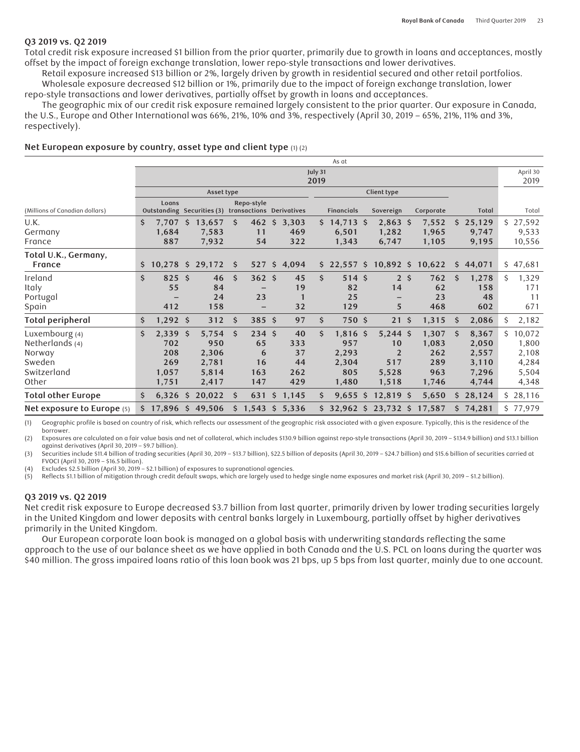#### **Q3 2019 vs. Q2 2019**

Total credit risk exposure increased \$1 billion from the prior quarter, primarily due to growth in loans and acceptances, mostly offset by the impact of foreign exchange translation, lower repo-style transactions and lower derivatives.

Retail exposure increased \$13 billion or 2%, largely driven by growth in residential secured and other retail portfolios. Wholesale exposure decreased \$12 billion or 1%, primarily due to the impact of foreign exchange translation, lower repo-style transactions and lower derivatives, partially offset by growth in loans and acceptances.

The geographic mix of our credit risk exposure remained largely consistent to the prior quarter. Our exposure in Canada, the U.S., Europe and Other International was 66%, 21%, 10% and 3%, respectively (April 30, 2019 – 65%, 21%, 11% and 3%, respectively).

#### **Net European exposure by country, asset type and client type** (1) (2)

|                                | As at |            |                    |                            |                    |                          |    |              |         |                       |  |                |                |           |    |          |     |          |
|--------------------------------|-------|------------|--------------------|----------------------------|--------------------|--------------------------|----|--------------|---------|-----------------------|--|----------------|----------------|-----------|----|----------|-----|----------|
|                                |       |            |                    |                            |                    |                          |    |              | July 31 |                       |  |                |                |           |    |          |     | April 30 |
|                                |       |            |                    |                            |                    |                          |    |              | 2019    |                       |  |                |                |           |    |          |     | 2019     |
|                                |       |            |                    | Asset type                 |                    |                          |    |              |         |                       |  | Client type    |                |           |    |          |     |          |
|                                |       | Loans      |                    |                            |                    | Repo-style               |    |              |         |                       |  |                |                |           |    |          |     |          |
| (Millions of Canadian dollars) |       |            |                    | Outstanding Securities (3) |                    | transactions Derivatives |    |              |         | <b>Financials</b>     |  | Sovereign      |                | Corporate |    | Total    |     | Total    |
| U.K.                           | \$    | 7,707      | \$                 | 13,657                     | $\mathsf{\hat{S}}$ | 462                      | \$ | 3,303        | Ś.      | $14,713$ \$           |  | $2,863$ \$     |                | 7,552     | S. | 25,129   | Ś.  | 27,592   |
| Germany                        |       | 1,684      |                    | 7,583                      |                    | 11                       |    | 469          |         | 6,501                 |  | 1,282          |                | 1,965     |    | 9,747    |     | 9,533    |
| France                         |       | 887        |                    | 7,932                      |                    | 54                       |    | 322          |         | 1,343                 |  | 6,747          |                | 1,105     |    | 9,195    |     | 10,556   |
| Total U.K., Germany,           |       |            |                    |                            |                    |                          |    |              |         |                       |  |                |                |           |    |          |     |          |
| France                         | \$    | 10,278     | \$                 | 29,172                     | \$                 | 527S                     |    | 4,094        | S.      | $22,557$ \$           |  | $10,892$ \$    |                | 10,622    | \$ | 44,071   | \$  | 47,681   |
| Ireland                        | \$    | 825        | $\dot{\mathsf{s}}$ | 46                         | $\mathsf{\dot{S}}$ | $362 \;$ \$              |    | 45           | Ś.      | 514S                  |  |                | 2 <sup>5</sup> | 762       | \$ | 1,278    | Ś.  | 1,329    |
| Italy                          |       | 55         |                    | 84                         |                    |                          |    | 19           |         | 82                    |  | 14             |                | 62        |    | 158      |     | 171      |
| Portugal                       |       |            |                    | 24                         |                    | 23                       |    | $\mathbf{1}$ |         | 25                    |  |                |                | 23        |    | 48       |     | 11       |
| Spain                          |       | 412        |                    | 158                        |                    | $\qquad \qquad -$        |    | 32           |         | 129                   |  | 5              |                | 468       |    | 602      |     | 671      |
| <b>Total peripheral</b>        | \$    | $1,292$ \$ |                    | 312                        | \$                 | 385S                     |    | 97           | Ś.      | $750$ \$              |  | $21 \;$ \$     |                | 1,315     | \$ | 2,086    | \$  | 2,182    |
| Luxembourg (4)                 | \$    | 2,339      | -\$                | 5,754                      | \$                 | $234 \text{ }$           |    | 40           | Ŝ.      | $1,816$ \$            |  | $5,244$ \$     |                | 1,307     | \$ | 8,367    |     | \$10,072 |
| Netherlands (4)                |       | 702        |                    | 950                        |                    | 65                       |    | 333          |         | 957                   |  | 10             |                | 1,083     |    | 2,050    |     | 1,800    |
| Norway                         |       | 208        |                    | 2,306                      |                    | 6                        |    | 37           |         | 2,293                 |  | $\overline{2}$ |                | 262       |    | 2,557    |     | 2,108    |
| Sweden                         |       | 269        |                    | 2,781                      |                    | 16                       |    | 44           |         | 2,304                 |  | 517            |                | 289       |    | 3,110    |     | 4,284    |
| Switzerland                    |       | 1,057      |                    | 5,814                      |                    | 163                      |    | 262          |         | 805                   |  | 5,528          |                | 963       |    | 7,296    |     | 5,504    |
| Other                          |       | 1,751      |                    | 2,417                      |                    | 147                      |    | 429          |         | 1,480                 |  | 1,518          |                | 1,746     |    | 4,744    |     | 4,348    |
| <b>Total other Europe</b>      | \$    | 6,326      | \$                 | 20,022                     | \$                 | $631$ \$                 |    | 1,145        | \$      | $9,655$ \$            |  | $12,819$ \$    |                | 5,650     | Ŝ. | 28,124   | \$. | 28,116   |
| Net exposure to Europe (5)     | S.    | 17,896     | \$                 | 49,506                     |                    | $$1,543$ \$              |    | 5.336        |         | $$32,962 \$23,732 \$$ |  |                |                | 17,587    |    | \$74,281 | Ś.  | 77,979   |

(1) Geographic profile is based on country of risk, which reflects our assessment of the geographic risk associated with a given exposure. Typically, this is the residence of the borrower.

(2) Exposures are calculated on a fair value basis and net of collateral, which includes \$130.9 billion against repo-style transactions (April 30, 2019 – \$134.9 billion) and \$13.1 billion against derivatives (April 30, 2019 – \$9.7 billion).

(3) Securities include \$11.4 billion of trading securities (April 30, 2019 – \$13.7 billion), \$22.5 billion of deposits (April 30, 2019 – \$24.7 billion) and \$15.6 billion of securities carried at FVOCI (April 30, 2019 – \$16.5 billion).

(4) Excludes \$2.5 billion (April 30, 2019 – \$2.1 billion) of exposures to supranational agencies.

(5) Reflects \$1.1 billion of mitigation through credit default swaps, which are largely used to hedge single name exposures and market risk (April 30, 2019 – \$1.2 billion).

#### **Q3 2019 vs. Q2 2019**

Net credit risk exposure to Europe decreased \$3.7 billion from last quarter, primarily driven by lower trading securities largely in the United Kingdom and lower deposits with central banks largely in Luxembourg, partially offset by higher derivatives primarily in the United Kingdom.

Our European corporate loan book is managed on a global basis with underwriting standards reflecting the same approach to the use of our balance sheet as we have applied in both Canada and the U.S. PCL on loans during the quarter was \$40 million. The gross impaired loans ratio of this loan book was 21 bps, up 5 bps from last quarter, mainly due to one account.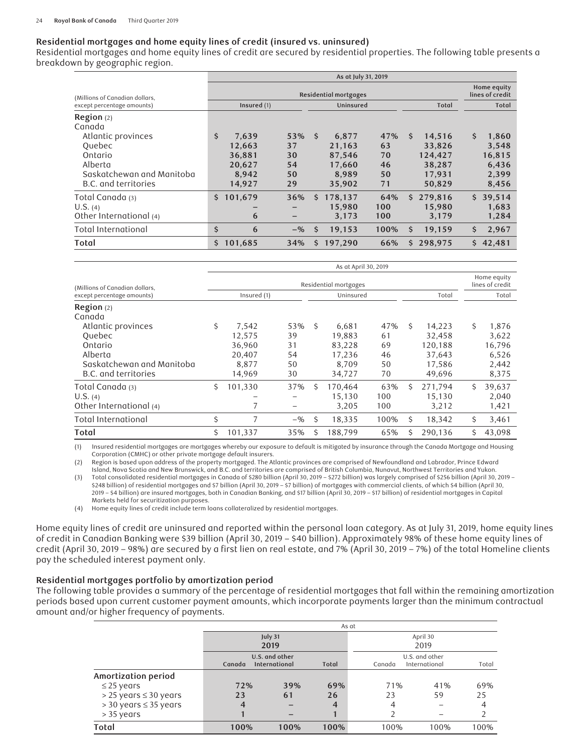#### **Residential mortgages and home equity lines of credit (insured vs. uninsured)**

Residential mortgages and home equity lines of credit are secured by residential properties. The following table presents a breakdown by geographic region.

|                                |               | As at July 31, 2019      |           |                       |      |    |              |    |                                |  |  |  |
|--------------------------------|---------------|--------------------------|-----------|-----------------------|------|----|--------------|----|--------------------------------|--|--|--|
| (Millions of Canadian dollars, |               |                          |           | Residential mortgages |      |    |              |    | Home equity<br>lines of credit |  |  |  |
| except percentage amounts)     | Insured (1)   |                          | Uninsured |                       |      |    | <b>Total</b> |    | <b>Total</b>                   |  |  |  |
| Region $(2)$<br>Canada         |               |                          |           |                       |      |    |              |    |                                |  |  |  |
| Atlantic provinces             | \$<br>7.639   | $53\%$ \$                |           | 6,877                 | 47%  | Ŝ. | 14,516       | \$ | 1,860                          |  |  |  |
| <b>Ouebec</b>                  | 12.663        | 37                       |           | 21,163                | 63   |    | 33.826       |    | 3,548                          |  |  |  |
| Ontario                        | 36,881        | 30                       |           | 87,546                | 70   |    | 124,427      |    | 16,815                         |  |  |  |
| Alberta                        | 20,627        | 54                       |           | 17,660                | 46   |    | 38,287       |    | 6,436                          |  |  |  |
| Saskatchewan and Manitoba      | 8.942         | 50                       |           | 8.989                 | 50   |    | 17,931       |    | 2,399                          |  |  |  |
| B.C. and territories           | 14,927        | 29                       |           | 35,902                | 71   |    | 50,829       |    | 8,456                          |  |  |  |
| Total Canada (3)               | 101,679<br>\$ | 36%                      | Ŝ.        | 178,137               | 64%  |    | \$279,816    |    | \$39.514                       |  |  |  |
| U.S. (4)                       |               |                          |           | 15,980                | 100  |    | 15,980       |    | 1,683                          |  |  |  |
| Other International (4)        | 6             | $\overline{\phantom{0}}$ |           | 3,173                 | 100  |    | 3,179        |    | 1,284                          |  |  |  |
| Total International            | \$<br>6       | $-$ %                    | \$        | 19,153                | 100% | Ś  | 19.159       | \$ | 2,967                          |  |  |  |
| <b>Total</b>                   | 101,685<br>Ŝ. | 34%                      | \$        | 197,290               | 66%  | S. | 298,975      | Ś. | 42,481                         |  |  |  |

|                                | As at April 30, 2019 |         |       |    |                       |      |    |         |                                |        |  |  |  |
|--------------------------------|----------------------|---------|-------|----|-----------------------|------|----|---------|--------------------------------|--------|--|--|--|
| (Millions of Canadian dollars, |                      |         |       |    | Residential mortgages |      |    |         | Home equity<br>lines of credit |        |  |  |  |
| except percentage amounts)     | Insured (1)          |         |       |    | Uninsured             |      |    | Total   |                                | Total  |  |  |  |
| Region $(2)$<br>Canada         |                      |         |       |    |                       |      |    |         |                                |        |  |  |  |
| Atlantic provinces             | \$                   | 7,542   | 53%   | Ŝ. | 6.681                 | 47%  | Ś  | 14,223  | \$                             | 1,876  |  |  |  |
| <b>Ouebec</b>                  |                      | 12,575  | 39    |    | 19.883                | 61   |    | 32.458  |                                | 3,622  |  |  |  |
| Ontario                        |                      | 36,960  | 31    |    | 83,228                | 69   |    | 120,188 |                                | 16.796 |  |  |  |
| Alberta                        |                      | 20,407  | 54    |    | 17,236                | 46   |    | 37,643  |                                | 6,526  |  |  |  |
| Saskatchewan and Manitoba      |                      | 8,877   | 50    |    | 8.709                 | 50   |    | 17,586  |                                | 2,442  |  |  |  |
| B.C. and territories           |                      | 14.969  | 30    |    | 34,727                | 70   |    | 49,696  |                                | 8,375  |  |  |  |
| Total Canada (3)               | Ś                    | 101,330 | 37%   | S  | 170,464               | 63%  | S. | 271.794 | Ś                              | 39.637 |  |  |  |
| U.S. (4)                       |                      |         |       |    | 15,130                | 100  |    | 15,130  |                                | 2,040  |  |  |  |
| Other International (4)        |                      |         |       |    | 3,205                 | 100  |    | 3,212   |                                | 1,421  |  |  |  |
| <b>Total International</b>     | \$                   |         | $-$ % | Ś  | 18,335                | 100% | \$ | 18,342  | \$                             | 3,461  |  |  |  |
| Total                          | \$                   | 101,337 | 35%   | Ś  | 188.799               | 65%  | Ŝ  | 290.136 | Ś                              | 43,098 |  |  |  |

(1) Insured residential mortgages are mortgages whereby our exposure to default is mitigated by insurance through the Canada Mortgage and Housing Corporation (CMHC) or other private mortgage default insurers.

(2) Region is based upon address of the property mortgaged. The Atlantic provinces are comprised of Newfoundland and Labrador, Prince Edward Island, Nova Scotia and New Brunswick, and B.C. and territories are comprised of British Columbia, Nunavut, Northwest Territories and Yukon.

(3) Total consolidated residential mortgages in Canada of \$280 billion (April 30, 2019 – \$272 billion) was largely comprised of \$256 billion (April 30, 2019 – \$248 billion) of residential mortgages and \$7 billion (April 30, 2019 – \$7 billion) of mortgages with commercial clients, of which \$4 billion (April 30, 2019 – \$4 billion) are insured mortgages, both in Canadian Banking, and \$17 billion (April 30, 2019 – \$17 billion) of residential mortgages in Capital Markets held for securitization purposes.

(4) Home equity lines of credit include term loans collateralized by residential mortgages.

Home equity lines of credit are uninsured and reported within the personal loan category. As at July 31, 2019, home equity lines of credit in Canadian Banking were \$39 billion (April 30, 2019 – \$40 billion). Approximately 98% of these home equity lines of credit (April 30, 2019 – 98%) are secured by a first lien on real estate, and 7% (April 30, 2019 – 7%) of the total Homeline clients pay the scheduled interest payment only.

#### **Residential mortgages portfolio by amortization period**

The following table provides a summary of the percentage of residential mortgages that fall within the remaining amortization periods based upon current customer payment amounts, which incorporate payments larger than the minimum contractual amount and/or higher frequency of payments.

|        |      | As at                                              |                  |      |                                 |  |  |  |  |  |  |  |  |
|--------|------|----------------------------------------------------|------------------|------|---------------------------------|--|--|--|--|--|--|--|--|
|        |      |                                                    | April 30<br>2019 |      |                                 |  |  |  |  |  |  |  |  |
| Canada |      | <b>Total</b>                                       | Canada           |      | Total                           |  |  |  |  |  |  |  |  |
|        |      |                                                    |                  |      |                                 |  |  |  |  |  |  |  |  |
| 72%    | 39%  | 69%                                                | 71%              | 41%  | 69%                             |  |  |  |  |  |  |  |  |
| 23     | 61   | 26                                                 | 23               | 59   | 25                              |  |  |  |  |  |  |  |  |
| 4      |      | $\overline{4}$                                     | 4                |      | 4                               |  |  |  |  |  |  |  |  |
|        |      |                                                    |                  |      |                                 |  |  |  |  |  |  |  |  |
| 100%   | 100% | 100%                                               | 100%             | 100% | 100%                            |  |  |  |  |  |  |  |  |
|        |      | July 31<br>2019<br>U.S. and other<br>International |                  |      | U.S. and other<br>International |  |  |  |  |  |  |  |  |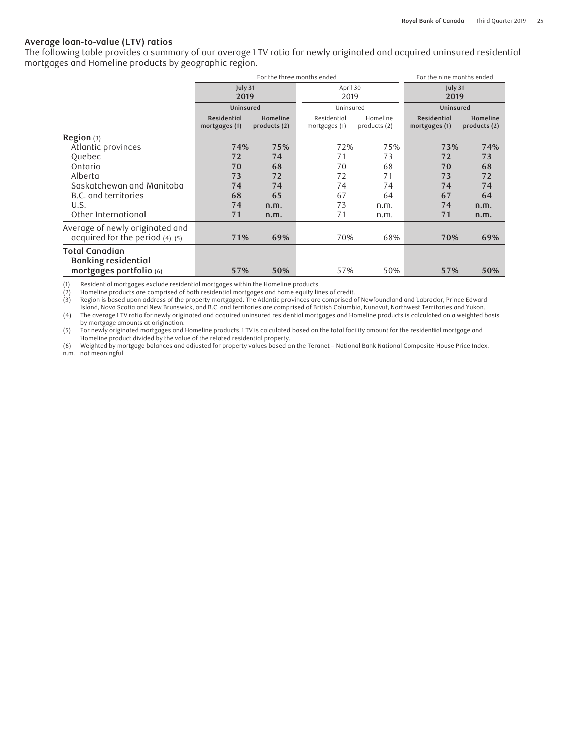#### **Average loan-to-value (LTV) ratios**

The following table provides a summary of our average LTV ratio for newly originated and acquired uninsured residential mortgages and Homeline products by geographic region.

|                                                                     |                              | For the three months ended |                              | For the nine months ended |                              |                          |  |
|---------------------------------------------------------------------|------------------------------|----------------------------|------------------------------|---------------------------|------------------------------|--------------------------|--|
|                                                                     | July 31<br>2019              |                            | April 30<br>2019             |                           | July 31<br>2019              |                          |  |
|                                                                     | Uninsured                    |                            | Uninsured                    |                           | Uninsured                    |                          |  |
|                                                                     | Residential<br>mortgages (1) | Homeline<br>products (2)   | Residential<br>mortgages (1) | Homeline<br>products (2)  | Residential<br>mortgages (1) | Homeline<br>products (2) |  |
| <b>Region</b> $(3)$                                                 |                              |                            |                              |                           |                              |                          |  |
| Atlantic provinces                                                  | 74%                          | 75%                        | 72%                          | 75%                       | 73%                          | 74%                      |  |
| <b>Ouebec</b>                                                       | 72                           | 74                         | 71                           | 73                        | 72                           | 73                       |  |
| Ontario                                                             | 70                           | 68                         | 70                           | 68                        | 70                           | 68                       |  |
| Alberta                                                             | 73                           | 72                         | 72                           | 71                        | 73                           | 72                       |  |
| Saskatchewan and Manitoba                                           | 74                           | 74                         | 74                           | 74                        | 74                           | 74                       |  |
| B.C. and territories                                                | 68                           | 65                         | 67                           | 64                        | 67                           | 64                       |  |
| U.S.                                                                | 74                           | n.m.                       | 73                           | n.m.                      | 74                           | n.m.                     |  |
| Other International                                                 | 71                           | n.m.                       | 71                           | n.m.                      | 71                           | n.m.                     |  |
| Average of newly originated and<br>acquired for the period (4), (5) | 71%                          | 69%                        | 70%                          | 68%                       | 70%                          | 69%                      |  |
| <b>Total Canadian</b><br><b>Banking residential</b>                 |                              |                            |                              |                           |                              |                          |  |
| mortgages portfolio (6)                                             | 57%                          | 50%                        | 57%                          | 50%                       | 57%                          | 50%                      |  |

Homeline products are comprised of both residential mortgages and home equity lines of credit.

(1) Residential mortgages exclude residential mortgages within the Homeline products. Region is based upon address of the property mortgaged. The Atlantic provinces are comprised of Newfoundland and Labrador, Prince Edward Island, Nova Scotia and New Brunswick, and B.C. and territories are comprised of British Columbia, Nunavut, Northwest Territories and Yukon.

(4) The average LTV ratio for newly originated and acquired uninsured residential mortgages and Homeline products is calculated on a weighted basis by mortgage amounts at origination.

(5) For newly originated mortgages and Homeline products, LTV is calculated based on the total facility amount for the residential mortgage and Homeline product divided by the value of the related residential property.

(6) Weighted by mortgage balances and adjusted for property values based on the Teranet – National Bank National Composite House Price Index. n.m. not meaningful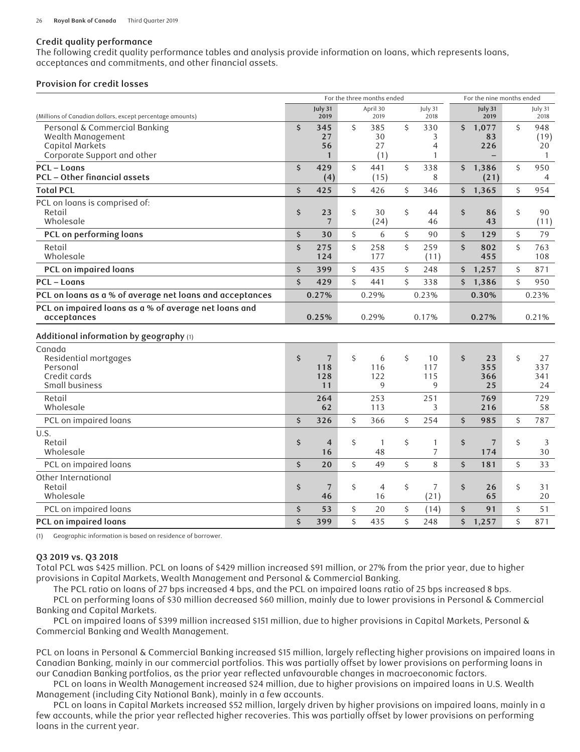#### **Credit quality performance**

The following credit quality performance tables and analysis provide information on loans, which represents loans, acceptances and commitments, and other financial assets.

#### **Provision for credit losses**

| July 31<br>July 31<br>April 30<br>July 31<br>2019<br>2019<br>2018<br>2019<br>(Millions of Canadian dollars, except percentage amounts)<br>\$<br>385<br>\$<br>Personal & Commercial Banking<br>\$<br>345<br>330<br>1,077<br>\$<br>\$<br>27<br>30<br>3<br>83<br>Wealth Management<br>Capital Markets<br>27<br>56<br>4<br>226<br>Corporate Support and other<br>$\mathbf{1}$<br>(1)<br>1<br><b>PCL-Loans</b><br>\$<br>\$<br>441<br>\$<br>338<br>1,386<br>\$<br>429<br>\$<br><b>PCL</b> - Other financial assets<br>(15)<br>8<br>(4)<br>(21)<br><b>Total PCL</b><br>\$<br>\$<br>425<br>426<br>\$<br>346<br>\$<br>\$<br>1,365<br>PCL on loans is comprised of:<br>Retail<br>\$<br>23<br>\$<br>\$<br>\$<br>30<br>44<br>\$<br>86<br>Wholesale<br>$\overline{7}$<br>(24)<br>46<br>43<br>PCL on performing loans<br>\$<br>30<br>\$<br>6<br>\$<br>90<br>\$<br>129<br>\$<br>\$<br>\$<br>$\dot{\mathsf{S}}$<br>Retail<br>\$<br>275<br>258<br>259<br>\$<br>802<br>Wholesale<br>124<br>177<br>(11)<br>455<br>\$<br>\$<br>PCL on impaired loans<br>\$<br>399<br>435<br>\$<br>248<br>1,257<br>\$ | July 31<br>2018<br>948<br>(19)<br>20<br>$\overline{1}$<br>950<br>$\overline{4}$<br>954<br>90<br>(11)<br>79<br>763<br>108<br>871<br>950<br>0.23% |
|----------------------------------------------------------------------------------------------------------------------------------------------------------------------------------------------------------------------------------------------------------------------------------------------------------------------------------------------------------------------------------------------------------------------------------------------------------------------------------------------------------------------------------------------------------------------------------------------------------------------------------------------------------------------------------------------------------------------------------------------------------------------------------------------------------------------------------------------------------------------------------------------------------------------------------------------------------------------------------------------------------------------------------------------------------------------------------|-------------------------------------------------------------------------------------------------------------------------------------------------|
|                                                                                                                                                                                                                                                                                                                                                                                                                                                                                                                                                                                                                                                                                                                                                                                                                                                                                                                                                                                                                                                                                  |                                                                                                                                                 |
|                                                                                                                                                                                                                                                                                                                                                                                                                                                                                                                                                                                                                                                                                                                                                                                                                                                                                                                                                                                                                                                                                  |                                                                                                                                                 |
|                                                                                                                                                                                                                                                                                                                                                                                                                                                                                                                                                                                                                                                                                                                                                                                                                                                                                                                                                                                                                                                                                  |                                                                                                                                                 |
|                                                                                                                                                                                                                                                                                                                                                                                                                                                                                                                                                                                                                                                                                                                                                                                                                                                                                                                                                                                                                                                                                  |                                                                                                                                                 |
|                                                                                                                                                                                                                                                                                                                                                                                                                                                                                                                                                                                                                                                                                                                                                                                                                                                                                                                                                                                                                                                                                  |                                                                                                                                                 |
|                                                                                                                                                                                                                                                                                                                                                                                                                                                                                                                                                                                                                                                                                                                                                                                                                                                                                                                                                                                                                                                                                  |                                                                                                                                                 |
|                                                                                                                                                                                                                                                                                                                                                                                                                                                                                                                                                                                                                                                                                                                                                                                                                                                                                                                                                                                                                                                                                  |                                                                                                                                                 |
|                                                                                                                                                                                                                                                                                                                                                                                                                                                                                                                                                                                                                                                                                                                                                                                                                                                                                                                                                                                                                                                                                  |                                                                                                                                                 |
| $\dot{\mathsf{S}}$<br>Ś.<br>$\dot{\mathsf{S}}$<br>Ś<br><b>PCL-Loans</b><br>429<br>441<br>338<br>\$<br>1,386                                                                                                                                                                                                                                                                                                                                                                                                                                                                                                                                                                                                                                                                                                                                                                                                                                                                                                                                                                      |                                                                                                                                                 |
| PCL on loans as a % of average net loans and acceptances<br>0.29%<br>0.23%<br>0.27%<br>0.30%                                                                                                                                                                                                                                                                                                                                                                                                                                                                                                                                                                                                                                                                                                                                                                                                                                                                                                                                                                                     |                                                                                                                                                 |
| PCL on impaired loans as a % of average net loans and<br>acceptances<br>0.25%<br>0.29%<br>0.17%<br>0.27%                                                                                                                                                                                                                                                                                                                                                                                                                                                                                                                                                                                                                                                                                                                                                                                                                                                                                                                                                                         | 0.21%                                                                                                                                           |
| Additional information by geography (1)                                                                                                                                                                                                                                                                                                                                                                                                                                                                                                                                                                                                                                                                                                                                                                                                                                                                                                                                                                                                                                          |                                                                                                                                                 |
| Canada<br>\$<br>\$<br>$\dot{\mathsf{S}}$<br>$\dot{\mathsf{S}}$<br>Residential mortgages<br>\$<br>$\overline{7}$<br>10<br>6<br>23<br>118<br>116<br>117<br>355<br>Personal<br>Credit cards<br>128<br>122<br>115<br>366<br>Small business<br>$\mathbf Q$<br>9<br>25<br>11                                                                                                                                                                                                                                                                                                                                                                                                                                                                                                                                                                                                                                                                                                                                                                                                           | 27<br>337<br>341<br>24                                                                                                                          |
| 253<br>251<br>Retail<br>264<br>769<br>Wholesale<br>62<br>3<br>113<br>216                                                                                                                                                                                                                                                                                                                                                                                                                                                                                                                                                                                                                                                                                                                                                                                                                                                                                                                                                                                                         | 729<br>58                                                                                                                                       |
| \$<br>366<br>$\dot{\mathsf{S}}$<br>$\dot{\mathsf{S}}$<br>PCL on impaired loans<br>\$<br>326<br>254<br>$\dot{\mathsf{S}}$<br>985                                                                                                                                                                                                                                                                                                                                                                                                                                                                                                                                                                                                                                                                                                                                                                                                                                                                                                                                                  | 787                                                                                                                                             |
| U.S.<br>Retail<br>\$<br>\$<br>\$<br>$\overline{4}$<br>$\mathbf{1}$<br>\$<br>$\overline{7}$<br>\$<br>$\mathbf{1}$<br>Wholesale<br>48<br>7<br>16<br>174                                                                                                                                                                                                                                                                                                                                                                                                                                                                                                                                                                                                                                                                                                                                                                                                                                                                                                                            | 3<br>30                                                                                                                                         |
| PCL on impaired loans<br>\$<br>8<br>\$<br>20<br>49<br>\$<br>$\dot{\mathsf{S}}$<br>181<br>\$                                                                                                                                                                                                                                                                                                                                                                                                                                                                                                                                                                                                                                                                                                                                                                                                                                                                                                                                                                                      | 33                                                                                                                                              |
| Other International<br>\$<br>\$<br>\$<br>$\overline{7}$<br>\$<br>\$<br>Retail<br>$\overline{7}$<br>$\overline{4}$<br>26<br>Wholesale<br>(21)<br>46<br>16<br>65                                                                                                                                                                                                                                                                                                                                                                                                                                                                                                                                                                                                                                                                                                                                                                                                                                                                                                                   | 31<br>20                                                                                                                                        |
| \$<br>PCL on impaired loans<br>\$<br>\$<br>$\dot{\mathsf{S}}$<br>\$<br>53<br>20<br>(14)<br>91                                                                                                                                                                                                                                                                                                                                                                                                                                                                                                                                                                                                                                                                                                                                                                                                                                                                                                                                                                                    | 51                                                                                                                                              |
| PCL on impaired loans<br>\$<br>\$<br>Ś<br>\$<br>399<br>435<br>248<br>\$<br>1,257                                                                                                                                                                                                                                                                                                                                                                                                                                                                                                                                                                                                                                                                                                                                                                                                                                                                                                                                                                                                 | 871                                                                                                                                             |

(1) Geographic information is based on residence of borrower.

#### **Q3 2019 vs. Q3 2018**

Total PCL was \$425 million. PCL on loans of \$429 million increased \$91 million, or 27% from the prior year, due to higher provisions in Capital Markets, Wealth Management and Personal & Commercial Banking.

The PCL ratio on loans of 27 bps increased 4 bps, and the PCL on impaired loans ratio of 25 bps increased 8 bps.

PCL on performing loans of \$30 million decreased \$60 million, mainly due to lower provisions in Personal & Commercial Banking and Capital Markets.

PCL on impaired loans of \$399 million increased \$151 million, due to higher provisions in Capital Markets, Personal & Commercial Banking and Wealth Management.

PCL on loans in Personal & Commercial Banking increased \$15 million, largely reflecting higher provisions on impaired loans in Canadian Banking, mainly in our commercial portfolios. This was partially offset by lower provisions on performing loans in our Canadian Banking portfolios, as the prior year reflected unfavourable changes in macroeconomic factors.

PCL on loans in Wealth Management increased \$24 million, due to higher provisions on impaired loans in U.S. Wealth Management (including City National Bank), mainly in a few accounts.

PCL on loans in Capital Markets increased \$52 million, largely driven by higher provisions on impaired loans, mainly in a few accounts, while the prior year reflected higher recoveries. This was partially offset by lower provisions on performing loans in the current year.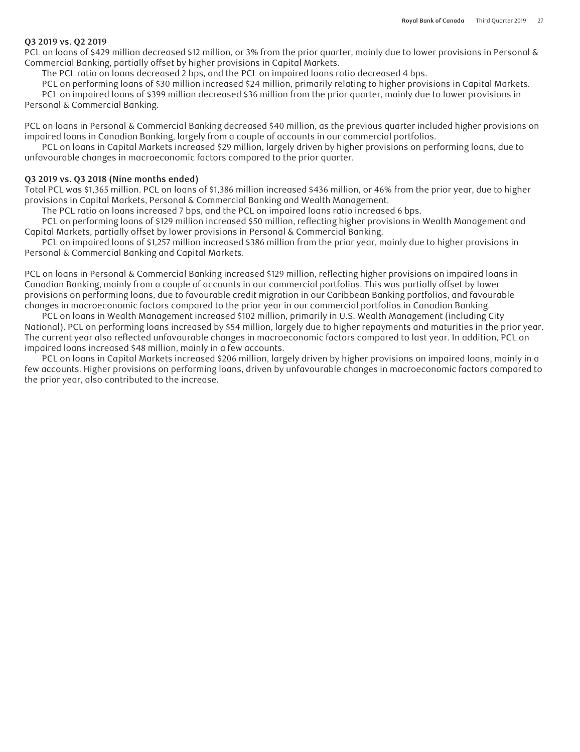#### **Q3 2019 vs. Q2 2019**

PCL on loans of \$429 million decreased \$12 million, or 3% from the prior quarter, mainly due to lower provisions in Personal & Commercial Banking, partially offset by higher provisions in Capital Markets.

The PCL ratio on loans decreased 2 bps, and the PCL on impaired loans ratio decreased 4 bps.

PCL on performing loans of \$30 million increased \$24 million, primarily relating to higher provisions in Capital Markets.

PCL on impaired loans of \$399 million decreased \$36 million from the prior quarter, mainly due to lower provisions in Personal & Commercial Banking.

PCL on loans in Personal & Commercial Banking decreased \$40 million, as the previous quarter included higher provisions on impaired loans in Canadian Banking, largely from a couple of accounts in our commercial portfolios.

PCL on loans in Capital Markets increased \$29 million, largely driven by higher provisions on performing loans, due to unfavourable changes in macroeconomic factors compared to the prior quarter.

#### **Q3 2019 vs. Q3 2018 (Nine months ended)**

Total PCL was \$1,365 million. PCL on loans of \$1,386 million increased \$436 million, or 46% from the prior year, due to higher provisions in Capital Markets, Personal & Commercial Banking and Wealth Management.

The PCL ratio on loans increased 7 bps, and the PCL on impaired loans ratio increased 6 bps.

PCL on performing loans of \$129 million increased \$50 million, reflecting higher provisions in Wealth Management and Capital Markets, partially offset by lower provisions in Personal & Commercial Banking.

PCL on impaired loans of \$1,257 million increased \$386 million from the prior year, mainly due to higher provisions in Personal & Commercial Banking and Capital Markets.

PCL on loans in Personal & Commercial Banking increased \$129 million, reflecting higher provisions on impaired loans in Canadian Banking, mainly from a couple of accounts in our commercial portfolios. This was partially offset by lower provisions on performing loans, due to favourable credit migration in our Caribbean Banking portfolios, and favourable changes in macroeconomic factors compared to the prior year in our commercial portfolios in Canadian Banking.

PCL on loans in Wealth Management increased \$102 million, primarily in U.S. Wealth Management (including City National). PCL on performing loans increased by \$54 million, largely due to higher repayments and maturities in the prior year. The current year also reflected unfavourable changes in macroeconomic factors compared to last year. In addition, PCL on impaired loans increased \$48 million, mainly in a few accounts.

PCL on loans in Capital Markets increased \$206 million, largely driven by higher provisions on impaired loans, mainly in a few accounts. Higher provisions on performing loans, driven by unfavourable changes in macroeconomic factors compared to the prior year, also contributed to the increase.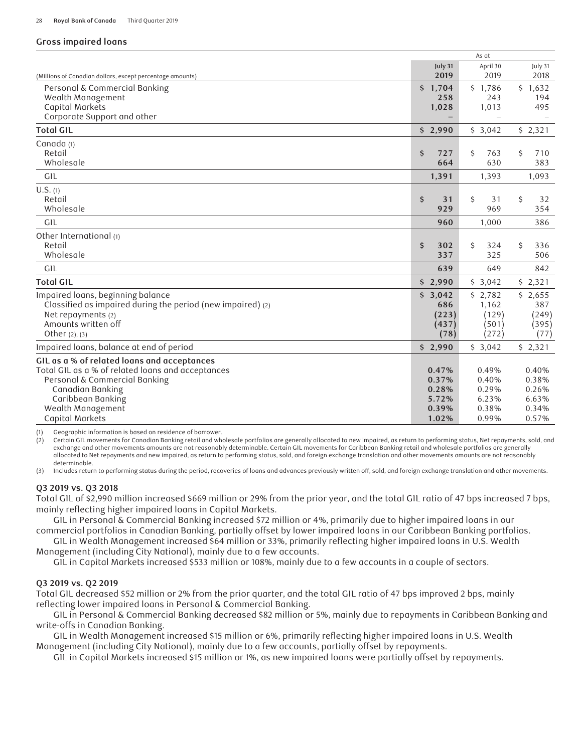#### **Gross impaired loans**

| April 30<br>July 31<br>July 31<br>2019<br>2019<br>2018<br>\$1,632<br>Personal & Commercial Banking<br>\$1,704<br>\$1,786<br>258<br>243<br>Wealth Management<br>194<br>Capital Markets<br>1,028<br>1,013<br>495<br>Corporate Support and other<br>$\overline{\phantom{m}}$<br>\$2,990<br>\$3,042<br>\$2,321<br>Canada (1)<br>Retail<br>\$<br>727<br>\$<br>763<br>\$<br>710<br>Wholesale<br>630<br>664<br>383<br>GIL<br>1,393<br>1,093<br>1,391<br>U.S. (1)<br>\$<br>\$<br>31<br>\$<br>Retail<br>31<br>32<br>Wholesale<br>929<br>969<br>354<br>GIL<br>960<br>1,000<br>386<br>Other International (1)<br>Retail<br>\$<br>\$<br>324<br>\$<br>336<br>302<br>Wholesale<br>337<br>325<br>506<br>GIL<br>639<br>649<br>842<br>\$2,321<br>\$2,990<br>\$3,042<br>Impaired loans, beginning balance<br>\$2,655<br>\$3,042<br>\$2,782<br>Classified as impaired during the period (new impaired) (2)<br>686<br>387<br>1.162<br>Net repayments (2)<br>(223)<br>(129)<br>(249)<br>Amounts written off<br>(437)<br>(501)<br>(395)<br>(78)<br>(272)<br>(77)<br>Other $(2)$ , $(3)$<br>\$2,321<br>\$2,990<br>\$3,042<br>0.49%<br>0.40%<br>0.47%<br>Personal & Commercial Banking<br>0.37%<br>0.40%<br>0.38%<br>Canadian Banking<br>0.28%<br>0.29%<br>0.26%<br>Caribbean Banking<br>5.72%<br>6.23%<br>6.63%<br>Wealth Management<br>0.38%<br>0.34%<br>0.39%<br>Capital Markets<br>0.99%<br>0.57%<br>1.02% |                                                           | As at |  |
|----------------------------------------------------------------------------------------------------------------------------------------------------------------------------------------------------------------------------------------------------------------------------------------------------------------------------------------------------------------------------------------------------------------------------------------------------------------------------------------------------------------------------------------------------------------------------------------------------------------------------------------------------------------------------------------------------------------------------------------------------------------------------------------------------------------------------------------------------------------------------------------------------------------------------------------------------------------------------------------------------------------------------------------------------------------------------------------------------------------------------------------------------------------------------------------------------------------------------------------------------------------------------------------------------------------------------------------------------------------------------------------|-----------------------------------------------------------|-------|--|
|                                                                                                                                                                                                                                                                                                                                                                                                                                                                                                                                                                                                                                                                                                                                                                                                                                                                                                                                                                                                                                                                                                                                                                                                                                                                                                                                                                                        |                                                           |       |  |
|                                                                                                                                                                                                                                                                                                                                                                                                                                                                                                                                                                                                                                                                                                                                                                                                                                                                                                                                                                                                                                                                                                                                                                                                                                                                                                                                                                                        | (Millions of Canadian dollars, except percentage amounts) |       |  |
|                                                                                                                                                                                                                                                                                                                                                                                                                                                                                                                                                                                                                                                                                                                                                                                                                                                                                                                                                                                                                                                                                                                                                                                                                                                                                                                                                                                        |                                                           |       |  |
|                                                                                                                                                                                                                                                                                                                                                                                                                                                                                                                                                                                                                                                                                                                                                                                                                                                                                                                                                                                                                                                                                                                                                                                                                                                                                                                                                                                        |                                                           |       |  |
|                                                                                                                                                                                                                                                                                                                                                                                                                                                                                                                                                                                                                                                                                                                                                                                                                                                                                                                                                                                                                                                                                                                                                                                                                                                                                                                                                                                        |                                                           |       |  |
|                                                                                                                                                                                                                                                                                                                                                                                                                                                                                                                                                                                                                                                                                                                                                                                                                                                                                                                                                                                                                                                                                                                                                                                                                                                                                                                                                                                        |                                                           |       |  |
|                                                                                                                                                                                                                                                                                                                                                                                                                                                                                                                                                                                                                                                                                                                                                                                                                                                                                                                                                                                                                                                                                                                                                                                                                                                                                                                                                                                        | <b>Total GIL</b>                                          |       |  |
|                                                                                                                                                                                                                                                                                                                                                                                                                                                                                                                                                                                                                                                                                                                                                                                                                                                                                                                                                                                                                                                                                                                                                                                                                                                                                                                                                                                        |                                                           |       |  |
|                                                                                                                                                                                                                                                                                                                                                                                                                                                                                                                                                                                                                                                                                                                                                                                                                                                                                                                                                                                                                                                                                                                                                                                                                                                                                                                                                                                        |                                                           |       |  |
|                                                                                                                                                                                                                                                                                                                                                                                                                                                                                                                                                                                                                                                                                                                                                                                                                                                                                                                                                                                                                                                                                                                                                                                                                                                                                                                                                                                        |                                                           |       |  |
|                                                                                                                                                                                                                                                                                                                                                                                                                                                                                                                                                                                                                                                                                                                                                                                                                                                                                                                                                                                                                                                                                                                                                                                                                                                                                                                                                                                        |                                                           |       |  |
|                                                                                                                                                                                                                                                                                                                                                                                                                                                                                                                                                                                                                                                                                                                                                                                                                                                                                                                                                                                                                                                                                                                                                                                                                                                                                                                                                                                        |                                                           |       |  |
|                                                                                                                                                                                                                                                                                                                                                                                                                                                                                                                                                                                                                                                                                                                                                                                                                                                                                                                                                                                                                                                                                                                                                                                                                                                                                                                                                                                        |                                                           |       |  |
|                                                                                                                                                                                                                                                                                                                                                                                                                                                                                                                                                                                                                                                                                                                                                                                                                                                                                                                                                                                                                                                                                                                                                                                                                                                                                                                                                                                        |                                                           |       |  |
|                                                                                                                                                                                                                                                                                                                                                                                                                                                                                                                                                                                                                                                                                                                                                                                                                                                                                                                                                                                                                                                                                                                                                                                                                                                                                                                                                                                        |                                                           |       |  |
|                                                                                                                                                                                                                                                                                                                                                                                                                                                                                                                                                                                                                                                                                                                                                                                                                                                                                                                                                                                                                                                                                                                                                                                                                                                                                                                                                                                        |                                                           |       |  |
|                                                                                                                                                                                                                                                                                                                                                                                                                                                                                                                                                                                                                                                                                                                                                                                                                                                                                                                                                                                                                                                                                                                                                                                                                                                                                                                                                                                        |                                                           |       |  |
|                                                                                                                                                                                                                                                                                                                                                                                                                                                                                                                                                                                                                                                                                                                                                                                                                                                                                                                                                                                                                                                                                                                                                                                                                                                                                                                                                                                        |                                                           |       |  |
|                                                                                                                                                                                                                                                                                                                                                                                                                                                                                                                                                                                                                                                                                                                                                                                                                                                                                                                                                                                                                                                                                                                                                                                                                                                                                                                                                                                        |                                                           |       |  |
|                                                                                                                                                                                                                                                                                                                                                                                                                                                                                                                                                                                                                                                                                                                                                                                                                                                                                                                                                                                                                                                                                                                                                                                                                                                                                                                                                                                        | <b>Total GIL</b>                                          |       |  |
|                                                                                                                                                                                                                                                                                                                                                                                                                                                                                                                                                                                                                                                                                                                                                                                                                                                                                                                                                                                                                                                                                                                                                                                                                                                                                                                                                                                        |                                                           |       |  |
|                                                                                                                                                                                                                                                                                                                                                                                                                                                                                                                                                                                                                                                                                                                                                                                                                                                                                                                                                                                                                                                                                                                                                                                                                                                                                                                                                                                        |                                                           |       |  |
|                                                                                                                                                                                                                                                                                                                                                                                                                                                                                                                                                                                                                                                                                                                                                                                                                                                                                                                                                                                                                                                                                                                                                                                                                                                                                                                                                                                        |                                                           |       |  |
|                                                                                                                                                                                                                                                                                                                                                                                                                                                                                                                                                                                                                                                                                                                                                                                                                                                                                                                                                                                                                                                                                                                                                                                                                                                                                                                                                                                        |                                                           |       |  |
|                                                                                                                                                                                                                                                                                                                                                                                                                                                                                                                                                                                                                                                                                                                                                                                                                                                                                                                                                                                                                                                                                                                                                                                                                                                                                                                                                                                        |                                                           |       |  |
|                                                                                                                                                                                                                                                                                                                                                                                                                                                                                                                                                                                                                                                                                                                                                                                                                                                                                                                                                                                                                                                                                                                                                                                                                                                                                                                                                                                        | Impaired loans, balance at end of period                  |       |  |
|                                                                                                                                                                                                                                                                                                                                                                                                                                                                                                                                                                                                                                                                                                                                                                                                                                                                                                                                                                                                                                                                                                                                                                                                                                                                                                                                                                                        | GIL as a % of related loans and acceptances               |       |  |
|                                                                                                                                                                                                                                                                                                                                                                                                                                                                                                                                                                                                                                                                                                                                                                                                                                                                                                                                                                                                                                                                                                                                                                                                                                                                                                                                                                                        | Total GIL as a % of related loans and acceptances         |       |  |
|                                                                                                                                                                                                                                                                                                                                                                                                                                                                                                                                                                                                                                                                                                                                                                                                                                                                                                                                                                                                                                                                                                                                                                                                                                                                                                                                                                                        |                                                           |       |  |
|                                                                                                                                                                                                                                                                                                                                                                                                                                                                                                                                                                                                                                                                                                                                                                                                                                                                                                                                                                                                                                                                                                                                                                                                                                                                                                                                                                                        |                                                           |       |  |
|                                                                                                                                                                                                                                                                                                                                                                                                                                                                                                                                                                                                                                                                                                                                                                                                                                                                                                                                                                                                                                                                                                                                                                                                                                                                                                                                                                                        |                                                           |       |  |
|                                                                                                                                                                                                                                                                                                                                                                                                                                                                                                                                                                                                                                                                                                                                                                                                                                                                                                                                                                                                                                                                                                                                                                                                                                                                                                                                                                                        |                                                           |       |  |
|                                                                                                                                                                                                                                                                                                                                                                                                                                                                                                                                                                                                                                                                                                                                                                                                                                                                                                                                                                                                                                                                                                                                                                                                                                                                                                                                                                                        |                                                           |       |  |

(1) Geographic information is based on residence of borrower.

(2) Certain GIL movements for Canadian Banking retail and wholesale portfolios are generally allocated to new impaired, as return to performing status, Net repayments, sold, and exchange and other movements amounts are not reasonably determinable. Certain GIL movements for Caribbean Banking retail and wholesale portfolios are generally allocated to Net repayments and new impaired, as return to performing status, sold, and foreign exchange translation and other movements amounts are not reasonably determinable.

(3) Includes return to performing status during the period, recoveries of loans and advances previously written off, sold, and foreign exchange translation and other movements.

#### **Q3 2019 vs. Q3 2018**

Total GIL of \$2,990 million increased \$669 million or 29% from the prior year, and the total GIL ratio of 47 bps increased 7 bps, mainly reflecting higher impaired loans in Capital Markets.

GIL in Personal & Commercial Banking increased \$72 million or 4%, primarily due to higher impaired loans in our commercial portfolios in Canadian Banking, partially offset by lower impaired loans in our Caribbean Banking portfolios.

GIL in Wealth Management increased \$64 million or 33%, primarily reflecting higher impaired loans in U.S. Wealth Management (including City National), mainly due to a few accounts.

GIL in Capital Markets increased \$533 million or 108%, mainly due to a few accounts in a couple of sectors.

#### **Q3 2019 vs. Q2 2019**

Total GIL decreased \$52 million or 2% from the prior quarter, and the total GIL ratio of 47 bps improved 2 bps, mainly reflecting lower impaired loans in Personal & Commercial Banking.

GIL in Personal & Commercial Banking decreased \$82 million or 5%, mainly due to repayments in Caribbean Banking and write-offs in Canadian Banking.

GIL in Wealth Management increased \$15 million or 6%, primarily reflecting higher impaired loans in U.S. Wealth Management (including City National), mainly due to a few accounts, partially offset by repayments.

GIL in Capital Markets increased \$15 million or 1%, as new impaired loans were partially offset by repayments.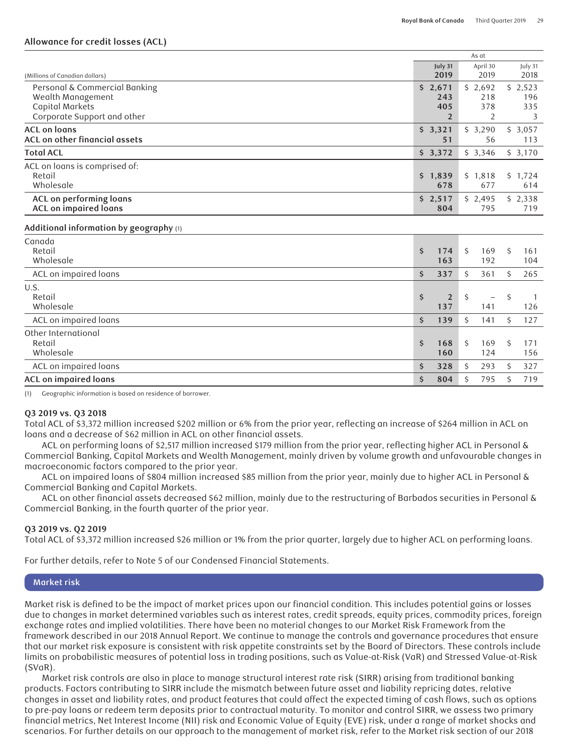|                                                      |                             | As at              |                |
|------------------------------------------------------|-----------------------------|--------------------|----------------|
| (Millions of Canadian dollars)                       | July 31                     | April 30           | July 31        |
|                                                      | 2019                        | 2019               | 2018           |
| Personal & Commercial Banking                        | \$2,671                     | \$2,692            | \$2,523        |
| Wealth Management                                    | 243                         | 218                | 196            |
| Capital Markets                                      | 405                         | 378                | 335            |
| Corporate Support and other                          | $\overline{2}$              | 2                  | 3              |
| <b>ACL on loans</b>                                  | \$3,321                     | \$3,290            | \$3,057        |
| ACL on other financial assets                        | 51                          | 56                 | 113            |
| <b>Total ACL</b>                                     | \$3,372                     | \$3,346            | \$3,170        |
| ACL on loans is comprised of:<br>Retail<br>Wholesale | \$1,839<br>678              | \$1,818<br>677     | \$1,724<br>614 |
| ACL on performing loans                              | \$2,517                     | \$2,495            | \$2,338        |
| ACL on impaired loans                                | 804                         | 795                | 719            |
| Additional information by geography (1)              |                             |                    |                |
| Canada                                               | \$                          | $\hat{\mathsf{S}}$ | Ŝ.             |
| Retail                                               | 174                         | 169                | 161            |
| Wholesale                                            | 163                         | 192                | 104            |
| ACL on impaired loans                                | \$                          | \$                 | Ŝ.             |
|                                                      | 337                         | 361                | 265            |
| U.S.<br>Retail<br>Wholesale                          | \$<br>$\overline{2}$<br>137 | \$<br>141          | \$<br>126      |
| ACL on impaired loans                                | \$                          | \$                 | \$             |
|                                                      | 139                         | 141                | 127            |
| Other International                                  | \$                          | \$                 | Ŝ.             |
| Retail                                               | 168                         | 169                | 171            |
| Wholesale                                            | 160                         | 124                | 156            |
| ACL on impaired loans                                | \$                          | \$                 | Ŝ.             |
|                                                      | 328                         | 293                | 327            |
| ACL on impaired loans                                | \$                          | \$                 | Ś              |
|                                                      | 804                         | 795                | 719            |

(1) Geographic information is based on residence of borrower.

#### **Q3 2019 vs. Q3 2018**

Total ACL of \$3,372 million increased \$202 million or 6% from the prior year, reflecting an increase of \$264 million in ACL on loans and a decrease of \$62 million in ACL on other financial assets.

ACL on performing loans of \$2,517 million increased \$179 million from the prior year, reflecting higher ACL in Personal & Commercial Banking, Capital Markets and Wealth Management, mainly driven by volume growth and unfavourable changes in macroeconomic factors compared to the prior year.

ACL on impaired loans of \$804 million increased \$85 million from the prior year, mainly due to higher ACL in Personal & Commercial Banking and Capital Markets.

ACL on other financial assets decreased \$62 million, mainly due to the restructuring of Barbados securities in Personal & Commercial Banking, in the fourth quarter of the prior year.

#### **Q3 2019 vs. Q2 2019**

Total ACL of \$3,372 million increased \$26 million or 1% from the prior quarter, largely due to higher ACL on performing loans.

For further details, refer to Note 5 of our Condensed Financial Statements.

#### **Market risk**

Market risk is defined to be the impact of market prices upon our financial condition. This includes potential gains or losses due to changes in market determined variables such as interest rates, credit spreads, equity prices, commodity prices, foreign exchange rates and implied volatilities. There have been no material changes to our Market Risk Framework from the framework described in our 2018 Annual Report. We continue to manage the controls and governance procedures that ensure that our market risk exposure is consistent with risk appetite constraints set by the Board of Directors. These controls include limits on probabilistic measures of potential loss in trading positions, such as Value-at-Risk (VaR) and Stressed Value-at-Risk (SVaR).

Market risk controls are also in place to manage structural interest rate risk (SIRR) arising from traditional banking products. Factors contributing to SIRR include the mismatch between future asset and liability repricing dates, relative changes in asset and liability rates, and product features that could affect the expected timing of cash flows, such as options to pre-pay loans or redeem term deposits prior to contractual maturity. To monitor and control SIRR, we assess two primary financial metrics, Net Interest Income (NII) risk and Economic Value of Equity (EVE) risk, under a range of market shocks and scenarios. For further details on our approach to the management of market risk, refer to the Market risk section of our 2018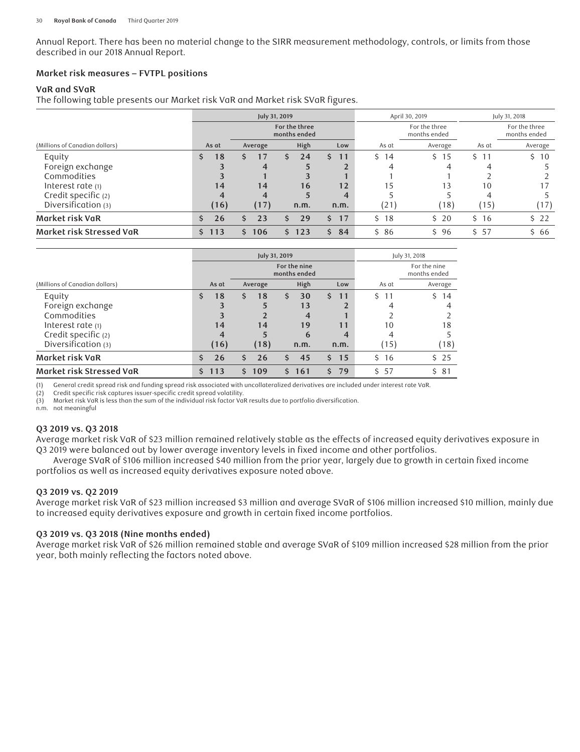Annual Report. There has been no material change to the SIRR measurement methodology, controls, or limits from those described in our 2018 Annual Report.

#### **Market risk measures – FVTPL positions**

#### **VaR and SVaR**

The following table presents our Market risk VaR and Market risk SVaR figures.

|                                 |     | July 31, 2019                 |    |         |              |      |                               |          | April 30, 2019                | July 31, 2018 |          |  |
|---------------------------------|-----|-------------------------------|----|---------|--------------|------|-------------------------------|----------|-------------------------------|---------------|----------|--|
|                                 |     | For the three<br>months ended |    |         |              |      | For the three<br>months ended |          | For the three<br>months ended |               |          |  |
| (Millions of Canadian dollars)  |     | As at                         |    | Average |              | High | Low                           | As at    | Average                       | As at         | Average  |  |
| Equity                          | \$  | 18                            | Ś. | 17      | Ś.           | 24   | 11<br>Ś.                      | Ś.<br>14 | \$<br>15                      | Ś.<br>-1      | \$<br>10 |  |
| Foreign exchange                |     | 3                             |    | 4       |              |      |                               | 4        | 4                             | 4             |          |  |
| Commodities                     |     |                               |    |         |              |      |                               |          |                               |               |          |  |
| Interest rate (1)               |     | 14                            |    | 14      |              | 16   | 12                            | 15       | 13                            | 10            |          |  |
| Credit specific (2)             |     | $\overline{4}$                |    | 4       |              |      | $\overline{4}$                |          |                               | 4             |          |  |
| Diversification (3)             |     | (16)                          |    | (17)    |              | n.m. | n.m.                          | (21)     | 18                            | (15)          | (17)     |  |
| Market risk VaR                 | \$. | 26                            | Ś. | 23      | Ś.           | 29   | 17<br>Ś.                      | \$18     | \$20                          | \$16          | \$22     |  |
| <b>Market risk Stressed VaR</b> |     | \$113                         | Ŝ. | 106     | $\mathsf{S}$ | 123  | 84<br>\$.                     | \$86     | \$96                          | \$57          | \$66     |  |
|                                 |     |                               |    |         |              |      |                               |          |                               |               |          |  |

|                                 |    |                              |    | July 31, 2019 |    |      | July 31, 2018 |      |          |                              |
|---------------------------------|----|------------------------------|----|---------------|----|------|---------------|------|----------|------------------------------|
|                                 |    | For the nine<br>months ended |    |               |    |      |               |      |          | For the nine<br>months ended |
| (Millions of Canadian dollars)  |    | As at                        |    | Average       |    | High |               | Low  | As at    | Average                      |
| Equity                          | \$ | 18                           | Ś  | 18            | Ŝ. | 30   | Ś             | 11   | Ś<br>11  | 14<br>S.                     |
| Foreign exchange                |    | 3                            |    | 5             |    | 13   |               |      | 4        | 4                            |
| Commodities                     |    | 3                            |    |               |    | 4    |               |      |          |                              |
| Interest rate (1)               |    | 14                           |    | 14            |    | 19   |               | 11   | 10       | 18                           |
| Credit specific (2)             |    | 4                            |    | 5             |    | 6    |               | 4    | 4        |                              |
| Diversification (3)             |    | (16)                         |    | (18)          |    | n.m. |               | n.m. | 15)      | (18)                         |
| Market risk VaR                 | Ś  | 26                           | Ŝ  | 26            | \$ | 45   | S.            | 15   | Ś.<br>16 | \$25                         |
| <b>Market risk Stressed VaR</b> |    | \$113                        | S. | 109           | S. | 161  | \$            | 79   | 57<br>Ś. | \$81                         |
|                                 |    |                              |    |               |    |      |               |      |          |                              |

(1) General credit spread risk and funding spread risk associated with uncollateralized derivatives are included under interest rate VaR.

(2) Credit specific risk captures issuer-specific credit spread volatility.

Market risk VaR is less than the sum of the individual risk factor VaR results due to portfolio diversification.

n.m. not meaningful

#### **Q3 2019 vs. Q3 2018**

Average market risk VaR of \$23 million remained relatively stable as the effects of increased equity derivatives exposure in Q3 2019 were balanced out by lower average inventory levels in fixed income and other portfolios.

Average SVaR of \$106 million increased \$40 million from the prior year, largely due to growth in certain fixed income portfolios as well as increased equity derivatives exposure noted above.

#### **Q3 2019 vs. Q2 2019**

Average market risk VaR of \$23 million increased \$3 million and average SVaR of \$106 million increased \$10 million, mainly due to increased equity derivatives exposure and growth in certain fixed income portfolios.

#### **Q3 2019 vs. Q3 2018 (Nine months ended)**

Average market risk VaR of \$26 million remained stable and average SVaR of \$109 million increased \$28 million from the prior year, both mainly reflecting the factors noted above.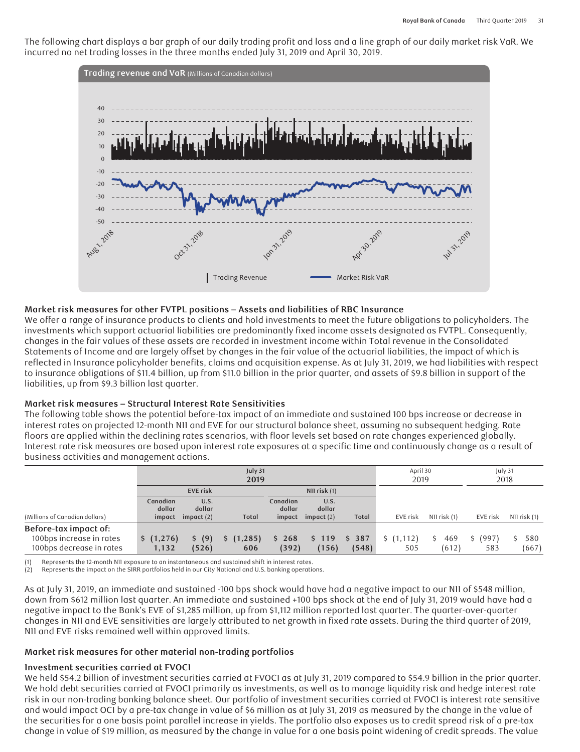The following chart displays a bar graph of our daily trading profit and loss and a line graph of our daily market risk VaR. We incurred no net trading losses in the three months ended July 31, 2019 and April 30, 2019.



#### **Market risk measures for other FVTPL positions – Assets and liabilities of RBC Insurance**

We offer a range of insurance products to clients and hold investments to meet the future obligations to policyholders. The investments which support actuarial liabilities are predominantly fixed income assets designated as FVTPL. Consequently, changes in the fair values of these assets are recorded in investment income within Total revenue in the Consolidated Statements of Income and are largely offset by changes in the fair value of the actuarial liabilities, the impact of which is reflected in Insurance policyholder benefits, claims and acquisition expense. As at July 31, 2019, we had liabilities with respect to insurance obligations of \$11.4 billion, up from \$11.0 billion in the prior quarter, and assets of \$9.8 billion in support of the liabilities, up from \$9.3 billion last quarter.

#### **Market risk measures – Structural Interest Rate Sensitivities**

The following table shows the potential before-tax impact of an immediate and sustained 100 bps increase or decrease in interest rates on projected 12-month NII and EVE for our structural balance sheet, assuming no subsequent hedging. Rate floors are applied within the declining rates scenarios, with floor levels set based on rate changes experienced globally. Interest rate risk measures are based upon interest rate exposures at a specific time and continuously change as a result of business activities and management actions.

|                                                                               |                              | April 30<br>2019            |                        | July 31<br>2018              |                             |                |                  |                    |              |              |
|-------------------------------------------------------------------------------|------------------------------|-----------------------------|------------------------|------------------------------|-----------------------------|----------------|------------------|--------------------|--------------|--------------|
|                                                                               |                              | <b>EVE risk</b>             |                        |                              | NII risk $(1)$              |                |                  |                    |              |              |
| (Millions of Canadian dollars)                                                | Canadian<br>dollar<br>impact | U.S.<br>dollar<br>impect(2) | Total                  | Canadian<br>dollar<br>impact | U.S.<br>dollar<br>impact(2) | Total          | EVE risk         | NII risk (1)       | EVE risk     | NII risk (1) |
| Before-tax impact of:<br>100bps increase in rates<br>100bps decrease in rates | \$(1,276)<br>1,132           | (9)<br>\$.<br>(526)         | (1, 285)<br>\$.<br>606 | \$268<br>(392)               | 119<br>S.<br>(156)          | \$387<br>(548) | \$(1,112)<br>505 | 469<br>S.<br>(612) | (997)<br>583 | 580<br>(667) |

(1) Represents the 12-month NII exposure to an instantaneous and sustained shift in interest rates.

(2) Represents the impact on the SIRR portfolios held in our City National and U.S. banking operations.

As at July 31, 2019, an immediate and sustained -100 bps shock would have had a negative impact to our NII of \$548 million, down from \$612 million last quarter. An immediate and sustained +100 bps shock at the end of July 31, 2019 would have had a negative impact to the Bank's EVE of \$1,285 million, up from \$1,112 million reported last quarter. The quarter-over-quarter changes in NII and EVE sensitivities are largely attributed to net growth in fixed rate assets. During the third quarter of 2019, NII and EVE risks remained well within approved limits.

#### **Market risk measures for other material non-trading portfolios**

#### **Investment securities carried at FVOCI**

We held \$54.2 billion of investment securities carried at FVOCI as at July 31, 2019 compared to \$54.9 billion in the prior quarter. We hold debt securities carried at FVOCI primarily as investments, as well as to manage liquidity risk and hedge interest rate risk in our non-trading banking balance sheet. Our portfolio of investment securities carried at FVOCI is interest rate sensitive and would impact OCI by a pre-tax change in value of \$6 million as at July 31, 2019 as measured by the change in the value of the securities for a one basis point parallel increase in yields. The portfolio also exposes us to credit spread risk of a pre-tax change in value of \$19 million, as measured by the change in value for a one basis point widening of credit spreads. The value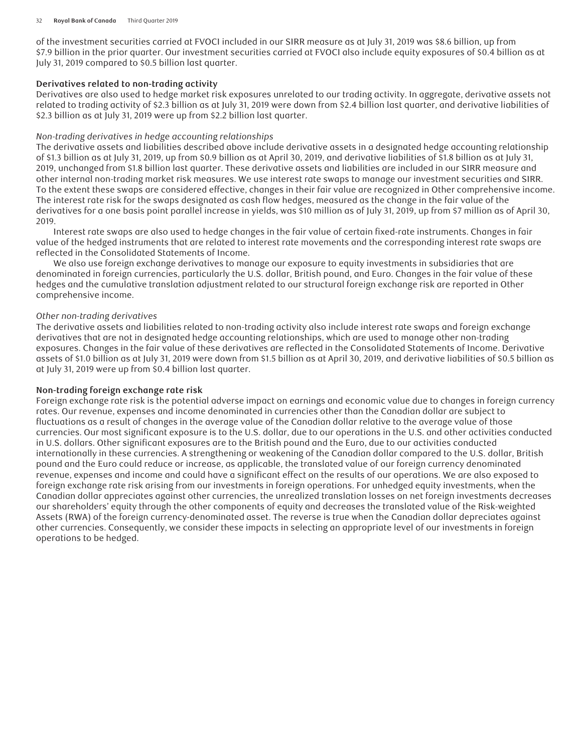of the investment securities carried at FVOCI included in our SIRR measure as at July 31, 2019 was \$8.6 billion, up from \$7.9 billion in the prior quarter. Our investment securities carried at FVOCI also include equity exposures of \$0.4 billion as at July 31, 2019 compared to \$0.5 billion last quarter.

#### **Derivatives related to non-trading activity**

Derivatives are also used to hedge market risk exposures unrelated to our trading activity. In aggregate, derivative assets not related to trading activity of \$2.3 billion as at July 31, 2019 were down from \$2.4 billion last quarter, and derivative liabilities of \$2.3 billion as at July 31, 2019 were up from \$2.2 billion last quarter.

#### *Non-trading derivatives in hedge accounting relationships*

The derivative assets and liabilities described above include derivative assets in a designated hedge accounting relationship of \$1.3 billion as at July 31, 2019, up from \$0.9 billion as at April 30, 2019, and derivative liabilities of \$1.8 billion as at July 31, 2019, unchanged from \$1.8 billion last quarter. These derivative assets and liabilities are included in our SIRR measure and other internal non-trading market risk measures. We use interest rate swaps to manage our investment securities and SIRR. To the extent these swaps are considered effective, changes in their fair value are recognized in Other comprehensive income. The interest rate risk for the swaps designated as cash flow hedges, measured as the change in the fair value of the derivatives for a one basis point parallel increase in yields, was \$10 million as of July 31, 2019, up from \$7 million as of April 30, 2019.

Interest rate swaps are also used to hedge changes in the fair value of certain fixed-rate instruments. Changes in fair value of the hedged instruments that are related to interest rate movements and the corresponding interest rate swaps are reflected in the Consolidated Statements of Income.

We also use foreign exchange derivatives to manage our exposure to equity investments in subsidiaries that are denominated in foreign currencies, particularly the U.S. dollar, British pound, and Euro. Changes in the fair value of these hedges and the cumulative translation adjustment related to our structural foreign exchange risk are reported in Other comprehensive income.

#### *Other non-trading derivatives*

The derivative assets and liabilities related to non-trading activity also include interest rate swaps and foreign exchange derivatives that are not in designated hedge accounting relationships, which are used to manage other non-trading exposures. Changes in the fair value of these derivatives are reflected in the Consolidated Statements of Income. Derivative assets of \$1.0 billion as at July 31, 2019 were down from \$1.5 billion as at April 30, 2019, and derivative liabilities of \$0.5 billion as at July 31, 2019 were up from \$0.4 billion last quarter.

#### **Non-trading foreign exchange rate risk**

Foreign exchange rate risk is the potential adverse impact on earnings and economic value due to changes in foreign currency rates. Our revenue, expenses and income denominated in currencies other than the Canadian dollar are subject to fluctuations as a result of changes in the average value of the Canadian dollar relative to the average value of those currencies. Our most significant exposure is to the U.S. dollar, due to our operations in the U.S. and other activities conducted in U.S. dollars. Other significant exposures are to the British pound and the Euro, due to our activities conducted internationally in these currencies. A strengthening or weakening of the Canadian dollar compared to the U.S. dollar, British pound and the Euro could reduce or increase, as applicable, the translated value of our foreign currency denominated revenue, expenses and income and could have a significant effect on the results of our operations. We are also exposed to foreign exchange rate risk arising from our investments in foreign operations. For unhedged equity investments, when the Canadian dollar appreciates against other currencies, the unrealized translation losses on net foreign investments decreases our shareholders' equity through the other components of equity and decreases the translated value of the Risk-weighted Assets (RWA) of the foreign currency-denominated asset. The reverse is true when the Canadian dollar depreciates against other currencies. Consequently, we consider these impacts in selecting an appropriate level of our investments in foreign operations to be hedged.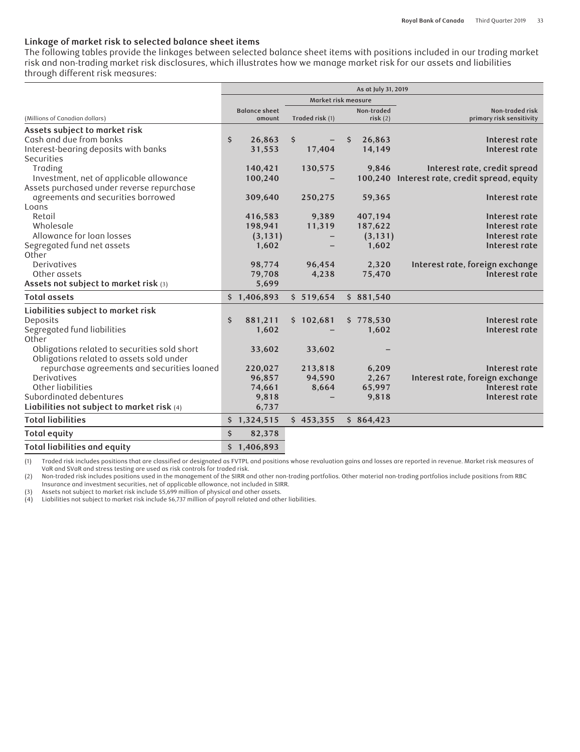#### **Linkage of market risk to selected balance sheet items**

The following tables provide the linkages between selected balance sheet items with positions included in our trading market risk and non-trading market risk disclosures, which illustrates how we manage market risk for our assets and liabilities through different risk measures:

|                                                                   |                               | As at July 31, 2019 |                       |                                              |  |  |  |  |  |
|-------------------------------------------------------------------|-------------------------------|---------------------|-----------------------|----------------------------------------------|--|--|--|--|--|
|                                                                   |                               |                     | Market risk measure   |                                              |  |  |  |  |  |
| (Millions of Canadian dollars)                                    | <b>Balance sheet</b>          | Traded risk (1)     | Non-traded<br>risk(2) | Non-traded risk<br>primary risk sensitivity  |  |  |  |  |  |
|                                                                   | amount                        |                     |                       |                                              |  |  |  |  |  |
| Assets subject to market risk                                     |                               |                     |                       | Interest rate                                |  |  |  |  |  |
| Cash and due from banks                                           | \$<br>26,863<br>31,553        | \$<br>17,404        | 26,863<br>\$          | Interest rate                                |  |  |  |  |  |
| Interest-bearing deposits with banks<br>Securities                |                               |                     | 14,149                |                                              |  |  |  |  |  |
| Trading                                                           | 140,421                       | 130,575             | 9,846                 | Interest rate, credit spread                 |  |  |  |  |  |
| Investment, net of applicable allowance                           | 100,240                       |                     |                       | 100,240 Interest rate, credit spread, equity |  |  |  |  |  |
| Assets purchased under reverse repurchase                         |                               |                     |                       |                                              |  |  |  |  |  |
| agreements and securities borrowed                                | 309,640                       | 250,275             | 59,365                | Interest rate                                |  |  |  |  |  |
| Loans                                                             |                               |                     |                       |                                              |  |  |  |  |  |
| Retail                                                            | 416,583                       | 9,389               | 407,194               | Interest rate                                |  |  |  |  |  |
| Wholesale                                                         | 198,941                       | 11,319              | 187,622               | Interest rate                                |  |  |  |  |  |
| Allowance for loan losses                                         | (3, 131)                      |                     | (3, 131)              | Interest rate                                |  |  |  |  |  |
| Segregated fund net assets                                        | 1,602                         |                     | 1,602                 | Interest rate                                |  |  |  |  |  |
| Other                                                             |                               |                     |                       |                                              |  |  |  |  |  |
| <b>Derivatives</b>                                                | 98,774                        | 96,454              | 2,320                 | Interest rate, foreign exchange              |  |  |  |  |  |
| Other assets                                                      | 79,708                        | 4,238               | 75,470                | Interest rate                                |  |  |  |  |  |
| Assets not subject to market risk (3)                             | 5,699                         |                     |                       |                                              |  |  |  |  |  |
| <b>Total assets</b>                                               | \$1,406,893                   | \$519,654           | \$881,540             |                                              |  |  |  |  |  |
| Liabilities subject to market risk                                |                               |                     |                       |                                              |  |  |  |  |  |
| Deposits                                                          | $\dot{\mathsf{S}}$<br>881,211 | \$102,681           | \$778,530             | Interest rate                                |  |  |  |  |  |
| Segregated fund liabilities                                       | 1,602                         |                     | 1,602                 | Interest rate                                |  |  |  |  |  |
| Other                                                             |                               |                     |                       |                                              |  |  |  |  |  |
| Obligations related to securities sold short                      | 33,602                        | 33,602              |                       |                                              |  |  |  |  |  |
| Obligations related to assets sold under                          |                               |                     |                       | Interest rate                                |  |  |  |  |  |
| repurchase agreements and securities loaned<br><b>Derivatives</b> | 220,027<br>96,857             | 213,818<br>94,590   | 6,209<br>2,267        | Interest rate, foreign exchange              |  |  |  |  |  |
| Other liabilities                                                 | 74,661                        | 8,664               | 65,997                | Interest rate                                |  |  |  |  |  |
| Subordinated debentures                                           | 9,818                         |                     | 9,818                 | Interest rate                                |  |  |  |  |  |
| Liabilities not subject to market risk $(4)$                      | 6,737                         |                     |                       |                                              |  |  |  |  |  |
| <b>Total liabilities</b>                                          | \$1,324,515                   | \$453,355           | \$864,423             |                                              |  |  |  |  |  |
| <b>Total equity</b>                                               | \$<br>82,378                  |                     |                       |                                              |  |  |  |  |  |
| <b>Total liabilities and equity</b>                               | 1,406,893<br>\$               |                     |                       |                                              |  |  |  |  |  |

(1) Traded risk includes positions that are classified or designated as FVTPL and positions whose revaluation gains and losses are reported in revenue. Market risk measures of VaR and SVaR and stress testing are used as risk controls for traded risk.

(2) Non-traded risk includes positions used in the management of the SIRR and other non-trading portfolios. Other material non-trading portfolios include positions from RBC Insurance and investment securities, net of applicable allowance, not included in SIRR.

(3) Assets not subject to market risk include \$5,699 million of physical and other assets.

(4) Liabilities not subject to market risk include \$6,737 million of payroll related and other liabilities.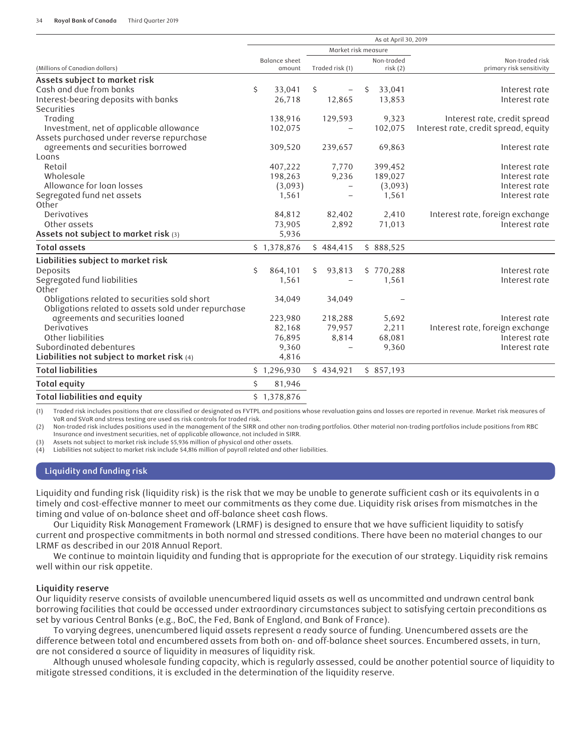|                                                     | As at April 30, 2019 |                      |    |                          |    |            |                                      |  |  |  |  |
|-----------------------------------------------------|----------------------|----------------------|----|--------------------------|----|------------|--------------------------------------|--|--|--|--|
|                                                     |                      | Market risk measure  |    |                          |    |            |                                      |  |  |  |  |
|                                                     |                      | <b>Balance sheet</b> |    |                          |    | Non-traded | Non-traded risk                      |  |  |  |  |
| (Millions of Canadian dollars)                      |                      | amount               |    | Traded risk (1)          |    | risk(2)    | primary risk sensitivity             |  |  |  |  |
| Assets subject to market risk                       |                      |                      |    |                          |    |            |                                      |  |  |  |  |
| Cash and due from banks                             | \$                   | 33,041               | \$ | $\qquad \qquad -$        | \$ | 33,041     | Interest rate                        |  |  |  |  |
| Interest-bearing deposits with banks                |                      | 26,718               |    | 12,865                   |    | 13,853     | Interest rate                        |  |  |  |  |
| Securities                                          |                      |                      |    |                          |    |            |                                      |  |  |  |  |
| Trading                                             |                      | 138,916              |    | 129,593                  |    | 9,323      | Interest rate, credit spread         |  |  |  |  |
| Investment, net of applicable allowance             |                      | 102,075              |    | $\overline{\phantom{0}}$ |    | 102,075    | Interest rate, credit spread, equity |  |  |  |  |
| Assets purchased under reverse repurchase           |                      |                      |    |                          |    |            |                                      |  |  |  |  |
| agreements and securities borrowed                  |                      | 309,520              |    | 239,657                  |    | 69,863     | Interest rate                        |  |  |  |  |
| Loans                                               |                      |                      |    |                          |    |            |                                      |  |  |  |  |
| Retail                                              |                      | 407,222              |    | 7,770                    |    | 399,452    | Interest rate                        |  |  |  |  |
| Wholesale                                           |                      | 198,263              |    | 9,236                    |    | 189,027    | Interest rate                        |  |  |  |  |
| Allowance for loan losses                           |                      | (3,093)              |    |                          |    | (3,093)    | Interest rate                        |  |  |  |  |
| Segregated fund net assets                          |                      | 1,561                |    |                          |    | 1,561      | Interest rate                        |  |  |  |  |
| Other                                               |                      |                      |    |                          |    |            |                                      |  |  |  |  |
| Derivatives                                         |                      | 84,812               |    | 82,402                   |    | 2,410      | Interest rate, foreign exchange      |  |  |  |  |
| Other assets                                        |                      | 73,905               |    | 2,892                    |    | 71,013     | Interest rate                        |  |  |  |  |
| Assets not subject to market risk (3)               |                      | 5,936                |    |                          |    |            |                                      |  |  |  |  |
| <b>Total assets</b>                                 |                      | \$1,378,876          |    | \$484,415                |    | \$888,525  |                                      |  |  |  |  |
| Liabilities subject to market risk                  |                      |                      |    |                          |    |            |                                      |  |  |  |  |
| Deposits                                            | \$                   | 864,101              | S  | 93,813                   |    | \$770,288  | Interest rate                        |  |  |  |  |
| Segregated fund liabilities                         |                      | 1,561                |    |                          |    | 1,561      | Interest rate                        |  |  |  |  |
| Other                                               |                      |                      |    |                          |    |            |                                      |  |  |  |  |
| Obligations related to securities sold short        |                      | 34,049               |    | 34,049                   |    |            |                                      |  |  |  |  |
| Obligations related to assets sold under repurchase |                      |                      |    |                          |    |            |                                      |  |  |  |  |
| agreements and securities loaned                    |                      | 223,980              |    | 218,288                  |    | 5,692      | Interest rate                        |  |  |  |  |
| Derivatives                                         |                      | 82,168               |    | 79,957                   |    | 2,211      | Interest rate, foreign exchange      |  |  |  |  |
| Other liabilities                                   |                      | 76,895               |    | 8,814                    |    | 68,081     | Interest rate                        |  |  |  |  |
| Subordinated debentures                             |                      | 9,360                |    |                          |    | 9,360      | Interest rate                        |  |  |  |  |
| Liabilities not subject to market risk $(4)$        |                      | 4,816                |    |                          |    |            |                                      |  |  |  |  |
| <b>Total liabilities</b>                            |                      | \$1,296,930          |    | \$434,921                |    | \$857,193  |                                      |  |  |  |  |
| Total equity                                        | \$                   | 81,946               |    |                          |    |            |                                      |  |  |  |  |
| <b>Total liabilities and equity</b>                 |                      | \$1,378,876          |    |                          |    |            |                                      |  |  |  |  |

(1) Traded risk includes positions that are classified or designated as FVTPL and positions whose revaluation gains and losses are reported in revenue. Market risk measures of VaR and SVaR and stress testing are used as risk controls for traded risk.

(2) Non-traded risk includes positions used in the management of the SIRR and other non-trading portfolios. Other material non-trading portfolios include positions from RBC Insurance and investment securities, net of applicable allowance, not included in SIRR.

Assets not subject to market risk include \$5,936 million of physical and other assets.

(4) Liabilities not subject to market risk include \$4,816 million of payroll related and other liabilities.

#### **Liquidity and funding risk**

Liquidity and funding risk (liquidity risk) is the risk that we may be unable to generate sufficient cash or its equivalents in a timely and cost-effective manner to meet our commitments as they come due. Liquidity risk arises from mismatches in the timing and value of on-balance sheet and off-balance sheet cash flows.

Our Liquidity Risk Management Framework (LRMF) is designed to ensure that we have sufficient liquidity to satisfy current and prospective commitments in both normal and stressed conditions. There have been no material changes to our LRMF as described in our 2018 Annual Report.

We continue to maintain liquidity and funding that is appropriate for the execution of our strategy. Liquidity risk remains well within our risk appetite.

#### **Liquidity reserve**

Our liquidity reserve consists of available unencumbered liquid assets as well as uncommitted and undrawn central bank borrowing facilities that could be accessed under extraordinary circumstances subject to satisfying certain preconditions as set by various Central Banks (e.g., BoC, the Fed, Bank of England, and Bank of France).

To varying degrees, unencumbered liquid assets represent a ready source of funding. Unencumbered assets are the difference between total and encumbered assets from both on- and off-balance sheet sources. Encumbered assets, in turn, are not considered a source of liquidity in measures of liquidity risk.

Although unused wholesale funding capacity, which is regularly assessed, could be another potential source of liquidity to mitigate stressed conditions, it is excluded in the determination of the liquidity reserve.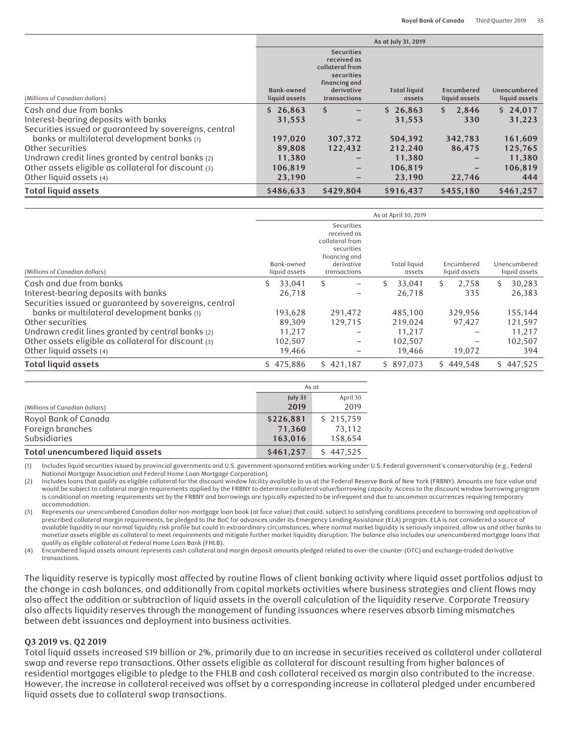|                                                                                                |                                    |                                                                                                                  | As at July 31, 2019           |                             |                               |
|------------------------------------------------------------------------------------------------|------------------------------------|------------------------------------------------------------------------------------------------------------------|-------------------------------|-----------------------------|-------------------------------|
| (Millions of Canadian dollars)                                                                 | <b>Bank-owned</b><br>liquid assets | <b>Securities</b><br>received as<br>collateral from<br>securities<br>financing and<br>derivative<br>transactions | <b>Total liquid</b><br>assets | Encumbered<br>liquid assets | Unencumbered<br>liquid assets |
| Cash and due from banks                                                                        | \$26,863                           | \$<br>-                                                                                                          | \$26,863                      | Ś.<br>2.846                 | \$24,017                      |
| Interest-bearing deposits with banks<br>Securities issued or guaranteed by sovereigns, central | 31,553                             | -                                                                                                                | 31,553                        | 330                         | 31,223                        |
| banks or multilateral development banks (1)                                                    | 197,020                            | 307,372                                                                                                          | 504,392                       | 342,783                     | 161,609                       |
| Other securities                                                                               | 89,808                             | 122,432                                                                                                          | 212,240                       | 86,475                      | 125,765                       |
| Undrawn credit lines granted by central banks (2)                                              | 11,380                             |                                                                                                                  | 11,380                        |                             | 11,380                        |
| Other assets eligible as collateral for discount (3)                                           | 106,819                            | $\overline{\phantom{0}}$                                                                                         | 106,819                       |                             | 106,819                       |
| Other liquid assets (4)                                                                        | 23,190                             | -                                                                                                                | 23,190                        | 22,746                      | 444                           |
| <b>Total liquid assets</b>                                                                     | \$486,633                          | \$429,804                                                                                                        | \$916,437                     | \$455,180                   | \$461,257                     |

|                                                        |  | As at April 30, 2019        |   |                                                                                                           |    |                        |    |                             |                               |           |  |
|--------------------------------------------------------|--|-----------------------------|---|-----------------------------------------------------------------------------------------------------------|----|------------------------|----|-----------------------------|-------------------------------|-----------|--|
| (Millions of Canadian dollars)                         |  | Bank-owned<br>liquid assets |   | Securities<br>received as<br>collateral from<br>securities<br>financing and<br>derivative<br>transactions |    | Total liquid<br>assets |    | Encumbered<br>liquid assets | Unencumbered<br>liquid assets |           |  |
| Cash and due from banks                                |  | 33,041                      | Ś |                                                                                                           | Š. | 33,041                 | Ś. | 2,758                       | S                             | 30,283    |  |
| Interest-bearing deposits with banks                   |  | 26.718                      |   |                                                                                                           |    | 26.718                 |    | 335                         |                               | 26,383    |  |
| Securities issued or guaranteed by sovereigns, central |  |                             |   |                                                                                                           |    |                        |    |                             |                               |           |  |
| banks or multilateral development banks (1)            |  | 193,628                     |   | 291,472                                                                                                   |    | 485,100                |    | 329,956                     |                               | 155,144   |  |
| Other securities                                       |  | 89,309                      |   | 129.715                                                                                                   |    | 219,024                |    | 97.427                      |                               | 121,597   |  |
| Undrawn credit lines granted by central banks (2)      |  | 11,217                      |   |                                                                                                           |    | 11,217                 |    |                             |                               | 11,217    |  |
| Other assets eligible as collateral for discount (3)   |  | 102,507                     |   | -                                                                                                         |    | 102,507                |    |                             |                               | 102,507   |  |
| Other liquid assets (4)                                |  | 19,466                      |   |                                                                                                           |    | 19,466                 |    | 19,072                      |                               | 394       |  |
| <b>Total liquid assets</b>                             |  | \$475,886                   |   | \$421,187                                                                                                 |    | \$897,073              |    | \$449.548                   |                               | \$447.525 |  |

|                                                          | As at                          |                                |  |  |  |  |
|----------------------------------------------------------|--------------------------------|--------------------------------|--|--|--|--|
| (Millions of Canadian dollars)                           | July 31<br>2019                | April 30<br>2019               |  |  |  |  |
| Royal Bank of Canada<br>Foreign branches<br>Subsidiaries | \$226,881<br>71,360<br>163,016 | \$215,759<br>73.112<br>158,654 |  |  |  |  |
| Total unencumbered liquid assets                         | \$461,257                      | \$447,525                      |  |  |  |  |

(1) Includes liquid securities issued by provincial governments and U.S. government-sponsored entities working under U.S. Federal government's conservatorship (e.g., Federal National Mortgage Association and Federal Home Loan Mortgage Corporation).

(2) Includes loans that qualify as eligible collateral for the discount window facility available to us at the Federal Reserve Bank of New York (FRBNY). Amounts are face value and would be subject to collateral margin requirements applied by the FRBNY to determine collateral value/borrowing capacity. Access to the discount window borrowing program is conditional on meeting requirements set by the FRBNY and borrowings are typically expected to be infrequent and due to uncommon occurrences requiring temporary accommodation.

(3) Represents our unencumbered Canadian dollar non-mortgage loan book (at face value) that could, subject to satisfying conditions precedent to borrowing and application of prescribed collateral margin requirements, be pledged to the BoC for advances under its Emergency Lending Assistance (ELA) program. ELA is not considered a source of available liquidity in our normal liquidity risk profile but could in extraordinary circumstances, where normal market liquidity is seriously impaired, allow us and other banks to monetize assets eligible as collateral to meet requirements and mitigate further market liquidity disruption. The balance also includes our unencumbered mortgage loans that qualify as eligible collateral at Federal Home Loan Bank (FHLB).

(4) Encumbered liquid assets amount represents cash collateral and margin deposit amounts pledged related to over-the-counter (OTC) and exchange-traded derivative transactions.

The liquidity reserve is typically most affected by routine flows of client banking activity where liquid asset portfolios adjust to the change in cash balances, and additionally from capital markets activities where business strategies and client flows may also affect the addition or subtraction of liquid assets in the overall calculation of the liquidity reserve. Corporate Treasury also affects liquidity reserves through the management of funding issuances where reserves absorb timing mismatches between debt issuances and deployment into business activities.

#### **Q3 2019 vs. Q2 2019**

Total liquid assets increased \$19 billion or 2%, primarily due to an increase in securities received as collateral under collateral swap and reverse repo transactions. Other assets eligible as collateral for discount resulting from higher balances of residential mortgages eligible to pledge to the FHLB and cash collateral received as margin also contributed to the increase. However, the increase in collateral received was offset by a corresponding increase in collateral pledged under encumbered liquid assets due to collateral swap transactions.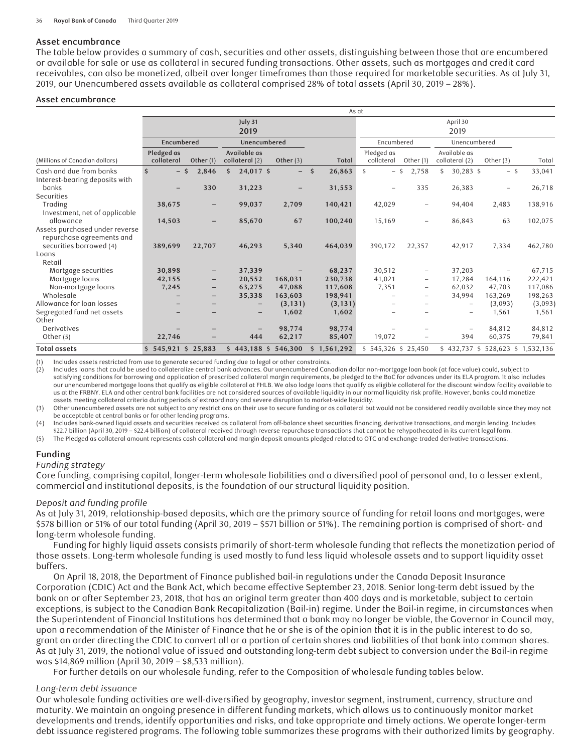#### **Asset encumbrance**

The table below provides a summary of cash, securities and other assets, distinguishing between those that are encumbered or available for sale or use as collateral in secured funding transactions. Other assets, such as mortgages and credit card receivables, can also be monetized, albeit over longer timeframes than those required for marketable securities. As at July 31, 2019, our Unencumbered assets available as collateral comprised 28% of total assets (April 30, 2019 – 28%).

#### **Asset encumbrance**

|                                                           |                              |                   |                                   |             | As at                        |                          |                          |                                 |                          |         |  |  |
|-----------------------------------------------------------|------------------------------|-------------------|-----------------------------------|-------------|------------------------------|--------------------------|--------------------------|---------------------------------|--------------------------|---------|--|--|
|                                                           |                              |                   | July 31                           |             | April 30                     |                          |                          |                                 |                          |         |  |  |
|                                                           | 2019                         |                   |                                   |             |                              |                          |                          | 2019                            |                          |         |  |  |
|                                                           | Encumbered                   |                   | Unencumbered                      |             |                              | Encumbered               |                          | Unencumbered                    |                          |         |  |  |
|                                                           | Pledged as                   |                   | Available as                      |             |                              | Pledged as               |                          | Available as                    |                          |         |  |  |
| (Millions of Canadian dollars)                            | collateral                   | Other (1)         | collateral (2)                    | Other $(3)$ | <b>Total</b>                 | collateral               | Other (1)                | collateral (2)                  | Other $(3)$              | Total   |  |  |
| Cash and due from banks<br>Interest-bearing deposits with | $\dot{\mathsf{s}}$<br>$-$ \$ | 2,846             | $24,017$ \$<br>$\mathsf{\hat{S}}$ | $-$         | $\mathsf{\hat{S}}$<br>26,863 | Ŝ.<br>$-$ \$             | 2,758                    | $30,283$ \$<br>Ś.               | $-$ \$                   | 33,041  |  |  |
| banks                                                     | -                            | 330               | 31,223                            | -           | 31,553                       | $\overline{\phantom{0}}$ | 335                      | 26,383                          | $\overline{\phantom{0}}$ | 26,718  |  |  |
| Securities                                                |                              |                   |                                   |             |                              |                          |                          |                                 |                          |         |  |  |
| Trading                                                   | 38,675                       | $\qquad \qquad -$ | 99,037                            | 2,709       | 140,421                      | 42,029                   | $\overline{\phantom{0}}$ | 94,404                          | 2,483                    | 138,916 |  |  |
| Investment, net of applicable                             |                              |                   |                                   |             |                              |                          |                          |                                 |                          |         |  |  |
| allowance                                                 | 14,503                       | $\qquad \qquad -$ | 85,670                            | 67          | 100,240                      | 15,169                   | $\overline{\phantom{0}}$ | 86,843                          | 63                       | 102,075 |  |  |
| Assets purchased under reverse                            |                              |                   |                                   |             |                              |                          |                          |                                 |                          |         |  |  |
| repurchase agreements and                                 |                              |                   |                                   |             |                              |                          |                          |                                 |                          |         |  |  |
| securities borrowed (4)                                   | 389,699                      | 22,707            | 46,293                            | 5,340       | 464,039                      | 390,172                  | 22,357                   | 42,917                          | 7,334                    | 462,780 |  |  |
| Loans<br>Retail                                           |                              |                   |                                   |             |                              |                          |                          |                                 |                          |         |  |  |
| Mortgage securities                                       | 30,898                       |                   | 37,339                            |             | 68,237                       | 30,512                   |                          | 37,203                          |                          | 67,715  |  |  |
| Mortgage loans                                            | 42,155                       |                   | 20,552                            | 168,031     | 230,738                      | 41,021                   |                          | 17,284                          | 164,116                  | 222,421 |  |  |
| Non-mortgage loans                                        | 7,245                        |                   | 63,275                            | 47,088      | 117,608                      | 7,351                    | $\overline{\phantom{0}}$ | 62,032                          | 47,703                   | 117,086 |  |  |
| Wholesgle                                                 |                              |                   | 35,338                            | 163,603     | 198,941                      | $\overline{\phantom{0}}$ |                          | 34,994                          | 163,269                  | 198,263 |  |  |
| Allowance for loan losses                                 |                              |                   | -                                 | (3, 131)    | (3, 131)                     | -                        |                          | $\overline{\phantom{m}}$        | (3,093)                  | (3,093) |  |  |
| Segregated fund net assets                                |                              |                   | $-$                               | 1,602       | 1,602                        |                          |                          | $\overline{\phantom{0}}$        | 1,561                    | 1,561   |  |  |
| Other                                                     |                              |                   |                                   |             |                              |                          |                          |                                 |                          |         |  |  |
| Derivatives                                               |                              |                   |                                   | 98,774      | 98,774                       |                          |                          | $\qquad \qquad -$               | 84,812                   | 84,812  |  |  |
| Other (5)                                                 | 22,746                       |                   | 444                               | 62,217      | 85,407                       | 19,072                   |                          | 394                             | 60,375                   | 79,841  |  |  |
| <b>Total assets</b>                                       | $$545,921$ \$ 25,883         |                   | \$443,188                         | 546,300     | \$1,561,292                  | \$545,326\$25,450        |                          | \$432,737 \$528,623 \$1,532,136 |                          |         |  |  |

(1) Includes assets restricted from use to generate secured funding due to legal or other constraints.<br>(2) Includes loans that could be used to collateralize central bank advances. Our unencumbered Can

Includes loans that could be used to collateralize central bank advances. Our unencumbered Canadian dollar non-mortgage loan book (at face value) could, subject to satisfying conditions for borrowing and application of prescribed collateral margin requirements, be pledged to the BoC for advances under its ELA program. It also includes our unencumbered mortgage loans that qualify as eligible collateral at FHLB. We also lodge loans that qualify as eligible collateral for the discount window facility available to us at the FRBNY. ELA and other central bank facilities are not considered sources of available liquidity in our normal liquidity risk profile. However, banks could monetize assets meeting collateral criteria during periods of extraordinary and severe disruption to market-wide liquidity.

(3) Other unencumbered assets are not subject to any restrictions on their use to secure funding or as collateral but would not be considered readily available since they may not be acceptable at central banks or for other lending programs.

(4) Includes bank-owned liquid assets and securities received as collateral from off-balance sheet securities financing, derivative transactions, and margin lending. Includes \$22.7 billion (April 30, 2019 – \$22.4 billion) of collateral received through reverse repurchase transactions that cannot be rehypothecated in its current legal form.

(5) The Pledged as collateral amount represents cash collateral and margin deposit amounts pledged related to OTC and exchange-traded derivative transactions.

#### **Funding**

#### *Funding strategy*

Core funding, comprising capital, longer-term wholesale liabilities and a diversified pool of personal and, to a lesser extent, commercial and institutional deposits, is the foundation of our structural liquidity position.

#### *Deposit and funding profile*

As at July 31, 2019, relationship-based deposits, which are the primary source of funding for retail loans and mortgages, were \$578 billion or 51% of our total funding (April 30, 2019 – \$571 billion or 51%). The remaining portion is comprised of short- and long-term wholesale funding.

Funding for highly liquid assets consists primarily of short-term wholesale funding that reflects the monetization period of those assets. Long-term wholesale funding is used mostly to fund less liquid wholesale assets and to support liquidity asset buffers.

On April 18, 2018, the Department of Finance published bail-in regulations under the Canada Deposit Insurance Corporation (CDIC) Act and the Bank Act, which became effective September 23, 2018. Senior long-term debt issued by the bank on or after September 23, 2018, that has an original term greater than 400 days and is marketable, subject to certain exceptions, is subject to the Canadian Bank Recapitalization (Bail-in) regime. Under the Bail-in regime, in circumstances when the Superintendent of Financial Institutions has determined that a bank may no longer be viable, the Governor in Council may, upon a recommendation of the Minister of Finance that he or she is of the opinion that it is in the public interest to do so, grant an order directing the CDIC to convert all or a portion of certain shares and liabilities of that bank into common shares. As at July 31, 2019, the notional value of issued and outstanding long-term debt subject to conversion under the Bail-in regime was \$14,869 million (April 30, 2019 – \$8,533 million).

For further details on our wholesale funding, refer to the Composition of wholesale funding tables below.

#### *Long-term debt issuance*

Our wholesale funding activities are well-diversified by geography, investor segment, instrument, currency, structure and maturity. We maintain an ongoing presence in different funding markets, which allows us to continuously monitor market developments and trends, identify opportunities and risks, and take appropriate and timely actions. We operate longer-term debt issuance registered programs. The following table summarizes these programs with their authorized limits by geography.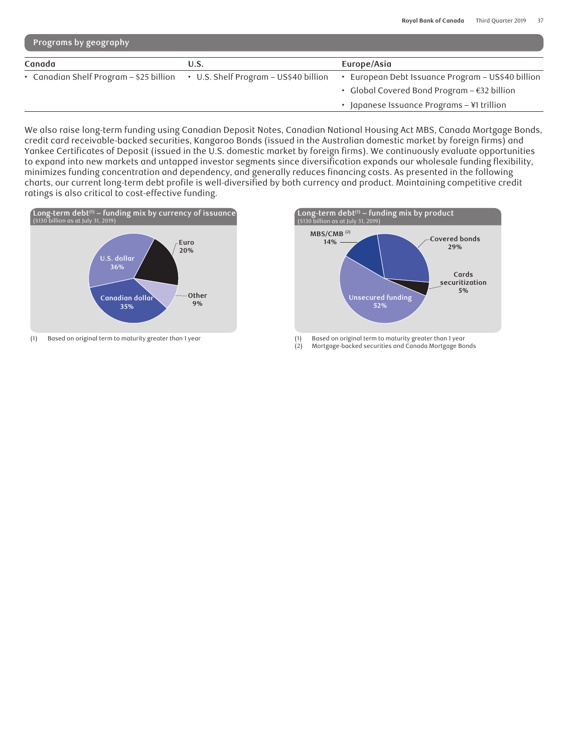| <b>Programs by geography</b>                                                  |      |                                                   |
|-------------------------------------------------------------------------------|------|---------------------------------------------------|
| Canada                                                                        | U.S. | Europe/Asia                                       |
| • Canadian Shelf Program - \$25 billion • U.S. Shelf Program - US\$40 billion |      | • European Debt Issuance Program - US\$40 billion |
|                                                                               |      | • Global Covered Bond Program $-632$ billion      |
|                                                                               |      | • Japanese Issuance Programs – ¥1 trillion        |

We also raise long-term funding using Canadian Deposit Notes, Canadian National Housing Act MBS, Canada Mortgage Bonds, credit card receivable-backed securities, Kangaroo Bonds (issued in the Australian domestic market by foreign firms) and Yankee Certificates of Deposit (issued in the U.S. domestic market by foreign firms). We continuously evaluate opportunities to expand into new markets and untapped investor segments since diversification expands our wholesale funding flexibility, minimizes funding concentration and dependency, and generally reduces financing costs. As presented in the following charts, our current long-term debt profile is well-diversified by both currency and product. Maintaining competitive credit ratings is also critical to cost-effective funding.





(1) Based on original term to maturity greater than 1 year (1) Based on original term to maturity greater than 1 year Mortgage-backed securities and Canada Mortgage Bonds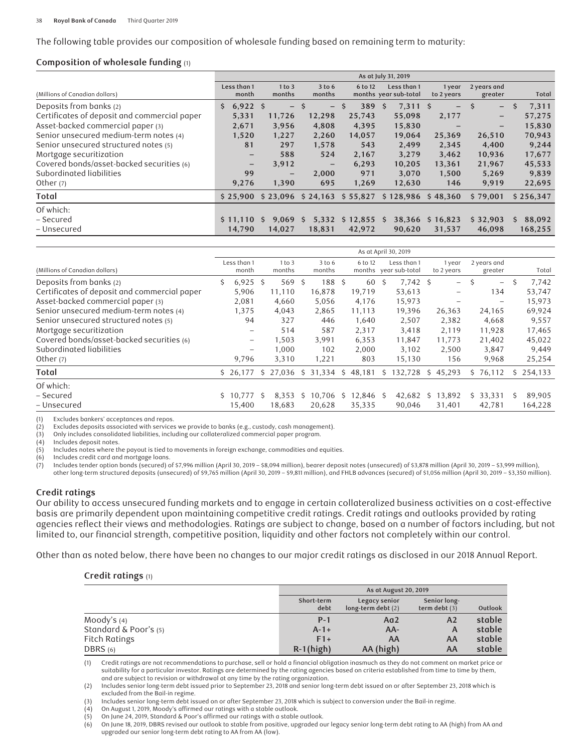The following table provides our composition of wholesale funding based on remaining term to maturity:

# **Composition of wholesale funding** (1)

|                                                                                   |                                        |                   |                                        |                        | As at July 31, 2019                                          |                      |                                        |                         |
|-----------------------------------------------------------------------------------|----------------------------------------|-------------------|----------------------------------------|------------------------|--------------------------------------------------------------|----------------------|----------------------------------------|-------------------------|
| (Millions of Canadian dollars)                                                    | Less than 1<br>month                   | 1 to 3<br>months  | $3$ to 6<br>months                     | 6 to 12                | Less than 1<br>months year sub-total                         | 1 year<br>to 2 years | 2 years and<br>greater                 | Total                   |
| Deposits from banks (2)                                                           | $6,922$ \$<br>\$.                      | $-$               | $\overline{\phantom{a}}$<br>$\equiv$ . | 389<br>\$              | $7,311$ \$<br><sub>S</sub>                                   | -                    | -\$<br>$\overline{\phantom{a}}$        | 7,311<br>\$             |
| Certificates of deposit and commercial paper<br>Asset-backed commercial paper (3) | 5,331<br>2,671                         | 11,726<br>3,956   | 12,298<br>4,808                        | 25,743<br>4,395        | 55,098<br>15,830                                             | 2,177                | $\qquad \qquad -$<br>$\qquad \qquad -$ | 57,275<br>15,830        |
| Senior unsecured medium-term notes (4)                                            | 1,520                                  | 1,227             | 2,260                                  | 14,057                 | 19,064                                                       | 25,369               | 26,510                                 | 70,943                  |
| Senior unsecured structured notes (5)                                             | 81                                     | 297<br>588        | 1,578<br>524                           | 543<br>2,167           | 2,499<br>3,279                                               | 2,345<br>3,462       | 4.400<br>10,936                        | 9,244<br>17,677         |
| Mortgage securitization<br>Covered bonds/asset-backed securities (6)              | $\qquad \qquad -$<br>$\qquad \qquad -$ | 3,912             | $\qquad \qquad -$                      | 6,293                  | 10,205                                                       | 13,361               | 21,967                                 | 45,533                  |
| Subordinated liabilities                                                          | 99                                     | $\qquad \qquad -$ | 2,000                                  | 971                    | 3,070                                                        | 1,500                | 5,269                                  | 9,839                   |
| Other $(7)$                                                                       | 9,276                                  | 1,390             | 695                                    | 1,269                  | 12,630                                                       | 146                  | 9,919                                  | 22,695                  |
| Total                                                                             |                                        |                   |                                        |                        | $$25,900$ $$23,096$ $$24,163$ $$55,827$ $$128,986$ $$48,360$ |                      | \$79,001                               | \$256,347               |
| Of which:                                                                         |                                        |                   |                                        |                        |                                                              |                      |                                        |                         |
| – Secured<br>- Unsecured                                                          | $$11,110$ \$<br>14,790                 | 9,069<br>14,027   | 5,332<br>- S<br>18,831                 | $$12,855$ \$<br>42,972 | 38,366<br>90,620                                             | \$16,823<br>31,537   | \$32,903<br>46,098                     | 88,092<br>S.<br>168,255 |
|                                                                                   |                                        |                   |                                        |                        |                                                              |                      |                                        |                         |

|                                                                                   |                                   |    |                      |   |                                             |    |                     |     | As at April 30, 2019                 |                      |              |                          |    |                   |
|-----------------------------------------------------------------------------------|-----------------------------------|----|----------------------|---|---------------------------------------------|----|---------------------|-----|--------------------------------------|----------------------|--------------|--------------------------|----|-------------------|
| (Millions of Canadian dollars)                                                    | Less than 1<br>month              |    | $1$ to $3$<br>months |   | $3$ to 6<br>months                          |    | 6 to 12             |     | Less than 1<br>months year sub-total | 1 year<br>to 2 years |              | 2 years and<br>greater   |    | Total             |
| Deposits from banks (2)                                                           | \$<br>$6,925$ \$                  |    | 569 \$               |   | 188S                                        |    | 60                  | \$. | $7,742 \text{ }$                     | $\sim$               | <sup>S</sup> | $\overline{\phantom{a}}$ | Ŝ. | 7,742             |
| Certificates of deposit and commercial paper<br>Asset-backed commercial paper (3) | 5,906<br>2,081                    |    | 11.110<br>4,660      |   | 16,878<br>5,056                             |    | 19,719<br>4,176     |     | 53,613<br>15,973                     | -                    |              | 134<br>$\qquad \qquad -$ |    | 53,747<br>15,973  |
| Senior unsecured medium-term notes (4)                                            | 1,375                             |    | 4,043                |   | 2,865                                       |    | 11,113              |     | 19,396                               | 26,363               |              | 24,165                   |    | 69,924            |
| Senior unsecured structured notes (5)<br>Mortgage securitization                  | 94<br>-                           |    | 327<br>514           |   | 446<br>587                                  |    | 1,640<br>2,317      |     | 2,507<br>3,418                       | 2,382<br>2,119       |              | 4,668<br>11,928          |    | 9,557<br>17,465   |
| Covered bonds/asset-backed securities (6)                                         | $\qquad \qquad -$                 |    | 1,503                |   | 3,991                                       |    | 6,353               |     | 11,847                               | 11,773               |              | 21,402                   |    | 45,022            |
| Subordinated liabilities<br>Other $(7)$                                           | $\overline{\phantom{0}}$<br>9,796 |    | 1.000<br>3,310       |   | 102<br>1,221                                |    | 2.000<br>803        |     | 3.102<br>15,130                      | 2,500<br>156         |              | 3,847<br>9,968           |    | 9,449<br>25,254   |
| Total                                                                             | \$26.177                          |    |                      |   | $$27.036 \text{ } $31.334 \text{ } $48.181$ |    |                     |     | \$132,728                            | \$45.293             |              | \$76.112                 |    | \$254,133         |
| Of which:                                                                         |                                   |    |                      |   |                                             |    |                     |     |                                      |                      |              |                          |    |                   |
| – Secured<br>– Unsecured                                                          | \$10.777<br>15,400                | S. | 8,353<br>18.683      | S | 10.706<br>20,628                            | S. | 12,846 \$<br>35,335 |     | 42.682<br>90.046                     | \$13,892<br>31.401   |              | \$33,331<br>42.781       | S  | 89,905<br>164,228 |

(1) Excludes bankers' acceptances and repos.

(2) Excludes deposits associated with services we provide to banks (e.g., custody, cash management).

(3) Only includes consolidated liabilities, including our collateralized commercial paper program.

(4) Includes deposit notes.

(5) Includes notes where the payout is tied to movements in foreign exchange, commodities and equities.

(6) Includes credit card and mortgage loans.

 $(7)$  Includes tender option bonds (secured) of \$7,996 million (April 30, 2019 – \$8,094 million), bearer deposit notes (unsecured) of \$3,878 million (April 30, 2019 – \$3,999 million), other long-term structured deposits (unsecured) of \$9,765 million (April 30, 2019 – \$9,811 million), and FHLB advances (secured) of \$1,056 million (April 30, 2019 – \$3,350 million).

# **Credit ratings**

Our ability to access unsecured funding markets and to engage in certain collateralized business activities on a cost-effective basis are primarily dependent upon maintaining competitive credit ratings. Credit ratings and outlooks provided by rating agencies reflect their views and methodologies. Ratings are subject to change, based on a number of factors including, but not limited to, our financial strength, competitive position, liquidity and other factors not completely within our control.

Other than as noted below, there have been no changes to our major credit ratings as disclosed in our 2018 Annual Report.

# **Credit ratings** (1)

|                                                                                                                                                   |                    | As at August 20, 2019                 |                                 |         |
|---------------------------------------------------------------------------------------------------------------------------------------------------|--------------------|---------------------------------------|---------------------------------|---------|
|                                                                                                                                                   | Short-term<br>debt | Legacy senior<br>$long-term debt (2)$ | Senior long-<br>term debt $(3)$ | Outlook |
| Moody's $(4)$                                                                                                                                     | $P-1$              | Aq2                                   | A <sub>2</sub>                  | stable  |
| Standard & Poor's (5)                                                                                                                             | $A-1+$             | AA-                                   | A                               | stable  |
| Fitch Ratings                                                                                                                                     | $F1+$              | AA                                    | AA                              | stable  |
| DBRS $(6)$                                                                                                                                        | $R-1$ (high)       | AA (high)                             | AA                              | stable  |
| Credit ratings are not recommendations to purchase, sell or hold a financial obligation inasmuch as they do not comment on market price or<br>(1) |                    |                                       |                                 |         |

suitability for a particular investor. Ratings are determined by the rating agencies based on criteria established from time to time by them, and are subject to revision or withdrawal at any time by the rating organization.

(2) Includes senior long-term debt issued prior to September 23, 2018 and senior long-term debt issued on or after September 23, 2018 which is excluded from the Bail-in regime.

(3) Includes senior long-term debt issued on or after September 23, 2018 which is subject to conversion under the Bail-in regime.

(4) On August 1, 2019, Moody's affirmed our ratings with a stable outlook.

(5) On June 24, 2019, Standard & Poor's affirmed our ratings with a stable outlook.

(6) On June 18, 2019, DBRS revised our outlook to stable from positive, upgraded our legacy senior long-term debt rating to AA (high) from AA and upgraded our senior long-term debt rating to AA from AA (low).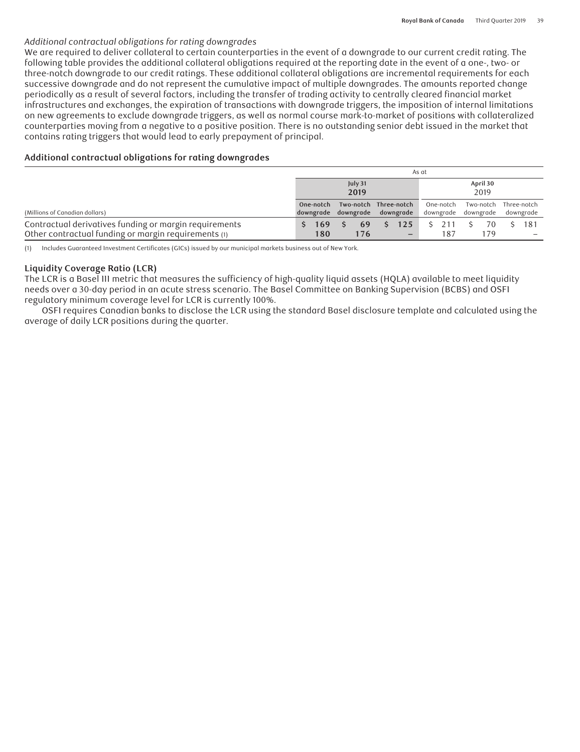# *Additional contractual obligations for rating downgrades*

We are required to deliver collateral to certain counterparties in the event of a downgrade to our current credit rating. The following table provides the additional collateral obligations required at the reporting date in the event of a one-, two- or three-notch downgrade to our credit ratings. These additional collateral obligations are incremental requirements for each successive downgrade and do not represent the cumulative impact of multiple downgrades. The amounts reported change periodically as a result of several factors, including the transfer of trading activity to centrally cleared financial market infrastructures and exchanges, the expiration of transactions with downgrade triggers, the imposition of internal limitations on new agreements to exclude downgrade triggers, as well as normal course mark-to-market of positions with collateralized counterparties moving from a negative to a positive position. There is no outstanding senior debt issued in the market that contains rating triggers that would lead to early prepayment of principal.

# **Additional contractual obligations for rating downgrades**

|                                                                                                                | As at |                                            |  |                 |  |                       |  |                                  |  |                  |  |                          |
|----------------------------------------------------------------------------------------------------------------|-------|--------------------------------------------|--|-----------------|--|-----------------------|--|----------------------------------|--|------------------|--|--------------------------|
|                                                                                                                |       |                                            |  | July 31<br>2019 |  |                       |  |                                  |  | April 30<br>2019 |  |                          |
| (Millions of Canadian dollars)                                                                                 |       | One-notch<br>downgrade downgrade downgrade |  |                 |  | Two-notch Three-notch |  | One-notch<br>downgrade downgrade |  | Two-notch        |  | Three-notch<br>downgrade |
| Contractual derivatives funding or margin requirements<br>Other contractual funding or margin requirements (1) |       | -169<br>180                                |  | 69<br>176       |  | 125                   |  | \$ 211<br>187                    |  | 70<br>179        |  | 181                      |

(1) Includes Guaranteed Investment Certificates (GICs) issued by our municipal markets business out of New York.

# **Liquidity Coverage Ratio (LCR)**

The LCR is a Basel III metric that measures the sufficiency of high-quality liquid assets (HQLA) available to meet liquidity needs over a 30-day period in an acute stress scenario. The Basel Committee on Banking Supervision (BCBS) and OSFI regulatory minimum coverage level for LCR is currently 100%.

OSFI requires Canadian banks to disclose the LCR using the standard Basel disclosure template and calculated using the average of daily LCR positions during the quarter.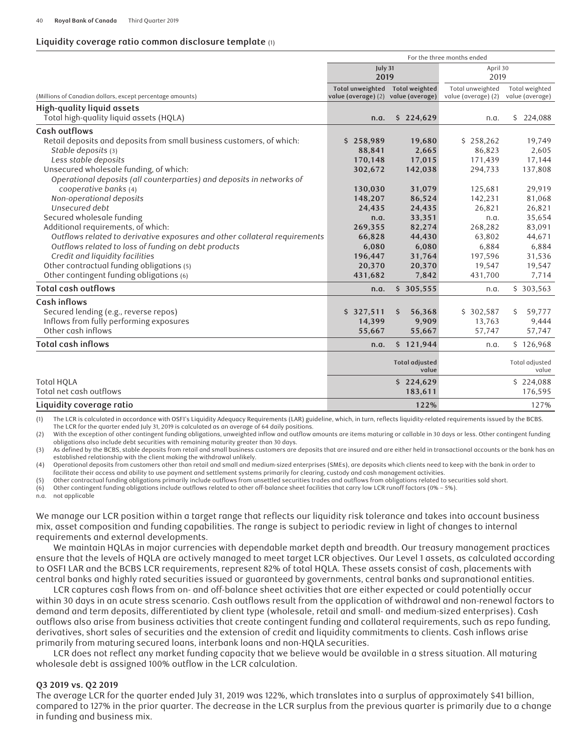# **Liquidity coverage ratio common disclosure template** (1)

|                                                                            |                                                                        |                                | For the three months ended              |                                   |
|----------------------------------------------------------------------------|------------------------------------------------------------------------|--------------------------------|-----------------------------------------|-----------------------------------|
|                                                                            | July 31                                                                |                                | April 30                                |                                   |
|                                                                            | 2019                                                                   |                                | 2019                                    |                                   |
| (Millions of Canadian dollars, except percentage amounts)                  | Total unweighted Total weighted<br>value (average) (2) value (average) |                                | Total unweighted<br>value (average) (2) | Total weighted<br>value (average) |
| High-quality liquid assets                                                 |                                                                        |                                |                                         |                                   |
| Total high-quality liquid assets (HQLA)                                    | n.a.                                                                   | \$224,629                      | n.a.                                    | \$224,088                         |
| Cash outflows                                                              |                                                                        |                                |                                         |                                   |
| Retail deposits and deposits from small business customers, of which:      | \$258,989                                                              | 19,680                         | \$258,262                               | 19,749                            |
| Stable deposits (3)                                                        | 88,841                                                                 | 2,665                          | 86,823                                  | 2,605                             |
| Less stable deposits                                                       | 170,148                                                                | 17,015                         | 171,439                                 | 17,144                            |
| Unsecured wholesale funding, of which:                                     | 302,672                                                                | 142,038                        | 294,733                                 | 137,808                           |
| Operational deposits (all counterparties) and deposits in networks of      |                                                                        |                                |                                         |                                   |
| cooperative banks (4)                                                      | 130,030                                                                | 31,079                         | 125,681                                 | 29,919                            |
| Non-operational deposits                                                   | 148,207                                                                | 86,524                         | 142,231                                 | 81,068                            |
| Unsecured debt                                                             | 24,435                                                                 | 24,435                         | 26,821                                  | 26,821                            |
| Secured wholesale funding                                                  | n.a.                                                                   | 33,351                         | n.a.                                    | 35,654                            |
| Additional requirements, of which:                                         | 269,355                                                                | 82,274                         | 268,282                                 | 83,091                            |
| Outflows related to derivative exposures and other collateral requirements | 66,828                                                                 | 44,430                         | 63,802                                  | 44,671                            |
| Outflows related to loss of funding on debt products                       | 6,080                                                                  | 6,080                          | 6,884                                   | 6,884                             |
| Credit and liquidity facilities                                            | 196,447                                                                | 31,764                         | 197,596                                 | 31,536                            |
| Other contractual funding obligations (5)                                  | 20,370                                                                 | 20,370                         | 19,547                                  | 19,547                            |
| Other contingent funding obligations (6)                                   | 431,682                                                                | 7,842                          | 431,700                                 | 7,714                             |
| <b>Total cash outflows</b>                                                 | n.a.                                                                   | \$305,555                      | n.a.                                    | \$303,563                         |
| Cash inflows                                                               |                                                                        |                                |                                         |                                   |
| Secured lending (e.g., reverse repos)                                      | \$327,511                                                              | 56,368<br>\$                   | \$302,587                               | 59,777<br>\$                      |
| Inflows from fully performing exposures                                    | 14,399                                                                 | 9.909                          | 13.763                                  | 9,444                             |
| Other cash inflows                                                         | 55,667                                                                 | 55,667                         | 57,747                                  | 57,747                            |
| <b>Total cash inflows</b>                                                  | n.a.                                                                   | \$121,944                      | n.a.                                    | \$126,968                         |
|                                                                            |                                                                        | <b>Total adjusted</b><br>value |                                         | Total adjusted<br>value           |
| <b>Total HQLA</b>                                                          |                                                                        | \$224,629                      |                                         | \$224,088                         |
| Total net cash outflows                                                    |                                                                        | 183,611                        |                                         | 176,595                           |
| Liquidity coverage ratio                                                   |                                                                        | 122%                           |                                         | 127%                              |

(1) The LCR is calculated in accordance with OSFI's Liquidity Adequacy Requirements (LAR) guideline, which, in turn, reflects liquidity-related requirements issued by the BCBS. The LCR for the quarter ended July 31, 2019 is calculated as an average of 64 daily positions.

(2) With the exception of other contingent funding obligations, unweighted inflow and outflow amounts are items maturing or callable in 30 days or less. Other contingent funding obligations also include debt securities with remaining maturity greater than 30 days.

(3) As defined by the BCBS, stable deposits from retail and small business customers are deposits that are insured and are either held in transactional accounts or the bank has an established relationship with the client making the withdrawal unlikely.

(4) Operational deposits from customers other than retail and small and medium-sized enterprises (SMEs), are deposits which clients need to keep with the bank in order to facilitate their access and ability to use payment and settlement systems primarily for clearing, custody and cash management activities.

(5) Other contractual funding obligations primarily include outflows from unsettled securities trades and outflows from obligations related to securities sold short.

(6) Other contingent funding obligations include outflows related to other off-balance sheet facilities that carry low LCR runoff factors (0% – 5%).

n.a. not applicable

We manage our LCR position within a target range that reflects our liquidity risk tolerance and takes into account business mix, asset composition and funding capabilities. The range is subject to periodic review in light of changes to internal requirements and external developments.

We maintain HQLAs in major currencies with dependable market depth and breadth. Our treasury management practices ensure that the levels of HQLA are actively managed to meet target LCR objectives. Our Level 1 assets, as calculated according to OSFI LAR and the BCBS LCR requirements, represent 82% of total HQLA. These assets consist of cash, placements with central banks and highly rated securities issued or guaranteed by governments, central banks and supranational entities.

LCR captures cash flows from on- and off-balance sheet activities that are either expected or could potentially occur within 30 days in an acute stress scenario. Cash outflows result from the application of withdrawal and non-renewal factors to demand and term deposits, differentiated by client type (wholesale, retail and small- and medium-sized enterprises). Cash outflows also arise from business activities that create contingent funding and collateral requirements, such as repo funding, derivatives, short sales of securities and the extension of credit and liquidity commitments to clients. Cash inflows arise primarily from maturing secured loans, interbank loans and non-HQLA securities.

LCR does not reflect any market funding capacity that we believe would be available in a stress situation. All maturing wholesale debt is assigned 100% outflow in the LCR calculation.

# **Q3 2019 vs. Q2 2019**

The average LCR for the quarter ended July 31, 2019 was 122%, which translates into a surplus of approximately \$41 billion, compared to 127% in the prior quarter. The decrease in the LCR surplus from the previous quarter is primarily due to a change in funding and business mix.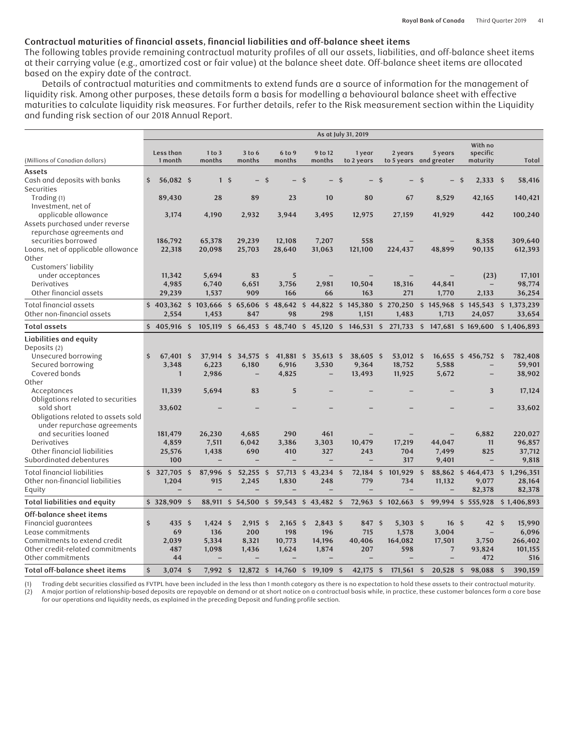# **Contractual maturities of financial assets, financial liabilities and off-balance sheet items**

The following tables provide remaining contractual maturity profiles of all our assets, liabilities, and off-balance sheet items at their carrying value (e.g., amortized cost or fair value) at the balance sheet date. Off-balance sheet items are allocated based on the expiry date of the contract.

Details of contractual maturities and commitments to extend funds are a source of information for the management of liquidity risk. Among other purposes, these details form a basis for modelling a behavioural balance sheet with effective maturities to calculate liquidity risk measures. For further details, refer to the Risk measurement section within the Liquidity and funding risk section of our 2018 Annual Report.

|                                                                     |               |                               |                          |                     |                          |                     |                                         |        |                     |      | As at July 31, 2019                                 |        |                                   |            |                                        |      |                          |                  |
|---------------------------------------------------------------------|---------------|-------------------------------|--------------------------|---------------------|--------------------------|---------------------|-----------------------------------------|--------|---------------------|------|-----------------------------------------------------|--------|-----------------------------------|------------|----------------------------------------|------|--------------------------|------------------|
|                                                                     |               |                               |                          |                     |                          |                     |                                         |        |                     |      |                                                     |        |                                   |            |                                        |      | With no                  |                  |
| (Millions of Canadian dollars)                                      |               | Less than<br>1 month          | 1 to 3<br>months         |                     | 3 to 6<br>months         |                     | 6 to 9<br>months                        |        | 9 to 12<br>months   |      | 1 year<br>to 2 years                                |        | 2 years<br>to 5 years and greater |            | 5 years                                |      | specific<br>maturity     | <b>Total</b>     |
| Assets                                                              |               |                               |                          |                     |                          |                     |                                         |        |                     |      |                                                     |        |                                   |            |                                        |      |                          |                  |
| Cash and deposits with banks<br>Securities                          | \$            | $56,082$ \$                   |                          | $1 \cdot$ \$        | $\overline{\phantom{0}}$ | $\dot{\mathsf{s}}$  |                                         | $-$ \$ |                     | – \$ |                                                     | $-$ \$ |                                   | \$         |                                        | - \$ | $2,333$ \$               | 58,416           |
| Trading (1)<br>Investment, net of                                   |               | 89,430                        | 28                       |                     | 89                       |                     | 23                                      |        | 10                  |      | 80                                                  |        | 67                                |            | 8,529                                  |      | 42,165                   | 140,421          |
| applicable allowance<br>Assets purchased under reverse              |               | 3,174                         | 4,190                    |                     | 2,932                    |                     | 3,944                                   |        | 3,495               |      | 12,975                                              |        | 27,159                            |            | 41,929                                 |      | 442                      | 100,240          |
| repurchase agreements and<br>securities borrowed                    |               | 186,792                       | 65,378                   |                     | 29,239                   |                     | 12,108                                  |        | 7,207               |      | 558                                                 |        |                                   |            |                                        |      | 8,358                    | 309,640          |
| Loans, net of applicable allowance<br>Other<br>Customers' liability |               | 22,318                        | 20,098                   |                     | 25,703                   |                     | 28,640                                  |        | 31,063              |      | 121,100                                             |        | 224,437                           |            | 48,899                                 |      | 90,135                   | 612,393          |
| under acceptances                                                   |               | 11,342                        | 5,694                    |                     | 83                       |                     | 5                                       |        |                     |      |                                                     |        |                                   |            |                                        |      | (23)                     | 17,101           |
| Derivatives<br>Other financial assets                               |               | 4,985<br>29,239               | 6,740<br>1,537           |                     | 6,651<br>909             |                     | 3,756<br>166                            |        | 2,981<br>66         |      | 10,504<br>163                                       |        | 18,316<br>271                     |            | 44,841<br>1,770                        |      | 2,133                    | 98,774<br>36,254 |
| Total financial assets                                              |               | $$403,362 \$103,666 \$65,606$ |                          |                     |                          |                     |                                         |        |                     |      | $$48,642$$ \$44,822 \$145,380 \$270,250 \$145,968   |        |                                   |            |                                        |      | \$145,543                | \$1,373,239      |
| Other non-financial assets                                          |               | 2,554                         | 1,453                    |                     | 847                      |                     | 98                                      |        | 298                 |      | 1,151                                               |        | 1,483                             |            | 1,713                                  |      | 24,057                   | 33,654           |
| <b>Total assets</b>                                                 |               | $$405,916$ \$                 |                          |                     |                          |                     |                                         |        |                     |      | 105,119 \$ 66,453 \$ 48,740 \$ 45,120 \$ 146,531 \$ |        |                                   |            | 271,733 \$ 147,681 \$ 169,600          |      |                          | \$1,406,893      |
| Liabilities and equity                                              |               |                               |                          |                     |                          |                     |                                         |        |                     |      |                                                     |        |                                   |            |                                        |      |                          |                  |
| Deposits (2)                                                        |               |                               |                          |                     |                          |                     |                                         |        |                     |      |                                                     |        |                                   |            |                                        |      |                          |                  |
| Unsecured borrowing                                                 | \$            | $67,401$ \$                   | $37,914$ \$              |                     | $34,575$ \$              |                     |                                         |        | 41,881 \$ 35,613 \$ |      | $38,605$ \$                                         |        | 53,012 \$                         |            |                                        |      | $16,655$ \$ 456,752 \$   | 782,408          |
| Secured borrowing                                                   |               | 3,348                         | 6,223                    |                     | 6,180                    |                     | 6,916                                   |        | 3,530               |      | 9,364                                               |        | 18,752                            |            | 5,588                                  |      | $\overline{\phantom{0}}$ | 59,901           |
| Covered bonds                                                       |               | $\mathbf{1}$                  | 2,986                    |                     | $\qquad \qquad -$        |                     | 4,825                                   |        |                     |      | 13,493                                              |        | 11,925                            |            | 5,672                                  |      | $\qquad \qquad -$        | 38,902           |
| Other                                                               |               |                               |                          |                     |                          |                     |                                         |        |                     |      |                                                     |        |                                   |            |                                        |      |                          |                  |
| Acceptances<br>Obligations related to securities                    |               | 11,339                        | 5,694                    |                     | 83                       |                     | 5                                       |        |                     |      |                                                     |        |                                   |            |                                        |      | 3                        | 17,124           |
| sold short                                                          |               | 33,602                        |                          |                     |                          |                     |                                         |        |                     |      |                                                     |        |                                   |            |                                        |      |                          | 33,602           |
| Obligations related to assets sold                                  |               |                               |                          |                     |                          |                     |                                         |        |                     |      |                                                     |        |                                   |            |                                        |      |                          |                  |
| under repurchase agreements<br>and securities loaned                |               | 181,479                       | 26,230                   |                     | 4.685                    |                     | 290                                     |        | 461                 |      |                                                     |        |                                   |            |                                        |      | 6.882                    | 220,027          |
| Derivatives                                                         |               | 4,859                         | 7,511                    |                     | 6,042                    |                     | 3,386                                   |        | 3,303               |      | 10,479                                              |        | 17,219                            |            | 44,047                                 |      | 11                       | 96,857           |
| Other financial liabilities                                         |               | 25,576                        | 1,438                    |                     | 690                      |                     | 410                                     |        | 327                 |      | 243                                                 |        | 704                               |            | 7,499                                  |      | 825                      | 37,712           |
| Subordinated debentures                                             |               | 100                           |                          |                     |                          |                     |                                         |        |                     |      |                                                     |        | 317                               |            | 9,401                                  |      | $\overline{\phantom{a}}$ | 9,818            |
| <b>Total financial liabilities</b>                                  |               | $$327,705$ \$                 | 87,996                   | $\ddot{\mathsf{s}}$ | 52,255                   | $\ddot{\mathsf{s}}$ |                                         |        | 57,713 \$ 43,234 \$ |      | 72,184 \$                                           |        | 101,929                           | $\ddot{s}$ |                                        |      | 88,862 \$464,473         | \$1,296,351      |
| Other non-financial liabilities                                     |               | 1,204                         | 915                      |                     | 2,245                    |                     | 1,830                                   |        | 248                 |      | 779                                                 |        | 734                               |            | 11,132                                 |      | 9,077                    | 28,164           |
| Equity                                                              |               |                               | $\overline{\phantom{0}}$ |                     | $\overline{\phantom{0}}$ |                     |                                         |        |                     |      |                                                     |        | $\overline{\phantom{0}}$          |            | $\overline{\phantom{a}}$               |      | 82,378                   | 82,378           |
| <b>Total liabilities and equity</b>                                 |               | $$328,909$ \$                 |                          |                     |                          |                     | 88,911 \$ 54,500 \$ 59,543 \$ 43,482 \$ |        |                     |      |                                                     |        |                                   |            | 72,963 \$ 102,663 \$ 99,994 \$ 555,928 |      |                          | \$1,406,893      |
| Off-balance sheet items                                             |               |                               |                          |                     |                          |                     |                                         |        |                     |      |                                                     |        |                                   |            |                                        |      |                          |                  |
| Financial guarantees                                                | $\mathsf{\$}$ | 435S                          | $1,424$ \$               |                     | $2,915$ \$               |                     | $2,165$ \$                              |        | $2,843$ \$          |      | 847S                                                |        | $5,303$ \$                        |            | $16 \quad$                             |      | $42 \div$                | 15,990           |
| Lease commitments                                                   |               | 69                            | 136                      |                     | 200                      |                     | 198                                     |        | 196                 |      | 715                                                 |        | 1,578                             |            | 3,004                                  |      | $\overline{\phantom{a}}$ | 6,096            |
| Commitments to extend credit                                        |               | 2,039                         | 5,334                    |                     | 8,321                    |                     | 10,773                                  |        | 14,196              |      | 40,406                                              |        | 164,082                           |            | 17,501                                 |      | 3,750                    | 266,402          |
| Other credit-related commitments<br>Other commitments               |               | 487<br>44                     | 1,098                    |                     | 1,436                    |                     | 1,624                                   |        | 1,874               |      | 207                                                 |        | 598                               |            | $\overline{7}$                         |      | 93,824<br>472            | 101,155<br>516   |
| Total off-balance sheet items                                       | $\zeta$       | $3.074$ \$                    |                          |                     |                          |                     | 7,992 \$ 12,872 \$ 14,760 \$ 19,109 \$  |        |                     |      |                                                     |        |                                   |            | $42,175 \div 171,561 \div 20,528 \div$ |      | 98,088 \$                | 390,159          |

(1) Trading debt securities classified as FVTPL have been included in the less than 1 month category as there is no expectation to hold these assets to their contractual maturity.<br>(2) A major portion of relationship-based

A major portion of relationship-based deposits are repayable on demand or at short notice on a contractual basis while, in practice, these customer balances form a core base for our operations and liquidity needs, as explained in the preceding Deposit and funding profile section.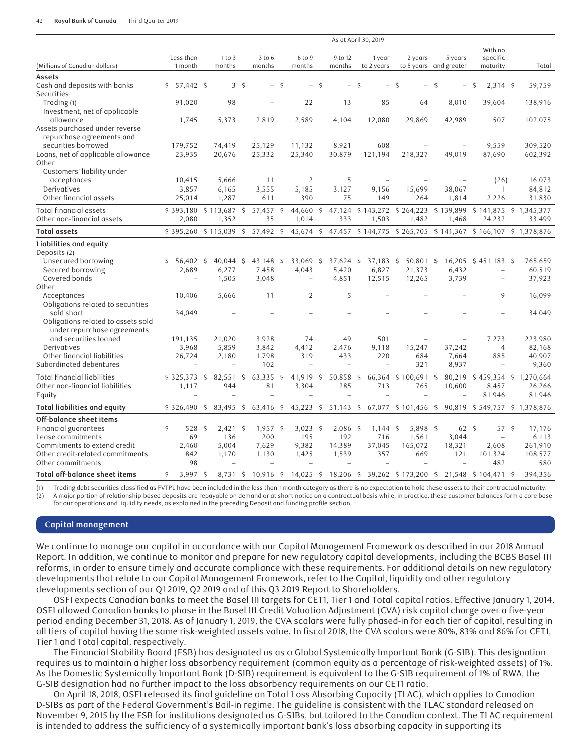|                                                             |                          |     |                   |                |                          |        |                          |                    |                          |        | As at April 30, 2019                                                             |                    |                            |              |         |    |                                  |                     |                              |
|-------------------------------------------------------------|--------------------------|-----|-------------------|----------------|--------------------------|--------|--------------------------|--------------------|--------------------------|--------|----------------------------------------------------------------------------------|--------------------|----------------------------|--------------|---------|----|----------------------------------|---------------------|------------------------------|
|                                                             |                          |     |                   |                |                          |        |                          |                    |                          |        |                                                                                  |                    |                            |              |         |    | With no                          |                     |                              |
|                                                             | Less than                |     | 1 to 3            |                | $3$ to $6$               |        | 6 to 9                   |                    | 9 to 12                  |        | 1 year                                                                           |                    | 2 years                    |              | 5 years |    | specific                         |                     |                              |
| (Millions of Canadian dollars)                              | 1 month                  |     | months            |                | months                   |        | months                   |                    | months                   |        | to 2 years                                                                       |                    | to 5 years and greater     |              |         |    | maturity                         |                     | Total                        |
| Assets                                                      |                          |     |                   |                |                          |        |                          |                    |                          |        |                                                                                  |                    |                            |              |         |    |                                  |                     |                              |
| Cash and deposits with banks<br>Securities                  | $$57,442$ \$             |     |                   | 3 <sup>5</sup> |                          | $-$ \$ | $\equiv$                 | $\dot{\mathsf{S}}$ |                          | $-$ \$ | $\equiv$                                                                         | $\dot{\mathsf{S}}$ | $\equiv$                   | <sup>S</sup> |         | Ŝ. | $2,314$ \$                       |                     | 59,759                       |
| Trading (1)<br>Investment, net of applicable                | 91,020                   |     | 98                |                |                          |        | 22                       |                    | 13                       |        | 85                                                                               |                    | 64                         |              | 8,010   |    | 39,604                           |                     | 138,916                      |
| allowance                                                   | 1,745                    |     | 5,373             |                | 2,819                    |        | 2,589                    |                    | 4,104                    |        | 12,080                                                                           |                    | 29,869                     |              | 42,989  |    | 507                              |                     | 102,075                      |
| Assets purchased under reverse<br>repurchase agreements and |                          |     |                   |                |                          |        |                          |                    |                          |        |                                                                                  |                    |                            |              |         |    |                                  |                     |                              |
| securities borrowed                                         | 179,752                  |     | 74,419            |                | 25,129                   |        | 11,132                   |                    | 8,921                    |        | 608                                                                              |                    |                            |              |         |    | 9,559                            |                     | 309,520                      |
| Loans, net of applicable allowance<br>Other                 | 23,935                   |     | 20,676            |                | 25,332                   |        | 25,340                   |                    | 30,879                   |        | 121,194                                                                          |                    | 218,327                    |              | 49,019  |    | 87,690                           |                     | 602,392                      |
| Customers' liability under<br>acceptances                   | 10,415                   |     | 5,666             |                | 11                       |        | $\overline{2}$           |                    | 5                        |        | $\overline{\phantom{0}}$                                                         |                    |                            |              |         |    | (26)                             |                     | 16,073                       |
| Derivatives                                                 | 3,857                    |     | 6,165             |                | 3,555                    |        | 5,185                    |                    | 3,127                    |        | 9,156                                                                            |                    | 15,699                     |              | 38,067  |    | $\mathbf{1}$                     |                     | 84,812                       |
| Other financial assets                                      | 25,014                   |     | 1,287             |                | 611                      |        | 390                      |                    | 75                       |        | 149                                                                              |                    | 264                        |              | 1,814   |    | 2,226                            |                     | 31,830                       |
| <b>Total financial assets</b>                               | $$393,180$ $$113,687$ \$ |     |                   |                | 57,457 \$                |        | 44,660 \$                |                    |                          |        | 47,124 \$143,272 \$264,223 \$139,899                                             |                    |                            |              |         |    |                                  |                     | $$141,875$ $$1,345,377$      |
| Other non-financial assets                                  | 2,080                    |     | 1,352             |                | 35                       |        | 1,014                    |                    | 333                      |        | 1,503                                                                            |                    | 1,482                      |              | 1,468   |    | 24,232                           |                     | 33,499                       |
| <b>Total assets</b>                                         | $$395,260$ $$115,039$ \$ |     |                   |                | 57,492 \$                |        | 45,674 \$                |                    |                          |        | 47,457 \$144,775 \$265,705 \$141,367                                             |                    |                            |              |         |    |                                  |                     | $$166,107$ \$ 1,378,876      |
| Liabilities and equity                                      |                          |     |                   |                |                          |        |                          |                    |                          |        |                                                                                  |                    |                            |              |         |    |                                  |                     |                              |
| Deposits (2)                                                | $$56,402$ \$             |     | $40,044$ \$       |                | $43,148$ \$              |        | 33,069 \$                |                    | $37,624$ \$              |        | $37,183$ \$                                                                      |                    |                            |              |         |    | $50,801$ \$ 16,205 \$ 451,183 \$ |                     | 765,659                      |
| Unsecured borrowing<br>Secured borrowing                    | 2,689                    |     | 6,277             |                | 7,458                    |        | 4,043                    |                    | 5,420                    |        | 6,827                                                                            |                    | 21,373                     |              | 6,432   |    | $\qquad \qquad -$                |                     | 60,519                       |
| Covered bonds                                               | $\overline{\phantom{0}}$ |     | 1,505             |                | 3,048                    |        | $\qquad \qquad -$        |                    | 4,851                    |        | 12,515                                                                           |                    | 12,265                     |              | 3,739   |    | $\overline{\phantom{0}}$         |                     | 37,923                       |
| Other                                                       |                          |     |                   |                |                          |        |                          |                    |                          |        |                                                                                  |                    |                            |              |         |    |                                  |                     |                              |
| Acceptances                                                 | 10,406                   |     | 5,666             |                | 11                       |        | $\overline{2}$           |                    | 5                        |        |                                                                                  |                    |                            |              |         |    | 9                                |                     | 16,099                       |
| Obligations related to securities                           |                          |     |                   |                |                          |        |                          |                    |                          |        |                                                                                  |                    |                            |              |         |    |                                  |                     |                              |
| sold short                                                  | 34,049                   |     |                   |                |                          |        |                          |                    |                          |        |                                                                                  |                    |                            |              |         |    |                                  |                     | 34,049                       |
| Obligations related to assets sold                          |                          |     |                   |                |                          |        |                          |                    |                          |        |                                                                                  |                    |                            |              |         |    |                                  |                     |                              |
| under repurchase agreements<br>and securities loaned        |                          |     |                   |                |                          |        | 74                       |                    | 49                       |        |                                                                                  |                    |                            |              |         |    |                                  |                     |                              |
| Derivatives                                                 | 191,135<br>3,968         |     | 21,020<br>5,859   |                | 3,928<br>3,842           |        | 4,412                    |                    | 2,476                    |        | 501<br>9.118                                                                     |                    | 15,247                     |              | 37,242  |    | 7,273<br>$\overline{4}$          |                     | 223,980<br>82,168            |
| Other financial liabilities                                 | 26,724                   |     | 2,180             |                | 1,798                    |        | 319                      |                    | 433                      |        | 220                                                                              |                    | 684                        |              | 7,664   |    | 885                              |                     | 40,907                       |
| Subordinated debentures                                     | $\overline{\phantom{a}}$ |     | $\qquad \qquad -$ |                | 102                      |        | $\overline{\phantom{a}}$ |                    | $\overline{\phantom{0}}$ |        | $\overline{\phantom{0}}$                                                         |                    | 321                        |              | 8,937   |    | $\qquad \qquad -$                |                     | 9,360                        |
| <b>Total financial liabilities</b>                          | $$325,373$ \$            |     | $82,551$ \$       |                | $63,335$ \$              |        | 41,919                   | \$                 | 50,858 \$                |        |                                                                                  |                    | $66,364 \div 100,691 \div$ |              | 80,219  |    |                                  |                     | $$459,354$ $$1,270,664$      |
| Other non-financial liabilities                             | 1,117                    |     | 944               |                | 81                       |        | 3,304                    |                    | 285                      |        | 713                                                                              |                    | 765                        |              | 10,600  |    | 8,457                            |                     | 26,266                       |
| Equity                                                      | $\overline{\phantom{0}}$ |     | $\equiv$          |                | $\overline{\phantom{m}}$ |        | $\overline{\phantom{a}}$ |                    | $\overline{\phantom{0}}$ |        | $\overline{\phantom{0}}$                                                         |                    | Ĭ.                         |              |         |    | 81,946                           |                     | 81,946                       |
| <b>Total liabilities and equity</b>                         | $$326,490$ \$            |     | $83,495$ \$       |                |                          |        |                          |                    |                          |        | 63,416 \$45,223 \$51,143 \$67,077 \$101,456 \$                                   |                    |                            |              |         |    |                                  |                     | 90,819 \$549,757 \$1,378,876 |
| Off-balance sheet items                                     |                          |     |                   |                |                          |        |                          |                    |                          |        |                                                                                  |                    |                            |              |         |    |                                  |                     |                              |
| Financial guarantees                                        | \$<br>528                | -\$ | $2,421$ \$        |                | $1,957$ \$               |        | $3,023$ \$               |                    | $2,086$ \$               |        | $1,144$ \$                                                                       |                    | $5,898$ \$                 |              | 62S     |    | 57                               | $\ddot{\mathsf{S}}$ | 17,176                       |
| Lease commitments                                           | 69                       |     | 136               |                | 200                      |        | 195                      |                    | 192                      |        | 716                                                                              |                    | 1,561                      |              | 3,044   |    | $\overline{\phantom{m}}$         |                     | 6,113                        |
| Commitments to extend credit                                | 2.460                    |     | 5,004             |                | 7,629                    |        | 9,382                    |                    | 14,389                   |        | 37,045                                                                           |                    | 165,072                    |              | 18,321  |    | 2,608                            |                     | 261,910                      |
| Other credit-related commitments                            | 842                      |     | 1,170             |                | 1,130                    |        | 1,425                    |                    | 1,539                    |        | 357                                                                              |                    | 669                        |              | 121     |    | 101,324                          |                     | 108,577                      |
| Other commitments                                           | 98                       |     |                   |                |                          |        |                          |                    |                          |        |                                                                                  |                    |                            |              |         |    | 482                              |                     | 580                          |
| Total off-balance sheet items                               | \$<br>$3,997$ \$         |     |                   |                |                          |        |                          |                    |                          |        | 8,731 \$ 10,916 \$ 14,025 \$ 18,206 \$ 39,262 \$ 173,200 \$ 21,548 \$ 104,471 \$ |                    |                            |              |         |    |                                  |                     | 394,356                      |

(1) Trading debt securities classified as FVTPL have been included in the less than 1 month category as there is no expectation to hold these assets to their contractual maturity. A major portion of relationship-based deposits are repayable on demand or at short notice on a contractual basis while, in practice, these customer balances form a core base for our operations and liquidity needs, as explained in the preceding Deposit and funding profile section.

### **Capital management**

We continue to manage our capital in accordance with our Capital Management Framework as described in our 2018 Annual Report. In addition, we continue to monitor and prepare for new regulatory capital developments, including the BCBS Basel III reforms, in order to ensure timely and accurate compliance with these requirements. For additional details on new regulatory developments that relate to our Capital Management Framework, refer to the Capital, liquidity and other regulatory developments section of our Q1 2019, Q2 2019 and of this Q3 2019 Report to Shareholders.

OSFI expects Canadian banks to meet the Basel III targets for CET1, Tier 1 and Total capital ratios. Effective January 1, 2014, OSFI allowed Canadian banks to phase in the Basel III Credit Valuation Adjustment (CVA) risk capital charge over a five-year period ending December 31, 2018. As of January 1, 2019, the CVA scalars were fully phased-in for each tier of capital, resulting in all tiers of capital having the same risk-weighted assets value. In fiscal 2018, the CVA scalars were 80%, 83% and 86% for CET1, Tier 1 and Total capital, respectively.

The Financial Stability Board (FSB) has designated us as a Global Systemically Important Bank (G-SIB). This designation requires us to maintain a higher loss absorbency requirement (common equity as a percentage of risk-weighted assets) of 1%. As the Domestic Systemically Important Bank (D-SIB) requirement is equivalent to the G-SIB requirement of 1% of RWA, the G-SIB designation had no further impact to the loss absorbency requirements on our CET1 ratio.

On April 18, 2018, OSFI released its final guideline on Total Loss Absorbing Capacity (TLAC), which applies to Canadian D-SIBs as part of the Federal Government's Bail-in regime. The guideline is consistent with the TLAC standard released on November 9, 2015 by the FSB for institutions designated as G-SIBs, but tailored to the Canadian context. The TLAC requirement is intended to address the sufficiency of a systemically important bank's loss absorbing capacity in supporting its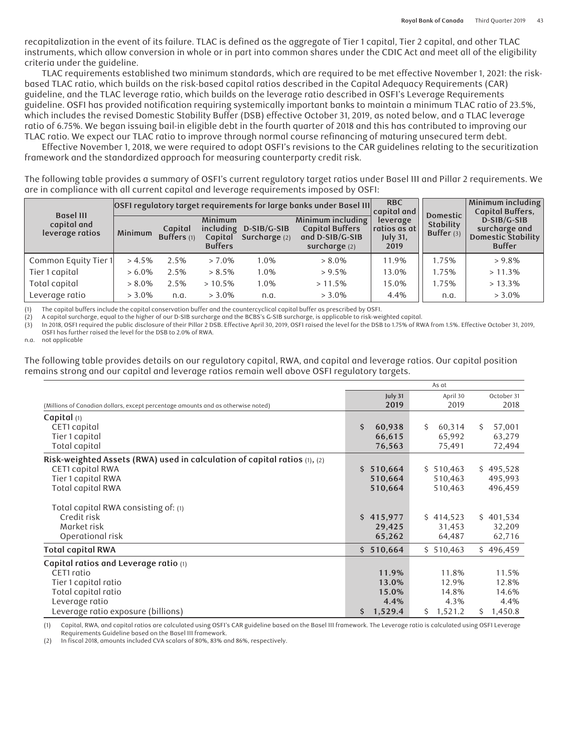recapitalization in the event of its failure. TLAC is defined as the aggregate of Tier 1 capital, Tier 2 capital, and other TLAC instruments, which allow conversion in whole or in part into common shares under the CDIC Act and meet all of the eligibility criteria under the guideline.

TLAC requirements established two minimum standards, which are required to be met effective November 1, 2021: the riskbased TLAC ratio, which builds on the risk-based capital ratios described in the Capital Adequacy Requirements (CAR) guideline, and the TLAC leverage ratio, which builds on the leverage ratio described in OSFI's Leverage Requirements guideline. OSFI has provided notification requiring systemically important banks to maintain a minimum TLAC ratio of 23.5%, which includes the revised Domestic Stability Buffer (DSB) effective October 31, 2019, as noted below, and a TLAC leverage ratio of 6.75%. We began issuing bail-in eligible debt in the fourth quarter of 2018 and this has contributed to improving our TLAC ratio. We expect our TLAC ratio to improve through normal course refinancing of maturing unsecured term debt.

Effective November 1, 2018, we were required to adopt OSFI's revisions to the CAR guidelines relating to the securitization framework and the standardized approach for measuring counterparty credit risk.

The following table provides a summary of OSFI's current regulatory target ratios under Basel III and Pillar 2 requirements. We are in compliance with all current capital and leverage requirements imposed by OSFI:

| <b>Basel III</b>               |           |                        |                                                   |                                  | OSFI regulatory target requirements for large banks under Basel III               | <b>RBC</b><br>capital and                    |                                              | Minimum including<br><b>Capital Buffers,</b>                                 |
|--------------------------------|-----------|------------------------|---------------------------------------------------|----------------------------------|-----------------------------------------------------------------------------------|----------------------------------------------|----------------------------------------------|------------------------------------------------------------------------------|
| capital and<br>leverage ratios | Minimum   | Capital<br>Buffers (1) | Minimum<br>including<br>Capital<br><b>Buffers</b> | $D-SIB/G-SIB$<br>Surcharge $(2)$ | Minimum including<br><b>Capital Buffers</b><br>and D-SIB/G-SIB<br>surcharge $(2)$ | leverage<br>ratios as at<br>July 31,<br>2019 | <b>Domestic</b><br>Stability<br>Buffer $(3)$ | $D-SIB/G-SIB$<br>surcharge and<br><b>Domestic Stability</b><br><b>Buffer</b> |
| Common Equity Tier 1           | $> 4.5\%$ | 2.5%                   | $> 7.0\%$                                         | 1.0%                             | $> 8.0\%$                                                                         | 11.9%                                        | 1.75%                                        | $> 9.8\%$                                                                    |
| Tier 1 capital                 | $> 6.0\%$ | 2.5%                   | $> 8.5\%$                                         | 1.0%                             | $> 9.5\%$                                                                         | 13.0%                                        | 1.75%                                        | >11.3%                                                                       |
| Total capital                  | $> 8.0\%$ | 2.5%                   | >10.5%                                            | 1.0%                             | >11.5%                                                                            | 15.0%                                        | 1.75%                                        | $>13.3\%$                                                                    |
| Leverage ratio                 | $> 3.0\%$ | n.a.                   | $> 3.0\%$                                         | n.a.                             | $> 3.0\%$                                                                         | 4.4%                                         | n.a.                                         | $> 3.0\%$                                                                    |

(1) The capital buffers include the capital conservation buffer and the countercyclical capital buffer as prescribed by OSFI.

(2) A capital surcharge, equal to the higher of our D-SIB surcharge and the BCBS's G-SIB surcharge, is applicable to risk-weighted capital.

(3) In 2018, OSFI required the public disclosure of their Pillar 2 DSB. Effective April 30, 2019, OSFI raised the level for the DSB to 1.75% of RWA from 1.5%. Effective October 31, 2019, OSFI has further raised the level for the DSB to 2.0% of RWA.

n.a. not applicable

The following table provides details on our regulatory capital, RWA, and capital and leverage ratios. Our capital position remains strong and our capital and leverage ratios remain well above OSFI regulatory targets.

|                                                                                  |               | As at          |                |
|----------------------------------------------------------------------------------|---------------|----------------|----------------|
|                                                                                  | July 31       | April 30       | October 31     |
| (Millions of Canadian dollars, except percentage amounts and as otherwise noted) | 2019          | 2019           | 2018           |
| Capital $(1)$                                                                    |               |                |                |
| CET1 capital                                                                     | \$<br>60,938  | Ś.<br>60,314   | 57,001<br>Ś.   |
| Tier 1 capital                                                                   | 66,615        | 65,992         | 63,279         |
| Total capital                                                                    | 76,563        | 75,491         | 72,494         |
| Risk-weighted Assets (RWA) used in calculation of capital ratios (1), (2)        |               |                |                |
| CET1 capital RWA                                                                 | 510,664<br>S. | \$510,463      | \$495,528      |
| Tier 1 capital RWA                                                               | 510,664       | 510,463        | 495,993        |
| Total capital RWA                                                                | 510,664       | 510,463        | 496,459        |
| Total capital RWA consisting of: (1)                                             |               |                |                |
| Credit risk                                                                      | \$415,977     | \$414,523      | \$401,534      |
| Market risk                                                                      | 29,425        | 31,453         | 32,209         |
| Operational risk                                                                 | 65,262        | 64,487         | 62,716         |
| <b>Total capital RWA</b>                                                         | 510,664<br>\$ | \$510,463      | \$496,459      |
| Capital ratios and Leverage ratio (1)                                            |               |                |                |
| CET1 ratio                                                                       | 11.9%         | 11.8%          | 11.5%          |
| Tier 1 capital ratio                                                             | 13.0%         | 12.9%          | 12.8%          |
| Total capital ratio                                                              | 15.0%         | 14.8%          | 14.6%          |
| Leverage ratio                                                                   | 4.4%          | 4.3%           | 4.4%           |
| Leverage ratio exposure (billions)                                               | 1,529.4<br>\$ | 1,521.2<br>\$. | 1,450.8<br>\$. |

(1) Capital, RWA, and capital ratios are calculated using OSFI's CAR guideline based on the Basel III framework. The Leverage ratio is calculated using OSFI Leverage Requirements Guideline based on the Basel III framework.

(2) In fiscal 2018, amounts included CVA scalars of 80%, 83% and 86%, respectively.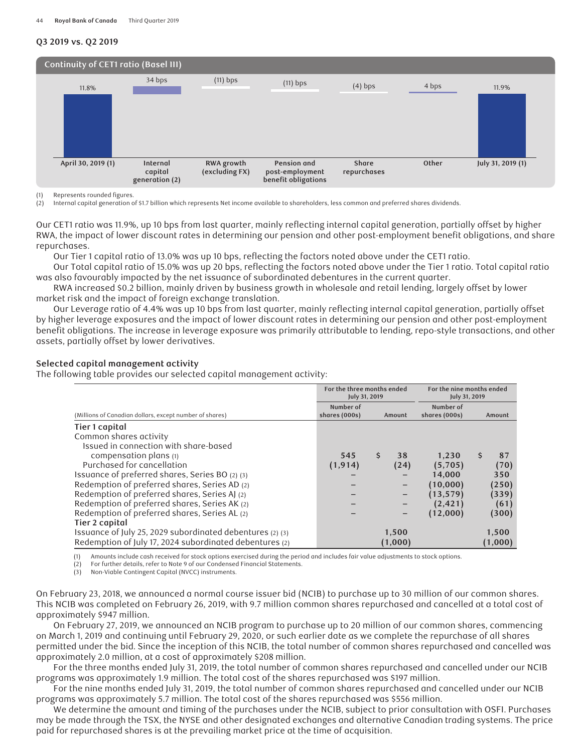# **Q3 2019 vs. Q2 2019**



(1) Represents rounded figures.

(2) Internal capital generation of \$1.7 billion which represents Net income available to shareholders, less common and preferred shares dividends.

Our CET1 ratio was 11.9%, up 10 bps from last quarter, mainly reflecting internal capital generation, partially offset by higher RWA, the impact of lower discount rates in determining our pension and other post-employment benefit obligations, and share repurchases.

Our Tier 1 capital ratio of 13.0% was up 10 bps, reflecting the factors noted above under the CET1 ratio.

Our Total capital ratio of 15.0% was up 20 bps, reflecting the factors noted above under the Tier 1 ratio. Total capital ratio was also favourably impacted by the net issuance of subordinated debentures in the current quarter.

RWA increased \$0.2 billion, mainly driven by business growth in wholesale and retail lending, largely offset by lower market risk and the impact of foreign exchange translation.

Our Leverage ratio of 4.4% was up 10 bps from last quarter, mainly reflecting internal capital generation, partially offset by higher leverage exposures and the impact of lower discount rates in determining our pension and other post-employment benefit obligations. The increase in leverage exposure was primarily attributable to lending, repo-style transactions, and other assets, partially offset by lower derivatives.

# **Selected capital management activity**

The following table provides our selected capital management activity:

|                                                           | For the three months ended<br>July 31, 2019 |          | For the nine months ended<br>July 31, 2019 |         |
|-----------------------------------------------------------|---------------------------------------------|----------|--------------------------------------------|---------|
|                                                           | Number of                                   |          | Number of                                  |         |
| (Millions of Canadian dollars, except number of shares)   | shares (000s)                               | Amount   | shares (000s)                              | Amount  |
| Tier 1 capital                                            |                                             |          |                                            |         |
| Common shares activity                                    |                                             |          |                                            |         |
| Issued in connection with share-based                     |                                             |          |                                            |         |
| compensation plans (1)                                    | 545                                         | \$<br>38 | 1,230                                      | Ŝ<br>87 |
| Purchased for cancellation                                | (1, 914)                                    | (24)     | (5,705)                                    | (70)    |
| Issuance of preferred shares, Series BO (2) (3)           |                                             |          | 14,000                                     | 350     |
| Redemption of preferred shares, Series AD (2)             |                                             |          | (10,000)                                   | (250)   |
| Redemption of preferred shares, Series AJ (2)             |                                             |          | (13.579)                                   | (339)   |
| Redemption of preferred shares, Series AK (2)             |                                             |          | (2, 421)                                   | (61)    |
| Redemption of preferred shares, Series AL (2)             |                                             | —        | (12,000)                                   | (300)   |
| Tier 2 capital                                            |                                             |          |                                            |         |
| Issuance of July 25, 2029 subordinated debentures (2) (3) |                                             | 1,500    |                                            | 1,500   |
| Redemption of July 17, 2024 subordinated debentures (2)   |                                             | (1,000)  |                                            | (1,000) |
|                                                           |                                             |          |                                            |         |

(1) Amounts include cash received for stock options exercised during the period and includes fair value adjustments to stock options.

(2) For further details, refer to Note 9 of our Condensed Financial Statements.

(3) Non-Viable Contingent Capital (NVCC) instruments.

On February 23, 2018, we announced a normal course issuer bid (NCIB) to purchase up to 30 million of our common shares. This NCIB was completed on February 26, 2019, with 9.7 million common shares repurchased and cancelled at a total cost of approximately \$947 million.

On February 27, 2019, we announced an NCIB program to purchase up to 20 million of our common shares, commencing on March 1, 2019 and continuing until February 29, 2020, or such earlier date as we complete the repurchase of all shares permitted under the bid. Since the inception of this NCIB, the total number of common shares repurchased and cancelled was approximately 2.0 million, at a cost of approximately \$208 million.

For the three months ended July 31, 2019, the total number of common shares repurchased and cancelled under our NCIB programs was approximately 1.9 million. The total cost of the shares repurchased was \$197 million.

For the nine months ended July 31, 2019, the total number of common shares repurchased and cancelled under our NCIB programs was approximately 5.7 million. The total cost of the shares repurchased was \$556 million.

We determine the amount and timing of the purchases under the NCIB, subject to prior consultation with OSFI. Purchases may be made through the TSX, the NYSE and other designated exchanges and alternative Canadian trading systems. The price paid for repurchased shares is at the prevailing market price at the time of acquisition.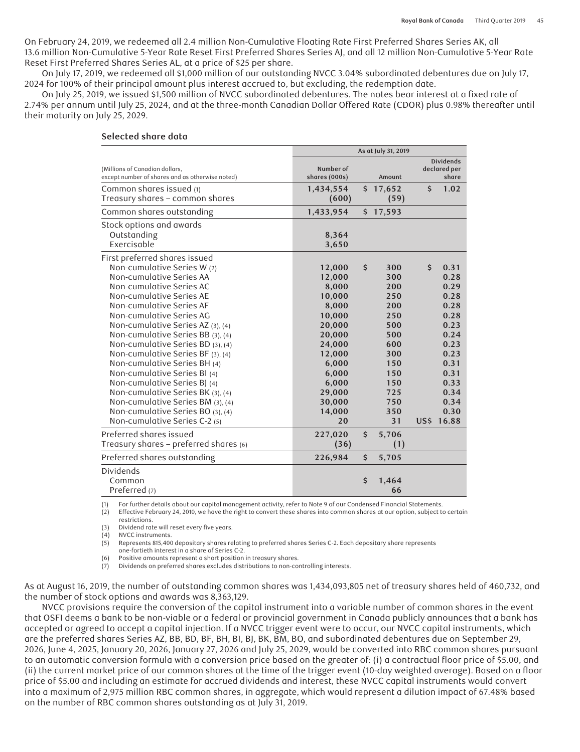On February 24, 2019, we redeemed all 2.4 million Non-Cumulative Floating Rate First Preferred Shares Series AK, all 13.6 million Non-Cumulative 5-Year Rate Reset First Preferred Shares Series AJ, and all 12 million Non-Cumulative 5-Year Rate Reset First Preferred Shares Series AL, at a price of \$25 per share.

On July 17, 2019, we redeemed all \$1,000 million of our outstanding NVCC 3.04% subordinated debentures due on July 17, 2024 for 100% of their principal amount plus interest accrued to, but excluding, the redemption date.

On July 25, 2019, we issued \$1,500 million of NVCC subordinated debentures. The notes bear interest at a fixed rate of 2.74% per annum until July 25, 2024, and at the three-month Canadian Dollar Offered Rate (CDOR) plus 0.98% thereafter until their maturity on July 25, 2029.

|                                                                                                                                                                                                                                                                                                                                                                                                                                                                                                                                                                                                              | As at July 31, 2019                                                                                                                                           |                    |                                                                                                                    |    |                                                                                                                                                   |  |  |  |  |  |  |
|--------------------------------------------------------------------------------------------------------------------------------------------------------------------------------------------------------------------------------------------------------------------------------------------------------------------------------------------------------------------------------------------------------------------------------------------------------------------------------------------------------------------------------------------------------------------------------------------------------------|---------------------------------------------------------------------------------------------------------------------------------------------------------------|--------------------|--------------------------------------------------------------------------------------------------------------------|----|---------------------------------------------------------------------------------------------------------------------------------------------------|--|--|--|--|--|--|
| (Millions of Canadian dollars,<br>except number of shares and as otherwise noted)                                                                                                                                                                                                                                                                                                                                                                                                                                                                                                                            | Number of<br>shares (000s)                                                                                                                                    |                    | Amount                                                                                                             |    | <b>Dividends</b><br>declared per<br>share                                                                                                         |  |  |  |  |  |  |
| Common shares issued (1)<br>Treasury shares - common shares                                                                                                                                                                                                                                                                                                                                                                                                                                                                                                                                                  | 1,434,554<br>(600)                                                                                                                                            |                    | \$17,652<br>(59)                                                                                                   | \$ | 1.02                                                                                                                                              |  |  |  |  |  |  |
| Common shares outstanding                                                                                                                                                                                                                                                                                                                                                                                                                                                                                                                                                                                    | 1,433,954                                                                                                                                                     |                    | \$17,593                                                                                                           |    |                                                                                                                                                   |  |  |  |  |  |  |
| Stock options and awards<br>Outstanding<br>Exercisable                                                                                                                                                                                                                                                                                                                                                                                                                                                                                                                                                       | 8,364<br>3,650                                                                                                                                                |                    |                                                                                                                    |    |                                                                                                                                                   |  |  |  |  |  |  |
| First preferred shares issued<br>Non-cumulative Series W (2)<br>Non-cumulative Series AA<br>Non-cumulative Series AC<br>Non-cumulative Series AE<br>Non-cumulative Series AF<br>Non-cumulative Series AG<br>Non-cumulative Series AZ (3), (4)<br>Non-cumulative Series BB (3), (4)<br>Non-cumulative Series BD (3), (4)<br>Non-cumulative Series BF (3), (4)<br>Non-cumulative Series BH (4)<br>Non-cumulative Series BI (4)<br>Non-cumulative Series BJ (4)<br>Non-cumulative Series BK (3), (4)<br>Non-cumulative Series BM (3), (4)<br>Non-cumulative Series BO (3), (4)<br>Non-cumulative Series C-2 (5) | 12,000<br>12,000<br>8,000<br>10,000<br>8,000<br>10,000<br>20,000<br>20,000<br>24,000<br>12,000<br>6,000<br>6,000<br>6,000<br>29,000<br>30,000<br>14,000<br>20 | \$                 | 300<br>300<br>200<br>250<br>200<br>250<br>500<br>500<br>600<br>300<br>150<br>150<br>150<br>725<br>750<br>350<br>31 | \$ | 0.31<br>0.28<br>0.29<br>0.28<br>0.28<br>0.28<br>0.23<br>0.24<br>0.23<br>0.23<br>0.31<br>0.31<br>0.33<br>0.34<br>0.34<br>0.30<br><b>US\$ 16.88</b> |  |  |  |  |  |  |
| Preferred shares issued<br>Treasury shares - preferred shares (6)                                                                                                                                                                                                                                                                                                                                                                                                                                                                                                                                            | 227,020<br>(36)                                                                                                                                               | $\dot{\mathsf{S}}$ | 5,706<br>(1)                                                                                                       |    |                                                                                                                                                   |  |  |  |  |  |  |
| Preferred shares outstanding                                                                                                                                                                                                                                                                                                                                                                                                                                                                                                                                                                                 | 226,984                                                                                                                                                       | \$                 | 5,705                                                                                                              |    |                                                                                                                                                   |  |  |  |  |  |  |
| Dividends<br>Common<br>Preferred (7)<br>For further details about our capital management activity, refer to Note 9 of our Condensed Financial Statements.<br>(1)                                                                                                                                                                                                                                                                                                                                                                                                                                             |                                                                                                                                                               | \$                 | 1,464<br>66                                                                                                        |    |                                                                                                                                                   |  |  |  |  |  |  |

# **Selected share data**

(2) Effective February 24, 2010, we have the right to convert these shares into common shares at our option, subject to certain restrictions.

(3) Dividend rate will reset every five years.

(4) NVCC instruments.

(5) Represents 815,400 depositary shares relating to preferred shares Series C-2. Each depositary share represents one-fortieth interest in a share of Series C-2.

(6) Positive amounts represent a short position in treasury shares.

(7) Dividends on preferred shares excludes distributions to non-controlling interests.

As at August 16, 2019, the number of outstanding common shares was 1,434,093,805 net of treasury shares held of 460,732, and the number of stock options and awards was 8,363,129.

NVCC provisions require the conversion of the capital instrument into a variable number of common shares in the event that OSFI deems a bank to be non-viable or a federal or provincial government in Canada publicly announces that a bank has accepted or agreed to accept a capital injection. If a NVCC trigger event were to occur, our NVCC capital instruments, which are the preferred shares Series AZ, BB, BD, BF, BH, BI, BK, BM, BO, and subordinated debentures due on September 29, 2026, June 4, 2025, January 20, 2026, January 27, 2026 and July 25, 2029, would be converted into RBC common shares pursuant to an automatic conversion formula with a conversion price based on the greater of: (i) a contractual floor price of \$5.00, and (ii) the current market price of our common shares at the time of the trigger event (10-day weighted average). Based on a floor price of \$5.00 and including an estimate for accrued dividends and interest, these NVCC capital instruments would convert into a maximum of 2,975 million RBC common shares, in aggregate, which would represent a dilution impact of 67.48% based on the number of RBC common shares outstanding as at July 31, 2019.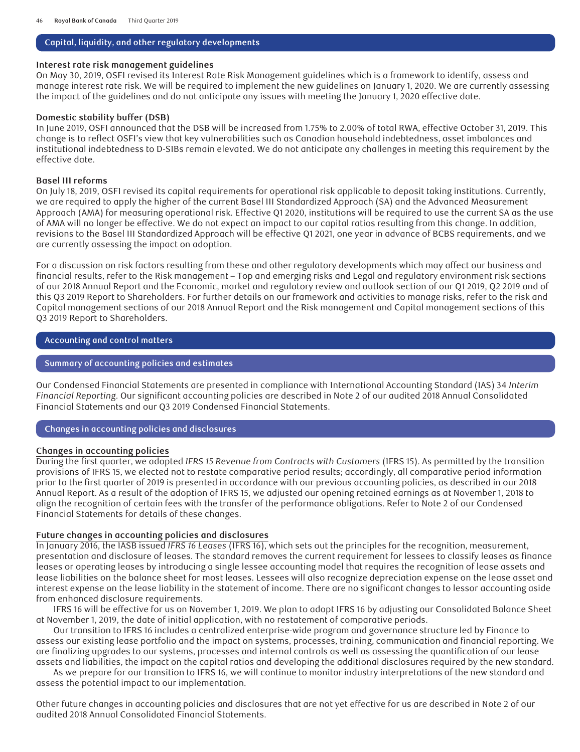# **Capital, liquidity, and other regulatory developments**

#### **Interest rate risk management guidelines**

On May 30, 2019, OSFI revised its Interest Rate Risk Management guidelines which is a framework to identify, assess and manage interest rate risk. We will be required to implement the new guidelines on January 1, 2020. We are currently assessing the impact of the guidelines and do not anticipate any issues with meeting the January 1, 2020 effective date.

#### **Domestic stability buffer (DSB)**

In June 2019, OSFI announced that the DSB will be increased from 1.75% to 2.00% of total RWA, effective October 31, 2019. This change is to reflect OSFI's view that key vulnerabilities such as Canadian household indebtedness, asset imbalances and institutional indebtedness to D-SIBs remain elevated. We do not anticipate any challenges in meeting this requirement by the effective date.

#### **Basel III reforms**

On July 18, 2019, OSFI revised its capital requirements for operational risk applicable to deposit taking institutions. Currently, we are required to apply the higher of the current Basel III Standardized Approach (SA) and the Advanced Measurement Approach (AMA) for measuring operational risk. Effective Q1 2020, institutions will be required to use the current SA as the use of AMA will no longer be effective. We do not expect an impact to our capital ratios resulting from this change. In addition, revisions to the Basel III Standardized Approach will be effective Q1 2021, one year in advance of BCBS requirements, and we are currently assessing the impact on adoption.

For a discussion on risk factors resulting from these and other regulatory developments which may affect our business and financial results, refer to the Risk management – Top and emerging risks and Legal and regulatory environment risk sections of our 2018 Annual Report and the Economic, market and regulatory review and outlook section of our Q1 2019, Q2 2019 and of this Q3 2019 Report to Shareholders. For further details on our framework and activities to manage risks, refer to the risk and Capital management sections of our 2018 Annual Report and the Risk management and Capital management sections of this Q3 2019 Report to Shareholders.

#### **Accounting and control matters**

#### **Summary of accounting policies and estimates**

Our Condensed Financial Statements are presented in compliance with International Accounting Standard (IAS) 34 *Interim Financial Reporting*. Our significant accounting policies are described in Note 2 of our audited 2018 Annual Consolidated Financial Statements and our Q3 2019 Condensed Financial Statements.

#### **Changes in accounting policies and disclosures**

#### **Changes in accounting policies**

During the first quarter, we adopted *IFRS 15 Revenue from Contracts with Customers* (IFRS 15). As permitted by the transition provisions of IFRS 15, we elected not to restate comparative period results; accordingly, all comparative period information prior to the first quarter of 2019 is presented in accordance with our previous accounting policies, as described in our 2018 Annual Report. As a result of the adoption of IFRS 15, we adjusted our opening retained earnings as at November 1, 2018 to align the recognition of certain fees with the transfer of the performance obligations. Refer to Note 2 of our Condensed Financial Statements for details of these changes.

#### **Future changes in accounting policies and disclosures**

In January 2016, the IASB issued *IFRS 16 Leases* (IFRS 16), which sets out the principles for the recognition, measurement, presentation and disclosure of leases. The standard removes the current requirement for lessees to classify leases as finance leases or operating leases by introducing a single lessee accounting model that requires the recognition of lease assets and lease liabilities on the balance sheet for most leases. Lessees will also recognize depreciation expense on the lease asset and interest expense on the lease liability in the statement of income. There are no significant changes to lessor accounting aside from enhanced disclosure requirements.

IFRS 16 will be effective for us on November 1, 2019. We plan to adopt IFRS 16 by adjusting our Consolidated Balance Sheet at November 1, 2019, the date of initial application, with no restatement of comparative periods.

Our transition to IFRS 16 includes a centralized enterprise-wide program and governance structure led by Finance to assess our existing lease portfolio and the impact on systems, processes, training, communication and financial reporting. We are finalizing upgrades to our systems, processes and internal controls as well as assessing the quantification of our lease assets and liabilities, the impact on the capital ratios and developing the additional disclosures required by the new standard.

As we prepare for our transition to IFRS 16, we will continue to monitor industry interpretations of the new standard and assess the potential impact to our implementation.

Other future changes in accounting policies and disclosures that are not yet effective for us are described in Note 2 of our audited 2018 Annual Consolidated Financial Statements.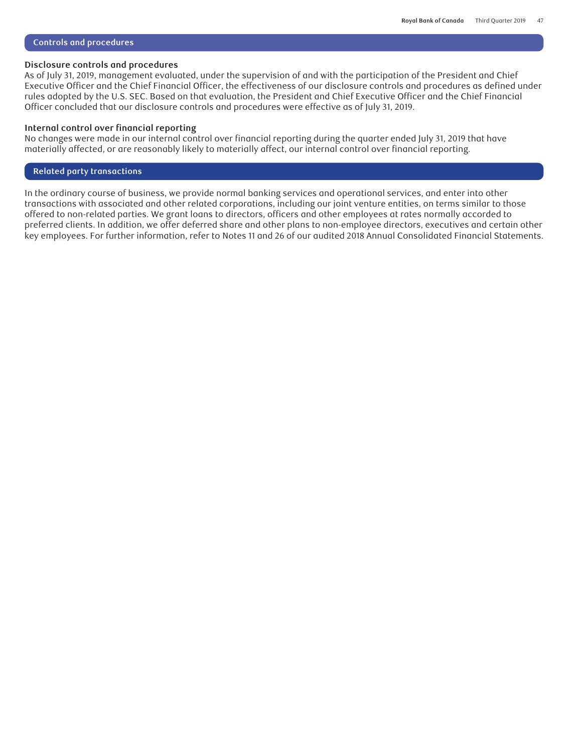## **Controls and procedures**

## **Disclosure controls and procedures**

As of July 31, 2019, management evaluated, under the supervision of and with the participation of the President and Chief Executive Officer and the Chief Financial Officer, the effectiveness of our disclosure controls and procedures as defined under rules adopted by the U.S. SEC. Based on that evaluation, the President and Chief Executive Officer and the Chief Financial Officer concluded that our disclosure controls and procedures were effective as of July 31, 2019.

### **Internal control over financial reporting**

No changes were made in our internal control over financial reporting during the quarter ended July 31, 2019 that have materially affected, or are reasonably likely to materially affect, our internal control over financial reporting.

#### **Related party transactions**

In the ordinary course of business, we provide normal banking services and operational services, and enter into other transactions with associated and other related corporations, including our joint venture entities, on terms similar to those offered to non-related parties. We grant loans to directors, officers and other employees at rates normally accorded to preferred clients. In addition, we offer deferred share and other plans to non-employee directors, executives and certain other key employees. For further information, refer to Notes 11 and 26 of our audited 2018 Annual Consolidated Financial Statements.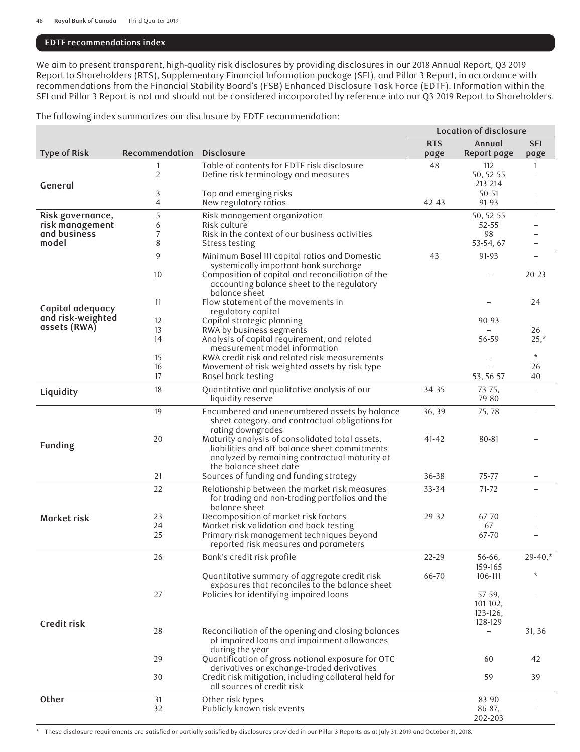#### **EDTF recommendations index**

We aim to present transparent, high-quality risk disclosures by providing disclosures in our 2018 Annual Report, Q3 2019 Report to Shareholders (RTS), Supplementary Financial Information package (SFI), and Pillar 3 Report, in accordance with recommendations from the Financial Stability Board's (FSB) Enhanced Disclosure Task Force (EDTF). Information within the SFI and Pillar 3 Report is not and should not be considered incorporated by reference into our Q3 2019 Report to Shareholders.

# The following index summarizes our disclosure by EDTF recommendation:

|                                     |                     |                                                                                                                                                                             |                    | <b>Location of disclosure</b>  |                    |
|-------------------------------------|---------------------|-----------------------------------------------------------------------------------------------------------------------------------------------------------------------------|--------------------|--------------------------------|--------------------|
| <b>Type of Risk</b>                 | Recommendation      | Disclosure                                                                                                                                                                  | <b>RTS</b><br>page | Annual<br>Report page          | <b>SFI</b><br>page |
| General                             | 1<br>$\overline{2}$ | Table of contents for EDTF risk disclosure<br>Define risk terminology and measures                                                                                          | 48                 | 112<br>50, 52-55<br>213-214    | 1                  |
|                                     | 3<br>4              | Top and emerging risks<br>New regulatory ratios                                                                                                                             | $42 - 43$          | $50 - 51$<br>91-93             |                    |
| Risk governance,<br>risk management | 5<br>6              | Risk management organization<br>Risk culture                                                                                                                                |                    | 50, 52-55<br>$52 - 55$         |                    |
| and business<br>model               | 7<br>8              | Risk in the context of our business activities<br>Stress testing                                                                                                            |                    | 98<br>53-54, 67                |                    |
|                                     | 9                   | Minimum Basel III capital ratios and Domestic<br>systemically important bank surcharge                                                                                      | 43                 | 91-93                          |                    |
|                                     | 10                  | Composition of capital and reconciliation of the<br>accounting balance sheet to the regulatory<br>balance sheet                                                             |                    |                                | $20 - 23$          |
| Capital adequacy                    | 11                  | Flow statement of the movements in<br>regulatory capital                                                                                                                    |                    |                                | 24                 |
| and risk-weighted                   | 12                  | Capital strategic planning                                                                                                                                                  |                    | 90-93                          |                    |
| assets (RWA)                        | 13                  | RWA by business segments                                                                                                                                                    |                    |                                | 26                 |
|                                     | 14                  | Analysis of capital requirement, and related<br>measurement model information                                                                                               |                    | 56-59                          | $25, *$            |
|                                     | 15                  | RWA credit risk and related risk measurements                                                                                                                               |                    | -                              | $^\star$           |
|                                     | 16<br>17            | Movement of risk-weighted assets by risk type<br>Basel back-testing                                                                                                         |                    | 53, 56-57                      | 26<br>40           |
| Liquidity                           | 18                  | Quantitative and qualitative analysis of our<br>liquidity reserve                                                                                                           | 34-35              | 73-75,<br>79-80                |                    |
|                                     | 19                  | Encumbered and unencumbered assets by balance<br>sheet category, and contractual obligations for<br>rating downgrades                                                       | 36, 39             | 75,78                          |                    |
| <b>Funding</b>                      | 20                  | Maturity analysis of consolidated total assets,<br>liabilities and off-balance sheet commitments<br>analyzed by remaining contractual maturity at<br>the balance sheet date | $41 - 42$          | 80-81                          |                    |
|                                     | 21                  | Sources of funding and funding strategy                                                                                                                                     | 36-38              | $75 - 77$                      |                    |
|                                     | 22                  | Relationship between the market risk measures<br>for trading and non-trading portfolios and the<br>balance sheet                                                            | 33-34              | $71 - 72$                      |                    |
| Market risk                         | 23                  | Decomposition of market risk factors                                                                                                                                        | 29-32              | 67-70                          |                    |
|                                     | 24                  | Market risk validation and back-testing                                                                                                                                     |                    | 67                             |                    |
|                                     | 25                  | Primary risk management techniques beyond<br>reported risk measures and parameters                                                                                          |                    | 67-70                          |                    |
|                                     | 26                  | Bank's credit risk profile                                                                                                                                                  | 22-29              | 56-66,<br>159-165              | $29-40$ ,*         |
|                                     |                     | Quantitative summary of aggregate credit risk<br>exposures that reconciles to the balance sheet                                                                             | 66-70              | 106-111                        | $^\star$           |
|                                     | 27                  | Policies for identifying impaired loans                                                                                                                                     |                    | 57-59,<br>101-102,<br>123-126, |                    |
| Credit risk                         |                     |                                                                                                                                                                             |                    | 128-129                        |                    |
|                                     | 28                  | Reconciliation of the opening and closing balances<br>of impaired loans and impairment allowances                                                                           |                    | -                              | 31, 36             |
|                                     | 29                  | during the year<br>Quantification of gross notional exposure for OTC<br>derivatives or exchange-traded derivatives                                                          |                    | 60                             | 42                 |
|                                     | 30                  | Credit risk mitigation, including collateral held for<br>all sources of credit risk                                                                                         |                    | 59                             | 39                 |
| Other                               | 31<br>32            | Other risk types<br>Publicly known risk events                                                                                                                              |                    | 83-90<br>86-87,<br>202-203     |                    |

\* These disclosure requirements are satisfied or partially satisfied by disclosures provided in our Pillar 3 Reports as at July 31, 2019 and October 31, 2018.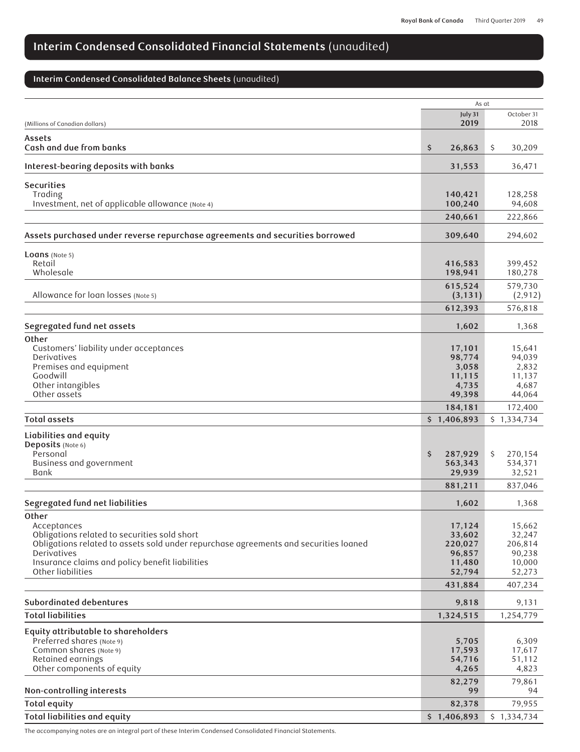# **Interim Condensed Consolidated Financial Statements** (unaudited)

# **Interim Condensed Consolidated Balance Sheets** (unaudited)

|                                                                                      | As at               |                     |
|--------------------------------------------------------------------------------------|---------------------|---------------------|
|                                                                                      | July 31             | October 31          |
| (Millions of Canadian dollars)                                                       | 2019                | 2018                |
| Assets<br>Cash and due from banks                                                    | \$<br>26,863        | \$<br>30,209        |
| Interest-bearing deposits with banks                                                 | 31,553              | 36,471              |
|                                                                                      |                     |                     |
| <b>Securities</b><br>Trading                                                         | 140,421             | 128,258             |
| Investment, net of applicable allowance (Note 4)                                     | 100,240             | 94,608              |
|                                                                                      | 240,661             | 222,866             |
| Assets purchased under reverse repurchase agreements and securities borrowed         | 309,640             | 294,602             |
| Loans (Note 5)                                                                       |                     |                     |
| Retail                                                                               | 416,583             | 399,452             |
| Wholesale                                                                            | 198,941             | 180,278             |
| Allowance for loan losses (Note 5)                                                   | 615,524<br>(3, 131) | 579,730<br>(2, 912) |
|                                                                                      | 612,393             | 576,818             |
| Segregated fund net assets                                                           | 1,602               | 1,368               |
| Other                                                                                |                     |                     |
| Customers' liability under acceptances                                               | 17,101              | 15,641              |
| Derivatives                                                                          | 98,774              | 94,039              |
| Premises and equipment<br>Goodwill                                                   | 3,058<br>11,115     | 2,832<br>11,137     |
| Other intangibles                                                                    | 4,735               | 4,687               |
| Other assets                                                                         | 49,398              | 44,064              |
|                                                                                      | 184,181             | 172,400             |
| <b>Total assets</b>                                                                  | \$1,406,893         | \$1,334,734         |
| Liabilities and equity                                                               |                     |                     |
| Deposits (Note 6)<br>Personal                                                        | \$<br>287,929       | \$<br>270,154       |
| Business and government                                                              | 563,343             | 534,371             |
| Bank                                                                                 | 29,939              | 32,521              |
|                                                                                      | 881,211             | 837,046             |
| Segregated fund net liabilities                                                      | 1,602               | 1,368               |
| Other                                                                                |                     |                     |
| Acceptances<br>Obligations related to securities sold short                          | 17,124<br>33,602    | 15,662<br>32,247    |
| Obligations related to assets sold under repurchase agreements and securities loaned | 220,027             | 206,814             |
| Derivatives                                                                          | 96,857              | 90,238              |
| Insurance claims and policy benefit liabilities<br>Other liabilities                 | 11,480<br>52,794    | 10,000<br>52,273    |
|                                                                                      | 431,884             | 407,234             |
| Subordinated debentures                                                              | 9,818               | 9,131               |
| <b>Total liabilities</b>                                                             | 1,324,515           | 1,254,779           |
| Equity attributable to shareholders                                                  |                     |                     |
| Preferred shares (Note 9)                                                            | 5,705               | 6,309               |
| Common shares (Note 9)                                                               | 17,593              | 17,617              |
| Retained earnings<br>Other components of equity                                      | 54,716<br>4,265     | 51,112<br>4,823     |
|                                                                                      | 82,279              | 79,861              |
| Non-controlling interests                                                            | 99                  | 94                  |
| <b>Total equity</b>                                                                  | 82,378              | 79,955              |
| <b>Total liabilities and equity</b>                                                  | \$1,406,893         | \$1,334,734         |

The accompanying notes are an integral part of these Interim Condensed Consolidated Financial Statements.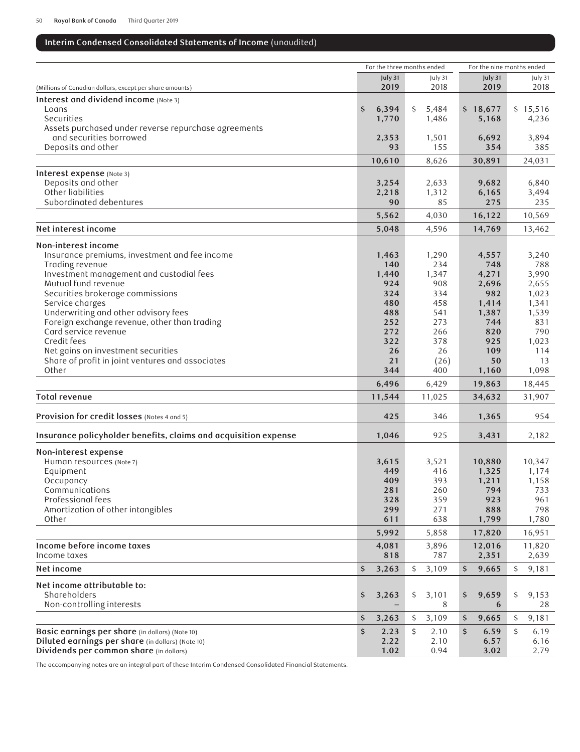# **Interim Condensed Consolidated Statements of Income** (unaudited)

|                                                                                                           |                      | For the three months ended |                   | For the nine months ended |
|-----------------------------------------------------------------------------------------------------------|----------------------|----------------------------|-------------------|---------------------------|
|                                                                                                           | July 31              | July 31                    | July 31           | July 31                   |
| (Millions of Canadian dollars, except per share amounts)                                                  | 2019                 | 2018                       | 2019              | 2018                      |
| Interest and dividend income (Note 3)                                                                     |                      |                            |                   |                           |
| Logns<br>Securities                                                                                       | \$<br>6,394<br>1,770 | \$<br>5,484<br>1,486       | \$18,677<br>5,168 | \$15,516<br>4,236         |
| Assets purchased under reverse repurchase agreements                                                      |                      |                            |                   |                           |
| and securities borrowed                                                                                   | 2,353                | 1,501                      | 6,692             | 3,894                     |
| Deposits and other                                                                                        | 93                   | 155                        | 354               | 385                       |
|                                                                                                           | 10,610               | 8,626                      | 30,891            | 24,031                    |
| Interest expense (Note 3)                                                                                 |                      |                            |                   |                           |
| Deposits and other                                                                                        | 3,254                | 2,633                      | 9,682             | 6,840                     |
| Other liabilities                                                                                         | 2,218                | 1,312                      | 6,165             | 3,494                     |
| Subordinated debentures                                                                                   | 90                   | 85                         | 275               | 235                       |
|                                                                                                           | 5,562                | 4,030                      | 16,122            | 10,569                    |
| Net interest income                                                                                       | 5,048                | 4,596                      | 14,769            | 13,462                    |
|                                                                                                           |                      |                            |                   |                           |
| Non-interest income<br>Insurance premiums, investment and fee income                                      | 1,463                | 1,290                      | 4,557             | 3,240                     |
| Trading revenue                                                                                           | 140                  | 234                        | 748               | 788                       |
| Investment management and custodial fees                                                                  | 1,440                | 1,347                      | 4,271             | 3,990                     |
| Mutual fund revenue                                                                                       | 924                  | 908                        | 2,696             | 2,655                     |
| Securities brokerage commissions                                                                          | 324                  | 334                        | 982               | 1,023                     |
| Service charges                                                                                           | 480                  | 458                        | 1,414             | 1,341                     |
| Underwriting and other advisory fees                                                                      | 488                  | 541                        | 1,387             | 1,539                     |
| Foreign exchange revenue, other than trading                                                              | 252                  | 273                        | 744               | 831                       |
| Card service revenue<br>Credit fees                                                                       | 272                  | 266                        | 820               | 790                       |
| Net gains on investment securities                                                                        | 322<br>26            | 378<br>26                  | 925<br>109        | 1,023<br>114              |
| Share of profit in joint ventures and associates                                                          | 21                   | (26)                       | 50                | 13                        |
| Other                                                                                                     | 344                  | 400                        | 1,160             | 1,098                     |
|                                                                                                           | 6,496                | 6,429                      | 19,863            | 18,445                    |
| <b>Total revenue</b>                                                                                      | 11,544               | 11,025                     | 34,632            | 31,907                    |
|                                                                                                           |                      |                            |                   |                           |
| Provision for credit losses (Notes 4 and 5)                                                               | 425                  | 346                        | 1,365             | 954                       |
| Insurance policyholder benefits, claims and acquisition expense                                           | 1,046                | 925                        | 3,431             | 2,182                     |
| Non-interest expense                                                                                      |                      |                            |                   |                           |
| Human resources (Note 7)                                                                                  | 3,615                | 3,521                      | 10,880            | 10,347                    |
| Equipment                                                                                                 | 449                  | 416                        | 1,325             | 1,174                     |
| Occupancy                                                                                                 | 409                  | 393                        | 1,211             | 1,158                     |
| Communications                                                                                            | 281                  | 260                        | 794               | 733                       |
| Professional fees<br>Amortization of other intangibles                                                    | 328<br>299           | 359<br>271                 | 923<br>888        | 961<br>798                |
| Other                                                                                                     | 611                  | 638                        | 1,799             | 1,780                     |
|                                                                                                           | 5,992                | 5,858                      | 17,820            | 16,951                    |
| Income before income taxes                                                                                | 4,081                | 3,896                      | 12,016            | 11,820                    |
| Income taxes                                                                                              | 818                  | 787                        | 2,351             | 2,639                     |
| Net income                                                                                                | 3,263<br>\$          | \$<br>3,109                | \$<br>9,665       | \$<br>9,181               |
| Net income attributable to:                                                                               |                      |                            |                   |                           |
| Shareholders                                                                                              | 3,263<br>\$          | 3,101<br>\$                | \$<br>9,659       | 9,153<br>\$               |
| Non-controlling interests                                                                                 |                      | 8                          | 6                 | 28                        |
|                                                                                                           | \$<br>3,263          | 3,109<br>\$                | \$<br>9,665       | 9,181<br>\$               |
| Basic earnings per share (in dollars) (Note 10)                                                           | \$<br>2.23           | \$<br>2.10                 | \$<br>6.59        | \$<br>6.19                |
| Diluted earnings per share (in dollars) (Note 10)                                                         | 2.22                 | 2.10                       | 6.57              | 6.16                      |
| Dividends per common share (in dollars)                                                                   | 1.02                 | 0.94                       | 3.02              | 2.79                      |
| The accompanying notes are an integral part of these Interim Condensed Consolidated Financial Statements. |                      |                            |                   |                           |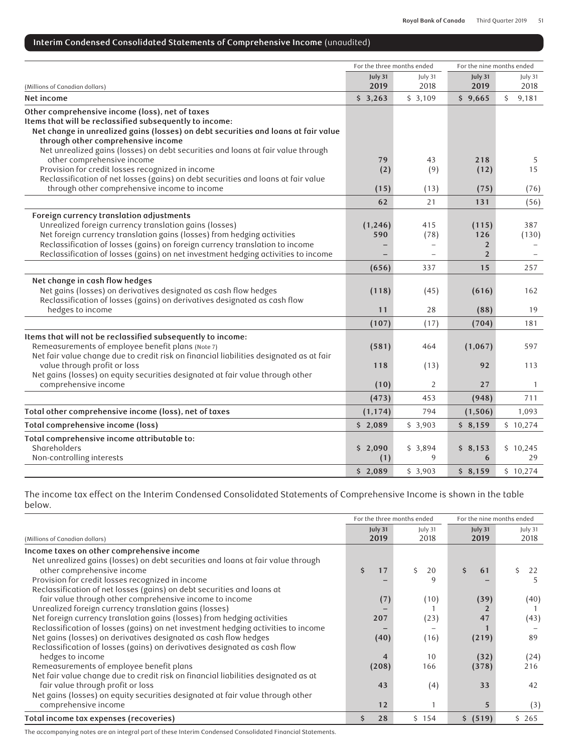# **Interim Condensed Consolidated Statements of Comprehensive Income** (unaudited)

|                                                                                                                                                                                                                                                                                                                                                    | For the three months ended |                 | For the nine months ended                        |                 |
|----------------------------------------------------------------------------------------------------------------------------------------------------------------------------------------------------------------------------------------------------------------------------------------------------------------------------------------------------|----------------------------|-----------------|--------------------------------------------------|-----------------|
| (Millions of Canadian dollars)                                                                                                                                                                                                                                                                                                                     | July 31<br>2019            | July 31<br>2018 | July 31<br>2019                                  | July 31<br>2018 |
| Net income                                                                                                                                                                                                                                                                                                                                         | \$3,263                    | \$3,109         | \$9,665                                          | 9,181<br>\$     |
| Other comprehensive income (loss), net of taxes<br>Items that will be reclassified subsequently to income:<br>Net change in unrealized gains (losses) on debt securities and loans at fair value<br>through other comprehensive income<br>Net unrealized gains (losses) on debt securities and loans at fair value through                         |                            |                 |                                                  |                 |
| other comprehensive income                                                                                                                                                                                                                                                                                                                         | 79                         | 43              | 218                                              | 5               |
| Provision for credit losses recognized in income<br>Reclassification of net losses (gains) on debt securities and loans at fair value                                                                                                                                                                                                              | (2)                        | (9)             | (12)                                             | 15              |
| through other comprehensive income to income                                                                                                                                                                                                                                                                                                       | (15)                       | (13)            | (75)                                             | (76)            |
|                                                                                                                                                                                                                                                                                                                                                    | 62                         | 21              | 131                                              | (56)            |
| Foreign currency translation adjustments<br>Unrealized foreign currency translation gains (losses)<br>Net foreign currency translation gains (losses) from hedging activities<br>Reclassification of losses (gains) on foreign currency translation to income<br>Reclassification of losses (gains) on net investment hedging activities to income | (1, 246)<br>590            | 415<br>(78)     | (115)<br>126<br>$\overline{2}$<br>$\overline{2}$ | 387<br>(130)    |
|                                                                                                                                                                                                                                                                                                                                                    | (656)                      | 337             | 15                                               | 257             |
| Net change in cash flow hedges<br>Net gains (losses) on derivatives designated as cash flow hedges<br>Reclassification of losses (gains) on derivatives designated as cash flow                                                                                                                                                                    | (118)                      | (45)            | (616)                                            | 162             |
| hedges to income                                                                                                                                                                                                                                                                                                                                   | 11                         | 28              | (88)                                             | 19              |
|                                                                                                                                                                                                                                                                                                                                                    | (107)                      | (17)            | (704)                                            | 181             |
| Items that will not be reclassified subsequently to income:<br>Remeasurements of employee benefit plans (Note 7)<br>Net fair value change due to credit risk on financial liabilities designated as at fair                                                                                                                                        | (581)                      | 464             | (1,067)                                          | 597             |
| value through profit or loss<br>Net gains (losses) on equity securities designated at fair value through other                                                                                                                                                                                                                                     | 118                        | (13)            | 92                                               | 113             |
| comprehensive income                                                                                                                                                                                                                                                                                                                               | (10)                       | $\overline{2}$  | 27                                               | $\mathbf{1}$    |
|                                                                                                                                                                                                                                                                                                                                                    | (473)                      | 453             | (948)                                            | 711             |
| Total other comprehensive income (loss), net of taxes                                                                                                                                                                                                                                                                                              | (1, 174)                   | 794             | (1,506)                                          | 1,093           |
| Total comprehensive income (loss)                                                                                                                                                                                                                                                                                                                  | \$2,089                    | \$3,903         | \$8,159                                          | \$10,274        |
| Total comprehensive income attributable to:<br>Shareholders<br>Non-controlling interests                                                                                                                                                                                                                                                           | \$2,090<br>(1)             | \$3,894<br>9    | \$8,153<br>6                                     | \$10,245<br>29  |
|                                                                                                                                                                                                                                                                                                                                                    | \$2,089                    | \$3,903         | \$8,159                                          | \$10,274        |
|                                                                                                                                                                                                                                                                                                                                                    |                            |                 |                                                  |                 |

The income tax effect on the Interim Condensed Consolidated Statements of Comprehensive Income is shown in the table below.

|                                                                                    | For the three months ended |                 | For the nine months ended |                 |
|------------------------------------------------------------------------------------|----------------------------|-----------------|---------------------------|-----------------|
| (Millions of Canadian dollars)                                                     | July 31<br>2019            | July 31<br>2018 | July 31<br>2019           | July 31<br>2018 |
| Income taxes on other comprehensive income                                         |                            |                 |                           |                 |
| Net unrealized gains (losses) on debt securities and loans at fair value through   |                            |                 |                           |                 |
| other comprehensive income                                                         | \$<br>17                   | 20              | 61                        | 22              |
| Provision for credit losses recognized in income                                   |                            | 9               |                           | 5               |
| Reclassification of net losses (gains) on debt securities and loans at             |                            |                 |                           |                 |
| fair value through other comprehensive income to income                            | (7)                        | (10)            | (39)                      | (40)            |
| Unrealized foreign currency translation gains (losses)                             |                            |                 |                           |                 |
| Net foreign currency translation gains (losses) from hedging activities            | 207                        | (23)            | 47                        | (43)            |
| Reclassification of losses (gains) on net investment hedging activities to income  |                            |                 |                           |                 |
| Net gains (losses) on derivatives designated as cash flow hedges                   | (40)                       | (16)            | (219)                     | 89              |
| Reclassification of losses (gains) on derivatives designated as cash flow          |                            |                 |                           |                 |
| hedges to income                                                                   |                            | 10              | (32)                      | (24)            |
| Remeasurements of employee benefit plans                                           | (208)                      | 166             | (378)                     | 216             |
| Net fair value change due to credit risk on financial liabilities designated as at |                            |                 |                           |                 |
| fair value through profit or loss                                                  | 43                         | (4)             | 33                        | 42              |
| Net gains (losses) on equity securities designated at fair value through other     |                            |                 |                           |                 |
| comprehensive income                                                               | 12                         |                 | 5                         | (3)             |
| Total income tax expenses (recoveries)                                             | \$<br>28                   | \$154           | \$ (519)                  | \$265           |

The accompanying notes are an integral part of these Interim Condensed Consolidated Financial Statements.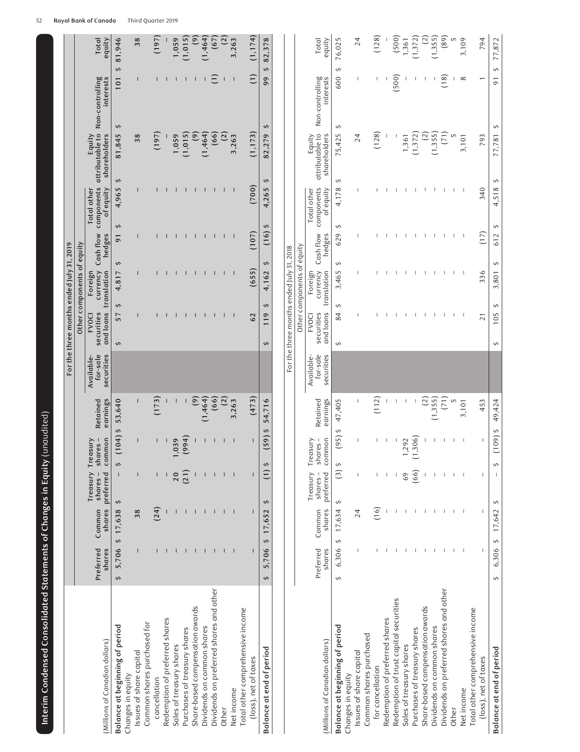| <b>Service Service</b> |
|------------------------|
|                        |
|                        |
|                        |
| j                      |
|                        |
|                        |
| I                      |
|                        |
|                        |
| ļ                      |
|                        |
|                        |
|                        |
|                        |
|                        |
|                        |
|                        |
|                        |
|                        |
|                        |
|                        |
|                        |
|                        |
|                        |
|                        |
|                        |
|                        |
|                        |
|                        |
|                        |
|                        |
|                        |
|                        |
|                        |
|                        |
|                        |
|                        |

|                                              |                           |                              |                                         |                               |                      |                                      |                                         | For the three months ended July 31, 2019     |                      |                                        |                                           |                                                |                          |
|----------------------------------------------|---------------------------|------------------------------|-----------------------------------------|-------------------------------|----------------------|--------------------------------------|-----------------------------------------|----------------------------------------------|----------------------|----------------------------------------|-------------------------------------------|------------------------------------------------|--------------------------|
|                                              |                           |                              |                                         |                               |                      |                                      |                                         | Other components of equity                   |                      |                                        |                                           |                                                |                          |
| (Millions of Canadian dollars)               | Preferred<br>shares       | Common                       | Treasury<br>shares-<br>shares preferred | common<br>Treasury<br>shares- | Retained<br>earnings | for-sale<br>securities<br>Available- | <b>FVOCI</b><br>securities              | currency<br>and loans translation<br>Foreign | Cash flow<br>hedges  | components<br>of equity<br>Total other | attributable to<br>Equity<br>shareholders | Non-controlling<br>interests                   | <b>Total</b><br>equity   |
| Balance at beginning of period               | 5,706<br>$\mathbf{v}$     | 17,638<br>$\hat{\mathbf{v}}$ | $\overline{1}$<br>Ş                     | $\hat{\mathbf{v}}$            | $(104)$ \$ 53,640    |                                      | 57<br>$\mathbf{\hat{S}}$                | 4,817<br>Ş                                   | $\overline{91}$<br>Ş | 4,965<br>Ş                             | 81,845<br>Ş                               | 101<br>Ş                                       | 81,946<br>S              |
| Issues of share capital<br>Changes in equity |                           | 38                           |                                         |                               |                      |                                      |                                         |                                              |                      |                                        | 38                                        |                                                | 38                       |
| Common shares purchased for                  |                           |                              |                                         |                               |                      |                                      |                                         |                                              |                      |                                        |                                           |                                                |                          |
| cancellation                                 |                           | (24)                         | $\mathsf{I}$                            | $\mathsf{I}$                  | (173)                |                                      |                                         | ı                                            |                      |                                        | (197)                                     | ı                                              | (197)                    |
| Redemption of preferred shares               |                           |                              | J.                                      |                               |                      |                                      |                                         | ٠                                            |                      | -1                                     |                                           |                                                |                          |
| Sales of treasury shares                     |                           |                              | 20                                      | 1,039                         |                      |                                      |                                         |                                              |                      | L                                      | 1,059                                     |                                                | 1,059                    |
| Purchases of treasury shares                 |                           |                              | (21)                                    | (994)                         |                      |                                      |                                         |                                              |                      |                                        | (1, 015)                                  |                                                | (1, 015)                 |
| Share-based compensation awards              | л.                        |                              |                                         | J                             | $\widetilde{e}$      |                                      | $\mathbf{I}$                            | ш                                            | $\mathbf{I}$         | J.                                     | $\overline{6}$                            |                                                | $\widetilde{\mathbf{e}}$ |
| Dividends on common shares                   | L                         |                              |                                         | ı                             | (1, 464)             |                                      | п                                       | п                                            | -                    | L                                      | (1,464)                                   |                                                | (1,464)                  |
| Dividends on preferred shares and other      | $\perp$                   |                              |                                         | $\mathsf{I}$                  | (66)                 |                                      |                                         |                                              | $\mathbf{I}$         | $\mathbf{I}$                           | (66)                                      | $\left( \begin{matrix} 1 \end{matrix} \right)$ | (67)                     |
| Other                                        | $\mathbf{I}$ $\mathbf{I}$ |                              | $1 - 1$                                 | T.                            | $\overline{2}$       |                                      | L                                       |                                              | L                    | L                                      | $\frac{1}{2}$                             | J.                                             | $\overline{2}$           |
| Net income                                   |                           |                              |                                         | $\overline{\phantom{a}}$      | 3,263                |                                      |                                         | ı                                            | J                    |                                        | 3,263                                     | $\overline{\phantom{a}}$                       | 3,263                    |
| Total other comprehensive income             |                           |                              |                                         |                               |                      |                                      |                                         |                                              |                      |                                        |                                           |                                                |                          |
| (loss), net of taxes                         |                           |                              | L                                       |                               | (473)                |                                      | 62                                      | (655)                                        | (107)                | (700)                                  | (1, 173)                                  | $\hat{=}$                                      | (1, 174)                 |
| Balance at end of period                     | 5,706<br>Ş                | 17,652<br>Ş                  | $\overline{1}$<br>Ş                     | $(59)$ \$                     | 54,716               |                                      | 119<br>Ş                                | 4,162<br>Ş                                   | $(16)$ \$<br>Ş       | 4,265                                  | 82,279<br>Ş                               | 99<br>Ş                                        | 82,378<br>S              |
|                                              |                           |                              |                                         |                               |                      |                                      |                                         | For the three months ended July 31, 2018     |                      |                                        |                                           |                                                |                          |
|                                              |                           |                              |                                         |                               |                      |                                      |                                         | Other components of equity                   |                      |                                        |                                           |                                                |                          |
| (Millions of Canadian dollars)               | Preferred<br>shares       | Common<br>shares             | Treasury<br>preferred<br>shares         | Treasury<br>common<br>shares  | earnings<br>Retained | for-sale<br>securities<br>Available- | <b>FVOCI</b><br>and loans<br>securities | currency<br>Foreign<br>translation           | Cash flow<br>hedges  | components<br>Total other<br>of equity | attributable to<br>Equity<br>shareholders | Non-controlling<br>interests                   | Total<br>equity          |
| Balance at beginning of period               | 6,306<br>$\mathfrak o$    | 17,634<br>$\hat{\mathbf{v}}$ | (3)<br>S                                | $(95)$ \$                     | 47,405               |                                      | 84<br>$\mathcal{L}$                     | 3,465<br>S                                   | 629<br>S             | 4,178<br>Ş                             | 75,425<br>Ş                               | 600<br>Ş                                       | 76,025<br>S              |
| Changes in equity                            |                           |                              |                                         |                               |                      |                                      |                                         |                                              |                      |                                        |                                           |                                                |                          |
| Issues of share capital                      |                           | $^{24}$                      |                                         |                               |                      |                                      |                                         |                                              |                      |                                        | 24                                        |                                                | 24                       |
| Common shares purchased                      |                           |                              |                                         |                               |                      |                                      |                                         |                                              |                      |                                        |                                           |                                                |                          |
| for cancellation                             |                           | (16)                         | I                                       | I                             | (112)                |                                      |                                         |                                              |                      |                                        | (128)                                     | 1                                              | (128)                    |
| Redemption of preferred shares               |                           |                              |                                         | J.                            |                      |                                      |                                         |                                              |                      |                                        |                                           |                                                |                          |
| Redemption of trust capital securities       |                           |                              |                                         |                               |                      |                                      | $\mathbf{I}$                            |                                              |                      |                                        |                                           | (500)                                          | (500)                    |
| Sales of treasury shares                     | $\mathbf{I}$              |                              | 69                                      | 1,292                         | J.                   |                                      | -1                                      | $\overline{\phantom{a}}$                     | $\mathbf{I}$         | -1                                     | 1,361                                     |                                                | 1,361                    |
| Purchases of treasury shares                 | $\mathbf{I}$              |                              | (66)                                    | (1,306)                       |                      |                                      | -1                                      | -1                                           | $\mathbf{I}$         | -1                                     | (1, 372)                                  |                                                | (1, 372)                 |
| Share-based compensation awards              | $\overline{1}$            |                              |                                         | $\mathbf{I}$                  | (2)                  |                                      | $\mathbf{I}$                            |                                              | $\mathbf{I}$         |                                        | $\overline{2}$                            | $\mathbf{I}$                                   | (2)                      |
| Dividends on common shares                   | л.                        | л.                           |                                         |                               | (1, 355)             |                                      | $\mathbf{I}$                            | $\mathbf{I}$                                 | л.                   | л.                                     | (1,355)                                   |                                                | (1, 355)                 |
| Dividends on preferred shares and other      |                           |                              |                                         |                               | (71)                 |                                      | т                                       | J.                                           | -1                   |                                        | $\left(71\right)$                         | (18)                                           | (89)                     |
| Other                                        | $\mathbf{I}$              |                              |                                         | $\mathsf I$                   |                      |                                      | $\begin{array}{c} \hline \end{array}$   | $\mathbf{I}$                                 | $\mathbf{I}$         | $\mathbf{I}$                           |                                           | $\overline{\phantom{a}}$                       | $\overline{5}$           |
| Net income                                   |                           |                              |                                         | $\, \, \parallel$             | 3,101                |                                      | $\mathbf{I}$                            |                                              |                      |                                        | 3,101                                     | $\infty$                                       | 3,109                    |
| Total other comprehensive income             |                           |                              |                                         |                               |                      |                                      |                                         |                                              |                      |                                        |                                           |                                                |                          |
| (loss), net of taxes                         |                           |                              |                                         | $\overline{\phantom{a}}$      | 453                  |                                      | $\overline{21}$                         | 336                                          | (17)                 | 340                                    | 793                                       | $\overline{ }$                                 | 794                      |
| Balance at end of period                     | 6,306<br>S                | 17,642<br>$\Diamond$         | $\mathsf{L}$<br>S                       | \$ (100)                      | 49,424               |                                      | 105<br>S                                | 3,801<br>S                                   | 612<br>Ş             | 4,518<br>S                             | 77,781<br>S                               | $\overline{91}$<br>S                           | 77,872<br>S              |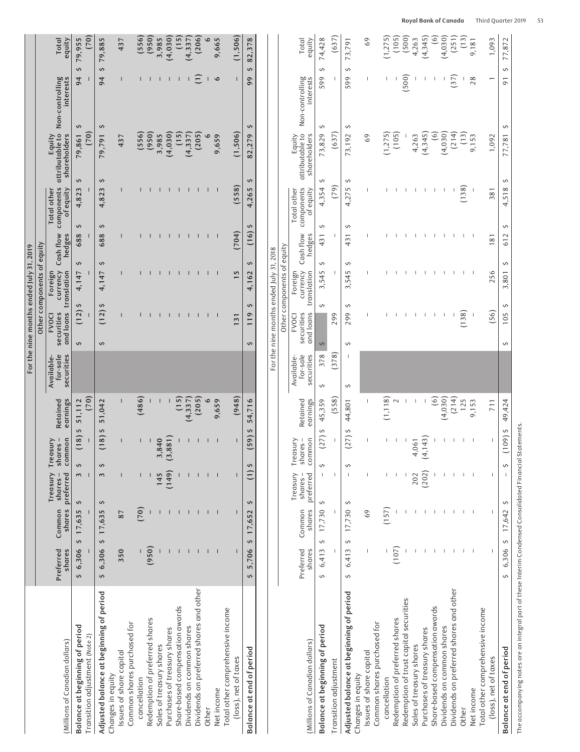|                                                                  |                      |                              |                                  |                                            |                         |                                      | For the nine months ended July 31, 2019  |                         |                              |                              |                                        |                                     |                                                           |                              |
|------------------------------------------------------------------|----------------------|------------------------------|----------------------------------|--------------------------------------------|-------------------------|--------------------------------------|------------------------------------------|-------------------------|------------------------------|------------------------------|----------------------------------------|-------------------------------------|-----------------------------------------------------------|------------------------------|
|                                                                  |                      |                              |                                  |                                            |                         |                                      |                                          |                         | Other components of equity   |                              |                                        |                                     |                                                           |                              |
| (Millions of Canadian dollars)                                   | Preferred<br>shares  | Common<br>shares             | Treasury<br>preferred<br>shares- | Treasury<br>common<br>shares               | Retained<br>earnings    | for-sale<br>securities<br>Available- | and loans<br>securities<br><b>FVOCI</b>  | currency<br>translation | Foreign                      | Cash flow<br>hedges          | components<br>Total other<br>of equity | Equity                              | attributable to Non-controlling<br>shareholders interests | Total<br>equity              |
| Balance at beginning of period                                   | 6,306<br>s,          | 17,635<br>$\hat{\mathbf{v}}$ | 3<br>Ş                           | (18)<br>Ş                                  | 51,112<br>Ş             |                                      | (12)<br>\$                               | Ş                       | Ş<br>4,147                   | $\hat{\bm{\zeta}}$<br>688    | $\hat{\bm{\zeta}}$<br>4,823            | 79,861                              | 94<br>S                                                   | 79,955<br>$\mathbf{\hat{S}}$ |
| Transition adjustment (Note 2)                                   |                      |                              |                                  |                                            | (70)                    |                                      |                                          |                         |                              |                              |                                        | (70)                                |                                                           | (70)                         |
| Adjusted balance at beginning of period                          | 6,306<br>S           | 17,635<br>Ş                  | 3<br>\$                          | (18)<br>$\hat{\bm{v}}$                     | 51,042<br>Ş             |                                      | (12)<br>Ş                                | Ş                       | \$<br>4,147                  | \$<br>688                    | \$<br>4,823                            | 79,791                              | 94<br>\$                                                  | 79,885<br>Ş                  |
| Issues of share capital<br>Changes in equity                     | 350                  | 87                           |                                  |                                            | -                       |                                      |                                          |                         |                              |                              |                                        | 437                                 |                                                           | 437                          |
| Common shares purchased for                                      |                      |                              |                                  |                                            |                         |                                      |                                          |                         |                              |                              |                                        |                                     |                                                           |                              |
| cancellation                                                     |                      | (01)                         |                                  |                                            | (486)                   |                                      |                                          |                         |                              |                              |                                        | (556)                               |                                                           | (556)                        |
| Redemption of preferred shares                                   | (950)                |                              |                                  |                                            |                         |                                      |                                          |                         |                              | $\perp$                      | -1                                     | (950)                               |                                                           | (950)                        |
| Sales of treasury shares                                         |                      |                              | 145                              | 3,840                                      | I                       |                                      |                                          |                         |                              | $\mathbf{I}$                 | $\mathbf{I}$                           | 3,985                               |                                                           | 3,985                        |
| Purchases of treasury shares                                     |                      |                              | (149)                            | (3, 881)                                   |                         |                                      |                                          |                         |                              | $\perp$                      | л.                                     | (4,030)                             | L                                                         | (4, 030)                     |
| Share-based compensation awards<br>Dividends on common shares    |                      |                              |                                  |                                            | (15)<br>(4, 337)        |                                      |                                          |                         |                              | $\mathbf{I}$<br>$\mathbf{I}$ | $\perp$<br>$\mathbf{I}$                | (15)<br>(4, 337)                    | H                                                         | (15)<br>(4, 337)             |
| Dividends on preferred shares and other                          |                      |                              |                                  |                                            | (205)                   |                                      |                                          |                         |                              |                              |                                        | (205)                               | $\widehat{E}$                                             | (206)                        |
| Other                                                            | $\mathbf{I}$         |                              | $\mathbf{L}$                     | л.                                         |                         |                                      |                                          |                         | л.                           | $\mathbf{L}$                 | $\mathbf{L}$                           |                                     | $\mathbf{I}$                                              |                              |
| Net income                                                       |                      |                              |                                  |                                            | 9,659                   |                                      |                                          |                         |                              |                              |                                        | 9,659                               | $\circ$                                                   | 9,665                        |
| Total other comprehensive income                                 |                      |                              |                                  |                                            |                         |                                      |                                          |                         |                              |                              |                                        |                                     |                                                           |                              |
| (loss), net of taxes                                             |                      |                              |                                  |                                            | (948)                   |                                      | 131                                      |                         | 15                           | (704)                        | (558)                                  | (1,506)                             |                                                           | (1,506)                      |
| Balance at end of period                                         | 5,706<br>S           | 17,652<br>S                  | $(1)$ \$<br>Ş                    | (59)                                       | 54,716<br>Ş             |                                      | 119<br>Ş                                 | \$                      | \$<br>4,162                  | S<br>(16)                    | \$<br>4,265                            | 82,279                              | 99<br>\$                                                  | 82,378<br>\$                 |
|                                                                  |                      |                              |                                  |                                            |                         |                                      |                                          |                         |                              |                              |                                        |                                     |                                                           |                              |
|                                                                  |                      |                              |                                  |                                            |                         |                                      | For the nine months ended July 31, 2018  |                         | Other components of equity   |                              |                                        |                                     |                                                           |                              |
|                                                                  | Preferred            | Common                       | Treasury<br>$shares -$           | Treasury<br>shares                         | Retained                | for-sale<br>Available-               | securities<br><b>FVOCI</b>               | currency                | Foreign                      | Cash flow                    | components<br>Total other              | attributable to<br>Equity           | Non-controlling<br>interests                              | Total                        |
| Balance at beginning of period<br>(Millions of Canadian dollars) | shares<br>6,413<br>Ş | shares<br>17,730<br>Ş        | $\mathbf{I}$<br>preferred<br>S   | (27)<br>common<br>$\boldsymbol{\varsigma}$ | 45,359<br>earnings<br>Ş | 378<br>securities<br>Ş               | and loans<br>Ş                           | translation<br>Ş        | Ş<br>3,545                   | Ş<br>hedges<br>431           | Ş<br>4,354<br>of equity                | 73,829<br>shareholders              | 599<br>Ş                                                  | 74,428<br>equity<br>Ş        |
| Transition adjustment                                            |                      |                              | $\mathbb{I}$                     |                                            | (558)                   | (378)                                | 299                                      |                         |                              |                              | (79)                                   | (637)                               |                                                           | (637)                        |
| Adjusted balance at beginning of period                          | 6,413<br>S           | 17,730<br>S                  | $\overline{\phantom{a}}$<br>S    | (27)<br>Ş                                  | 44,801<br>S             | $\overline{\phantom{a}}$<br>Ş        | 299<br>Ş                                 | $\tilde{\xi}$<br>Ş      | Ş<br>545                     | Ş<br>431                     | Ş<br>4,275                             | 73,192                              | 599<br>Ş                                                  | 73,791<br>Ş                  |
| Changes in equity                                                |                      |                              |                                  |                                            |                         |                                      |                                          |                         |                              |                              |                                        |                                     |                                                           |                              |
| Issues of share capital                                          |                      | 69                           |                                  |                                            |                         |                                      |                                          |                         |                              |                              |                                        | 69                                  | $\overline{\phantom{a}}$                                  | 69                           |
| Common shares purchased for                                      |                      |                              |                                  |                                            |                         |                                      |                                          |                         |                              |                              |                                        |                                     |                                                           |                              |
| cancellation                                                     |                      | (157)                        | т.                               | т.                                         | (1, 118)                |                                      |                                          | $\mathbf{I}$            | $\mathbf{I}$                 |                              | I                                      | (1, 275)                            | 1                                                         | (1, 275)                     |
| Redemption of preferred shares                                   | (107)                |                              |                                  |                                            | $\sim$                  |                                      |                                          | $\mathbf{1}$            | $\mathbf{I}$                 |                              | $\mathbf{I}$                           | (105)                               |                                                           | (105)                        |
| Redemption of trust capital securities                           |                      |                              |                                  | J.                                         | $\mathbf{I}$            |                                      |                                          | $\mathbf{I}$            | -1                           | $\mathbf{I}$                 | $\mathbf{I}$                           |                                     | (500)                                                     | (500)                        |
| Sales of treasury shares                                         |                      |                              | 202                              | 4,061                                      | $\mathbf{I}$            |                                      | $\mathbf{I}$                             |                         | $\mathbf{I}$                 | $\mathbf{I}$                 | $\mathbf{L}$                           | 4,263                               |                                                           | 4,263                        |
| Share-based compensation awards<br>Purchases of treasury shares  |                      |                              | (202)                            | (4, 143)                                   | $\widehat{\circ}$       |                                      | $\overline{\phantom{a}}$<br>$\mathbf{I}$ |                         | $\mathbf{I}$<br>$\mathbf{I}$ | $\overline{1}$               | $\mathbf{I}$<br>$\mathbf{I}$           | (4,345)<br>$\overset{\circ}{\circ}$ |                                                           | (4,345)<br>$\odot$           |
| Dividends on common shares                                       |                      |                              |                                  | -1                                         | (4,030)                 |                                      | -1                                       |                         | -1                           | -1<br>$\mathbf{1}$           | $\overline{\phantom{a}}$               | (4, 030)                            |                                                           | (4,030)                      |
| Dividends on preferred shares and other                          |                      |                              |                                  | $\mathbf{I}$                               | (214)                   |                                      |                                          |                         | $\mathbf{I}$                 |                              |                                        | (214)                               | (37)                                                      | (251)                        |
| Other                                                            |                      |                              | л.                               | -1                                         | 125                     |                                      | (138)                                    |                         | $\mathbf{I}$                 | $\mathbf{I}$                 | (138)                                  | (13)                                |                                                           | (13)                         |
| Net income                                                       |                      |                              |                                  | $\mathbf{I}$                               | 9,153                   |                                      |                                          |                         |                              |                              |                                        | 9,153                               | 28                                                        | 9,181                        |
| Total other comprehensive income                                 |                      |                              |                                  |                                            |                         |                                      |                                          |                         |                              |                              |                                        |                                     |                                                           |                              |
| (loss), net of taxes                                             |                      |                              | т                                |                                            | 711                     |                                      | (56)                                     |                         | 256                          | 181                          | 381                                    | 1,092                               |                                                           | 1,093                        |
| Balance at end of period                                         | 6,306<br>S           | 17,642<br>S                  | $\mathsf I$<br>Ş                 | S<br>(109)<br>S                            | 49,424                  |                                      | 105<br>S                                 | S                       | Ş<br>3,801                   | Ş<br>612                     | Ş<br>4,518                             | 77,781                              | $\overline{91}$<br>Ş                                      | 77,872<br>Ş                  |

The accompanying notes are an integral part of these Interim Condensed Consolidated Financial Statements. The accompanying notes are an integral part of these Interim Condensed Consolidated Financial Statements.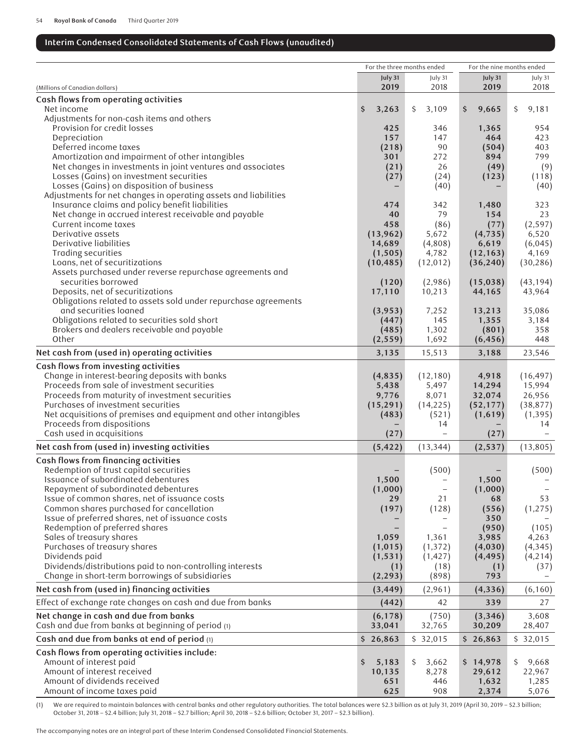### **Interim Condensed Consolidated Statements of Cash Flows (unaudited)**

| July 31<br>July 31<br>July 31<br>July 31<br>2019<br>2018<br>2018<br>2019<br>(Millions of Canadian dollars)<br>Cash flows from operating activities<br>\$<br>3,109<br>\$<br>Net income<br>3,263<br>\$<br>9,665<br>\$<br>9,181<br>Adjustments for non-cash items and others<br>Provision for credit losses<br>425<br>346<br>954<br>1,365<br>Depreciation<br>157<br>423<br>147<br>464<br>Deferred income taxes<br>(218)<br>90<br>403<br>(504)<br>799<br>Amortization and impairment of other intangibles<br>301<br>272<br>894<br>Net changes in investments in joint ventures and associates<br>26<br>(21)<br>(49)<br>(9)<br>Losses (Gains) on investment securities<br>(27)<br>(24)<br>(123)<br>(118)<br>Losses (Gains) on disposition of business<br>(40)<br>(40)<br>Adjustments for net changes in operating assets and liabilities<br>Insurance claims and policy benefit liabilities<br>474<br>342<br>323<br>1,480<br>Net change in accrued interest receivable and payable<br>79<br>23<br>40<br>154<br>Current income taxes<br>458<br>(2, 597)<br>(86)<br>(77)<br>Derivative assets<br>(13, 962)<br>5,672<br>(4, 735)<br>6,520<br>Derivative liabilities<br>14,689<br>(4,808)<br>6,619<br>(6,045)<br>4,782<br>4,169<br>Trading securities<br>(1,505)<br>(12, 163)<br>Loans, net of securitizations<br>(12, 012)<br>(30, 286)<br>(10, 485)<br>(36, 240)<br>Assets purchased under reverse repurchase agreements and<br>securities borrowed<br>(43, 194)<br>(2,986)<br>(15,038)<br>(120)<br>Deposits, net of securitizations<br>10,213<br>17,110<br>44,165<br>43,964<br>Obligations related to assets sold under repurchase agreements<br>and securities loaned<br>35,086<br>(3,953)<br>7,252<br>13,213 | For the three months ended |  | For the nine months ended |
|----------------------------------------------------------------------------------------------------------------------------------------------------------------------------------------------------------------------------------------------------------------------------------------------------------------------------------------------------------------------------------------------------------------------------------------------------------------------------------------------------------------------------------------------------------------------------------------------------------------------------------------------------------------------------------------------------------------------------------------------------------------------------------------------------------------------------------------------------------------------------------------------------------------------------------------------------------------------------------------------------------------------------------------------------------------------------------------------------------------------------------------------------------------------------------------------------------------------------------------------------------------------------------------------------------------------------------------------------------------------------------------------------------------------------------------------------------------------------------------------------------------------------------------------------------------------------------------------------------------------------------------------------------------------------------------------------------|----------------------------|--|---------------------------|
|                                                                                                                                                                                                                                                                                                                                                                                                                                                                                                                                                                                                                                                                                                                                                                                                                                                                                                                                                                                                                                                                                                                                                                                                                                                                                                                                                                                                                                                                                                                                                                                                                                                                                                          |                            |  |                           |
|                                                                                                                                                                                                                                                                                                                                                                                                                                                                                                                                                                                                                                                                                                                                                                                                                                                                                                                                                                                                                                                                                                                                                                                                                                                                                                                                                                                                                                                                                                                                                                                                                                                                                                          |                            |  |                           |
|                                                                                                                                                                                                                                                                                                                                                                                                                                                                                                                                                                                                                                                                                                                                                                                                                                                                                                                                                                                                                                                                                                                                                                                                                                                                                                                                                                                                                                                                                                                                                                                                                                                                                                          |                            |  |                           |
|                                                                                                                                                                                                                                                                                                                                                                                                                                                                                                                                                                                                                                                                                                                                                                                                                                                                                                                                                                                                                                                                                                                                                                                                                                                                                                                                                                                                                                                                                                                                                                                                                                                                                                          |                            |  |                           |
|                                                                                                                                                                                                                                                                                                                                                                                                                                                                                                                                                                                                                                                                                                                                                                                                                                                                                                                                                                                                                                                                                                                                                                                                                                                                                                                                                                                                                                                                                                                                                                                                                                                                                                          |                            |  |                           |
|                                                                                                                                                                                                                                                                                                                                                                                                                                                                                                                                                                                                                                                                                                                                                                                                                                                                                                                                                                                                                                                                                                                                                                                                                                                                                                                                                                                                                                                                                                                                                                                                                                                                                                          |                            |  |                           |
|                                                                                                                                                                                                                                                                                                                                                                                                                                                                                                                                                                                                                                                                                                                                                                                                                                                                                                                                                                                                                                                                                                                                                                                                                                                                                                                                                                                                                                                                                                                                                                                                                                                                                                          |                            |  |                           |
|                                                                                                                                                                                                                                                                                                                                                                                                                                                                                                                                                                                                                                                                                                                                                                                                                                                                                                                                                                                                                                                                                                                                                                                                                                                                                                                                                                                                                                                                                                                                                                                                                                                                                                          |                            |  |                           |
|                                                                                                                                                                                                                                                                                                                                                                                                                                                                                                                                                                                                                                                                                                                                                                                                                                                                                                                                                                                                                                                                                                                                                                                                                                                                                                                                                                                                                                                                                                                                                                                                                                                                                                          |                            |  |                           |
|                                                                                                                                                                                                                                                                                                                                                                                                                                                                                                                                                                                                                                                                                                                                                                                                                                                                                                                                                                                                                                                                                                                                                                                                                                                                                                                                                                                                                                                                                                                                                                                                                                                                                                          |                            |  |                           |
|                                                                                                                                                                                                                                                                                                                                                                                                                                                                                                                                                                                                                                                                                                                                                                                                                                                                                                                                                                                                                                                                                                                                                                                                                                                                                                                                                                                                                                                                                                                                                                                                                                                                                                          |                            |  |                           |
|                                                                                                                                                                                                                                                                                                                                                                                                                                                                                                                                                                                                                                                                                                                                                                                                                                                                                                                                                                                                                                                                                                                                                                                                                                                                                                                                                                                                                                                                                                                                                                                                                                                                                                          |                            |  |                           |
|                                                                                                                                                                                                                                                                                                                                                                                                                                                                                                                                                                                                                                                                                                                                                                                                                                                                                                                                                                                                                                                                                                                                                                                                                                                                                                                                                                                                                                                                                                                                                                                                                                                                                                          |                            |  |                           |
|                                                                                                                                                                                                                                                                                                                                                                                                                                                                                                                                                                                                                                                                                                                                                                                                                                                                                                                                                                                                                                                                                                                                                                                                                                                                                                                                                                                                                                                                                                                                                                                                                                                                                                          |                            |  |                           |
|                                                                                                                                                                                                                                                                                                                                                                                                                                                                                                                                                                                                                                                                                                                                                                                                                                                                                                                                                                                                                                                                                                                                                                                                                                                                                                                                                                                                                                                                                                                                                                                                                                                                                                          |                            |  |                           |
|                                                                                                                                                                                                                                                                                                                                                                                                                                                                                                                                                                                                                                                                                                                                                                                                                                                                                                                                                                                                                                                                                                                                                                                                                                                                                                                                                                                                                                                                                                                                                                                                                                                                                                          |                            |  |                           |
|                                                                                                                                                                                                                                                                                                                                                                                                                                                                                                                                                                                                                                                                                                                                                                                                                                                                                                                                                                                                                                                                                                                                                                                                                                                                                                                                                                                                                                                                                                                                                                                                                                                                                                          |                            |  |                           |
|                                                                                                                                                                                                                                                                                                                                                                                                                                                                                                                                                                                                                                                                                                                                                                                                                                                                                                                                                                                                                                                                                                                                                                                                                                                                                                                                                                                                                                                                                                                                                                                                                                                                                                          |                            |  |                           |
|                                                                                                                                                                                                                                                                                                                                                                                                                                                                                                                                                                                                                                                                                                                                                                                                                                                                                                                                                                                                                                                                                                                                                                                                                                                                                                                                                                                                                                                                                                                                                                                                                                                                                                          |                            |  |                           |
|                                                                                                                                                                                                                                                                                                                                                                                                                                                                                                                                                                                                                                                                                                                                                                                                                                                                                                                                                                                                                                                                                                                                                                                                                                                                                                                                                                                                                                                                                                                                                                                                                                                                                                          |                            |  |                           |
|                                                                                                                                                                                                                                                                                                                                                                                                                                                                                                                                                                                                                                                                                                                                                                                                                                                                                                                                                                                                                                                                                                                                                                                                                                                                                                                                                                                                                                                                                                                                                                                                                                                                                                          |                            |  |                           |
|                                                                                                                                                                                                                                                                                                                                                                                                                                                                                                                                                                                                                                                                                                                                                                                                                                                                                                                                                                                                                                                                                                                                                                                                                                                                                                                                                                                                                                                                                                                                                                                                                                                                                                          |                            |  |                           |
| Obligations related to securities sold short<br>145<br>1,355<br>(447)<br>3,184<br>(485)<br>1,302<br>Brokers and dealers receivable and payable<br>(801)<br>358                                                                                                                                                                                                                                                                                                                                                                                                                                                                                                                                                                                                                                                                                                                                                                                                                                                                                                                                                                                                                                                                                                                                                                                                                                                                                                                                                                                                                                                                                                                                           |                            |  |                           |
| Other<br>1,692<br>(2, 559)<br>(6, 456)<br>448                                                                                                                                                                                                                                                                                                                                                                                                                                                                                                                                                                                                                                                                                                                                                                                                                                                                                                                                                                                                                                                                                                                                                                                                                                                                                                                                                                                                                                                                                                                                                                                                                                                            |                            |  |                           |
| Net cash from (used in) operating activities<br>15,513<br>23,546<br>3,135<br>3,188                                                                                                                                                                                                                                                                                                                                                                                                                                                                                                                                                                                                                                                                                                                                                                                                                                                                                                                                                                                                                                                                                                                                                                                                                                                                                                                                                                                                                                                                                                                                                                                                                       |                            |  |                           |
|                                                                                                                                                                                                                                                                                                                                                                                                                                                                                                                                                                                                                                                                                                                                                                                                                                                                                                                                                                                                                                                                                                                                                                                                                                                                                                                                                                                                                                                                                                                                                                                                                                                                                                          |                            |  |                           |
| Cash flows from investing activities                                                                                                                                                                                                                                                                                                                                                                                                                                                                                                                                                                                                                                                                                                                                                                                                                                                                                                                                                                                                                                                                                                                                                                                                                                                                                                                                                                                                                                                                                                                                                                                                                                                                     |                            |  |                           |
| Change in interest-bearing deposits with banks<br>(4, 835)<br>(12, 180)<br>4,918<br>(16, 497)<br>Proceeds from sale of investment securities<br>5,497<br>14,294<br>15,994<br>5,438                                                                                                                                                                                                                                                                                                                                                                                                                                                                                                                                                                                                                                                                                                                                                                                                                                                                                                                                                                                                                                                                                                                                                                                                                                                                                                                                                                                                                                                                                                                       |                            |  |                           |
| Proceeds from maturity of investment securities<br>9,776<br>8,071<br>32,074<br>26,956                                                                                                                                                                                                                                                                                                                                                                                                                                                                                                                                                                                                                                                                                                                                                                                                                                                                                                                                                                                                                                                                                                                                                                                                                                                                                                                                                                                                                                                                                                                                                                                                                    |                            |  |                           |
| Purchases of investment securities<br>(14, 225)<br>(38, 877)<br>(15, 291)<br>(52, 177)                                                                                                                                                                                                                                                                                                                                                                                                                                                                                                                                                                                                                                                                                                                                                                                                                                                                                                                                                                                                                                                                                                                                                                                                                                                                                                                                                                                                                                                                                                                                                                                                                   |                            |  |                           |
| Net acquisitions of premises and equipment and other intangibles<br>(483)<br>(521)<br>(1,619)<br>(1, 395)                                                                                                                                                                                                                                                                                                                                                                                                                                                                                                                                                                                                                                                                                                                                                                                                                                                                                                                                                                                                                                                                                                                                                                                                                                                                                                                                                                                                                                                                                                                                                                                                |                            |  |                           |
| Proceeds from dispositions<br>14<br>14                                                                                                                                                                                                                                                                                                                                                                                                                                                                                                                                                                                                                                                                                                                                                                                                                                                                                                                                                                                                                                                                                                                                                                                                                                                                                                                                                                                                                                                                                                                                                                                                                                                                   |                            |  |                           |
| Cash used in acquisitions<br>(27)<br>(27)                                                                                                                                                                                                                                                                                                                                                                                                                                                                                                                                                                                                                                                                                                                                                                                                                                                                                                                                                                                                                                                                                                                                                                                                                                                                                                                                                                                                                                                                                                                                                                                                                                                                |                            |  |                           |
| Net cash from (used in) investing activities<br>(5, 422)<br>(13, 344)<br>(2, 537)<br>(13,805)                                                                                                                                                                                                                                                                                                                                                                                                                                                                                                                                                                                                                                                                                                                                                                                                                                                                                                                                                                                                                                                                                                                                                                                                                                                                                                                                                                                                                                                                                                                                                                                                            |                            |  |                           |
| Cash flows from financing activities                                                                                                                                                                                                                                                                                                                                                                                                                                                                                                                                                                                                                                                                                                                                                                                                                                                                                                                                                                                                                                                                                                                                                                                                                                                                                                                                                                                                                                                                                                                                                                                                                                                                     |                            |  |                           |
| Redemption of trust capital securities<br>(500)<br>(500)                                                                                                                                                                                                                                                                                                                                                                                                                                                                                                                                                                                                                                                                                                                                                                                                                                                                                                                                                                                                                                                                                                                                                                                                                                                                                                                                                                                                                                                                                                                                                                                                                                                 |                            |  |                           |
| Issuance of subordinated debentures<br>1,500<br>1,500                                                                                                                                                                                                                                                                                                                                                                                                                                                                                                                                                                                                                                                                                                                                                                                                                                                                                                                                                                                                                                                                                                                                                                                                                                                                                                                                                                                                                                                                                                                                                                                                                                                    |                            |  |                           |
| (1,000)<br>(1,000)<br>Repayment of subordinated debentures                                                                                                                                                                                                                                                                                                                                                                                                                                                                                                                                                                                                                                                                                                                                                                                                                                                                                                                                                                                                                                                                                                                                                                                                                                                                                                                                                                                                                                                                                                                                                                                                                                               |                            |  |                           |
| Issue of common shares, net of issuance costs<br>21<br>53<br>29<br>68<br>Common shares purchased for cancellation<br>(197)<br>(128)<br>(1, 275)<br>(556)                                                                                                                                                                                                                                                                                                                                                                                                                                                                                                                                                                                                                                                                                                                                                                                                                                                                                                                                                                                                                                                                                                                                                                                                                                                                                                                                                                                                                                                                                                                                                 |                            |  |                           |
| Issue of preferred shares, net of issuance costs<br>350                                                                                                                                                                                                                                                                                                                                                                                                                                                                                                                                                                                                                                                                                                                                                                                                                                                                                                                                                                                                                                                                                                                                                                                                                                                                                                                                                                                                                                                                                                                                                                                                                                                  |                            |  |                           |
| Redemption of preferred shares<br>(950)<br>(105)                                                                                                                                                                                                                                                                                                                                                                                                                                                                                                                                                                                                                                                                                                                                                                                                                                                                                                                                                                                                                                                                                                                                                                                                                                                                                                                                                                                                                                                                                                                                                                                                                                                         |                            |  |                           |
| Sales of treasury shares<br>1,059<br>1,361<br>3,985<br>4,263                                                                                                                                                                                                                                                                                                                                                                                                                                                                                                                                                                                                                                                                                                                                                                                                                                                                                                                                                                                                                                                                                                                                                                                                                                                                                                                                                                                                                                                                                                                                                                                                                                             |                            |  |                           |
| Purchases of treasury shares<br>(1, 015)<br>(1, 372)<br>(4, 345)<br>(4,030)                                                                                                                                                                                                                                                                                                                                                                                                                                                                                                                                                                                                                                                                                                                                                                                                                                                                                                                                                                                                                                                                                                                                                                                                                                                                                                                                                                                                                                                                                                                                                                                                                              |                            |  |                           |
| Dividends paid<br>(1, 531)<br>(1, 427)<br>(4, 495)<br>(4,214)                                                                                                                                                                                                                                                                                                                                                                                                                                                                                                                                                                                                                                                                                                                                                                                                                                                                                                                                                                                                                                                                                                                                                                                                                                                                                                                                                                                                                                                                                                                                                                                                                                            |                            |  |                           |
| Dividends/distributions paid to non-controlling interests<br>(18)<br>(37)<br>(1)<br>(1)<br>793                                                                                                                                                                                                                                                                                                                                                                                                                                                                                                                                                                                                                                                                                                                                                                                                                                                                                                                                                                                                                                                                                                                                                                                                                                                                                                                                                                                                                                                                                                                                                                                                           |                            |  |                           |
| Change in short-term borrowings of subsidiaries<br>(2, 293)<br>(898)                                                                                                                                                                                                                                                                                                                                                                                                                                                                                                                                                                                                                                                                                                                                                                                                                                                                                                                                                                                                                                                                                                                                                                                                                                                                                                                                                                                                                                                                                                                                                                                                                                     |                            |  |                           |
| Net cash from (used in) financing activities<br>(3, 449)<br>(2,961)<br>(4, 336)<br>(6, 160)                                                                                                                                                                                                                                                                                                                                                                                                                                                                                                                                                                                                                                                                                                                                                                                                                                                                                                                                                                                                                                                                                                                                                                                                                                                                                                                                                                                                                                                                                                                                                                                                              |                            |  |                           |
| Effect of exchange rate changes on cash and due from banks<br>339<br>(442)<br>42<br>27                                                                                                                                                                                                                                                                                                                                                                                                                                                                                                                                                                                                                                                                                                                                                                                                                                                                                                                                                                                                                                                                                                                                                                                                                                                                                                                                                                                                                                                                                                                                                                                                                   |                            |  |                           |
| Net change in cash and due from banks<br>(6, 178)<br>(750)<br>(3,346)<br>3,608<br>Cash and due from banks at beginning of period (1)<br>33,041<br>32,765<br>30,209<br>28,407                                                                                                                                                                                                                                                                                                                                                                                                                                                                                                                                                                                                                                                                                                                                                                                                                                                                                                                                                                                                                                                                                                                                                                                                                                                                                                                                                                                                                                                                                                                             |                            |  |                           |
| Cash and due from banks at end of period $(1)$<br>\$26,863<br>\$32,015<br>\$32,015<br>\$26,863                                                                                                                                                                                                                                                                                                                                                                                                                                                                                                                                                                                                                                                                                                                                                                                                                                                                                                                                                                                                                                                                                                                                                                                                                                                                                                                                                                                                                                                                                                                                                                                                           |                            |  |                           |
| Cash flows from operating activities include:                                                                                                                                                                                                                                                                                                                                                                                                                                                                                                                                                                                                                                                                                                                                                                                                                                                                                                                                                                                                                                                                                                                                                                                                                                                                                                                                                                                                                                                                                                                                                                                                                                                            |                            |  |                           |
| Amount of interest paid<br>\$<br>5,183<br>\$<br>3,662<br>\$14,978<br>\$<br>9,668                                                                                                                                                                                                                                                                                                                                                                                                                                                                                                                                                                                                                                                                                                                                                                                                                                                                                                                                                                                                                                                                                                                                                                                                                                                                                                                                                                                                                                                                                                                                                                                                                         |                            |  |                           |
| Amount of interest received<br>8,278<br>10,135<br>29,612<br>22,967                                                                                                                                                                                                                                                                                                                                                                                                                                                                                                                                                                                                                                                                                                                                                                                                                                                                                                                                                                                                                                                                                                                                                                                                                                                                                                                                                                                                                                                                                                                                                                                                                                       |                            |  |                           |
| Amount of dividends received<br>1,285<br>651<br>446<br>1,632<br>Amount of income taxes paid<br>625<br>908<br>2,374<br>5,076                                                                                                                                                                                                                                                                                                                                                                                                                                                                                                                                                                                                                                                                                                                                                                                                                                                                                                                                                                                                                                                                                                                                                                                                                                                                                                                                                                                                                                                                                                                                                                              |                            |  |                           |
| (1) We are required to maintain balances with central banks and other regulatory authorities. The total balances were \$2.3 billion as at July 31, 2019 (April 30, 2019 - \$2.3 billion;                                                                                                                                                                                                                                                                                                                                                                                                                                                                                                                                                                                                                                                                                                                                                                                                                                                                                                                                                                                                                                                                                                                                                                                                                                                                                                                                                                                                                                                                                                                 |                            |  |                           |

October 31, 2018 – \$2.4 billion; July 31, 2018 – \$2.7 billion; April 30, 2018 – \$2.6 billion; October 31, 2017 – \$2.3 billion).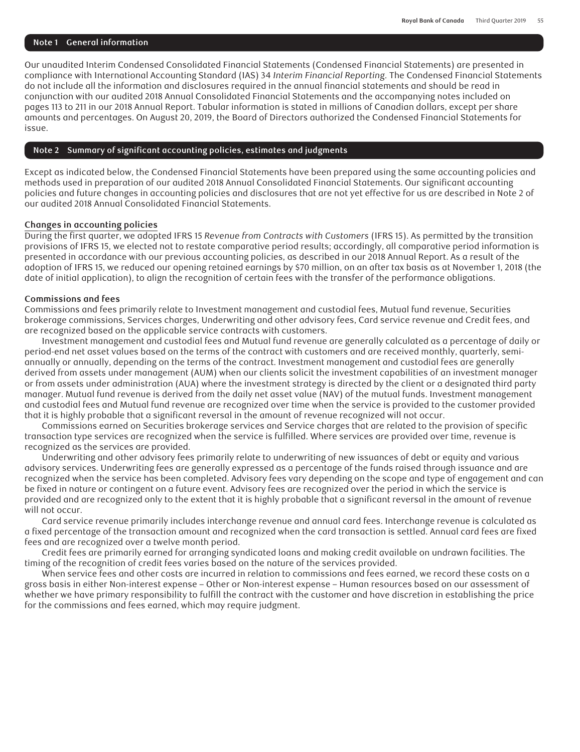#### **Note 1 General information**

Our unaudited Interim Condensed Consolidated Financial Statements (Condensed Financial Statements) are presented in compliance with International Accounting Standard (IAS) 34 *Interim Financial Reporting*. The Condensed Financial Statements do not include all the information and disclosures required in the annual financial statements and should be read in conjunction with our audited 2018 Annual Consolidated Financial Statements and the accompanying notes included on pages 113 to 211 in our 2018 Annual Report. Tabular information is stated in millions of Canadian dollars, except per share amounts and percentages. On August 20, 2019, the Board of Directors authorized the Condensed Financial Statements for issue.

# **Note 2 Summary of significant accounting policies, estimates and judgments**

Except as indicated below, the Condensed Financial Statements have been prepared using the same accounting policies and methods used in preparation of our audited 2018 Annual Consolidated Financial Statements. Our significant accounting policies and future changes in accounting policies and disclosures that are not yet effective for us are described in Note 2 of our audited 2018 Annual Consolidated Financial Statements.

#### **Changes in accounting policies**

During the first quarter, we adopted IFRS 15 *Revenue from Contracts with Customers* (IFRS 15). As permitted by the transition provisions of IFRS 15, we elected not to restate comparative period results; accordingly, all comparative period information is presented in accordance with our previous accounting policies, as described in our 2018 Annual Report. As a result of the adoption of IFRS 15, we reduced our opening retained earnings by \$70 million, on an after tax basis as at November 1, 2018 (the date of initial application), to align the recognition of certain fees with the transfer of the performance obligations.

## **Commissions and fees**

Commissions and fees primarily relate to Investment management and custodial fees, Mutual fund revenue, Securities brokerage commissions, Services charges, Underwriting and other advisory fees, Card service revenue and Credit fees, and are recognized based on the applicable service contracts with customers.

Investment management and custodial fees and Mutual fund revenue are generally calculated as a percentage of daily or period-end net asset values based on the terms of the contract with customers and are received monthly, quarterly, semiannually or annually, depending on the terms of the contract. Investment management and custodial fees are generally derived from assets under management (AUM) when our clients solicit the investment capabilities of an investment manager or from assets under administration (AUA) where the investment strategy is directed by the client or a designated third party manager. Mutual fund revenue is derived from the daily net asset value (NAV) of the mutual funds. Investment management and custodial fees and Mutual fund revenue are recognized over time when the service is provided to the customer provided that it is highly probable that a significant reversal in the amount of revenue recognized will not occur.

Commissions earned on Securities brokerage services and Service charges that are related to the provision of specific transaction type services are recognized when the service is fulfilled. Where services are provided over time, revenue is recognized as the services are provided.

Underwriting and other advisory fees primarily relate to underwriting of new issuances of debt or equity and various advisory services. Underwriting fees are generally expressed as a percentage of the funds raised through issuance and are recognized when the service has been completed. Advisory fees vary depending on the scope and type of engagement and can be fixed in nature or contingent on a future event. Advisory fees are recognized over the period in which the service is provided and are recognized only to the extent that it is highly probable that a significant reversal in the amount of revenue will not occur.

Card service revenue primarily includes interchange revenue and annual card fees. Interchange revenue is calculated as a fixed percentage of the transaction amount and recognized when the card transaction is settled. Annual card fees are fixed fees and are recognized over a twelve month period.

Credit fees are primarily earned for arranging syndicated loans and making credit available on undrawn facilities. The timing of the recognition of credit fees varies based on the nature of the services provided.

When service fees and other costs are incurred in relation to commissions and fees earned, we record these costs on a gross basis in either Non-interest expense – Other or Non-interest expense – Human resources based on our assessment of whether we have primary responsibility to fulfill the contract with the customer and have discretion in establishing the price for the commissions and fees earned, which may require judgment.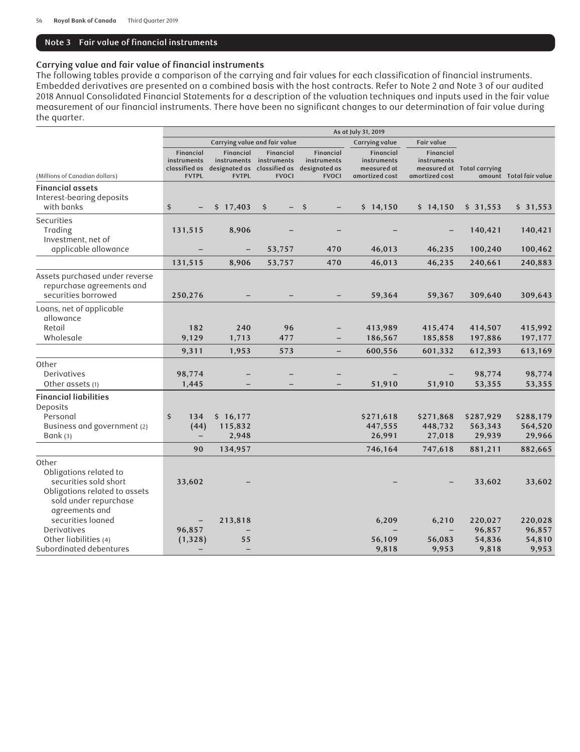#### **Note 3 Fair value of financial instruments**

# **Carrying value and fair value of financial instruments**

The following tables provide a comparison of the carrying and fair values for each classification of financial instruments. Embedded derivatives are presented on a combined basis with the host contracts. Refer to Note 2 and Note 3 of our audited 2018 Annual Consolidated Financial Statements for a description of the valuation techniques and inputs used in the fair value measurement of our financial instruments. There have been no significant changes to our determination of fair value during the quarter.

|                                                                                                                                      |                                                                  |                                                           |                                                                  |                                                                  | As at July 31, 2019                                       |                                            |                                      |                                      |
|--------------------------------------------------------------------------------------------------------------------------------------|------------------------------------------------------------------|-----------------------------------------------------------|------------------------------------------------------------------|------------------------------------------------------------------|-----------------------------------------------------------|--------------------------------------------|--------------------------------------|--------------------------------------|
|                                                                                                                                      |                                                                  |                                                           | Carrying value and fair value                                    |                                                                  | Carrying value                                            | Fair value                                 |                                      |                                      |
| (Millions of Canadian dollars)                                                                                                       | <b>Financial</b><br>instruments<br>classified as<br><b>FVTPL</b> | Financial<br>instruments<br>designated as<br><b>FVTPL</b> | <b>Financial</b><br>instruments<br>classified as<br><b>FVOCI</b> | <b>Financial</b><br>instruments<br>designated as<br><b>FVOCI</b> | Financial<br>instruments<br>measured at<br>amortized cost | Financial<br>instruments<br>amortized cost | measured at Total carrying           | amount Total fair value              |
| <b>Financial assets</b><br>Interest-bearing deposits<br>with banks                                                                   | \$                                                               | \$17,403                                                  | \$                                                               | $\zeta$                                                          | \$14,150                                                  | \$14,150                                   | \$31,553                             | \$31,553                             |
| Securities<br>Trading<br>Investment, net of                                                                                          | 131,515                                                          | 8,906                                                     |                                                                  |                                                                  |                                                           |                                            | 140,421                              | 140,421                              |
| applicable allowance                                                                                                                 |                                                                  |                                                           | 53,757                                                           | 470                                                              | 46,013                                                    | 46,235                                     | 100,240                              | 100,462                              |
|                                                                                                                                      | 131,515                                                          | 8,906                                                     | 53,757                                                           | 470                                                              | 46,013                                                    | 46,235                                     | 240,661                              | 240,883                              |
| Assets purchased under reverse<br>repurchase agreements and<br>securities borrowed                                                   | 250,276                                                          |                                                           |                                                                  |                                                                  | 59,364                                                    | 59,367                                     | 309,640                              | 309,643                              |
| Loans, net of applicable<br>allowance<br>Retail<br>Wholesale                                                                         | 182<br>9,129                                                     | 240<br>1,713                                              | 96<br>477                                                        |                                                                  | 413,989<br>186,567                                        | 415,474<br>185,858                         | 414,507<br>197,886                   | 415,992<br>197,177                   |
|                                                                                                                                      | 9,311                                                            | 1,953                                                     | 573                                                              |                                                                  | 600,556                                                   | 601,332                                    | 612,393                              | 613,169                              |
| Other<br>Derivatives<br>Other assets (1)                                                                                             | 98,774<br>1,445                                                  |                                                           |                                                                  |                                                                  | 51,910                                                    | 51,910                                     | 98,774<br>53,355                     | 98,774<br>53,355                     |
| <b>Financial liabilities</b><br>Deposits<br>Personal<br>Business and government (2)<br>Bank $(3)$                                    | \$<br>134<br>(44)<br>$\qquad \qquad -$                           | \$16,177<br>115,832<br>2,948                              |                                                                  |                                                                  | \$271,618<br>447,555<br>26,991                            | \$271,868<br>448,732<br>27,018             | \$287,929<br>563,343<br>29,939       | \$288,179<br>564,520<br>29,966       |
|                                                                                                                                      | 90                                                               | 134,957                                                   |                                                                  |                                                                  | 746,164                                                   | 747,618                                    | 881,211                              | 882,665                              |
| Other<br>Obligations related to<br>securities sold short<br>Obligations related to assets<br>sold under repurchase<br>agreements and | 33,602                                                           |                                                           |                                                                  |                                                                  |                                                           |                                            | 33,602                               | 33,602                               |
| securities loaned<br>Derivatives<br>Other liabilities (4)<br>Subordinated debentures                                                 | 96,857<br>(1, 328)                                               | 213,818<br>55                                             |                                                                  |                                                                  | 6,209<br>56,109<br>9,818                                  | 6,210<br>56,083<br>9,953                   | 220,027<br>96,857<br>54,836<br>9,818 | 220,028<br>96,857<br>54,810<br>9,953 |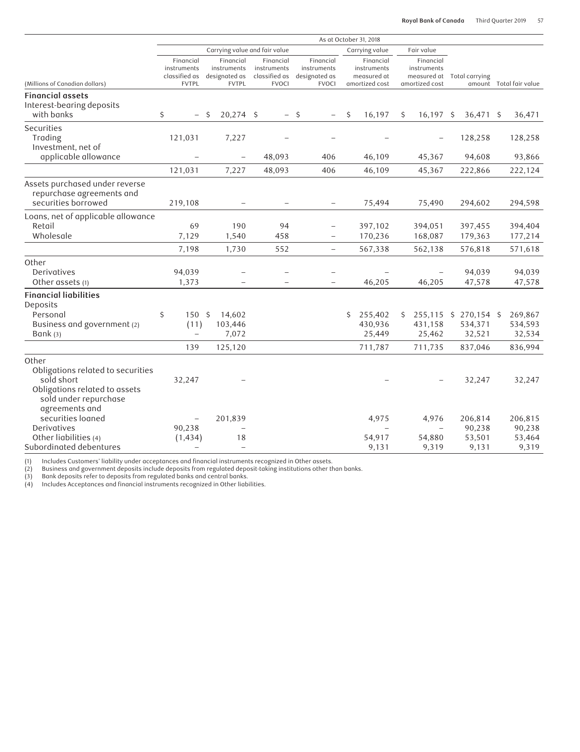|                                                                                                                    |                                                           |                                                           |                                                           |                                                           | As at October 31, 2018                                    |                                                      |                                      |                                      |
|--------------------------------------------------------------------------------------------------------------------|-----------------------------------------------------------|-----------------------------------------------------------|-----------------------------------------------------------|-----------------------------------------------------------|-----------------------------------------------------------|------------------------------------------------------|--------------------------------------|--------------------------------------|
|                                                                                                                    |                                                           | Carrying value and fair value                             |                                                           |                                                           | Carrying value                                            | Fair value                                           |                                      |                                      |
| (Millions of Canadian dollars)                                                                                     | Financial<br>instruments<br>classified as<br><b>FVTPL</b> | Financial<br>instruments<br>designated as<br><b>FVTPL</b> | Financial<br>instruments<br>classified as<br><b>FVOCI</b> | Financial<br>instruments<br>designated as<br><b>FVOCI</b> | Financial<br>instruments<br>measured at<br>amortized cost | Financial<br>instruments<br>amortized cost           | measured at Total carrying           | amount Total fair value              |
| <b>Financial assets</b>                                                                                            |                                                           |                                                           |                                                           |                                                           |                                                           |                                                      |                                      |                                      |
| Interest-bearing deposits<br>with banks                                                                            | \$                                                        | $20,274$ \$<br>$-$ \$                                     |                                                           | $-$ \$<br>$\overline{\phantom{m}}$                        | 16,197<br>\$                                              | $16,197$ \$<br>\$                                    | $36,471$ \$                          | 36,471                               |
| Securities<br>Trading<br>Investment, net of                                                                        | 121,031                                                   | 7,227                                                     |                                                           |                                                           |                                                           |                                                      | 128,258                              | 128,258                              |
| applicable allowance                                                                                               |                                                           | $\qquad \qquad -$                                         | 48,093                                                    | 406                                                       | 46,109                                                    | 45,367                                               | 94,608                               | 93,866                               |
|                                                                                                                    | 121,031                                                   | 7,227                                                     | 48,093                                                    | 406                                                       | 46,109                                                    | 45,367                                               | 222,866                              | 222,124                              |
| Assets purchased under reverse<br>repurchase agreements and<br>securities borrowed                                 | 219,108                                                   | $\overline{\phantom{a}}$                                  |                                                           | $\overline{\phantom{m}}$                                  | 75,494                                                    | 75,490                                               | 294,602                              | 294,598                              |
| Loans, net of applicable allowance                                                                                 |                                                           |                                                           |                                                           |                                                           |                                                           |                                                      |                                      |                                      |
| Retail                                                                                                             | 69                                                        | 190                                                       | 94                                                        | $\qquad \qquad -$                                         | 397,102                                                   | 394,051                                              | 397,455                              | 394,404                              |
| Wholesale                                                                                                          | 7,129                                                     | 1,540                                                     | 458                                                       | $\qquad \qquad -$                                         | 170,236                                                   | 168,087                                              | 179,363                              | 177,214                              |
|                                                                                                                    | 7,198                                                     | 1,730                                                     | 552                                                       | $\overline{\phantom{m}}$                                  | 567,338                                                   | 562,138                                              | 576,818                              | 571,618                              |
| Other<br>Derivatives<br>Other assets (1)                                                                           | 94,039<br>1,373                                           | ÷                                                         | $\equiv$                                                  | $\overline{\phantom{a}}$                                  | 46,205                                                    | 46,205                                               | 94,039<br>47,578                     | 94,039<br>47,578                     |
| <b>Financial liabilities</b><br>Deposits<br>Personal<br>Business and government (2)                                | \$<br>150S<br>(11)                                        | 14,602<br>103,446                                         |                                                           |                                                           | 255,402<br>\$<br>430,936                                  | \$<br>431,158                                        | 255,115 \$ 270,154 \$<br>534,371     | 269,867<br>534,593                   |
| Bank $(3)$                                                                                                         |                                                           | 7,072                                                     |                                                           |                                                           | 25,449                                                    | 25,462                                               | 32,521                               | 32,534                               |
|                                                                                                                    | 139                                                       | 125,120                                                   |                                                           |                                                           | 711,787                                                   | 711,735                                              | 837,046                              | 836,994                              |
| Other<br>Obligations related to securities<br>sold short<br>Obligations related to assets<br>sold under repurchase | 32,247                                                    |                                                           |                                                           |                                                           |                                                           |                                                      | 32,247                               | 32,247                               |
| agreements and<br>securities loaned<br>Derivatives<br>Other liabilities (4)<br>Subordinated debentures             | 90,238<br>(1,434)                                         | 201,839<br>18<br>$\qquad \qquad -$                        |                                                           |                                                           | 4,975<br>54,917<br>9,131                                  | 4,976<br>$\overline{\phantom{0}}$<br>54,880<br>9,319 | 206,814<br>90,238<br>53,501<br>9,131 | 206,815<br>90,238<br>53,464<br>9,319 |

(1) Includes Customers' liability under acceptances and financial instruments recognized in Other assets.

(2) Business and government deposits include deposits from regulated deposit-taking institutions other than banks.

(3) Bank deposits refer to deposits from regulated banks and central banks.

(4) Includes Acceptances and financial instruments recognized in Other liabilities.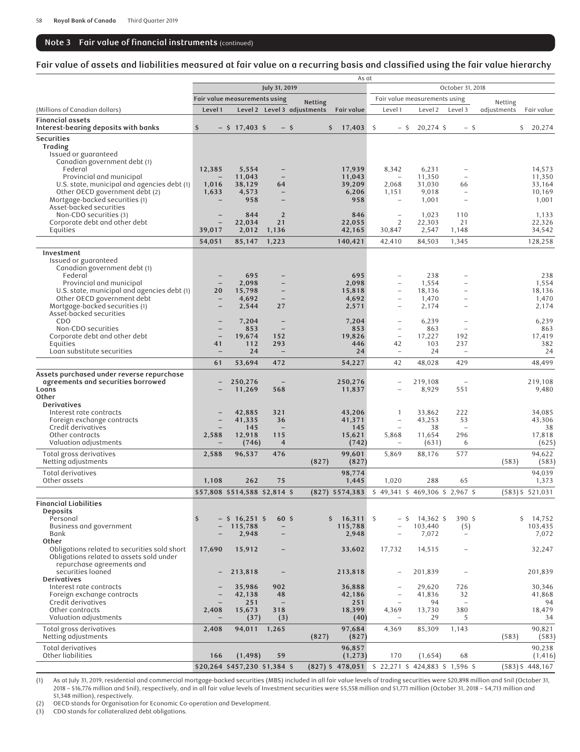### **Note 3 Fair value of financial instruments** (continued)

# **Fair value of assets and liabilities measured at fair value on a recurring basis and classified using the fair value hierarchy**

|                                                           |                          |                                |                          |                             | As at             |                          |                                                     |                                                               |             |                    |
|-----------------------------------------------------------|--------------------------|--------------------------------|--------------------------|-----------------------------|-------------------|--------------------------|-----------------------------------------------------|---------------------------------------------------------------|-------------|--------------------|
|                                                           |                          |                                | July 31, 2019            |                             |                   |                          |                                                     | October 31, 2018                                              |             |                    |
|                                                           |                          | Fair value measurements using  |                          | <b>Netting</b>              |                   |                          | Fair value measurements using                       |                                                               | Netting     |                    |
| (Millions of Canadian dollars)                            | Level 1                  |                                |                          | Level 2 Level 3 adjustments | Fair value        | Level 1                  | Level 2                                             | Level 3                                                       | adjustments | Fair value         |
| <b>Financial assets</b>                                   |                          |                                |                          |                             |                   |                          |                                                     |                                                               |             |                    |
| Interest-bearing deposits with banks                      | \$                       | $-$ \$ 17,403 \$               | - \$                     | \$                          | 17,403            | \$                       | $-$ \$<br>$20,274$ \$                               | $-$ \$                                                        |             | \$<br>20,274       |
| Securities                                                |                          |                                |                          |                             |                   |                          |                                                     |                                                               |             |                    |
| Trading                                                   |                          |                                |                          |                             |                   |                          |                                                     |                                                               |             |                    |
| Issued or guaranteed                                      |                          |                                |                          |                             |                   |                          |                                                     |                                                               |             |                    |
| Canadian government debt (1)                              |                          |                                |                          |                             |                   |                          |                                                     |                                                               |             |                    |
| Federal<br>Provincial and municipal                       | 12,385                   | 5,554<br>11,043                | -<br>$\qquad \qquad -$   |                             | 17,939<br>11,043  | 8,342                    | 6,231<br>11,350                                     | $\overline{\phantom{0}}$<br>$\hspace{1.0cm} - \hspace{1.0cm}$ |             | 14,573<br>11,350   |
| U.S. state, municipal and agencies debt (1)               | 1,016                    | 38,129                         | 64                       |                             | 39,209            | 2,068                    | 31,030                                              | 66                                                            |             | 33,164             |
| Other OECD government debt (2)                            | 1,633                    | 4,573                          | $\overline{\phantom{0}}$ |                             | 6,206             | 1,151                    | 9,018                                               | $\equiv$                                                      |             | 10,169             |
| Mortgage-backed securities (1)                            |                          | 958                            | $\overline{\phantom{a}}$ |                             | 958               | $\qquad \qquad -$        | 1,001                                               | $\overline{\phantom{a}}$                                      |             | 1,001              |
| Asset-backed securities                                   |                          |                                |                          |                             |                   |                          |                                                     |                                                               |             |                    |
| Non-CDO securities (3)<br>Corporate debt and other debt   | -<br>$\qquad \qquad -$   | 844<br>22,034                  | $\overline{2}$<br>21     |                             | 846<br>22,055     | $\qquad \qquad -$<br>2   | 1,023<br>22,303                                     | 110<br>21                                                     |             | 1,133<br>22,326    |
| Equities                                                  | 39,017                   | 2,012                          | 1,136                    |                             | 42,165            | 30,847                   | 2,547                                               | 1,148                                                         |             | 34,542             |
|                                                           | 54,051                   | 85,147                         |                          |                             | 140,421           | 42,410                   | 84,503                                              | 1,345                                                         |             | 128,258            |
|                                                           |                          |                                | 1,223                    |                             |                   |                          |                                                     |                                                               |             |                    |
| Investment                                                |                          |                                |                          |                             |                   |                          |                                                     |                                                               |             |                    |
| Issued or guaranteed<br>Canadian government debt (1)      |                          |                                |                          |                             |                   |                          |                                                     |                                                               |             |                    |
| Federal                                                   | $\qquad \qquad -$        | 695                            | -                        |                             | 695               | $\overline{\phantom{0}}$ | 238                                                 |                                                               |             | 238                |
| Provincial and municipal                                  | $\qquad \qquad -$        | 2,098                          |                          |                             | 2,098             | $\overline{\phantom{0}}$ | 1,554                                               |                                                               |             | 1,554              |
| U.S. state, municipal and agencies debt (1)               | 20                       | 15,798                         |                          |                             | 15,818            | $\overline{\phantom{0}}$ | 18,136                                              |                                                               |             | 18,136             |
| Other OECD government debt                                | $\overline{\phantom{0}}$ | 4,692                          | $\qquad \qquad -$        |                             | 4,692             | $\qquad \qquad -$        | 1,470                                               | $\overline{\phantom{m}}$                                      |             | 1,470              |
| Mortgage-backed securities (1)<br>Asset-backed securities | $\overline{\phantom{0}}$ | 2,544                          | 27                       |                             | 2,571             | ÷                        | 2,174                                               | $\overline{\phantom{0}}$                                      |             | 2,174              |
| CDO                                                       | -                        | 7,204                          | $\qquad \qquad -$        |                             | 7,204             | $\overline{\phantom{0}}$ | 6,239                                               |                                                               |             | 6,239              |
| Non-CDO securities                                        | -                        | 853                            | $\overline{\phantom{0}}$ |                             | 853               | ÷                        | 863                                                 |                                                               |             | 863                |
| Corporate debt and other debt                             | $\overline{\phantom{0}}$ | 19,674                         | 152                      |                             | 19,826            | $\qquad \qquad -$        | 17,227                                              | 192                                                           |             | 17,419             |
| Equities                                                  | 41                       | 112                            | 293                      |                             | 446               | 42                       | 103                                                 | 237                                                           |             | 382                |
| Loan substitute securities                                |                          | 24                             | $\overline{\phantom{m}}$ |                             | 24                | ÷                        | 24                                                  |                                                               |             | 24                 |
|                                                           | 61                       | 53,694                         | 472                      |                             | 54,227            | 42                       | 48,028                                              | 429                                                           |             | 48,499             |
| Assets purchased under reverse repurchase                 |                          |                                |                          |                             |                   |                          |                                                     |                                                               |             |                    |
| agreements and securities borrowed                        |                          | 250,276                        | $\overline{\phantom{0}}$ |                             | 250,276           | $\qquad \qquad -$        | 219,108                                             | ÷,                                                            |             | 219,108            |
| Loans                                                     |                          | 11,269                         | 568                      |                             | 11,837            | ÷                        | 8,929                                               | 551                                                           |             | 9,480              |
| Other<br><b>Derivatives</b>                               |                          |                                |                          |                             |                   |                          |                                                     |                                                               |             |                    |
| Interest rate contracts                                   |                          | 42,885                         | 321                      |                             | 43,206            | 1                        | 33,862                                              | 222                                                           |             | 34,085             |
| Foreign exchange contracts                                | $\qquad \qquad -$        | 41,335                         | 36                       |                             | 41,371            | $\qquad \qquad -$        | 43,253                                              | 53                                                            |             | 43,306             |
| Credit derivatives                                        |                          | 145                            |                          |                             | 145               | ÷                        | 38                                                  |                                                               |             | 38                 |
| Other contracts                                           | 2,588                    | 12,918                         | 115                      |                             | 15,621            | 5,868                    | 11,654                                              | 296                                                           |             | 17,818             |
| Valuation adjustments                                     | -                        | (746)                          | $\overline{4}$           |                             | (742)             | $\qquad \qquad -$        | (631)                                               | 6                                                             |             | (625)              |
| Total gross derivatives                                   | 2,588                    | 96,537                         | 476                      |                             | 99,601            | 5,869                    | 88,176                                              | 577                                                           |             | 94,622             |
| Netting adjustments                                       |                          |                                |                          | (827)                       | (827)             |                          |                                                     |                                                               | (583)       | (583)              |
| Total derivatives<br>Other assets                         | 1,108                    | 262                            | 75                       |                             | 98,774<br>1,445   | 1,020                    | 288                                                 | 65                                                            |             | 94,039<br>1,373    |
|                                                           |                          |                                |                          |                             |                   |                          |                                                     |                                                               |             |                    |
|                                                           |                          | $$57,808$ \$514,588 \$2,814 \$ |                          |                             | $(827)$ \$574,383 |                          | $$49,341$ \$469,306 \$2,967 \$                      |                                                               |             | $(583)$ \$ 521,031 |
| <b>Financial Liabilities</b>                              |                          |                                |                          |                             |                   |                          |                                                     |                                                               |             |                    |
| Deposits<br>Personal                                      | \$                       | $-$ \$ 16,251 \$               | 60 <sup>5</sup>          | \$                          | 16,311            | -\$                      | $14,362$ \$<br><sup>S</sup>                         | 390S                                                          |             | \$<br>14,752       |
| Business and government                                   |                          | 115,788                        |                          |                             | 115,788           |                          | 103,440                                             | (5)                                                           |             | 103,435            |
| Bank                                                      |                          | 2,948                          |                          |                             | 2,948             | $\overline{\phantom{0}}$ | 7,072                                               |                                                               |             | 7,072              |
| Other                                                     |                          |                                |                          |                             |                   |                          |                                                     |                                                               |             |                    |
| Obligations related to securities sold short              | 17,690                   | 15,912                         |                          |                             | 33,602            | 17,732                   | 14,515                                              | $\hspace{1.0cm} - \hspace{1.0cm}$                             |             | 32,247             |
| Obligations related to assets sold under                  |                          |                                |                          |                             |                   |                          |                                                     |                                                               |             |                    |
| repurchase agreements and<br>securities loaned            |                          |                                |                          |                             |                   |                          |                                                     | $\overline{\phantom{a}}$                                      |             |                    |
| <b>Derivatives</b>                                        | -                        | 213,818                        |                          |                             | 213,818           | $\overline{\phantom{0}}$ | 201,839                                             |                                                               |             | 201,839            |
| Interest rate contracts                                   |                          | 35,986                         | 902                      |                             | 36,888            |                          | 29.620                                              | 726                                                           |             | 30,346             |
| Foreign exchange contracts                                |                          | 42,138                         | 48                       |                             | 42,186            |                          | 41,836                                              | 32                                                            |             | 41,868             |
| Credit derivatives                                        |                          | 251                            | $\overline{\phantom{a}}$ |                             | 251               |                          | 94                                                  |                                                               |             | 94                 |
| Other contracts                                           | 2,408                    | 15,673                         | 318                      |                             | 18,399            | 4,369                    | 13,730                                              | 380                                                           |             | 18,479             |
| Valuation adjustments                                     |                          | (37)                           | (3)                      |                             | (40)              |                          | 29                                                  | 5                                                             |             | 34                 |
| Total gross derivatives                                   | 2,408                    | 94,011                         | 1,265                    |                             | 97.684            | 4,369                    | 85,309                                              | 1,143                                                         |             | 90,821             |
| Netting adjustments                                       |                          |                                |                          | (827)                       | (827)             |                          |                                                     |                                                               | (583)       | (583)              |
| Total derivatives                                         |                          |                                |                          |                             | 96,857            |                          |                                                     |                                                               |             | 90,238             |
| Other liabilities                                         | 166                      | (1, 498)                       | 59                       |                             | (1, 273)          | 170                      | (1,654)                                             | 68                                                            |             | (1, 416)           |
|                                                           |                          | $$20,264$ \$457,230 \$1,384 \$ |                          |                             |                   |                          | $(827)$ \$ 478,051 \$ 22,271 \$ 424,883 \$ 1,596 \$ |                                                               |             | $(583)$ \$ 448,167 |
|                                                           |                          |                                |                          |                             |                   |                          |                                                     |                                                               |             |                    |

,1) As at July 31, 2019, residential and commercial mortgage-backed securities (MBS) included in all fair value levels of trading securities were \$20,898 million and \$nil (October 31,<br>2018 – \$16,776 million and \$nil), resp \$1,348 million), respectively.

(2) OECD stands for Organisation for Economic Co-operation and Development.

(3) CDO stands for collateralized debt obligations.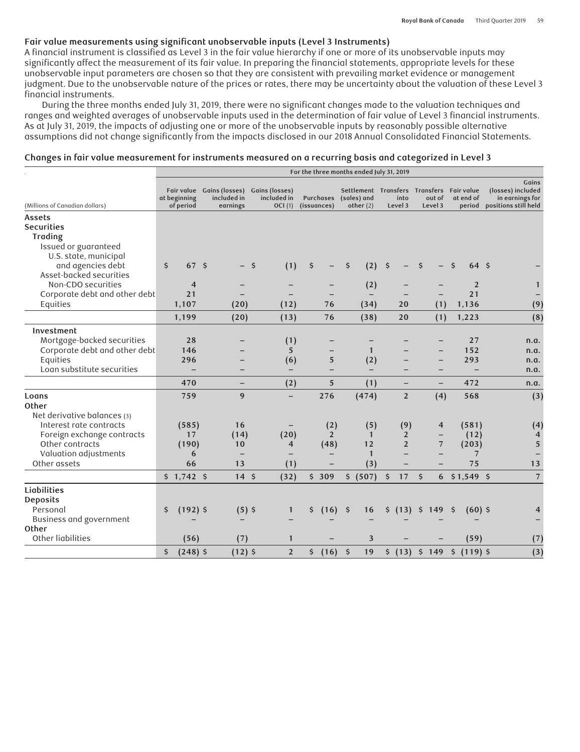# **Fair value measurements using significant unobservable inputs (Level 3 Instruments)**

A financial instrument is classified as Level 3 in the fair value hierarchy if one or more of its unobservable inputs may significantly affect the measurement of its fair value. In preparing the financial statements, appropriate levels for these unobservable input parameters are chosen so that they are consistent with prevailing market evidence or management judgment. Due to the unobservable nature of the prices or rates, there may be uncertainty about the valuation of these Level 3 financial instruments.

During the three months ended July 31, 2019, there were no significant changes made to the valuation techniques and ranges and weighted averages of unobservable inputs used in the determination of fair value of Level 3 financial instruments. As at July 31, 2019, the impacts of adjusting one or more of the unobservable inputs by reasonably possible alternative assumptions did not change significantly from the impacts disclosed in our 2018 Annual Consolidated Financial Statements.

#### **Changes in fair value measurement for instruments measured on a recurring basis and categorized in Level 3**

|                                                        |                                 |                                                      |                                         | For the three months ended July 31, 2019 |                                      |                   |                                                                |                                |                                                                       |
|--------------------------------------------------------|---------------------------------|------------------------------------------------------|-----------------------------------------|------------------------------------------|--------------------------------------|-------------------|----------------------------------------------------------------|--------------------------------|-----------------------------------------------------------------------|
| (Millions of Canadian dollars)                         | at beginning<br>of period       | Fair value Gains (losses)<br>included in<br>earnings | Gains (losses)<br>included in<br>OCI(1) | (issuances)                              | Purchases (sales) and<br>other $(2)$ | into<br>Level 3   | Settlement Transfers Transfers Fair value<br>out of<br>Level 3 | at end of<br>period            | Gains<br>(losses) included<br>in earnings for<br>positions still held |
| Assets                                                 |                                 |                                                      |                                         |                                          |                                      |                   |                                                                |                                |                                                                       |
| <b>Securities</b>                                      |                                 |                                                      |                                         |                                          |                                      |                   |                                                                |                                |                                                                       |
| Trading<br>Issued or guaranteed                        |                                 |                                                      |                                         |                                          |                                      |                   |                                                                |                                |                                                                       |
| U.S. state, municipal                                  |                                 |                                                      |                                         |                                          |                                      |                   |                                                                |                                |                                                                       |
| and agencies debt                                      | \$<br>67 <sup>5</sup>           |                                                      | (1)<br>$-$ \$                           | \$<br>$\overline{\phantom{0}}$           | $\zeta$<br>(2)                       | \$                | \$                                                             | $\mathsf{\$}$<br>$64 \text{ }$ |                                                                       |
| Asset-backed securities                                |                                 |                                                      |                                         |                                          |                                      |                   |                                                                |                                |                                                                       |
| Non-CDO securities                                     | $\overline{4}$                  |                                                      |                                         |                                          | (2)                                  |                   |                                                                | $\overline{2}$                 | $\mathbf{1}$                                                          |
| Corporate debt and other debt                          | 21                              |                                                      |                                         |                                          |                                      |                   |                                                                | 21                             |                                                                       |
| Equities                                               | 1,107                           | (20)                                                 | (12)                                    | 76                                       | (34)                                 | 20                | (1)                                                            | 1,136                          | (9)                                                                   |
|                                                        | 1,199                           | (20)                                                 | (13)                                    | 76                                       | (38)                                 | 20                | (1)                                                            | 1,223                          | (8)                                                                   |
| Investment                                             |                                 |                                                      |                                         |                                          |                                      |                   |                                                                |                                |                                                                       |
| Mortgage-backed securities                             | 28                              |                                                      | (1)                                     |                                          | $\overline{\phantom{0}}$             |                   |                                                                | 27                             | n.a.                                                                  |
| Corporate debt and other debt                          | 146                             |                                                      | 5                                       |                                          | $\mathbf{1}$                         |                   |                                                                | 152                            | n.a.                                                                  |
| Equities<br>Loan substitute securities                 | 296<br>$\overline{\phantom{a}}$ |                                                      | (6)<br>$\equiv$                         | $5\overline{)}$                          | (2)                                  |                   | -                                                              | 293                            | n.a.                                                                  |
|                                                        |                                 |                                                      |                                         |                                          |                                      |                   |                                                                |                                | n.a.                                                                  |
|                                                        | 470                             | $\qquad \qquad -$                                    | (2)                                     | 5                                        | (1)                                  | $\qquad \qquad -$ | $\qquad \qquad -$                                              | 472                            | n.a.                                                                  |
| Loans                                                  | 759                             | 9                                                    | $\overline{\phantom{0}}$                | 276                                      | (474)                                | $\overline{2}$    | (4)                                                            | 568                            | (3)                                                                   |
| Other                                                  |                                 |                                                      |                                         |                                          |                                      |                   |                                                                |                                |                                                                       |
| Net derivative balances (3)<br>Interest rate contracts | (585)                           | 16                                                   |                                         | (2)                                      | (5)                                  | (9)               | 4                                                              | (581)                          |                                                                       |
| Foreign exchange contracts                             | 17                              | (14)                                                 | (20)                                    | $\overline{2}$                           | 1                                    | $\overline{2}$    | $\qquad \qquad -$                                              | (12)                           | (4)<br>4                                                              |
| Other contracts                                        | (190)                           | 10                                                   | 4                                       | (48)                                     | 12                                   | $\overline{2}$    | $\overline{7}$                                                 | (203)                          | 5                                                                     |
| Valuation adjustments                                  | 6                               | $\qquad \qquad -$                                    |                                         |                                          | $\mathbf{1}$                         |                   | $\overline{\phantom{0}}$                                       | 7                              |                                                                       |
| Other assets                                           | 66                              | 13                                                   | (1)                                     |                                          | (3)                                  |                   |                                                                | 75                             | 13                                                                    |
|                                                        | $$1,742$ \$                     | $14 \;$ \$                                           | (32)                                    | \$309                                    | \$ (507)                             | 17<br>\$          | $\ddot{\mathsf{S}}$<br>6                                       | $$1,549$ \$                    | $\overline{7}$                                                        |
| Liabilities                                            |                                 |                                                      |                                         |                                          |                                      |                   |                                                                |                                |                                                                       |
| Deposits                                               |                                 |                                                      |                                         |                                          |                                      |                   |                                                                |                                |                                                                       |
| Personal                                               | $(192)$ \$<br>\$                | $(5)$ \$                                             | $\mathbf{1}$                            | \$<br>(16)                               | $\ddot{\bm{\zeta}}$<br>16            | \$ (13)           | $\dot{\mathsf{s}}$<br>149                                      | $\mathsf{S}$<br>$(60)$ \$      | 4                                                                     |
| Business and government                                |                                 |                                                      |                                         |                                          |                                      |                   |                                                                |                                |                                                                       |
| Other<br>Other liabilities                             | (56)                            | (7)                                                  | $\mathbf{1}$                            |                                          | 3                                    |                   |                                                                | (59)                           |                                                                       |
|                                                        |                                 |                                                      |                                         |                                          |                                      |                   |                                                                |                                | (7)                                                                   |
|                                                        | \$<br>$(248)$ \$                | $(12)$ \$                                            | $\overline{2}$                          | \$<br>(16)                               | $\ddot{\bm{\zeta}}$<br>19            | \$ (13)           |                                                                | $$149 \t$ (119)$               | (3)                                                                   |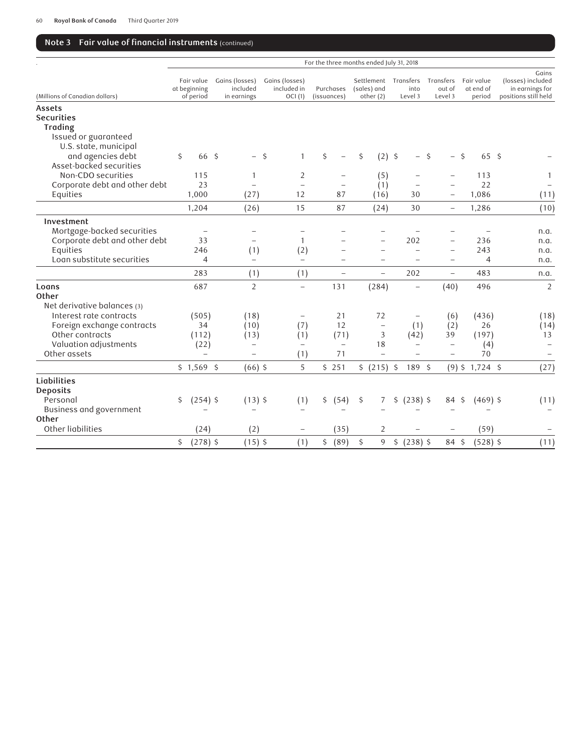# **Note 3 Fair value of financial instruments** (continued)

|                                               |                                         |                                           |                                         |                          |                          | For the three months ended July 31, 2018 |                                         |                                |                                   |                                                                       |
|-----------------------------------------------|-----------------------------------------|-------------------------------------------|-----------------------------------------|--------------------------|--------------------------|------------------------------------------|-----------------------------------------|--------------------------------|-----------------------------------|-----------------------------------------------------------------------|
| (Millions of Canadian dollars)                | Fair value<br>at beginning<br>of period | Gains (losses)<br>included<br>in earnings | Gains (losses)<br>included in<br>OCI(1) | Purchases<br>(issuances) |                          | (sales) and<br>other $(2)$               | Settlement Transfers<br>into<br>Level 3 | Transfers<br>out of<br>Level 3 | Fair value<br>at end of<br>period | Gains<br>(losses) included<br>in earnings for<br>positions still held |
| Assets                                        |                                         |                                           |                                         |                          |                          |                                          |                                         |                                |                                   |                                                                       |
| <b>Securities</b>                             |                                         |                                           |                                         |                          |                          |                                          |                                         |                                |                                   |                                                                       |
| Trading                                       |                                         |                                           |                                         |                          |                          |                                          |                                         |                                |                                   |                                                                       |
| Issued or guaranteed                          |                                         |                                           |                                         |                          |                          |                                          |                                         |                                |                                   |                                                                       |
| U.S. state, municipal                         |                                         |                                           |                                         |                          |                          |                                          |                                         |                                |                                   |                                                                       |
| and agencies debt                             | \$<br>66 \$                             |                                           | $-$ \$<br>$\mathbf{1}$                  | \$                       |                          | \$                                       | $(2)$ \$<br>$-$                         | $\zeta$<br>$-$ \$              | 65S                               |                                                                       |
| Asset-backed securities<br>Non-CDO securities | 115                                     | 1                                         | $\overline{2}$                          |                          |                          |                                          |                                         |                                | 113                               |                                                                       |
| Corporate debt and other debt                 | 23                                      |                                           | $\overline{\phantom{0}}$                |                          |                          | (5)<br>(1)                               |                                         |                                | 22                                | $\overline{\phantom{m}}$                                              |
| Equities                                      | 1,000                                   | (27)                                      | 12                                      |                          | 87                       | (16)                                     | 30                                      | $\overline{\phantom{0}}$       | 1,086                             | (11)                                                                  |
|                                               |                                         |                                           |                                         |                          |                          |                                          |                                         |                                |                                   |                                                                       |
|                                               | 1,204                                   | (26)                                      | 15                                      |                          | 87                       | (24)                                     | 30                                      | $\overline{\phantom{0}}$       | 1,286                             | (10)                                                                  |
| Investment                                    |                                         |                                           |                                         |                          |                          |                                          |                                         |                                |                                   |                                                                       |
| Mortgage-backed securities                    | $\qquad \qquad -$                       |                                           | $\overline{\phantom{0}}$                |                          |                          |                                          |                                         |                                |                                   | n.a.                                                                  |
| Corporate debt and other debt                 | 33                                      |                                           | 1                                       |                          |                          |                                          | 202                                     |                                | 236                               | n.a.                                                                  |
| Equities                                      | 246                                     | (1)                                       | (2)                                     |                          |                          | $\equiv$                                 | $\equiv$                                | $\overline{\phantom{0}}$       | 243                               | n.a.                                                                  |
| Loan substitute securities                    | $\overline{4}$                          | $\overline{\phantom{0}}$                  | $\overline{\phantom{m}}$                |                          | $\equiv$                 | $\equiv$                                 | $\equiv$                                | $\overline{\phantom{0}}$       | $\overline{4}$                    | n.a.                                                                  |
|                                               | 283                                     | (1)                                       | (1)                                     |                          | $\overline{\phantom{m}}$ | $\overline{\phantom{0}}$                 | 202                                     | $\overline{\phantom{0}}$       | 483                               | n.a.                                                                  |
| Loans                                         | 687                                     | $\overline{2}$                            | $\overline{\phantom{0}}$                | 131                      |                          | (284)                                    | $\qquad \qquad -$                       | (40)                           | 496                               | $\overline{2}$                                                        |
| Other                                         |                                         |                                           |                                         |                          |                          |                                          |                                         |                                |                                   |                                                                       |
| Net derivative balances (3)                   |                                         |                                           |                                         |                          |                          |                                          |                                         |                                |                                   |                                                                       |
| Interest rate contracts                       | (505)                                   | (18)                                      | -                                       |                          | 21                       | 72                                       |                                         | (6)                            | (436)                             | (18)                                                                  |
| Foreign exchange contracts                    | 34                                      | (10)                                      | (7)                                     |                          | 12                       | $\qquad \qquad -$                        | (1)                                     | (2)                            | 26                                | (14)                                                                  |
| Other contracts                               | (112)                                   | (13)                                      | (1)                                     |                          | (71)                     | 3                                        | (42)                                    | 39                             | (197)                             | 13                                                                    |
| Valuation adjustments                         | (22)                                    |                                           | $\equiv$                                |                          | $\overline{\phantom{0}}$ | 18                                       | $\equiv$                                |                                | (4)                               |                                                                       |
| Other assets                                  | $\overline{\phantom{0}}$                | $\overline{\phantom{0}}$                  | (1)                                     |                          | 71                       | $\overline{\phantom{0}}$                 |                                         |                                | 70                                |                                                                       |
|                                               | $$1,569$ \$                             | $(66)$ \$                                 | 5                                       | \$251                    |                          | \$ (215) \$                              | $189 \;$ \$                             |                                | $(9)$ \$ 1,724 \$                 | (27)                                                                  |
| Liabilities                                   |                                         |                                           |                                         |                          |                          |                                          |                                         |                                |                                   |                                                                       |
| Deposits                                      |                                         |                                           |                                         |                          |                          |                                          |                                         |                                |                                   |                                                                       |
| Personal                                      | $(254)$ \$<br>\$                        | $(13)$ \$                                 | (1)                                     | \$                       | (54)                     | \$<br>7                                  | $(238)$ \$<br>Ś.                        | 84 \$                          | $(469)$ \$                        | (11)                                                                  |
| Business and government                       |                                         |                                           |                                         |                          |                          |                                          |                                         |                                |                                   |                                                                       |
| Other                                         |                                         |                                           |                                         |                          |                          |                                          |                                         |                                |                                   |                                                                       |
| Other liabilities                             | (24)                                    | (2)                                       | $\overline{\phantom{0}}$                |                          | (35)                     | 2                                        |                                         | $\overline{\phantom{0}}$       | (59)                              |                                                                       |
|                                               | $(278)$ \$<br>\$                        | $(15)$ \$                                 | (1)                                     | \$                       | (89)                     | \$<br>9                                  | \$ (238) \$                             | $84 \;$ \$                     | $(528)$ \$                        | (11)                                                                  |
|                                               |                                         |                                           |                                         |                          |                          |                                          |                                         |                                |                                   |                                                                       |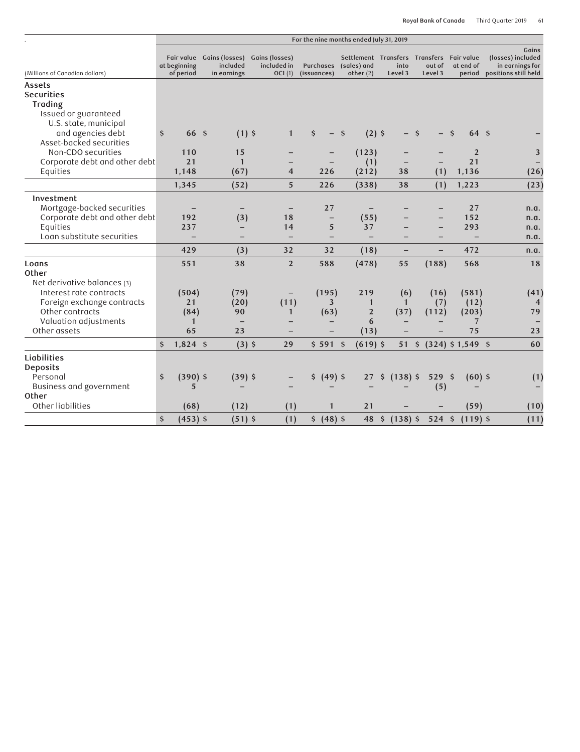| Settlement Transfers Transfers Fair value<br>Fair value Gains (losses)<br>Gains (losses)<br>included<br>included in<br>into<br>at end of<br>at beginning<br>Purchases<br>(sales) and<br>out of<br>of period<br>Level 3<br>period positions still held<br>(Millions of Canadian dollars)<br>in earnings<br>OCI(1)<br>(issuances)<br>other $(2)$<br>Level 3<br>Assets<br><b>Securities</b><br>Trading<br>Issued or guaranteed<br>U.S. state, municipal<br>\$<br>66 <sup>5</sup><br>$(1)$ \$<br>$(2)$ \$<br>and agencies debt<br>$\mathbf{1}$<br>$-$ \$<br>$-$ \$<br>$-$ \$<br>$64 \text{ }$<br>\$<br>Asset-backed securities<br>Non-CDO securities<br>110<br>15<br>(123)<br>$\overline{2}$<br>-<br>21<br>Corporate debt and other debt<br>21<br>$\mathbf{1}$<br>(1)<br>(26)<br>Equities<br>1,148<br>38<br>(1)<br>1,136<br>(67)<br>$\overline{4}$<br>226<br>(212)<br>5<br>(1)<br>(23)<br>1,345<br>(52)<br>226<br>(338)<br>38<br>1,223<br>Investment<br>Mortgage-backed securities<br>27<br>27<br>$\qquad \qquad -$<br>Corporate debt and other debt<br>192<br>152<br>(3)<br>18<br>(55)<br>$\qquad \qquad -$<br>$\qquad \qquad -$<br>Equities<br>237<br>5<br>293<br>14<br>37<br>-<br>Loan substitute securities<br>n.a.<br>$\overline{\phantom{0}}$<br>$\overline{\phantom{0}}$<br>$\qquad \qquad -$<br>$\overline{\phantom{0}}$ |  |  | For the nine months ended July 31, 2019 |  |  |                                               |
|------------------------------------------------------------------------------------------------------------------------------------------------------------------------------------------------------------------------------------------------------------------------------------------------------------------------------------------------------------------------------------------------------------------------------------------------------------------------------------------------------------------------------------------------------------------------------------------------------------------------------------------------------------------------------------------------------------------------------------------------------------------------------------------------------------------------------------------------------------------------------------------------------------------------------------------------------------------------------------------------------------------------------------------------------------------------------------------------------------------------------------------------------------------------------------------------------------------------------------------------------------------------------------------------------------------------------|--|--|-----------------------------------------|--|--|-----------------------------------------------|
|                                                                                                                                                                                                                                                                                                                                                                                                                                                                                                                                                                                                                                                                                                                                                                                                                                                                                                                                                                                                                                                                                                                                                                                                                                                                                                                              |  |  |                                         |  |  | Gains<br>(losses) included<br>in earnings for |
|                                                                                                                                                                                                                                                                                                                                                                                                                                                                                                                                                                                                                                                                                                                                                                                                                                                                                                                                                                                                                                                                                                                                                                                                                                                                                                                              |  |  |                                         |  |  |                                               |
|                                                                                                                                                                                                                                                                                                                                                                                                                                                                                                                                                                                                                                                                                                                                                                                                                                                                                                                                                                                                                                                                                                                                                                                                                                                                                                                              |  |  |                                         |  |  |                                               |
|                                                                                                                                                                                                                                                                                                                                                                                                                                                                                                                                                                                                                                                                                                                                                                                                                                                                                                                                                                                                                                                                                                                                                                                                                                                                                                                              |  |  |                                         |  |  |                                               |
|                                                                                                                                                                                                                                                                                                                                                                                                                                                                                                                                                                                                                                                                                                                                                                                                                                                                                                                                                                                                                                                                                                                                                                                                                                                                                                                              |  |  |                                         |  |  |                                               |
|                                                                                                                                                                                                                                                                                                                                                                                                                                                                                                                                                                                                                                                                                                                                                                                                                                                                                                                                                                                                                                                                                                                                                                                                                                                                                                                              |  |  |                                         |  |  |                                               |
|                                                                                                                                                                                                                                                                                                                                                                                                                                                                                                                                                                                                                                                                                                                                                                                                                                                                                                                                                                                                                                                                                                                                                                                                                                                                                                                              |  |  |                                         |  |  |                                               |
|                                                                                                                                                                                                                                                                                                                                                                                                                                                                                                                                                                                                                                                                                                                                                                                                                                                                                                                                                                                                                                                                                                                                                                                                                                                                                                                              |  |  |                                         |  |  |                                               |
|                                                                                                                                                                                                                                                                                                                                                                                                                                                                                                                                                                                                                                                                                                                                                                                                                                                                                                                                                                                                                                                                                                                                                                                                                                                                                                                              |  |  |                                         |  |  | 3                                             |
|                                                                                                                                                                                                                                                                                                                                                                                                                                                                                                                                                                                                                                                                                                                                                                                                                                                                                                                                                                                                                                                                                                                                                                                                                                                                                                                              |  |  |                                         |  |  |                                               |
|                                                                                                                                                                                                                                                                                                                                                                                                                                                                                                                                                                                                                                                                                                                                                                                                                                                                                                                                                                                                                                                                                                                                                                                                                                                                                                                              |  |  |                                         |  |  |                                               |
|                                                                                                                                                                                                                                                                                                                                                                                                                                                                                                                                                                                                                                                                                                                                                                                                                                                                                                                                                                                                                                                                                                                                                                                                                                                                                                                              |  |  |                                         |  |  |                                               |
|                                                                                                                                                                                                                                                                                                                                                                                                                                                                                                                                                                                                                                                                                                                                                                                                                                                                                                                                                                                                                                                                                                                                                                                                                                                                                                                              |  |  |                                         |  |  |                                               |
|                                                                                                                                                                                                                                                                                                                                                                                                                                                                                                                                                                                                                                                                                                                                                                                                                                                                                                                                                                                                                                                                                                                                                                                                                                                                                                                              |  |  |                                         |  |  | n.a.                                          |
|                                                                                                                                                                                                                                                                                                                                                                                                                                                                                                                                                                                                                                                                                                                                                                                                                                                                                                                                                                                                                                                                                                                                                                                                                                                                                                                              |  |  |                                         |  |  | n.a.                                          |
|                                                                                                                                                                                                                                                                                                                                                                                                                                                                                                                                                                                                                                                                                                                                                                                                                                                                                                                                                                                                                                                                                                                                                                                                                                                                                                                              |  |  |                                         |  |  | n.a.                                          |
|                                                                                                                                                                                                                                                                                                                                                                                                                                                                                                                                                                                                                                                                                                                                                                                                                                                                                                                                                                                                                                                                                                                                                                                                                                                                                                                              |  |  |                                         |  |  |                                               |
| 429<br>32<br>32<br>472<br>(3)<br>(18)<br>$\overline{\phantom{0}}$<br>$-$                                                                                                                                                                                                                                                                                                                                                                                                                                                                                                                                                                                                                                                                                                                                                                                                                                                                                                                                                                                                                                                                                                                                                                                                                                                     |  |  |                                         |  |  | n.a.                                          |
| 38<br>$\overline{2}$<br>588<br>(478)<br>55<br>(188)<br>568<br>Loans<br>551                                                                                                                                                                                                                                                                                                                                                                                                                                                                                                                                                                                                                                                                                                                                                                                                                                                                                                                                                                                                                                                                                                                                                                                                                                                   |  |  |                                         |  |  | 18                                            |
| Other                                                                                                                                                                                                                                                                                                                                                                                                                                                                                                                                                                                                                                                                                                                                                                                                                                                                                                                                                                                                                                                                                                                                                                                                                                                                                                                        |  |  |                                         |  |  |                                               |
| Net derivative balances (3)                                                                                                                                                                                                                                                                                                                                                                                                                                                                                                                                                                                                                                                                                                                                                                                                                                                                                                                                                                                                                                                                                                                                                                                                                                                                                                  |  |  |                                         |  |  |                                               |
| Interest rate contracts<br>(79)<br>(195)<br>219<br>(6)<br>(581)<br>(504)<br>(16)<br>$\qquad \qquad -$                                                                                                                                                                                                                                                                                                                                                                                                                                                                                                                                                                                                                                                                                                                                                                                                                                                                                                                                                                                                                                                                                                                                                                                                                        |  |  |                                         |  |  | (41)                                          |
| (11)<br>Foreign exchange contracts<br>21<br>(20)<br>3<br>$\mathbf{1}$<br>(7)<br>(12)<br>$\mathbf{1}$                                                                                                                                                                                                                                                                                                                                                                                                                                                                                                                                                                                                                                                                                                                                                                                                                                                                                                                                                                                                                                                                                                                                                                                                                         |  |  |                                         |  |  | $\overline{4}$                                |
| Other contracts<br>$\overline{2}$<br>(84)<br>90<br>(63)<br>(37)<br>(203)<br>(112)<br>$\mathbf{1}$                                                                                                                                                                                                                                                                                                                                                                                                                                                                                                                                                                                                                                                                                                                                                                                                                                                                                                                                                                                                                                                                                                                                                                                                                            |  |  |                                         |  |  | 79                                            |
| Valuation adjustments<br>6<br>$\mathbf{1}$<br>$\overline{7}$<br>$\qquad \qquad -$                                                                                                                                                                                                                                                                                                                                                                                                                                                                                                                                                                                                                                                                                                                                                                                                                                                                                                                                                                                                                                                                                                                                                                                                                                            |  |  |                                         |  |  |                                               |
| 65<br>75<br>Other assets<br>23<br>(13)                                                                                                                                                                                                                                                                                                                                                                                                                                                                                                                                                                                                                                                                                                                                                                                                                                                                                                                                                                                                                                                                                                                                                                                                                                                                                       |  |  |                                         |  |  | 23                                            |
| \$<br>$1,824$ \$<br>$(3)$ \$<br>29<br>$$591$ \$<br>$(619)$ \$<br>$51 \div (324) \div 1,549 \div$                                                                                                                                                                                                                                                                                                                                                                                                                                                                                                                                                                                                                                                                                                                                                                                                                                                                                                                                                                                                                                                                                                                                                                                                                             |  |  |                                         |  |  | 60                                            |
| Liabilities                                                                                                                                                                                                                                                                                                                                                                                                                                                                                                                                                                                                                                                                                                                                                                                                                                                                                                                                                                                                                                                                                                                                                                                                                                                                                                                  |  |  |                                         |  |  |                                               |
| Deposits                                                                                                                                                                                                                                                                                                                                                                                                                                                                                                                                                                                                                                                                                                                                                                                                                                                                                                                                                                                                                                                                                                                                                                                                                                                                                                                     |  |  |                                         |  |  |                                               |
| Personal<br>\$<br>$(390)$ \$<br>$(39)$ \$<br>$(49)$ \$<br>$(138)$ \$<br>$529$ \$<br>$(60)$ \$<br>\$<br>27<br>\$                                                                                                                                                                                                                                                                                                                                                                                                                                                                                                                                                                                                                                                                                                                                                                                                                                                                                                                                                                                                                                                                                                                                                                                                              |  |  |                                         |  |  | (1)                                           |
| (5)<br>Business and government<br>5                                                                                                                                                                                                                                                                                                                                                                                                                                                                                                                                                                                                                                                                                                                                                                                                                                                                                                                                                                                                                                                                                                                                                                                                                                                                                          |  |  |                                         |  |  |                                               |
| Other                                                                                                                                                                                                                                                                                                                                                                                                                                                                                                                                                                                                                                                                                                                                                                                                                                                                                                                                                                                                                                                                                                                                                                                                                                                                                                                        |  |  |                                         |  |  |                                               |
| Other liabilities<br>(68)<br>(12)<br>(1)<br>(59)<br>$\mathbf{1}$<br>21<br>-                                                                                                                                                                                                                                                                                                                                                                                                                                                                                                                                                                                                                                                                                                                                                                                                                                                                                                                                                                                                                                                                                                                                                                                                                                                  |  |  |                                         |  |  | (10)                                          |
| \$<br>(1)<br>\$ (48) \$<br>$524$ \$<br>$(453)$ \$<br>$(51)$ \$<br>48 $\frac{1}{2}$ (138) $\frac{1}{2}$<br>$(119)$ \$                                                                                                                                                                                                                                                                                                                                                                                                                                                                                                                                                                                                                                                                                                                                                                                                                                                                                                                                                                                                                                                                                                                                                                                                         |  |  |                                         |  |  | (11)                                          |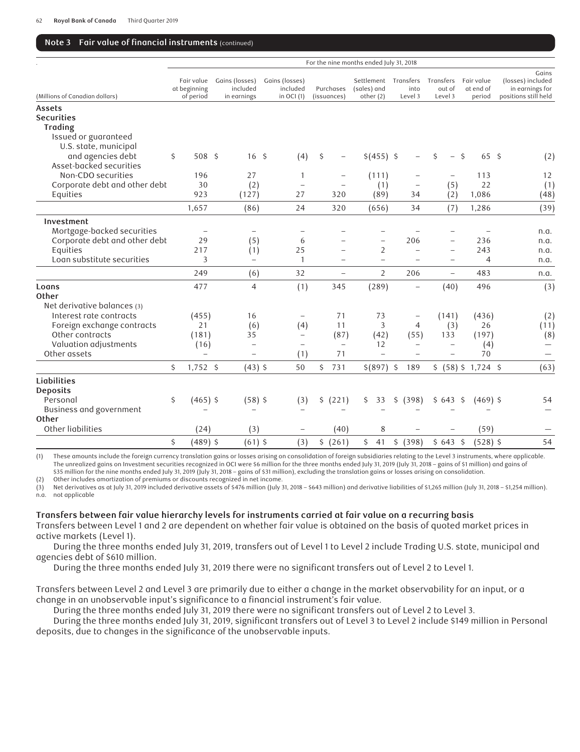#### **Note 3 Fair value of financial instruments** (continued)

|                                        |                                         |                                           |                                            | For the nine months ended July 31, 2018 |                            |                          |                                         |           |                          |                                   |                |                                                                       |
|----------------------------------------|-----------------------------------------|-------------------------------------------|--------------------------------------------|-----------------------------------------|----------------------------|--------------------------|-----------------------------------------|-----------|--------------------------|-----------------------------------|----------------|-----------------------------------------------------------------------|
| (Millions of Canadian dollars)         | Fair value<br>at beginning<br>of period | Gains (losses)<br>included<br>in earnings | Gains (losses)<br>included<br>in OCI $(1)$ | Purchases<br>(issuances)                | (sales) and<br>other $(2)$ |                          | Settlement Transfers<br>into<br>Level 3 | Transfers | out of<br>Level 3        | Fair value<br>at end of<br>period |                | Gains<br>(losses) included<br>in earnings for<br>positions still held |
| Assets                                 |                                         |                                           |                                            |                                         |                            |                          |                                         |           |                          |                                   |                |                                                                       |
| <b>Securities</b>                      |                                         |                                           |                                            |                                         |                            |                          |                                         |           |                          |                                   |                |                                                                       |
| <b>Trading</b><br>Issued or guaranteed |                                         |                                           |                                            |                                         |                            |                          |                                         |           |                          |                                   |                |                                                                       |
| U.S. state, municipal                  |                                         |                                           |                                            |                                         |                            |                          |                                         |           |                          |                                   |                |                                                                       |
| and agencies debt                      | \$<br>508S                              | $16 \pm 5$                                | (4)                                        | \$<br>$\overline{\phantom{0}}$          |                            | \$ (455) \$              | $\overline{\phantom{0}}$                | \$        | $\overline{\phantom{0}}$ | \$                                | 65S            | (2)                                                                   |
| Asset-backed securities                |                                         |                                           |                                            |                                         |                            |                          |                                         |           |                          |                                   |                |                                                                       |
| Non-CDO securities                     | 196                                     | 27                                        | 1                                          |                                         |                            | (111)                    |                                         |           | $\overline{\phantom{m}}$ | 113                               |                | 12                                                                    |
| Corporate debt and other debt          | 30                                      | (2)                                       | $\equiv$                                   |                                         |                            | (1)                      | $\overline{\phantom{0}}$                |           | (5)                      | 22                                |                | (1)                                                                   |
| Equities                               | 923                                     | (127)                                     | 27                                         | 320                                     |                            | (89)                     | 34                                      |           | (2)                      | 1,086                             |                | (48)                                                                  |
|                                        | 1,657                                   | (86)                                      | 24                                         | 320                                     |                            | (656)                    | 34                                      |           | (7)                      | 1,286                             |                | (39)                                                                  |
| Investment                             |                                         |                                           |                                            |                                         |                            |                          |                                         |           |                          |                                   |                |                                                                       |
| Mortgage-backed securities             | $\overline{\phantom{m}}$                | $\qquad \qquad -$                         |                                            |                                         |                            |                          |                                         |           |                          | ÷                                 |                | n.a.                                                                  |
| Corporate debt and other debt          | 29                                      | (5)                                       | 6                                          |                                         |                            | $\overline{\phantom{0}}$ | 206                                     |           | $\overline{\phantom{0}}$ | 236                               |                | n.a.                                                                  |
| Equities                               | 217                                     | (1)                                       | 25                                         |                                         |                            | $\overline{2}$           | $\overline{\phantom{0}}$                |           | $\overline{\phantom{0}}$ | 243                               |                | n.a.                                                                  |
| Loan substitute securities             | 3                                       | $\overline{\phantom{0}}$                  | $\mathbf{1}$                               |                                         |                            | $\equiv$                 | $\equiv$                                |           |                          |                                   | $\overline{4}$ | n.a.                                                                  |
|                                        | 249                                     | (6)                                       | 32                                         | $\overline{\phantom{a}}$                |                            | $\overline{2}$           | 206                                     |           | $\qquad \qquad -$        | 483                               |                | n.a.                                                                  |
| Loans                                  | 477                                     | $\overline{4}$                            | (1)                                        | 345                                     |                            | (289)                    | $\qquad \qquad -$                       |           | (40)                     | 496                               |                | (3)                                                                   |
| Other                                  |                                         |                                           |                                            |                                         |                            |                          |                                         |           |                          |                                   |                |                                                                       |
| Net derivative balances (3)            |                                         |                                           |                                            |                                         |                            |                          |                                         |           |                          |                                   |                |                                                                       |
| Interest rate contracts                | (455)                                   | 16                                        | $\qquad \qquad -$                          | 71                                      |                            | 73                       | $\qquad \qquad -$                       |           | (141)                    | (436)                             |                | (2)                                                                   |
| Foreign exchange contracts             | 21                                      | (6)                                       | (4)                                        | 11                                      |                            | 3                        | $\overline{4}$                          |           | (3)                      | 26                                |                | (11)                                                                  |
| Other contracts                        | (181)                                   | 35                                        | $\qquad \qquad -$                          | (87)                                    |                            | (42)                     | (55)                                    |           | 133                      | (197)                             |                | (8)                                                                   |
| Valuation adjustments                  | (16)                                    | $\qquad \qquad -$                         | $\overline{\phantom{0}}$                   | $\overline{\phantom{a}}$                |                            | 12                       |                                         |           |                          | (4)                               |                |                                                                       |
| Other assets                           | $\overline{\phantom{0}}$                |                                           | (1)                                        | 71                                      |                            | $\equiv$                 |                                         |           |                          | 70                                |                |                                                                       |
|                                        | \$<br>$1,752$ \$                        | $(43)$ \$                                 | 50                                         | \$<br>731                               |                            | \$ (897) \$              | 189                                     |           |                          | \$ (58) \$ 1,724 \$               |                | (63)                                                                  |
| Liabilities                            |                                         |                                           |                                            |                                         |                            |                          |                                         |           |                          |                                   |                |                                                                       |
| Deposits                               |                                         |                                           |                                            |                                         |                            |                          |                                         |           |                          |                                   |                |                                                                       |
| Personal                               | \$<br>$(465)$ \$                        | $(58)$ \$                                 | (3)                                        | \$<br>(221)                             | \$                         | 33                       | (398)<br>\$                             |           | \$643\$                  | $(469)$ \$                        |                | 54                                                                    |
| Business and government                |                                         |                                           |                                            |                                         |                            |                          |                                         |           |                          |                                   |                |                                                                       |
| Other                                  |                                         |                                           |                                            |                                         |                            |                          |                                         |           |                          |                                   |                |                                                                       |
| Other liabilities                      | (24)                                    | (3)                                       | $\overline{\phantom{m}}$                   | (40)                                    |                            | 8                        |                                         |           | $\qquad \qquad -$        | (59)                              |                |                                                                       |
|                                        | \$<br>$(489)$ \$                        | $(61)$ \$                                 | (3)                                        | \$<br>(261)                             | \$                         | 41                       | (398)<br>\$                             |           | \$643\$                  | $(528)$ \$                        |                | 54                                                                    |

(1) These amounts include the foreign currency translation gains or losses arising on consolidation of foreign subsidiaries relating to the Level 3 instruments, where applicable. The unrealized gains on Investment securities recognized in OCI were \$6 million for the three months ended July 31, 2019 (July 31, 2018 – gains of \$1 million) and gains of \$35 million for the nine months ended July 31, 2019 (July 31, 2018 – gains of \$31 million), excluding the translation gains or losses arising on consolidation.

(2) Other includes amortization of premiums or discounts recognized in net income. (3) Net derivatives as at July 31, 2019 included derivative assets of \$476 million (July 31, 2018 – \$643 million) and derivative liabilities of \$1,265 million (July 31, 2018 – \$1,254 million).

n.a. not applicable

# **Transfers between fair value hierarchy levels for instruments carried at fair value on a recurring basis**

Transfers between Level 1 and 2 are dependent on whether fair value is obtained on the basis of quoted market prices in active markets (Level 1).

During the three months ended July 31, 2019, transfers out of Level 1 to Level 2 include Trading U.S. state, municipal and agencies debt of \$610 million.

During the three months ended July 31, 2019 there were no significant transfers out of Level 2 to Level 1.

Transfers between Level 2 and Level 3 are primarily due to either a change in the market observability for an input, or a change in an unobservable input's significance to a financial instrument's fair value.

During the three months ended July 31, 2019 there were no significant transfers out of Level 2 to Level 3.

During the three months ended July 31, 2019, significant transfers out of Level 3 to Level 2 include \$149 million in Personal deposits, due to changes in the significance of the unobservable inputs.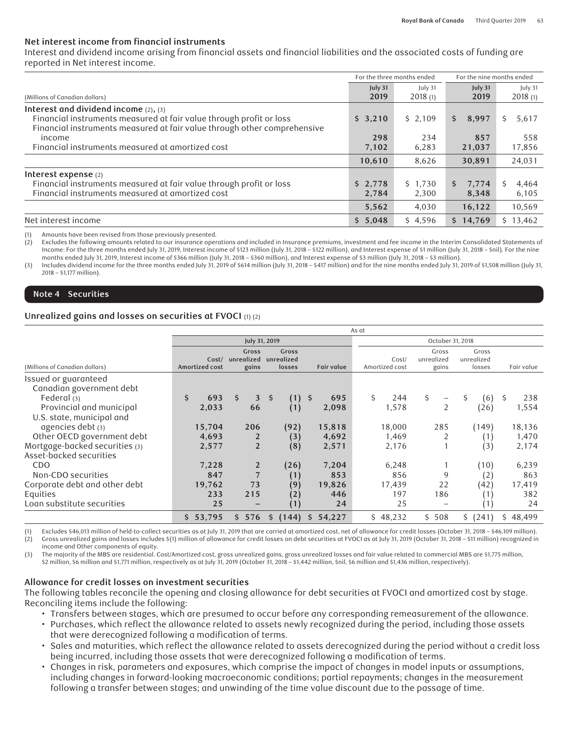# **Net interest income from financial instruments**

Interest and dividend income arising from financial assets and financial liabilities and the associated costs of funding are reported in Net interest income.

|         | For the nine months ended |                            |              |
|---------|---------------------------|----------------------------|--------------|
| July 31 | July 31                   | July 31                    | July 31      |
| 2019    | 2018(1)                   | 2019                       | 2018(1)      |
|         |                           |                            |              |
| \$3,210 | \$2,109                   | $\mathsf{S}$<br>8,997      | \$.<br>5,617 |
|         |                           |                            |              |
| 298     | 234                       | 857                        | 558          |
| 7.102   | 6.283                     | 21,037                     | 17,856       |
| 10,610  | 8,626                     | 30,891                     | 24,031       |
|         |                           |                            |              |
| \$2.778 | \$1,730                   | S.<br>7.774                | 4,464<br>Ś.  |
| 2,784   | 2,300                     | 8,348                      | 6,105        |
| 5,562   | 4.030                     | 16,122                     | 10,569       |
| \$5,048 | \$4,596                   | \$14,769                   | \$13,462     |
|         |                           | For the three months ended |              |

Amounts have been revised from those previously presented.

(2) Excludes the following amounts related to our insurance operations and included in Insurance premiums, investment and fee income in the Interim Consolidated Statements of Income: For the three months ended July 31, 2019, Interest income of \$123 million (July 31, 2018 – \$122 million), and Interest expense of \$1 million (July 31, 2018 – \$nil). For the nine months ended July 31, 2019, Interest income of \$366 million (July 31, 2018 – \$360 million), and Interest expense of \$3 million (July 31, 2018 – \$3 million).

(3) Includes dividend income for the three months ended July 31, 2019 of \$614 million (July 31, 2018 – \$417 million) and for the nine months ended July 31, 2019 of \$1,508 million (July 31, 2018 – \$1,177 million).

# **Note 4 Securities**

#### **Unrealized gains and losses on securities at FVOCI** (1) (2)

| Cost/        | Gross          | Gross<br>unrealized |                                                           | Cost/                    | Gross<br>unrealized | Gross<br>unrealized |                                         |
|--------------|----------------|---------------------|-----------------------------------------------------------|--------------------------|---------------------|---------------------|-----------------------------------------|
|              |                | losses              |                                                           |                          | gains               | losses              | Fair value                              |
|              |                |                     |                                                           |                          |                     |                     |                                         |
|              |                |                     |                                                           |                          |                     |                     |                                         |
| \$<br>693    | Ŝ.<br>3        | <b>S</b>            | \$<br>695                                                 | Ś<br>244                 | \$                  | \$                  | 238<br>\$.                              |
| 2,033        | 66             | (1)                 | 2,098                                                     | 1,578                    | 2                   | (26)                | 1,554                                   |
|              |                |                     |                                                           |                          |                     |                     |                                         |
| 15,704       | 206            | (92)                | 15,818                                                    | 18,000                   | 285                 | (149)               | 18,136                                  |
| 4,693        | $\overline{2}$ |                     | 4,692                                                     | 1,469                    | 2                   | $\mathbf{1}$        | 1,470                                   |
| 2,577        | $\overline{2}$ |                     | 2,571                                                     | 2,176                    |                     | (3)                 | 2,174                                   |
|              |                |                     |                                                           |                          |                     |                     |                                         |
| 7,228        | $\overline{2}$ | (26)                | 7,204                                                     | 6,248                    |                     | 10)                 | 6,239                                   |
| 847          |                | (1)                 | 853                                                       | 856                      | 9                   |                     | 863                                     |
| 19,762       | 73             | (9)                 | 19,826                                                    | 17,439                   | 22                  | (42)                | 17,419                                  |
| 233          | 215            |                     | 446                                                       | 197                      | 186                 | $\mathbf{1}$        | 382                                     |
| 25           |                | (1)                 | 24                                                        | 25                       |                     |                     | 24                                      |
| 53,795<br>S. | \$576          | \$                  | 54,227<br>\$                                              | \$48,232                 | \$508               | (241)<br>\$.        | 48,499<br>\$                            |
|              | Amortized cost | gains               | July 31, 2019<br>unrealized<br>(3)<br>(8)<br>(2)<br>(144) | <b>Fair value</b><br>(1) | Amortized cost      |                     | As at<br>October 31, 2018<br>(6)<br>(2) |

Excludes \$46,013 million of held-to-collect securities as at July 31, 2019 that are carried at amortized cost, net of allowance for credit losses (October 31, 2018 - \$46,109 million). (2) Gross unrealized gains and losses includes \$(1) million of allowance for credit losses on debt securities at FVOCI as at July 31, 2019 (October 31, 2018 – \$11 million) recognized in income and Other components of equity.

(3) The majority of the MBS are residential. Cost/Amortized cost, gross unrealized gains, gross unrealized losses and fair value related to commercial MBS are \$1,775 million, \$2 million, \$6 million and \$1,771 million, respectively as at July 31, 2019 (October 31, 2018 – \$1,442 million, \$nil, \$6 million and \$1,436 million, respectively).

# **Allowance for credit losses on investment securities**

The following tables reconcile the opening and closing allowance for debt securities at FVOCI and amortized cost by stage. Reconciling items include the following:

- Transfers between stages, which are presumed to occur before any corresponding remeasurement of the allowance.
- Purchases, which reflect the allowance related to assets newly recognized during the period, including those assets that were derecognized following a modification of terms.
- Sales and maturities, which reflect the allowance related to assets derecognized during the period without a credit loss being incurred, including those assets that were derecognized following a modification of terms.
- Changes in risk, parameters and exposures, which comprise the impact of changes in model inputs or assumptions, including changes in forward-looking macroeconomic conditions; partial repayments; changes in the measurement following a transfer between stages; and unwinding of the time value discount due to the passage of time.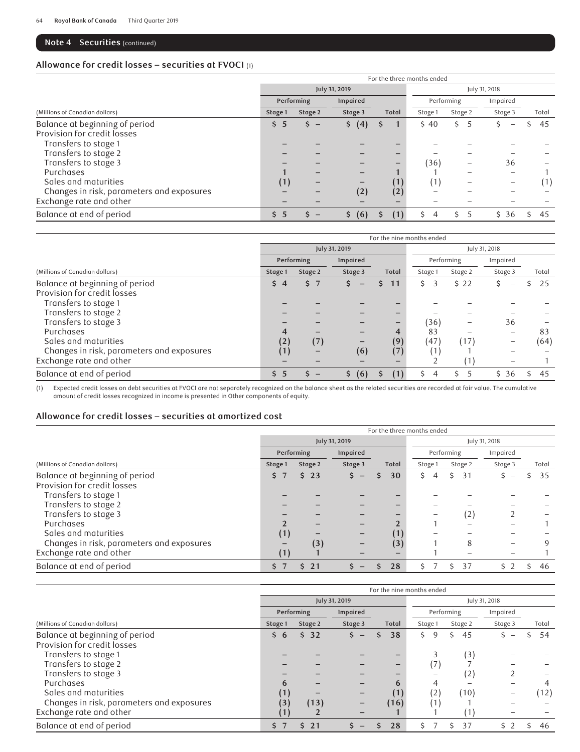# **Note 4 Securities** (continued)

# **Allowance for credit losses – securities at FVOCI** (1)

|                                           |         |            |               |       | For the three months ended |            |               |          |
|-------------------------------------------|---------|------------|---------------|-------|----------------------------|------------|---------------|----------|
|                                           |         |            | July 31, 2019 |       |                            |            | July 31, 2018 |          |
|                                           |         | Performing | Impaired      |       |                            | Performing | Impaired      |          |
| (Millions of Canadian dollars)            | Stage 1 | Stage 2    | Stage 3       | Total | Stage 1                    | Stage 2    | Stage 3       | Total    |
| Balance at beginning of period            | \$<br>5 | $S -$      | (4)<br>\$.    | \$    | \$40                       | \$.<br>5   |               | 45       |
| Provision for credit losses               |         |            |               |       |                            |            |               |          |
| Transfers to stage 1                      |         |            |               |       |                            |            |               |          |
| Transfers to stage 2                      |         |            |               |       |                            |            |               |          |
| Transfers to stage 3                      |         |            |               | -     | (36)                       |            | 36            |          |
| Purchases                                 |         |            |               |       |                            |            |               |          |
| Sales and maturities                      | (1)     |            |               | (1)   | H.                         |            |               | (1)      |
| Changes in risk, parameters and exposures |         |            | (2)           | (2)   |                            |            |               |          |
| Exchange rate and other                   |         |            |               |       |                            |            |               |          |
| Balance at end of period                  | \$5     | s –        | (6)<br>S.     | (1)   | \$.<br>4                   | -5<br>S.   | \$36          | 45<br>S. |
|                                           |         |            |               |       |                            |            |               |          |

|                                                                                                                                                                                                                                                                                                                  |                       |                          |               |         | For the nine months ended |                 |               |          |
|------------------------------------------------------------------------------------------------------------------------------------------------------------------------------------------------------------------------------------------------------------------------------------------------------------------|-----------------------|--------------------------|---------------|---------|---------------------------|-----------------|---------------|----------|
|                                                                                                                                                                                                                                                                                                                  |                       |                          | July 31, 2019 |         |                           |                 | July 31, 2018 |          |
| (Millions of Canadian dollars)<br>Balance at beginning of period<br>Provision for credit losses<br>Transfers to stage 1<br>Transfers to stage 2<br>Transfers to stage 3<br>Purchases<br>Sales and maturities<br>Changes in risk, parameters and exposures<br>Exchange rate and other<br>Balance at end of period |                       | Performing               | Impaired      |         |                           | Performing      | Impaired      |          |
|                                                                                                                                                                                                                                                                                                                  | Stage 1               | Stage 2                  | Stage 3       | Total   | Stage 1                   | Stage 2         | Stage 3       | Total    |
|                                                                                                                                                                                                                                                                                                                  | \$.<br>$\overline{4}$ | 5 <sub>7</sub>           |               | 11<br>Ś | 3<br>Ś.                   | \$22            |               | 25<br>Ś  |
|                                                                                                                                                                                                                                                                                                                  |                       |                          |               |         |                           |                 |               |          |
|                                                                                                                                                                                                                                                                                                                  |                       |                          |               |         |                           |                 |               |          |
|                                                                                                                                                                                                                                                                                                                  |                       |                          |               |         |                           |                 |               |          |
|                                                                                                                                                                                                                                                                                                                  |                       |                          |               | —       | (36)                      |                 | 36            |          |
|                                                                                                                                                                                                                                                                                                                  |                       |                          |               | 4       | 83                        |                 |               | 83       |
|                                                                                                                                                                                                                                                                                                                  | (2)                   | (7)                      |               | (9)     | (47                       | (17)            |               | (64)     |
|                                                                                                                                                                                                                                                                                                                  |                       | –                        | (6)           | (7)     |                           |                 |               |          |
|                                                                                                                                                                                                                                                                                                                  |                       |                          |               |         |                           | $^{\prime}$ 1 . |               |          |
|                                                                                                                                                                                                                                                                                                                  | \$.<br>5              | $\overline{\phantom{0}}$ | \$.<br>(6)    |         | \$<br>4                   | 5<br>\$         | \$36          | 45<br>\$ |
| Expected credit losses on debt securities at FVOCI are not separately recognized on the balance sheet as the related securities are recorded at fair value. The cumulative<br>(1)                                                                                                                                |                       |                          |               |         |                           |                 |               |          |

amount of credit losses recognized in income is presented in Other components of equity.

# **Allowance for credit losses – securities at amortized cost**

|         |           |                   |               |         | For the three months ended<br>July 31, 2018<br>Impaired<br>Stage 2<br>Stage 3<br>31<br>Ś.<br>Ś<br>\$<br>4<br>$\overline{\phantom{a}}$ |                   |         |  |  |  |  |  |  |  |  |
|---------|-----------|-------------------|---------------|---------|---------------------------------------------------------------------------------------------------------------------------------------|-------------------|---------|--|--|--|--|--|--|--|--|
|         |           |                   |               |         |                                                                                                                                       |                   |         |  |  |  |  |  |  |  |  |
|         |           | Impaired          |               |         |                                                                                                                                       |                   |         |  |  |  |  |  |  |  |  |
| Stage 1 | Stage 2   | Stage 3           | Total         | Stage 1 |                                                                                                                                       |                   | Total   |  |  |  |  |  |  |  |  |
| \$      | 23<br>\$. |                   | 30<br>Ś       | Ś.      |                                                                                                                                       |                   | 35      |  |  |  |  |  |  |  |  |
|         |           |                   |               |         |                                                                                                                                       |                   |         |  |  |  |  |  |  |  |  |
|         |           |                   |               |         |                                                                                                                                       |                   |         |  |  |  |  |  |  |  |  |
|         |           |                   |               |         |                                                                                                                                       |                   |         |  |  |  |  |  |  |  |  |
|         |           |                   |               |         |                                                                                                                                       |                   |         |  |  |  |  |  |  |  |  |
|         |           |                   |               |         |                                                                                                                                       |                   |         |  |  |  |  |  |  |  |  |
| (1)     |           |                   |               |         |                                                                                                                                       |                   |         |  |  |  |  |  |  |  |  |
|         |           |                   | (3)           |         | 8                                                                                                                                     |                   | 9       |  |  |  |  |  |  |  |  |
| (1)     |           |                   |               |         |                                                                                                                                       |                   |         |  |  |  |  |  |  |  |  |
| \$      | \$21      |                   | 28<br>Ś       | S.      | 37<br>S.                                                                                                                              | $5\,2$            | 46<br>S |  |  |  |  |  |  |  |  |
|         |           | Performing<br>(3) | July 31, 2019 |         |                                                                                                                                       | Performing<br>(2) |         |  |  |  |  |  |  |  |  |

|                                           |                         |            |                               |          | For the nine months ended |            |               |         |
|-------------------------------------------|-------------------------|------------|-------------------------------|----------|---------------------------|------------|---------------|---------|
|                                           |                         |            | July 31, 2019                 |          |                           |            | July 31, 2018 |         |
|                                           |                         | Performing | Impaired                      |          |                           | Performing | Impaired      |         |
| (Millions of Canadian dollars)            | Stage 1                 | Stage 2    | Stage 3                       | Total    | Stage 1                   | Stage 2    | Stage 3       | Total   |
| Balance at beginning of period            | \$<br>6                 | \$32       | S<br>$\overline{\phantom{a}}$ | 38<br>\$ | Ś.<br>9                   | 45<br>\$.  | Ś             | 54<br>Ś |
| Provision for credit losses               |                         |            |                               |          |                           |            |               |         |
| Transfers to stage 1                      |                         |            |                               |          |                           | (3)        |               |         |
| Transfers to stage 2                      |                         |            |                               |          | '7)                       |            |               |         |
| Transfers to stage 3                      |                         |            |                               |          |                           | (2)        |               |         |
| Purchases                                 | n                       |            |                               | 6        | 4                         | -          |               |         |
| Sales and maturities                      |                         |            |                               | (1)      | $\left 2\right\rangle$    | (10)       |               | (12)    |
| Changes in risk, parameters and exposures | $\overline{\mathbf{3}}$ | (13)       |                               | (16)     |                           |            |               |         |
| Exchange rate and other                   |                         |            |                               |          |                           |            |               |         |
| Balance at end of period                  | \$                      | 21<br>\$.  | $\overline{\phantom{a}}$      | 28<br>Ś  | Ś.                        | 37<br>Ś.   | 52            | 46<br>Ś |
|                                           |                         |            |                               |          |                           |            |               |         |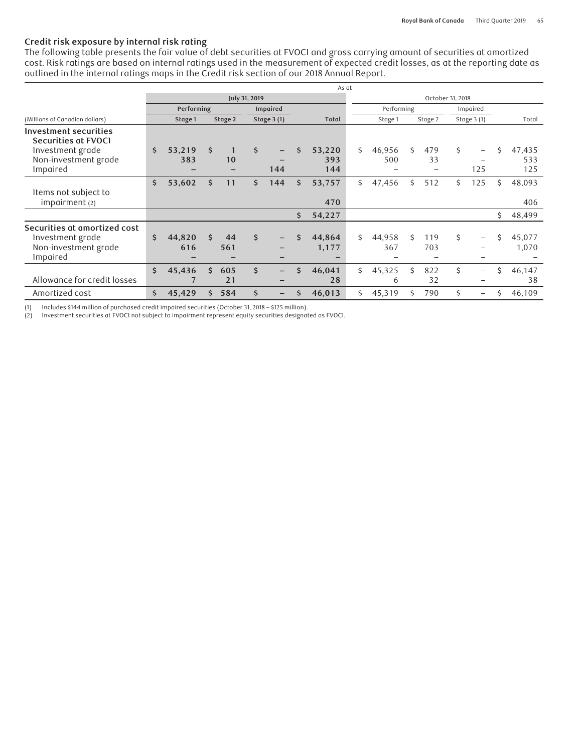# **Credit risk exposure by internal risk rating**

The following table presents the fair value of debt securities at FVOCI and gross carrying amount of securities at amortized cost. Risk ratings are based on internal ratings used in the measurement of expected credit losses, as at the reporting date as outlined in the internal ratings maps in the Credit risk section of our 2018 Annual Report.

|                    | Stage 1 |        |                  |                    |                          |                                          | <b>Total</b> |                  | Stage 1     |        |                  |                |                               |                                             | Total        |
|--------------------|---------|--------|------------------|--------------------|--------------------------|------------------------------------------|--------------|------------------|-------------|--------|------------------|----------------|-------------------------------|---------------------------------------------|--------------|
|                    |         |        |                  |                    |                          |                                          |              |                  |             |        |                  |                |                               |                                             |              |
| Ŝ.                 | 53,219  | Ś.     | $\mathbf{1}$     | \$                 | $\overline{\phantom{0}}$ | <b>S</b>                                 | 53,220       | \$               | 46,956      | Ś.     | 479              | \$             | $\overline{\phantom{a}}$      | Ś.                                          | 47,435       |
|                    | 383     |        | 10               |                    |                          |                                          | 393          |                  | 500         |        | 33               |                |                               |                                             | 533          |
|                    |         |        |                  |                    | 144                      |                                          | 144          |                  |             |        | -                |                | 125                           |                                             | 125          |
| \$                 | 53,602  | Ś.     | 11               | \$                 | 144                      | $\mathsf{\hat{S}}$                       |              | \$               | 47,456      | \$     | 512              | \$             | 125                           | \$                                          | 48,093       |
|                    |         |        |                  |                    |                          |                                          | 470          |                  |             |        |                  |                |                               |                                             | 406          |
|                    |         |        |                  |                    |                          | Ś                                        | 54,227       |                  |             |        |                  |                |                               | Ś.                                          | 48,499       |
|                    |         |        |                  |                    | $\qquad \qquad -$        |                                          |              |                  |             |        |                  |                | $\overline{\phantom{0}}$      |                                             | 45,077       |
|                    | 616     |        | 561              |                    |                          |                                          | 1,177        |                  | 367         |        | 703              |                | -                             |                                             | 1,070        |
| $\dot{\mathsf{S}}$ | 45,436  | Ś.     | 605<br>21        | $\dot{\mathsf{S}}$ | $\overline{\phantom{0}}$ | \$                                       | 46,041<br>28 | \$               | 45,325<br>6 | Ś.     | 822<br>32        | Ś              | $\overline{\phantom{0}}$<br>- | Ś                                           | 46,147<br>38 |
| \$                 | 45,429  | S.     | 584              | \$                 |                          | \$                                       | 46,013       | \$               | 45,319      | Š.     | 790              | \$             | -                             | \$                                          | 46,109       |
|                    | Ś.      | 44,820 | Performing<br>Ś. | Stage 2<br>44      | \$                       | July 31, 2019<br>Impaired<br>Stage 3 (1) | \$           | 53,757<br>44,864 | As at<br>\$ | 44,958 | Performing<br>Ś. | Stage 2<br>119 | \$                            | October 31, 2018<br>Impaired<br>Stage 3 (1) | Ś.           |

(1) Includes \$144 million of purchased credit impaired securities (October 31, 2018 – \$125 million). Investment securities at FVOCI not subject to impairment represent equity securities designated as FVOCI.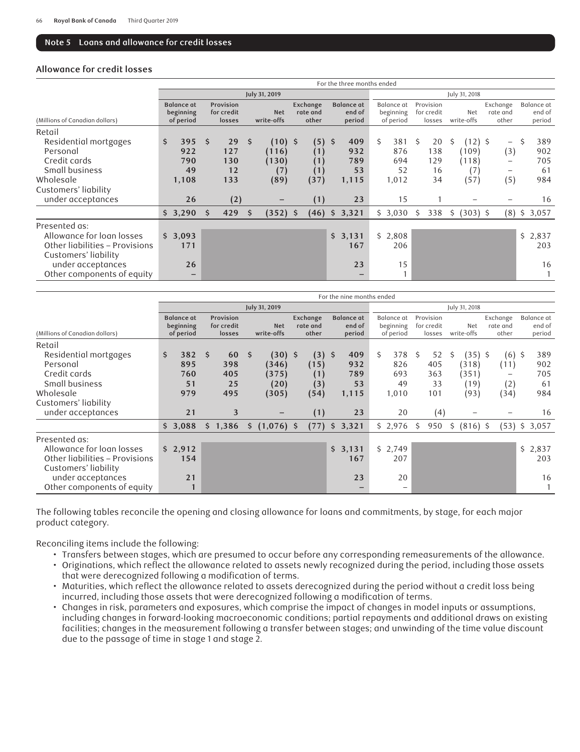#### **Note 5 Loans and allowance for credit losses**

## **Allowance for credit losses**

|                                                                                                                                                         |                                              | For the three months ended                   |                                                                             |                                           |                                                               |                                             |                                    |                                                 |                                                |                                                       |  |  |  |  |
|---------------------------------------------------------------------------------------------------------------------------------------------------------|----------------------------------------------|----------------------------------------------|-----------------------------------------------------------------------------|-------------------------------------------|---------------------------------------------------------------|---------------------------------------------|------------------------------------|-------------------------------------------------|------------------------------------------------|-------------------------------------------------------|--|--|--|--|
|                                                                                                                                                         |                                              |                                              | July 31, 2019                                                               |                                           |                                                               |                                             |                                    | July 31, 2018                                   |                                                |                                                       |  |  |  |  |
| (Millions of Canadian dollars)                                                                                                                          | <b>Balance at</b><br>beginning<br>of period  | Provision<br>for credit<br>losses            | <b>Net</b><br>write-offs                                                    | Exchange<br>rate and<br>other             | <b>Balance at</b><br>end of<br>period                         | Balance at<br>beginning<br>of period        | Provision<br>for credit<br>losses  | Net<br>write-offs                               | Exchange<br>rate and<br>other                  | Balance at<br>end of<br>period                        |  |  |  |  |
| Retail<br>Residential mortgages<br>Personal<br>Credit cards<br>Small business<br>Wholesgle<br>Customers' liability<br>under acceptances                 | 395<br>\$<br>922<br>790<br>49<br>1,108<br>26 | 29<br>- \$<br>127<br>130<br>12<br>133<br>(2) | <b>S</b><br>$(10)$ \$<br>(116)<br>(130)<br>(7)<br>(89)<br>$\qquad \qquad -$ | (5)<br>(1)<br>$\mathbf{1}$<br>(37)<br>(1) | 409<br>$\ddot{\mathsf{s}}$<br>932<br>789<br>53<br>1,115<br>23 | Ś<br>381<br>876<br>694<br>52<br>1,012<br>15 | 20<br>\$<br>138<br>129<br>16<br>34 | $(12)$ \$<br>\$<br>(109)<br>(118)<br>(7<br>(57) | $\qquad \qquad -$<br>(3)<br>-<br>-<br>(5)<br>- | 389<br><sup>\$</sup><br>902<br>705<br>61<br>984<br>16 |  |  |  |  |
|                                                                                                                                                         | \$3,290                                      | 429<br>- \$                                  | $(352)$ \$<br>\$                                                            | (46)                                      | \$3,321                                                       | \$3,030                                     | 338<br>\$.                         | $(303)$ \$<br>\$                                | (8)                                            | \$3,057                                               |  |  |  |  |
| Presented as:<br>Allowance for loan losses<br>Other liabilities - Provisions<br>Customers' liability<br>under acceptances<br>Other components of equity | \$3,093<br>171<br>26<br>$\qquad \qquad$      |                                              |                                                                             |                                           | \$3,131<br>167<br>23                                          | \$2,808<br>206<br>15                        |                                    |                                                 |                                                | \$2,837<br>203<br>16                                  |  |  |  |  |

| For the nine months ended            |                                                                                   |                               |                                    |                                 |                             |                                   |                      |                                  |                                         |                                  |                                                            |                               |                                   |                                |                             |                          |                               |                                |
|--------------------------------------|-----------------------------------------------------------------------------------|-------------------------------|------------------------------------|---------------------------------|-----------------------------|-----------------------------------|----------------------|----------------------------------|-----------------------------------------|----------------------------------|------------------------------------------------------------|-------------------------------|-----------------------------------|--------------------------------|-----------------------------|--------------------------|-------------------------------|--------------------------------|
|                                      |                                                                                   |                               |                                    |                                 |                             |                                   |                      |                                  |                                         |                                  |                                                            |                               |                                   |                                |                             |                          |                               |                                |
|                                      |                                                                                   | losses                        |                                    | <b>Net</b>                      |                             | other                             |                      | end of<br>period                 |                                         |                                  |                                                            |                               |                                   | Net                            |                             |                          |                               | Balance at<br>end of<br>period |
| \$<br>382<br>895<br>760<br>51<br>979 |                                                                                   | 60<br>398<br>405<br>25<br>495 | $\mathsf{\hat{S}}$                 | (346)<br>(375)<br>(20)<br>(305) |                             | (3)<br>(15)<br>(1)<br>(3)<br>(54) |                      | 409<br>932<br>789<br>53<br>1,115 | \$                                      | 378<br>826<br>693<br>49<br>1,010 | <sup>\$</sup>                                              | 52<br>405<br>363<br>33<br>101 | \$                                | (318)<br>(351)<br>(19)<br>(93) |                             | (11)<br>-<br>(2)<br>(34) |                               | 389<br>902<br>705<br>61<br>984 |
| 21                                   |                                                                                   | 3                             |                                    |                                 |                             | (1)                               |                      | 23                               |                                         | 20                               |                                                            | (4)                           |                                   |                                |                             |                          |                               | 16                             |
|                                      |                                                                                   |                               |                                    |                                 |                             | (77)                              |                      |                                  |                                         |                                  | \$                                                         | 950                           | $\mathsf{S}$                      |                                |                             | (53)                     |                               | \$3,057                        |
| 154<br>21                            |                                                                                   |                               |                                    |                                 |                             |                                   |                      | 167<br>23                        |                                         | 207<br>20<br>$\qquad \qquad$     |                                                            |                               |                                   |                                |                             |                          |                               | \$2,837<br>203<br>16           |
|                                      | <b>Balance at</b><br>beginning<br>of period<br>\$3,088<br>\$2,912<br>$\mathbf{1}$ | <b>S</b>                      | Provision<br>for credit<br>\$1,386 |                                 | July 31, 2019<br>write-offs | $(30)$ \$<br>$$ (1,076)$ \$       | Exchange<br>rate and | - \$                             | <b>Balance at</b><br>\$3,321<br>\$3,131 |                                  | Balance at<br>beginning<br>of period<br>\$2,976<br>\$2,749 |                               | Provision<br>for credit<br>losses |                                | July 31, 2018<br>write-offs | $(35)$ \$<br>$(816)$ \$  | Exchange<br>rate and<br>other | $(6)$ \$                       |

The following tables reconcile the opening and closing allowance for loans and commitments, by stage, for each major product category.

Reconciling items include the following:

- Transfers between stages, which are presumed to occur before any corresponding remeasurements of the allowance. • Originations, which reflect the allowance related to assets newly recognized during the period, including those assets that were derecognized following a modification of terms.
- Maturities, which reflect the allowance related to assets derecognized during the period without a credit loss being incurred, including those assets that were derecognized following a modification of terms.
- Changes in risk, parameters and exposures, which comprise the impact of changes in model inputs or assumptions, including changes in forward-looking macroeconomic conditions; partial repayments and additional draws on existing facilities; changes in the measurement following a transfer between stages; and unwinding of the time value discount due to the passage of time in stage 1 and stage 2.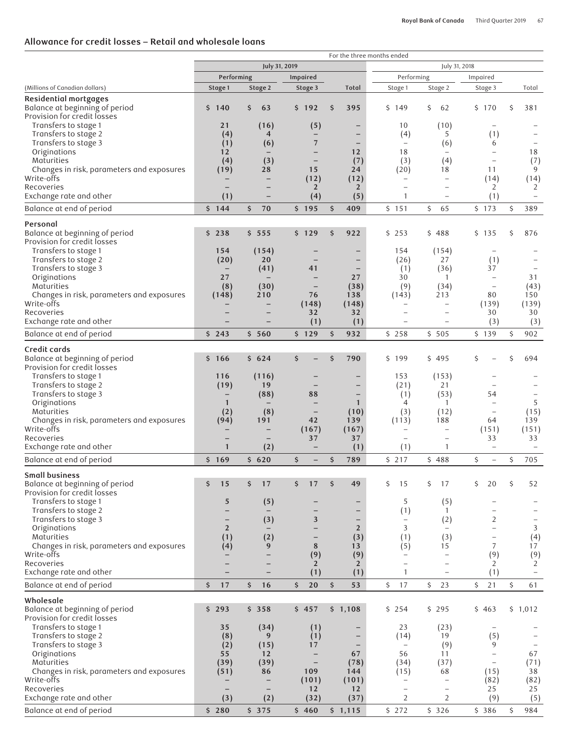# **Allowance for credit losses – Retail and wholesale loans**

|                                                                                        |                       |                          |                                               |    |                                | For the three months ended                           |                          |                                  |    |                          |
|----------------------------------------------------------------------------------------|-----------------------|--------------------------|-----------------------------------------------|----|--------------------------------|------------------------------------------------------|--------------------------|----------------------------------|----|--------------------------|
|                                                                                        |                       | July 31, 2019            |                                               |    |                                |                                                      | July 31, 2018            |                                  |    |                          |
|                                                                                        | Performing            |                          | Impaired                                      |    |                                | Performing                                           |                          | Impaired                         |    |                          |
| (Millions of Canadian dollars)                                                         | Stage 1               | Stage 2                  | Stage 3                                       |    | Total                          | Stage 1                                              | Stage 2                  | Stage 3                          |    | Total                    |
| Residential mortgages<br>Balance at beginning of period<br>Provision for credit losses | \$140                 | \$<br>63                 | \$192                                         | \$ | 395                            | \$149                                                | \$<br>62                 | \$170                            | \$ | 381                      |
| Transfers to stage 1                                                                   | 21                    | (16)                     | (5)                                           |    | —                              | 10                                                   | (10)<br>5                |                                  |    |                          |
| Transfers to stage 2                                                                   | (4)                   | $\overline{4}$           | -<br>$\overline{7}$                           |    | -                              | (4)                                                  |                          | (1)                              |    |                          |
| Transfers to stage 3<br>Originations                                                   | (1)<br>12             | (6)                      |                                               |    | $\overline{\phantom{m}}$<br>12 | 18                                                   | (6)                      | 6<br>$\overline{\phantom{0}}$    |    | 18                       |
| Maturities                                                                             | (4)                   | (3)                      | $\qquad \qquad -$                             |    | (7)                            | (3)                                                  | (4)                      | $\overline{\phantom{0}}$         |    | (7)                      |
| Changes in risk, parameters and exposures                                              | (19)                  | 28                       | 15                                            |    | 24                             | (20)                                                 | 18                       | 11                               |    | 9                        |
| Write-offs                                                                             |                       | $\qquad \qquad -$        | (12)                                          |    | (12)                           | -                                                    | -                        | (14)                             |    | (14)                     |
| Recoveries                                                                             |                       | $\overline{\phantom{0}}$ | $\overline{2}$                                |    | $\overline{2}$                 | $\qquad \qquad -$                                    | $\overline{\phantom{0}}$ | 2                                |    | 2                        |
| Exchange rate and other                                                                | (1)                   |                          | (4)                                           |    | (5)                            | 1                                                    |                          | (1)                              |    | $\overline{\phantom{0}}$ |
| Balance at end of period                                                               | \$144                 | \$<br>70                 | \$195                                         | \$ | 409                            | \$151                                                | \$<br>65                 | \$173                            | \$ | 389                      |
| Personal                                                                               |                       |                          |                                               |    |                                |                                                      |                          |                                  |    |                          |
| Balance at beginning of period<br>Provision for credit losses                          | \$238                 | \$555                    | \$129                                         | \$ | 922                            | \$253                                                | \$488                    | \$135                            | \$ | 876                      |
| Transfers to stage 1                                                                   | 154                   | (154)                    |                                               |    |                                | 154                                                  | (154)                    | $\overline{\phantom{a}}$         |    |                          |
| Transfers to stage 2                                                                   | (20)                  | 20                       |                                               |    | -                              | (26)                                                 | 27                       | (1)                              |    |                          |
| Transfers to stage 3                                                                   |                       | (41)                     | 41                                            |    | $\overline{\phantom{0}}$       | (1)                                                  | (36)                     | 37                               |    |                          |
| Originations                                                                           | 27                    |                          |                                               |    | 27                             | 30                                                   | $\mathbf{1}$             | $\overline{\phantom{a}}$         |    | 31                       |
| Maturities                                                                             | (8)                   | (30)                     |                                               |    | (38)                           | (9)                                                  | (34)                     | $\overline{\phantom{0}}$         |    | (43)                     |
| Changes in risk, parameters and exposures<br>Write-offs                                | (148)                 | 210                      | 76<br>(148)                                   |    | 138<br>(148)                   | (143)                                                | 213                      | 80<br>(139)                      |    | 150<br>(139)             |
| Recoveries                                                                             |                       |                          | 32                                            |    | 32                             | $\overline{\phantom{0}}$                             |                          | 30                               |    | 30                       |
| Exchange rate and other                                                                |                       | -                        | (1)                                           |    | (1)                            | $\qquad \qquad -$                                    | -                        | (3)                              |    | (3)                      |
| Balance at end of period                                                               | \$243                 | \$560                    | \$129                                         | \$ | 932                            | \$258                                                | \$505                    | \$139                            | \$ | 902                      |
|                                                                                        |                       |                          |                                               |    |                                |                                                      |                          |                                  |    |                          |
| Credit cards<br>Balance at beginning of period<br>Provision for credit losses          | \$166                 | \$624                    | \$                                            | \$ | 790                            | \$199                                                | \$495                    | \$                               | Ś  | 694                      |
| Transfers to stage 1                                                                   | 116                   | (116)                    |                                               |    | -                              | 153                                                  | (153)                    |                                  |    |                          |
| Transfers to stage 2                                                                   | (19)                  | 19                       |                                               |    | $\overline{\phantom{0}}$       | (21)                                                 | 21                       |                                  |    |                          |
| Transfers to stage 3                                                                   |                       | (88)                     | 88                                            |    | $\qquad \qquad -$              | (1)                                                  | (53)                     | 54                               |    |                          |
| Originations                                                                           | $\mathbf{1}$          |                          |                                               |    | $\mathbf{1}$                   | 4                                                    | 1                        |                                  |    | 5                        |
| Maturities                                                                             | (2)                   | (8)                      |                                               |    | (10)                           | (3)                                                  | (12)                     | $\overline{\phantom{0}}$         |    | (15)                     |
| Changes in risk, parameters and exposures                                              | (94)                  | 191                      | 42                                            |    | 139                            | (113)                                                | 188                      | 64                               |    | 139                      |
| Write-offs<br>Recoveries                                                               |                       | $\qquad \qquad$          | (167)                                         |    | (167)                          | $\overline{\phantom{0}}$<br>$\overline{\phantom{0}}$ | $\overline{\phantom{0}}$ | (151)                            |    | (151)<br>33              |
| Exchange rate and other                                                                | $\mathbf{1}$          | (2)                      | 37                                            |    | 37<br>(1)                      | (1)                                                  | 1                        | 33<br>$\overline{\phantom{0}}$   |    |                          |
| Balance at end of period                                                               | \$169                 | \$620                    | \$<br>$\qquad \qquad -$                       | \$ | 789                            | \$217                                                | \$488                    | \$<br>$\overline{a}$             | \$ | 705                      |
|                                                                                        |                       |                          |                                               |    |                                |                                                      |                          |                                  |    |                          |
| <b>Small business</b><br>Balance at beginning of period<br>Provision for credit losses | Ś<br>15               | Ś<br>17                  | \$<br>17                                      | Ś  | 49                             | $S = 15$                                             | $S$ 17                   | Ŝ.<br>20                         | Ŝ  | 52                       |
| Transfers to stage 1                                                                   | 5                     | (5)                      |                                               |    | —                              | 5                                                    | (5)                      |                                  |    |                          |
| Transfers to stage 2                                                                   |                       |                          |                                               |    | -                              | (1)                                                  | 1                        |                                  |    |                          |
| Transfers to stage 3                                                                   |                       | (3)                      | 3                                             |    | $\qquad \qquad -$              |                                                      | (2)                      | $\overline{2}$                   |    |                          |
| Originations<br>Maturities                                                             | $\overline{2}$<br>(1) | (2)                      | $\qquad \qquad$                               |    | $\overline{2}$<br>(3)          | 3<br>(1)                                             | (3)                      |                                  |    | 3<br>(4)                 |
| Changes in risk, parameters and exposures                                              | (4)                   | 9                        | 8                                             |    | 13                             | (5)                                                  | 15                       | 7                                |    | 17                       |
| Write-offs                                                                             |                       |                          | (9)                                           |    | (9)                            |                                                      |                          | (9)                              |    | (9)                      |
| Recoveries                                                                             |                       |                          |                                               |    | $\overline{2}$                 |                                                      | $\overline{\phantom{0}}$ | 2                                |    | 2                        |
| Exchange rate and other                                                                |                       |                          | (1)                                           |    | (1)                            | $\mathbf{1}$                                         |                          | (1)                              |    | $\overline{\phantom{a}}$ |
| Balance at end of period                                                               | \$<br>17              | \$<br>16                 | \$<br>20                                      | \$ | 53                             | \$<br>17                                             | \$<br>23                 | \$<br>21                         | \$ | 61                       |
| Wholesale                                                                              |                       |                          |                                               |    |                                |                                                      |                          |                                  |    |                          |
| Balance at beginning of period<br>Provision for credit losses                          | \$293                 | \$358                    | \$457                                         |    | \$1,108                        | \$254                                                | \$295                    | \$463                            |    | \$1,012                  |
| Transfers to stage 1                                                                   | 35                    | (34)                     | (1)                                           |    | -                              | 23                                                   | (23)                     |                                  |    |                          |
| Transfers to stage 2                                                                   | (8)                   | 9                        | (1)                                           |    | $\qquad \qquad -$              | (14)                                                 | 19                       | (5)                              |    |                          |
| Transfers to stage 3                                                                   | (2)                   | (15)                     | 17                                            |    |                                |                                                      | (9)                      | 9                                |    | $\overline{\phantom{0}}$ |
| Originations<br>Maturities                                                             | 55                    | 12                       | $\qquad \qquad -$<br>$\overline{\phantom{0}}$ |    | 67                             | 56                                                   | 11                       | $\overline{\phantom{0}}$         |    | 67                       |
| Changes in risk, parameters and exposures                                              | (39)<br>(51)          | (39)<br>86               | 109                                           |    | (78)<br>144                    | (34)<br>(15)                                         | (37)<br>68               | $\overline{\phantom{0}}$<br>(15) |    | (71)<br>38               |
| Write-offs                                                                             |                       | $\qquad \qquad -$        | (101)                                         |    | (101)                          |                                                      |                          | (82)                             |    | (82)                     |
| Recoveries                                                                             |                       |                          | 12                                            |    | 12                             | $\qquad \qquad -$                                    | $\overline{\phantom{a}}$ | 25                               |    | 25                       |
| Exchange rate and other                                                                | (3)                   | (2)                      | (32)                                          |    | (37)                           | 2                                                    | $\overline{2}$           | (9)                              |    | (5)                      |
| Balance at end of period                                                               | \$280                 | \$375                    | \$460                                         |    | \$1,115                        | \$272                                                | \$326                    | \$386                            | \$ | 984                      |
|                                                                                        |                       |                          |                                               |    |                                |                                                      |                          |                                  |    |                          |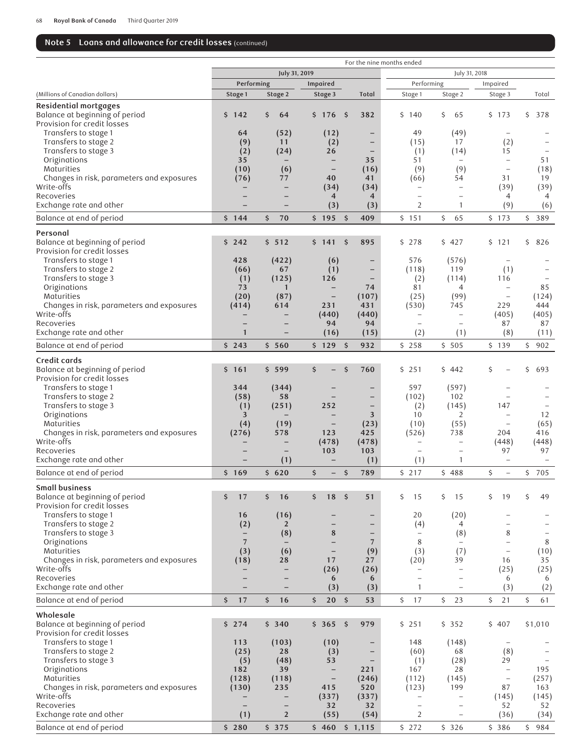# **Note 5 Loans and allowance for credit losses** (continued)

|                                                                                        |                |                       |                                 |                                | For the nine months ended        |                                |                                 |            |
|----------------------------------------------------------------------------------------|----------------|-----------------------|---------------------------------|--------------------------------|----------------------------------|--------------------------------|---------------------------------|------------|
|                                                                                        |                | July 31, 2019         |                                 |                                |                                  | July 31, 2018                  |                                 |            |
|                                                                                        | Performing     |                       | Impaired                        |                                | Performing                       |                                | Impaired                        |            |
| (Millions of Canadian dollars)                                                         | Stage 1        | Stage 2               | Stage 3                         | Total                          | Stage 1                          | Stage 2                        | Stage 3                         | Total      |
| Residential mortgages<br>Balance at beginning of period<br>Provision for credit losses | 142<br>\$      | \$<br>64              | \$176<br>\$                     | 382                            | \$140                            | \$<br>65                       | \$173                           | 378<br>\$. |
| Transfers to stage 1                                                                   | 64             | (52)                  | (12)                            |                                | 49                               | (49)                           | $\overline{\phantom{0}}$        |            |
| Transfers to stage 2                                                                   | (9)            | 11                    | (2)                             |                                | (15)                             | 17                             | (2)                             |            |
| Transfers to stage 3                                                                   | (2)            | (24)                  | 26                              |                                | (1)                              | (14)                           | 15                              |            |
| Originations                                                                           | 35             |                       | $\overline{\phantom{0}}$        | 35                             | 51                               | $\overline{\phantom{0}}$       | $\overline{\phantom{0}}$        | 51         |
| Maturities                                                                             | (10)           | (6)                   | $\qquad \qquad -$               | (16)                           | (9)                              | (9)                            | $\overline{\phantom{0}}$        | (18)       |
| Changes in risk, parameters and exposures<br>Write-offs                                | (76)           | 77                    | 40<br>(34)                      | 41<br>(34)                     | (66)<br>$\overline{\phantom{0}}$ | 54<br>$\overline{\phantom{0}}$ | 31<br>(39)                      | 19<br>(39) |
| Recoveries                                                                             |                |                       | $\overline{4}$                  | $\overline{4}$                 | $\overline{\phantom{0}}$         | $\overline{\phantom{0}}$       | 4                               | 4          |
| Exchange rate and other                                                                |                |                       | (3)                             | (3)                            | $\overline{2}$                   | $\mathbf{1}$                   | (9)                             | (6)        |
| Balance at end of period                                                               | \$144          | \$<br>70              | $$195$ \$                       | 409                            | \$151                            | \$<br>65                       | \$173                           | \$389      |
| Personal                                                                               |                |                       |                                 |                                |                                  |                                |                                 |            |
| Balance at beginning of period<br>Provision for credit losses                          | \$242          | \$512                 | \$141<br>\$                     | 895                            | \$278                            | \$427                          | \$121                           | \$.<br>826 |
| Transfers to stage 1                                                                   | 428            | (422)                 | (6)                             |                                | 576                              | (576)                          | $\qquad \qquad -$               |            |
| Transfers to stage 2                                                                   | (66)           | 67                    | (1)                             | $\overline{\phantom{m}}$       | (118)                            | 119                            | (1)                             |            |
| Transfers to stage 3<br>Originations                                                   | (1)<br>73      | (125)<br>$\mathbf{1}$ | 126<br>$\overline{\phantom{0}}$ | $\overline{\phantom{m}}$<br>74 | (2)<br>81                        | (114)<br>4                     | 116<br>$\overline{\phantom{m}}$ | 85         |
| Maturities                                                                             | (20)           | (87)                  | $\overline{\phantom{0}}$        | (107)                          | (25)                             | (99)                           | $\overline{\phantom{0}}$        | (124)      |
| Changes in risk, parameters and exposures                                              | (414)          | 614                   | 231                             | 431                            | (530)                            | 745                            | 229                             | 444        |
| Write-offs                                                                             |                |                       | (440)                           | (440)                          | $\qquad \qquad -$                | $\qquad \qquad -$              | (405)                           | (405)      |
| Recoveries                                                                             |                |                       | 94                              | 94                             |                                  | $\overline{\phantom{0}}$       | 87                              | 87         |
| Exchange rate and other                                                                | $\mathbf{1}$   |                       | (16)                            | (15)                           | (2)                              | (1)                            | (8)                             | (11)       |
| Balance at end of period                                                               | \$243          | \$560                 | \$129<br>$\ddot{\mathsf{s}}$    | 932                            | \$258                            | \$505                          | \$139                           | \$<br>902  |
| Credit cards                                                                           |                |                       |                                 |                                |                                  |                                |                                 |            |
| Balance at beginning of period<br>Provision for credit losses                          | \$161          | \$599                 | \$<br>\$                        | 760                            | \$251                            | \$442                          | \$                              | 693<br>\$  |
| Transfers to stage 1                                                                   | 344            | (344)                 |                                 |                                | 597                              | (597)                          |                                 |            |
| Transfers to stage 2                                                                   | (58)           | 58                    | ۳                               |                                | (102)                            | 102                            |                                 |            |
| Transfers to stage 3                                                                   | (1)<br>3       | (251)                 | 252                             | -<br>3                         | (2)<br>10                        | (145)<br>2                     | 147<br>$\overline{\phantom{0}}$ | 12         |
| Originations<br>Maturities                                                             | (4)            | (19)                  | —                               | (23)                           | (10)                             | (55)                           | $\overline{\phantom{0}}$        | (65)       |
| Changes in risk, parameters and exposures                                              | (276)          | 578                   | 123                             | 425                            | (526)                            | 738                            | 204                             | 416        |
| Write-offs                                                                             |                |                       | (478)                           | (478)                          | $\overline{\phantom{m}}$         | $\overline{\phantom{a}}$       | (448)                           | (448)      |
| Recoveries                                                                             |                |                       | 103                             | 103                            |                                  |                                | 97                              | 97         |
| Exchange rate and other                                                                |                | (1)                   | $\qquad \qquad -$               | (1)                            | (1)                              | $\mathbf{1}$                   | $\overline{\phantom{a}}$        |            |
| Balance at end of period                                                               | \$169          | \$620                 | \$<br>\$<br>-                   | 789                            | \$217                            | \$488                          | \$<br>$\qquad \qquad -$         | \$705      |
| Small business<br>Balance at beginning of period<br>Provision for credit losses        | 17<br>\$       | \$<br>16              | 18<br>- \$<br>\$                | 51                             | \$<br>15                         | \$<br>15                       | 19<br>\$                        | 49<br>\$   |
| Transfers to stage 1                                                                   | 16             | (16)                  |                                 |                                | 20                               | (20)                           |                                 |            |
| Transfers to stage 2                                                                   | (2)            | $\overline{2}$        | $\overline{\phantom{0}}$        |                                | (4)                              | 4                              |                                 |            |
| Transfers to stage 3                                                                   |                | (8)                   | 8                               | $\qquad \qquad -$              | $\qquad \qquad -$                | (8)                            | 8                               |            |
| Originations                                                                           | $\overline{7}$ |                       | —                               | $\overline{7}$                 | 8                                | $\qquad \qquad -$              |                                 | 8          |
| Maturities                                                                             | (3)            | (6)                   | $\qquad \qquad -$               | (9)                            | (3)                              | (7)                            | $\qquad \qquad -$               | (10)       |
| Changes in risk, parameters and exposures<br>Write-offs                                | (18)           | 28                    | 17<br>(26)                      | 27<br>(26)                     | (20)<br>$\overline{\phantom{0}}$ | 39<br>$\qquad \qquad -$        | 16<br>(25)                      | 35<br>(25) |
| Recoveries                                                                             |                |                       | 6                               | 6                              | $\qquad \qquad -$                | $\overline{\phantom{0}}$       | 6                               | 6          |
| Exchange rate and other                                                                |                |                       | (3)                             | (3)                            | $\mathbf{1}$                     | $\overline{\phantom{a}}$       | (3)                             | (2)        |
| Balance at end of period                                                               | \$<br>17       | \$<br>16              | $20 \quad$ \$<br>\$             | 53                             | \$<br>17                         | \$<br>23                       | \$<br>21                        | \$<br>61   |
| Wholesale                                                                              |                |                       |                                 |                                |                                  |                                |                                 |            |
| Balance at beginning of period<br>Provision for credit losses                          | \$274          | \$340                 | \$365<br>$\ddot{\varsigma}$     | 979                            | \$251                            | \$352                          | \$407                           | \$1,010    |
| Transfers to stage 1                                                                   | 113            | (103)                 | (10)                            |                                | 148                              | (148)                          |                                 |            |
| Transfers to stage 2<br>Transfers to stage 3                                           | (25)           | 28<br>(48)            | (3)<br>53                       |                                | (60)                             | 68                             | (8)<br>29                       |            |
| Originations                                                                           | (5)<br>182     | 39                    | -                               | 221                            | (1)<br>167                       | (28)<br>28                     | $\overline{\phantom{a}}$        | 195        |
| Maturities                                                                             | (128)          | (118)                 | $\qquad \qquad -$               | (246)                          | (112)                            | (145)                          | $\overline{\phantom{m}}$        | (257)      |
| Changes in risk, parameters and exposures                                              | (130)          | 235                   | 415                             | 520                            | (123)                            | 199                            | 87                              | 163        |
| Write-offs                                                                             |                |                       | (337)                           | (337)                          | $\overline{\phantom{0}}$         | $\qquad \qquad -$              | (145)                           | (145)      |
| Recoveries                                                                             |                |                       | 32                              | 32                             | $\qquad \qquad -$                | $\overline{\phantom{0}}$       | 52                              | 52         |
| Exchange rate and other                                                                | (1)            | $\overline{2}$        | (55)                            | (54)                           | $\overline{2}$                   | $\qquad \qquad -$              | (36)                            | (34)       |
| Balance at end of period                                                               | \$280          | \$375                 | $$460$ $$1,115$                 |                                | \$272                            | \$326                          | \$386                           | \$984      |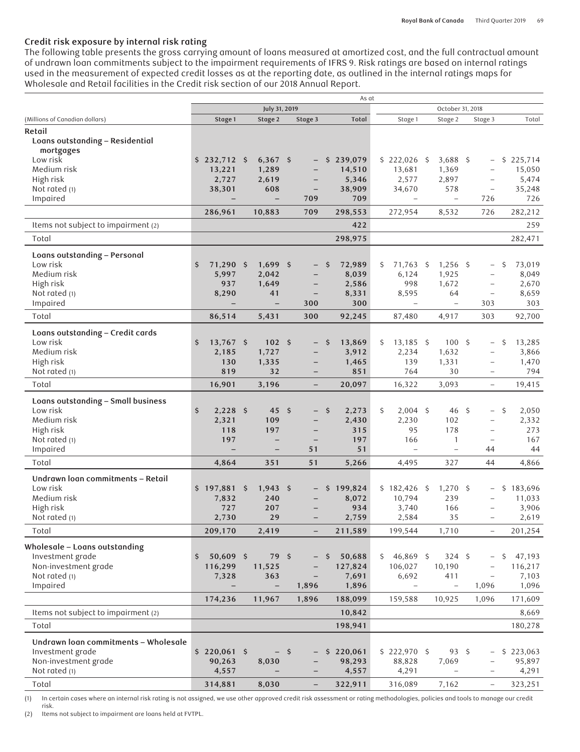# **Credit risk exposure by internal risk rating**

The following table presents the gross carrying amount of loans measured at amortized cost, and the full contractual amount of undrawn loan commitments subject to the impairment requirements of IFRS 9. Risk ratings are based on internal ratings used in the measurement of expected credit losses as at the reporting date, as outlined in the internal ratings maps for Wholesale and Retail facilities in the Credit risk section of our 2018 Annual Report.

|                                              |                            |                          |      |                          |               | As at           |     |                          |                          |                                                      |                       |
|----------------------------------------------|----------------------------|--------------------------|------|--------------------------|---------------|-----------------|-----|--------------------------|--------------------------|------------------------------------------------------|-----------------------|
|                                              |                            | July 31, 2019            |      |                          |               |                 |     |                          | October 31, 2018         |                                                      |                       |
| (Millions of Canadian dollars)               | Stage 1                    | Stage 2                  |      | Stage 3                  |               | Total           |     | Stage 1                  | Stage 2                  | Stage 3                                              | Total                 |
| Retail                                       |                            |                          |      |                          |               |                 |     |                          |                          |                                                      |                       |
| Loans outstanding - Residential              |                            |                          |      |                          |               |                 |     |                          |                          |                                                      |                       |
| mortgages                                    |                            |                          |      |                          |               |                 |     |                          |                          |                                                      |                       |
| Low risk                                     | $$232,712$ \$              | $6,367$ \$               |      |                          |               | \$239,079       |     | $$222,026$ \$            | 3,688 \$                 | $\overline{\phantom{a}}$                             | \$225,714             |
| Medium risk                                  | 13,221                     | 1,289                    |      |                          |               | 14,510          |     | 13,681                   | 1,369                    |                                                      | 15,050                |
| High risk                                    | 2,727                      | 2,619                    |      |                          |               | 5,346           |     | 2,577                    | 2,897                    | $\qquad \qquad -$                                    | 5,474                 |
| Not rated (1)                                | 38,301                     | 608                      |      |                          |               | 38,909          |     | 34,670                   | 578                      | $\overline{\phantom{a}}$                             | 35,248                |
| Impaired                                     |                            |                          |      | 709                      |               | 709             |     |                          | $\overline{\phantom{0}}$ | 726                                                  | 726                   |
|                                              | 286,961                    | 10,883                   |      | 709                      |               | 298.553         |     | 272,954                  | 8,532                    | 726                                                  | 282,212               |
| Items not subject to impairment (2)          |                            |                          |      |                          |               | 422             |     |                          |                          |                                                      | 259                   |
| Total                                        |                            |                          |      |                          |               | 298,975         |     |                          |                          |                                                      | 282,471               |
| Loans outstanding - Personal                 |                            |                          |      |                          |               |                 |     |                          |                          |                                                      |                       |
| Low risk                                     | \$<br>$71,290$ \$          | $1,699$ \$               |      |                          | \$            | 72,989          | \$. | 71,763 \$                | $1,256$ \$               | $\overline{\phantom{a}}$                             | \$<br>73,019          |
| Medium risk                                  | 5,997                      | 2,042                    |      |                          |               | 8,039           |     | 6,124                    | 1,925                    | $\overline{\phantom{0}}$                             | 8,049                 |
| High risk                                    | 937                        | 1,649                    |      |                          |               | 2,586           |     | 998                      | 1,672                    | $\overline{\phantom{0}}$                             | 2,670                 |
| Not rated (1)                                | 8,290                      | 41                       |      | $\qquad \qquad -$        |               | 8,331           |     | 8,595                    | 64                       | $\overline{\phantom{a}}$                             | 8,659                 |
| Impaired                                     |                            | $\overline{\phantom{0}}$ |      | 300                      |               | 300             |     | $\overline{\phantom{0}}$ | $\qquad \qquad -$        | 303                                                  | 303                   |
| Total                                        | 86,514                     | 5,431                    |      | 300                      |               | 92,245          |     | 87,480                   | 4,917                    | 303                                                  | 92,700                |
|                                              |                            |                          |      |                          |               |                 |     |                          |                          |                                                      |                       |
| Loans outstanding - Credit cards<br>Low risk |                            |                          |      |                          |               |                 |     |                          |                          |                                                      |                       |
| Medium risk                                  | \$<br>$13,767$ \$<br>2,185 | $102 \quad$ \$<br>1,727  |      |                          | \$            | 13,869<br>3,912 | \$  | $13,185$ \$<br>2,234     | 100S<br>1,632            | $\overline{\phantom{0}}$<br>$\overline{\phantom{0}}$ | \$<br>13,285<br>3,866 |
|                                              |                            |                          |      |                          |               |                 |     |                          |                          |                                                      |                       |
| High risk                                    | 130                        | 1,335                    |      |                          |               | 1,465           |     | 139                      | 1,331                    | -                                                    | 1,470                 |
| Not rated (1)                                | 819                        | 32                       |      |                          |               | 851             |     | 764                      | 30                       |                                                      | 794                   |
| Total                                        | 16,901                     | 3,196                    |      | $\qquad \qquad -$        |               | 20,097          |     | 16,322                   | 3,093                    | $\qquad \qquad -$                                    | 19,415                |
| Loans outstanding - Small business           |                            |                          |      |                          |               |                 |     |                          |                          |                                                      |                       |
| Low risk                                     | \$<br>$2,228$ \$           | $45 \pm$                 |      |                          | $\mathsf{\$}$ | 2,273           | \$  | $2,004$ \$               | $46 \pm$                 | $\overline{\phantom{0}}$                             | \$<br>2,050           |
| Medium risk                                  | 2,321                      | 109                      |      | $\overline{\phantom{0}}$ |               | 2,430           |     | 2,230                    | 102                      | $\overline{\phantom{m}}$                             | 2,332                 |
| High risk                                    | 118                        | 197                      |      |                          |               | 315             |     | 95                       | 178                      | $\overline{\phantom{0}}$                             | 273                   |
| Not rated (1)                                | 197                        | -                        |      | $\overline{\phantom{0}}$ |               | 197             |     | 166                      | $\mathbf{1}$             | $\qquad \qquad -$                                    | 167                   |
| Impaired                                     | $\overline{\phantom{0}}$   | -                        |      | 51                       |               | 51              |     | $\overline{\phantom{a}}$ | $\overline{\phantom{a}}$ | 44                                                   | 44                    |
| Total                                        | 4,864                      | 351                      |      | 51                       |               | 5,266           |     | 4,495                    | 327                      | 44                                                   | 4,866                 |
| Undrawn loan commitments - Retail            |                            |                          |      |                          |               |                 |     |                          |                          |                                                      |                       |
| Low risk                                     | $$197,881$ \$              | $1,943$ \$               |      |                          | \$            | 199,824         |     | $$182,426$ \$            | $1,270$ \$               | $\overline{\phantom{a}}$                             | \$183.696             |
| Medium risk                                  | 7,832                      | 240                      |      |                          |               | 8.072           |     | 10,794                   | 239                      |                                                      | 11,033                |
| High risk                                    | 727                        | 207                      |      |                          |               | 934             |     | 3,740                    | 166                      | $\overline{\phantom{0}}$                             | 3,906                 |
| Not rated (1)                                | 2,730                      | 29                       |      |                          |               | 2,759           |     | 2,584                    | 35                       | $\overline{\phantom{0}}$                             | 2,619                 |
| Total                                        | 209,170                    | 2,419                    |      |                          |               | 211,589         |     | 199,544                  | 1,710                    | -                                                    | 201,254               |
| Wholesale - Loans outstanding                |                            |                          |      |                          |               |                 |     |                          |                          |                                                      |                       |
| Investment grade                             | \$<br>$50,609$ \$          | 79 \$                    |      |                          | -\$           | 50,688          | \$  | $46,869$ \$              | 324S                     | $\overline{\phantom{0}}$                             | \$<br>47,193          |
| Non-investment grade                         | 116,299                    | 11,525                   |      |                          |               | 127,824         |     | 106,027                  | 10,190                   |                                                      | 116,217               |
| Not rated (1)                                | 7,328                      | 363                      |      |                          |               | 7,691           |     | 6,692                    | 411                      | $\qquad \qquad -$                                    | 7,103                 |
| Impaired                                     |                            |                          |      | 1,896                    |               | 1,896           |     |                          |                          | 1,096                                                | 1,096                 |
|                                              | 174,236                    | 11,967                   |      | 1,896                    |               | 188,099         |     | 159,588                  | 10,925                   | 1,096                                                | 171,609               |
| Items not subject to impairment (2)          |                            |                          |      |                          |               | 10,842          |     |                          |                          |                                                      | 8,669                 |
|                                              |                            |                          |      |                          |               |                 |     |                          |                          |                                                      |                       |
| Total                                        |                            |                          |      |                          |               | 198,941         |     |                          |                          |                                                      | 180,278               |
| Undrawn Ioan commitments - Wholesale         |                            |                          |      |                          |               |                 |     |                          |                          |                                                      |                       |
| Investment grade                             | $$220,061$ \$              |                          | - \$ |                          |               | \$220,061       |     | $$222,970$ \$            | 93S                      |                                                      | \$223,063             |
| Non-investment grade                         | 90,263                     | 8,030                    |      |                          |               | 98,293          |     | 88,828                   | 7,069                    |                                                      | 95,897                |
| Not rated (1)                                | 4,557                      |                          |      |                          |               | 4,557           |     | 4,291                    |                          |                                                      | 4,291                 |
| Total                                        | 314,881                    | 8,030                    |      | $\qquad \qquad -$        |               | 322,911         |     | 316,089                  | 7,162                    | $\overline{\phantom{a}}$                             | 323,251               |
|                                              |                            |                          |      |                          |               |                 |     |                          |                          |                                                      |                       |

(1) In certain cases where an internal risk rating is not assigned, we use other approved credit risk assessment or rating methodologies, policies and tools to manage our credit risk.

(2) Items not subject to impairment are loans held at FVTPL.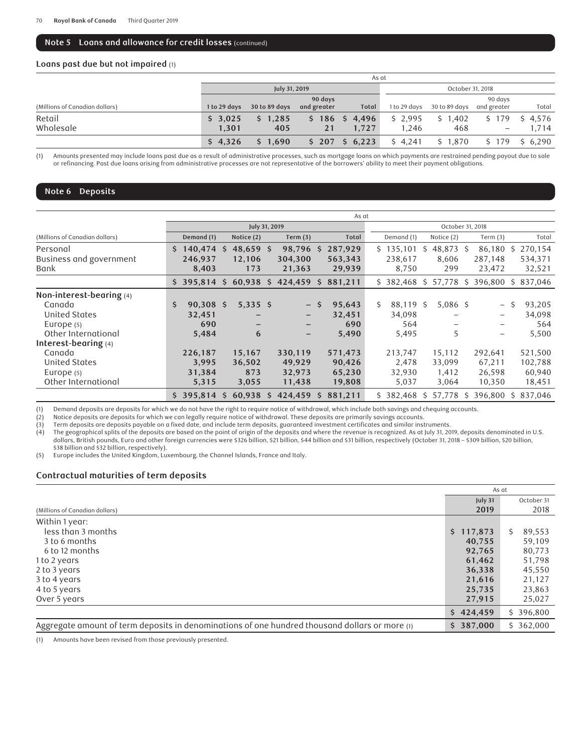#### **Note 5 Loans and allowance for credit losses** (continued)

#### **Loans past due but not impaired** (1)

|                                                                                                                                                                                 |              | As at         |             |         |                  |                        |             |         |  |  |  |  |  |
|---------------------------------------------------------------------------------------------------------------------------------------------------------------------------------|--------------|---------------|-------------|---------|------------------|------------------------|-------------|---------|--|--|--|--|--|
|                                                                                                                                                                                 |              | July 31, 2019 |             |         | October 31, 2018 |                        |             |         |  |  |  |  |  |
|                                                                                                                                                                                 |              |               | 90 days     |         |                  |                        | 90 days     |         |  |  |  |  |  |
| (Millions of Canadian dollars)                                                                                                                                                  | 1 to 29 days | 30 to 89 days | and greater | Total   | 1 to 29 days     | 30 to 89 days          | and greater | Total   |  |  |  |  |  |
| Retail                                                                                                                                                                          | \$3,025      | \$1,285       | \$186       | \$4.496 | \$2.995          | .402<br>S <sub>1</sub> | \$179       | \$4.576 |  |  |  |  |  |
| Wholesale                                                                                                                                                                       | 1.301        | 405           | 21          | 1,727   | 1.246            | 468                    | -           | 1.714   |  |  |  |  |  |
|                                                                                                                                                                                 | \$4.326      | \$1,690       | \$207       | \$6.223 | \$4.241          | \$1.870                | \$179       | \$6.290 |  |  |  |  |  |
| Amounts presented may include loans past due as a result of administrative processes, such as mortgage loans on which payments are restrained pending payout due to sale<br>(1) |              |               |             |         |                  |                        |             |         |  |  |  |  |  |

or refinancing. Past due loans arising from administrative processes are not representative of the borrowers' ability to meet their payment obligations.

# **Note 6 Deposits**

|                                                                                                                                                           | As at |                                           |               |                          |  |                                |          |                              |    |                                     |    |                           |                             |              |                              |
|-----------------------------------------------------------------------------------------------------------------------------------------------------------|-------|-------------------------------------------|---------------|--------------------------|--|--------------------------------|----------|------------------------------|----|-------------------------------------|----|---------------------------|-----------------------------|--------------|------------------------------|
|                                                                                                                                                           |       |                                           |               | July 31, 2019            |  |                                |          |                              |    |                                     |    | October 31, 2018          |                             |              |                              |
| (Millions of Canadian dollars)                                                                                                                            |       | Demand (1)                                |               | Notice (2)               |  | Term $(3)$                     |          | Total                        |    | Demand (1)                          |    | Notice (2)                | Term $(3)$                  |              | Total                        |
| Personal<br>Business and government<br>Bank                                                                                                               | \$.   | 140,474<br>246,937<br>8,403               | $\mathsf{\$}$ | 48.659S<br>12,106<br>173 |  | 98,796 \$<br>304,300<br>21,363 |          | 287,929<br>563,343<br>29,939 | Ŝ. | 135,101<br>238,617<br>8,750         | \$ | 48,873 \$<br>8,606<br>299 | 86.180<br>287,148<br>23,472 | <sup>S</sup> | 270,154<br>534,371<br>32,521 |
|                                                                                                                                                           |       | $$395,814 \t$60,938 \t$424,459 \t$81,211$ |               |                          |  |                                |          |                              |    | $$382,468$ $$57,778$ $$396,800$ $$$ |    |                           |                             |              | 837,046                      |
| Non-interest-bearing (4)                                                                                                                                  |       |                                           |               |                          |  |                                |          |                              |    |                                     |    |                           |                             |              |                              |
| Canada                                                                                                                                                    | \$    | $90,308$ \$                               |               | $5,335$ \$               |  | $ \,$                          | <b>S</b> | 95,643                       | Ŝ  | 88,119 \$                           |    | 5,086 \$                  | $-$                         | S            | 93,205                       |
| United States                                                                                                                                             |       | 32.451                                    |               |                          |  | $\qquad \qquad -$              |          | 32.451                       |    | 34,098                              |    | -                         | -                           |              | 34,098                       |
| Europe (5)                                                                                                                                                |       | 690                                       |               |                          |  |                                |          | 690                          |    | 564                                 |    |                           |                             |              | 564                          |
| Other International                                                                                                                                       |       | 5,484                                     |               | 6                        |  | -                              |          | 5,490                        |    | 5,495                               |    | 5                         | $\overline{\phantom{0}}$    |              | 5,500                        |
| Interest-bearing $(4)$                                                                                                                                    |       |                                           |               |                          |  |                                |          |                              |    |                                     |    |                           |                             |              |                              |
| Canada                                                                                                                                                    |       | 226,187                                   |               | 15,167                   |  | 330,119                        |          | 571,473                      |    | 213,747                             |    | 15,112                    | 292,641                     |              | 521,500                      |
| United States                                                                                                                                             |       | 3,995                                     |               | 36,502                   |  | 49,929                         |          | 90,426                       |    | 2,478                               |    | 33,099                    | 67,211                      |              | 102,788                      |
| Europe (5)                                                                                                                                                |       | 31,384                                    |               | 873                      |  | 32,973                         |          | 65,230                       |    | 32,930                              |    | 1,412                     | 26,598                      |              | 60,940                       |
| Other International                                                                                                                                       |       | 5,315                                     |               | 3,055                    |  | 11,438                         |          | 19,808                       |    | 5,037                               |    | 3,064                     | 10,350                      |              | 18,451                       |
|                                                                                                                                                           |       | $$395,814$ \$                             |               | $60,938$ \$              |  | $424,459$ \$                   |          | 881,211                      |    | \$382,468                           |    | 57,778 \$                 | 396,800                     | S.           | 837,046                      |
| Demand deposits are deposits for which we do not have the right to require notice of withdrawal, which include both savings and chequing accounts.<br>(1) |       |                                           |               |                          |  |                                |          |                              |    |                                     |    |                           |                             |              |                              |

(2) Notice deposits are deposits for which we can legally require notice of withdrawal. These deposits are primarily savings accounts.

(3) Term deposits are deposits payable on a fixed date, and include term deposits, guaranteed investment certificates and similar instruments.

(4) The geographical splits of the deposits are based on the point of origin of the deposits and where the revenue is recognized. As at July 31, 2019, deposits denominated in U.S. dollars, British pounds, Euro and other foreign currencies were \$326 billion, \$21 billion, \$44 billion and \$31 billion, respectively (October 31, 2018 – \$309 billion, \$20 billion, \$20 billion, \$38 billion and \$32 billion, respectively).

(5) Europe includes the United Kingdom, Luxembourg, the Channel Islands, France and Italy.

### **Contractual maturities of term deposits**

|                                                                                                | As at     |              |
|------------------------------------------------------------------------------------------------|-----------|--------------|
|                                                                                                | July 31   | October 31   |
| (Millions of Canadian dollars)                                                                 | 2019      | 2018         |
| Within 1 year:                                                                                 |           |              |
| less than 3 months                                                                             | \$117,873 | Ŝ.<br>89,553 |
| 3 to 6 months                                                                                  | 40,755    | 59,109       |
| 6 to 12 months                                                                                 | 92,765    | 80,773       |
| 1 to 2 years                                                                                   | 61,462    | 51,798       |
| 2 to 3 years                                                                                   | 36,338    | 45,550       |
| 3 to 4 years                                                                                   | 21,616    | 21,127       |
| 4 to 5 years                                                                                   | 25,735    | 23,863       |
| Over 5 years                                                                                   | 27,915    | 25,027       |
|                                                                                                | \$424,459 | \$396,800    |
| Aggregate amount of term deposits in denominations of one hundred thousand dollars or more (1) | \$387,000 | \$362,000    |

(1) Amounts have been revised from those previously presented.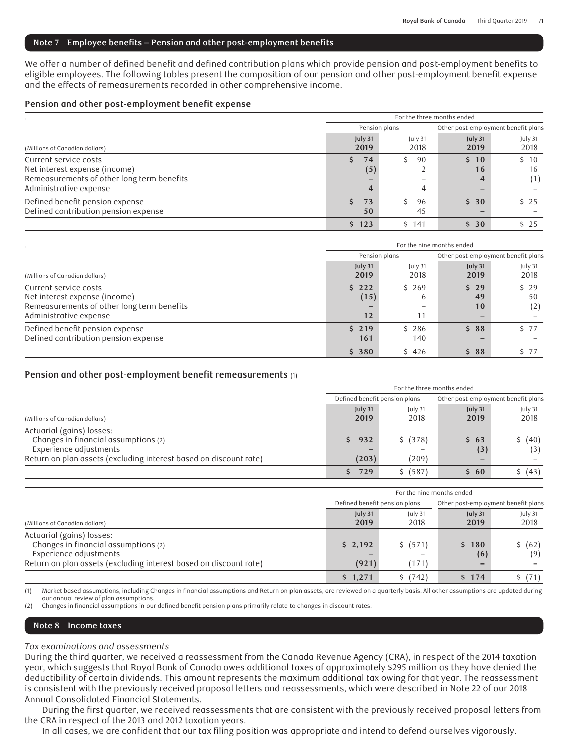# **Note 7 Employee benefits – Pension and other post-employment benefits**

We offer a number of defined benefit and defined contribution plans which provide pension and post-employment benefits to eligible employees. The following tables present the composition of our pension and other post-employment benefit expense and the effects of remeasurements recorded in other comprehensive income.

#### **Pension and other post-employment benefit expense**

|                                                                                                                                | For the three months ended |                 |                                     |                   |  |  |  |  |  |  |
|--------------------------------------------------------------------------------------------------------------------------------|----------------------------|-----------------|-------------------------------------|-------------------|--|--|--|--|--|--|
|                                                                                                                                | Pension plans              |                 | Other post-employment benefit plans |                   |  |  |  |  |  |  |
| (Millions of Canadian dollars)                                                                                                 | July 31<br>2019            | July 31<br>2018 | July 31<br>2019                     | July 31<br>2018   |  |  |  |  |  |  |
| Current service costs<br>Net interest expense (income)<br>Remeasurements of other long term benefits<br>Administrative expense | 74<br>(5)<br>4             | 90<br>Ś.<br>4   | \$10<br>16<br>4                     | \$10<br>16<br>(1) |  |  |  |  |  |  |
| Defined benefit pension expense<br>Defined contribution pension expense                                                        | 73<br>50                   | Š.<br>96<br>45  | \$30                                | \$25              |  |  |  |  |  |  |
|                                                                                                                                | \$123                      | \$141           | \$30                                | \$25              |  |  |  |  |  |  |

|                                                                                                                                | For the nine months ended |                 |                                     |                   |  |  |  |  |  |
|--------------------------------------------------------------------------------------------------------------------------------|---------------------------|-----------------|-------------------------------------|-------------------|--|--|--|--|--|
|                                                                                                                                |                           | Pension plans   | Other post-employment benefit plans |                   |  |  |  |  |  |
| (Millions of Canadian dollars)                                                                                                 | July 31<br>2019           | July 31<br>2018 | July 31<br>2019                     | July 31<br>2018   |  |  |  |  |  |
| Current service costs<br>Net interest expense (income)<br>Remeasurements of other long term benefits<br>Administrative expense | \$222<br>(15)<br>12       | \$269<br>6      | \$29<br>49<br>10                    | \$29<br>50<br>(2) |  |  |  |  |  |
| Defined benefit pension expense<br>Defined contribution pension expense                                                        | \$219<br>161              | \$286<br>140    | \$88                                | $S$ 77            |  |  |  |  |  |
|                                                                                                                                | \$380                     | \$426           | \$88                                | $S$ 77            |  |  |  |  |  |

## **Pension and other post-employment benefit remeasurements** (1)

| For the three months ended |          |                                     |         |  |  |  |  |  |  |
|----------------------------|----------|-------------------------------------|---------|--|--|--|--|--|--|
|                            |          | Other post-employment benefit plans |         |  |  |  |  |  |  |
| July 31                    | July 31  | July 31                             | July 31 |  |  |  |  |  |  |
| 2019                       | 2018     | 2019                                | 2018    |  |  |  |  |  |  |
|                            |          |                                     |         |  |  |  |  |  |  |
| 932                        | \$ (378) | \$63                                | \$ (40) |  |  |  |  |  |  |
|                            |          |                                     | (3)     |  |  |  |  |  |  |
| (203)                      | (209)    |                                     |         |  |  |  |  |  |  |
| 729                        | \$ (587) | \$60                                | \$ (43) |  |  |  |  |  |  |
|                            |          | Defined benefit pension plans       | (3)     |  |  |  |  |  |  |

|                                                                                             | For the nine months ended     |                                      |                                     |                 |  |  |  |  |  |  |  |
|---------------------------------------------------------------------------------------------|-------------------------------|--------------------------------------|-------------------------------------|-----------------|--|--|--|--|--|--|--|
|                                                                                             | Defined benefit pension plans |                                      | Other post-employment benefit plans |                 |  |  |  |  |  |  |  |
| (Millions of Canadian dollars)                                                              | July 31<br>2019               | July 31<br>2018                      | July 31<br>2019                     | July 31<br>2018 |  |  |  |  |  |  |  |
| Actuarial (gains) losses:<br>Changes in financial assumptions (2)<br>Experience adjustments | \$2,192                       | \$ (571)<br>$\overline{\phantom{a}}$ | 180<br>S.<br>(6)                    | \$ (62)<br>(9)  |  |  |  |  |  |  |  |
| Return on plan assets (excluding interest based on discount rate)                           | (921)                         | 171                                  |                                     |                 |  |  |  |  |  |  |  |
|                                                                                             | \$1,271                       | \$(742)                              | \$174                               | \$(71)          |  |  |  |  |  |  |  |

(1) Market based assumptions, including Changes in financial assumptions and Return on plan assets, are reviewed on a quarterly basis. All other assumptions are updated during our annual review of plan assumptions.

(2) Changes in financial assumptions in our defined benefit pension plans primarily relate to changes in discount rates.

# **Note 8 Income taxes**

# *Tax examinations and assessments*

During the third quarter, we received a reassessment from the Canada Revenue Agency (CRA), in respect of the 2014 taxation year, which suggests that Royal Bank of Canada owes additional taxes of approximately \$295 million as they have denied the deductibility of certain dividends. This amount represents the maximum additional tax owing for that year. The reassessment is consistent with the previously received proposal letters and reassessments, which were described in Note 22 of our 2018 Annual Consolidated Financial Statements.

During the first quarter, we received reassessments that are consistent with the previously received proposal letters from the CRA in respect of the 2013 and 2012 taxation years.

In all cases, we are confident that our tax filing position was appropriate and intend to defend ourselves vigorously.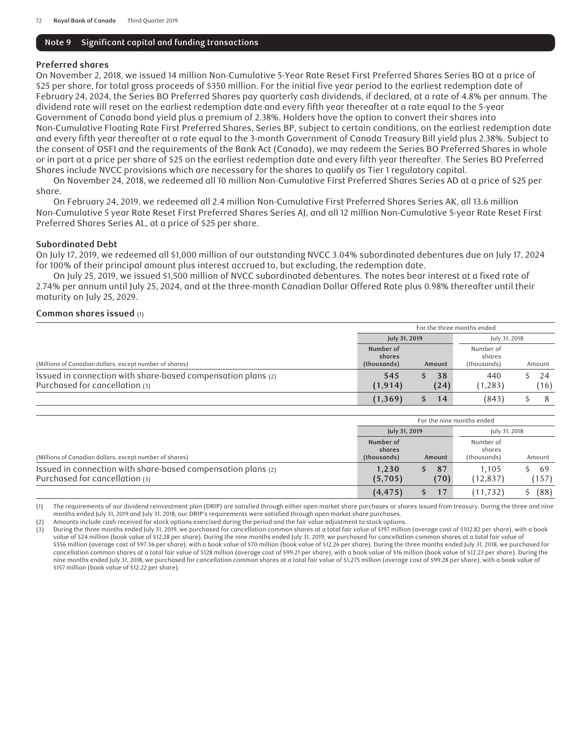#### **Note 9 Significant capital and funding transactions**

#### **Preferred shares**

On November 2, 2018, we issued 14 million Non-Cumulative 5-Year Rate Reset First Preferred Shares Series BO at a price of \$25 per share, for total gross proceeds of \$350 million. For the initial five year period to the earliest redemption date of February 24, 2024, the Series BO Preferred Shares pay quarterly cash dividends, if declared, at a rate of 4.8% per annum. The dividend rate will reset on the earliest redemption date and every fifth year thereafter at a rate equal to the 5-year Government of Canada bond yield plus a premium of 2.38%. Holders have the option to convert their shares into Non-Cumulative Floating Rate First Preferred Shares, Series BP, subject to certain conditions, on the earliest redemption date and every fifth year thereafter at a rate equal to the 3-month Government of Canada Treasury Bill yield plus 2.38%. Subject to the consent of OSFI and the requirements of the Bank Act (Canada), we may redeem the Series BO Preferred Shares in whole or in part at a price per share of \$25 on the earliest redemption date and every fifth year thereafter. The Series BO Preferred Shares include NVCC provisions which are necessary for the shares to qualify as Tier 1 regulatory capital.

On November 24, 2018, we redeemed all 10 million Non-Cumulative First Preferred Shares Series AD at a price of \$25 per share.

On February 24, 2019, we redeemed all 2.4 million Non-Cumulative First Preferred Shares Series AK, all 13.6 million Non-Cumulative 5 year Rate Reset First Preferred Shares Series AJ, and all 12 million Non-Cumulative 5-year Rate Reset First Preferred Shares Series AL, at a price of \$25 per share.

#### **Subordinated Debt**

On July 17, 2019, we redeemed all \$1,000 million of our outstanding NVCC 3.04% subordinated debentures due on July 17, 2024 for 100% of their principal amount plus interest accrued to, but excluding, the redemption date.

On July 25, 2019, we issued \$1,500 million of NVCC subordinated debentures. The notes bear interest at a fixed rate of 2.74% per annum until July 25, 2024, and at the three-month Canadian Dollar Offered Rate plus 0.98% thereafter until their maturity on July 25, 2029.

#### **Common shares issued** (1)

|                                                                                                |                                    |            | For the three months ended         |           |
|------------------------------------------------------------------------------------------------|------------------------------------|------------|------------------------------------|-----------|
|                                                                                                | July 31, 2019                      |            | July 31, 2018                      |           |
| (Millions of Canadian dollars, except number of shares)                                        | Number of<br>shares<br>(thousands) | Amount     | Number of<br>shares<br>(thousands) | Amount    |
| Issued in connection with share-based compensation plans (2)<br>Purchased for cancellation (3) | 545<br>(1, 914)                    | 38<br>(24) | 440<br>(1, 283)                    | 24<br>16) |
|                                                                                                | (1, 369)                           | 14         | (843)                              | 8         |

|                                                                                                | For the nine months ended          |            |                                    |             |
|------------------------------------------------------------------------------------------------|------------------------------------|------------|------------------------------------|-------------|
|                                                                                                | July 31, 2019                      |            | July 31, 2018                      |             |
| (Millions of Canadian dollars, except number of shares)                                        | Number of<br>shares<br>(thousands) | Amount     | Number of<br>shares<br>(thousands) | Amount      |
| Issued in connection with share-based compensation plans (2)<br>Purchased for cancellation (3) | 1,230<br>(5,705)                   | 87<br>(70) | 1.105<br>(12, 837)                 | 69<br>(157) |
|                                                                                                | (4, 475)                           | 17         | (11, 732)                          | (88)        |

(1) The requirements of our dividend reinvestment plan (DRIP) are satisfied through either open market share purchases or shares issued from treasury. During the three and nine months ended July 31, 2019 and July 31, 2018, our DRIP's requirements were satisfied through open market share purchases.

(2) Amounts include cash received for stock options exercised during the period and the fair value adjustment to stock options.

(3) During the three months ended July 31, 2019, we purchased for cancellation common shares at a total fair value of \$197 million (average cost of \$102.82 per share), with a book value of \$24 million (book value of \$12.28 per share). During the nine months ended July 31, 2019, we purchased for cancellation common shares at a total fair value of \$556 million (average cost of \$97.36 per share), with a book value of \$70 million (book value of \$12.26 per share). During the three months ended July 31, 2018, we purchased for cancellation common shares at a total fair value of \$128 million (average cost of \$99.21 per share), with a book value of \$16 million (book value of \$12.23 per share). During the nine months ended July 31, 2018, we purchased for cancellation common shares at a total fair value of \$1,275 million (average cost of \$99.28 per share), with a book value of \$157 million (book value of \$12.22 per share).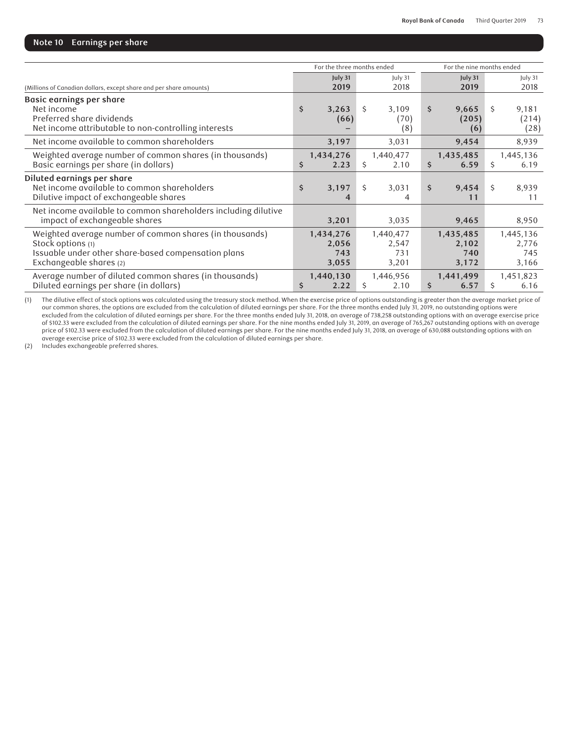|                                                                    | For the three months ended |    |           | For the nine months ended |    |           |
|--------------------------------------------------------------------|----------------------------|----|-----------|---------------------------|----|-----------|
|                                                                    | July 31                    |    | July 31   | July 31                   |    | July 31   |
| (Millions of Canadian dollars, except share and per share amounts) | 2019                       |    | 2018      | 2019                      |    | 2018      |
| Basic earnings per share                                           |                            |    |           |                           |    |           |
| Net income                                                         | \$<br>3,263                | Ŝ. | 3.109     | \$<br>9,665               | Ŝ. | 9,181     |
| Preferred share dividends                                          | (66)                       |    | (70)      | (205)                     |    | (214)     |
| Net income attributable to non-controlling interests               |                            |    | (8)       | (6)                       |    | (28)      |
| Net income available to common shareholders                        | 3,197                      |    | 3,031     | 9,454                     |    | 8,939     |
| Weighted average number of common shares (in thousands)            | 1,434,276                  |    | 1,440,477 | 1,435,485                 |    | 1,445,136 |
| Basic earnings per share (in dollars)                              | \$<br>2.23                 | Ŝ. | 2.10      | \$<br>6.59                | \$ | 6.19      |
| Diluted earnings per share                                         |                            |    |           |                           |    |           |
| Net income available to common shareholders                        | \$<br>3,197                | \$ | 3,031     | \$<br>9,454               | \$ | 8,939     |
| Dilutive impact of exchangeable shares                             | 4                          |    | 4         | 11                        |    | 11        |
| Net income available to common shareholders including dilutive     |                            |    |           |                           |    |           |
| impact of exchangeable shares                                      | 3,201                      |    | 3,035     | 9,465                     |    | 8,950     |
| Weighted average number of common shares (in thousands)            | 1,434,276                  |    | 1,440,477 | 1,435,485                 |    | 1,445,136 |
| Stock options (1)                                                  | 2,056                      |    | 2,547     | 2,102                     |    | 2,776     |
| Issuable under other share-based compensation plans                | 743                        |    | 731       | 740                       |    | 745       |
| Exchangeable shares (2)                                            | 3,055                      |    | 3,201     | 3,172                     |    | 3,166     |
| Average number of diluted common shares (in thousands)             | 1,440,130                  |    | 1,446,956 | 1,441,499                 |    | 1,451,823 |
| Diluted earnings per share (in dollars)                            | \$<br>2.22                 | Ŝ  | 2.10      | \$<br>6.57                | Ŝ. | 6.16      |
|                                                                    |                            |    |           |                           |    |           |

(1) The dilutive effect of stock options was calculated using the treasury stock method. When the exercise price of options outstanding is greater than the average market price of our common shares, the options are excluded from the calculation of diluted earnings per share. For the three months ended July 31, 2019, no outstanding options were excluded from the calculation of diluted earnings per share. For the three months ended July 31, 2018, an average of 738,258 outstanding options with an average exercise price of \$102.33 were excluded from the calculation of diluted earnings per share. For the nine months ended July 31, 2019, an average of 765,267 outstanding options with an average price of \$102.33 were excluded from the calculation of diluted earnings per share. For the nine months ended July 31, 2018, an average of 630,088 outstanding options with an average exercise price of \$102.33 were excluded from the calculation of diluted earnings per share.

(2) Includes exchangeable preferred shares.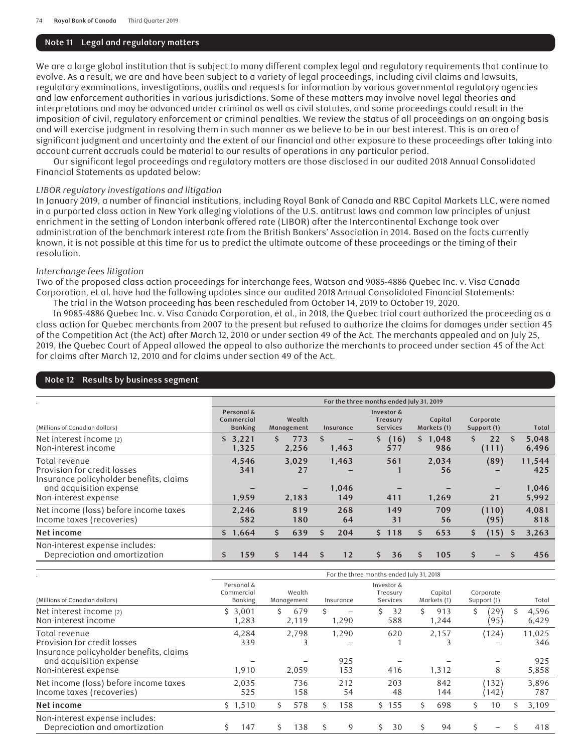## **Note 11 Legal and regulatory matters**

We are a large global institution that is subject to many different complex legal and regulatory requirements that continue to evolve. As a result, we are and have been subject to a variety of legal proceedings, including civil claims and lawsuits, regulatory examinations, investigations, audits and requests for information by various governmental regulatory agencies and law enforcement authorities in various jurisdictions. Some of these matters may involve novel legal theories and interpretations and may be advanced under criminal as well as civil statutes, and some proceedings could result in the imposition of civil, regulatory enforcement or criminal penalties. We review the status of all proceedings on an ongoing basis and will exercise judgment in resolving them in such manner as we believe to be in our best interest. This is an area of significant judgment and uncertainty and the extent of our financial and other exposure to these proceedings after taking into account current accruals could be material to our results of operations in any particular period.

Our significant legal proceedings and regulatory matters are those disclosed in our audited 2018 Annual Consolidated Financial Statements as updated below:

#### *LIBOR regulatory investigations and litigation*

In January 2019, a number of financial institutions, including Royal Bank of Canada and RBC Capital Markets LLC, were named in a purported class action in New York alleging violations of the U.S. antitrust laws and common law principles of unjust enrichment in the setting of London interbank offered rate (LIBOR) after the Intercontinental Exchange took over administration of the benchmark interest rate from the British Bankers' Association in 2014. Based on the facts currently known, it is not possible at this time for us to predict the ultimate outcome of these proceedings or the timing of their resolution.

#### *Interchange fees litigation*

Two of the proposed class action proceedings for interchange fees, Watson and 9085-4886 Quebec Inc. v. Visa Canada Corporation, et al. have had the following updates since our audited 2018 Annual Consolidated Financial Statements: The trial in the Watson proceeding has been rescheduled from October 14, 2019 to October 19, 2020.

In 9085-4886 Quebec Inc. v. Visa Canada Corporation, et al., in 2018, the Quebec trial court authorized the proceeding as a class action for Quebec merchants from 2007 to the present but refused to authorize the claims for damages under section 45 of the Competition Act (the Act) after March 12, 2010 or under section 49 of the Act. The merchants appealed and on July 25, 2019, the Quebec Court of Appeal allowed the appeal to also authorize the merchants to proceed under section 45 of the Act for claims after March 12, 2010 and for claims under section 49 of the Act.

|                                                                                         |                                            | For the three months ended July 31, 2019 |                     |                                           |                        |                          |                |  |  |  |
|-----------------------------------------------------------------------------------------|--------------------------------------------|------------------------------------------|---------------------|-------------------------------------------|------------------------|--------------------------|----------------|--|--|--|
| (Millions of Canadian dollars)                                                          | Personal &<br>Commercial<br><b>Banking</b> | Wealth<br>Management                     | Insurance           | Investor &<br>Treasury<br><b>Services</b> | Capital<br>Markets (1) | Corporate<br>Support (1) | <b>Total</b>   |  |  |  |
| Net interest income (2)<br>Non-interest income                                          | 3,221<br>S.<br>1,325                       | 773<br>Ś.<br>2,256                       | Ŝ.<br>1,463         | \$<br>(16)<br>577                         | 1.048<br>S.<br>986     | 22<br>\$<br>S.<br>(111)  | 5,048<br>6,496 |  |  |  |
| Total revenue<br>Provision for credit losses<br>Insurance policyholder benefits, claims | 4,546<br>341                               | 3,029<br>27                              | 1,463               | 561                                       | 2,034<br>56            | (89)                     | 11,544<br>425  |  |  |  |
| and acquisition expense<br>Non-interest expense                                         | 1,959                                      | 2,183                                    | 1.046<br>149        | 411                                       | 1,269                  | 21                       | 1,046<br>5,992 |  |  |  |
| Net income (loss) before income taxes<br>Income taxes (recoveries)                      | 2,246<br>582                               | 819<br>180                               | 268<br>64           | 149<br>31                                 | 709<br>56              | (110)<br>(95)            | 4,081<br>818   |  |  |  |
| Net income                                                                              | \$1,664                                    | 639<br>\$                                | 204<br>Ś            | \$118                                     | \$<br>653              | (15)<br>Ś<br>S.          | 3,263          |  |  |  |
| Non-interest expense includes:<br>Depreciation and amortization                         | 159<br>Ŝ.                                  | 144<br>Ŝ.                                | 12<br><sup>\$</sup> | \$<br>36                                  | Ś.<br>105              | \$<br>- S<br>$-$         | 456            |  |  |  |

| Note 12 Results by business segment |  |
|-------------------------------------|--|
|-------------------------------------|--|

|                                                                                         |                                     |                      |             | For the three months ended July 31, 2018 |                        |                                |                     |
|-----------------------------------------------------------------------------------------|-------------------------------------|----------------------|-------------|------------------------------------------|------------------------|--------------------------------|---------------------|
| (Millions of Canadian dollars)                                                          | Personal &<br>Commercial<br>Banking | Wealth<br>Management | Insurance   | Investor &<br>Treasury<br>Services       | Capital<br>Markets (1) | Corporate<br>Support (1)       | Total               |
| Net interest income (2)<br>Non-interest income                                          | 3.001<br>Ŝ.<br>1,283                | 679<br>Ś<br>2,119    | Ŝ.<br>1,290 | 32<br>Ś.<br>588                          | 913<br>Ś.<br>1,244     | (29)<br>Ś<br>(95)              | 4,596<br>Ś<br>6,429 |
| Total revenue<br>Provision for credit losses<br>Insurance policyholder benefits, claims | 4.284<br>339                        | 2.798                | 1,290       | 620                                      | 2.157<br>3             | (124)                          | 11,025<br>346       |
| and acquisition expense<br>Non-interest expense                                         | 1,910                               | 2,059                | 925<br>153  | 416                                      | 1,312                  | 8                              | 925<br>5,858        |
| Net income (loss) before income taxes<br>Income taxes (recoveries)                      | 2.035<br>525                        | 736<br>158           | 212<br>54   | 203<br>48                                | 842<br>144             | 132)<br>142)                   | 3.896<br>787        |
| Net income                                                                              | \$1,510                             | 578<br>Ś.            | 158<br>Ś    | \$155                                    | 698<br>Ś.              | Ś.<br>10                       | 3,109<br>S          |
| Non-interest expense includes:<br>Depreciation and amortization                         | 147<br>Ŝ                            | 138<br>Ś.            | 9<br>S      | 30<br>Ś.                                 | Ś.<br>94               | \$<br>$\overline{\phantom{0}}$ | 418                 |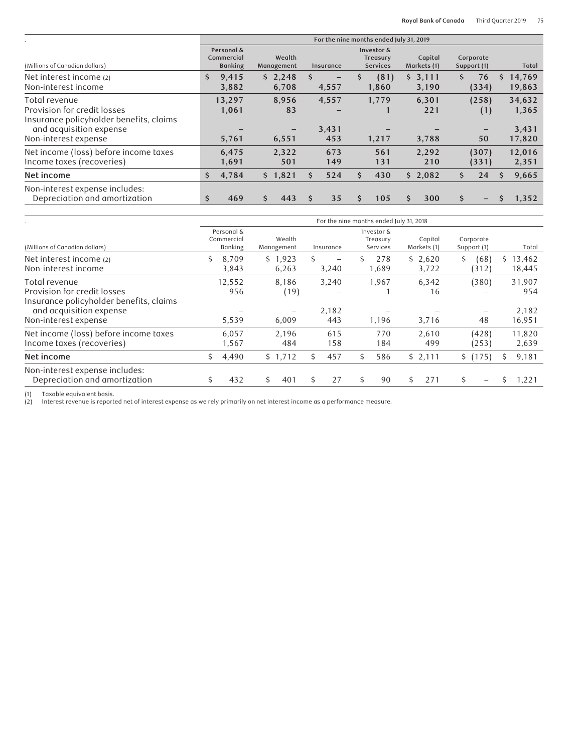|                                                                                         | For the nine months ended July 31, 2019 |                                            |    |                      |   |              |     |                                           |     |                        |     |                          |     |                  |
|-----------------------------------------------------------------------------------------|-----------------------------------------|--------------------------------------------|----|----------------------|---|--------------|-----|-------------------------------------------|-----|------------------------|-----|--------------------------|-----|------------------|
| (Millions of Canadian dollars)                                                          |                                         | Personal &<br>Commercial<br><b>Banking</b> |    | Wealth<br>Management |   | Insurance    |     | Investor &<br>Treasury<br><b>Services</b> |     | Capital<br>Markets (1) |     | Corporate<br>Support (1) |     | Total            |
| Net interest income (2)<br>Non-interest income                                          | \$                                      | 9,415<br>3,882                             |    | \$2,248<br>6,708     | Ŝ | -<br>4,557   | \$. | (81)<br>1,860                             | \$. | 3,111<br>3,190         | \$. | 76<br>(334)              | S   | 14,769<br>19,863 |
| Total revenue<br>Provision for credit losses<br>Insurance policyholder benefits, claims |                                         | 13,297<br>1,061                            |    | 8,956<br>83          |   | 4,557        |     | 1,779                                     |     | 6,301<br>221           |     | (258)<br>(1)             |     | 34,632<br>1,365  |
| and acquisition expense<br>Non-interest expense                                         |                                         | 5,761                                      |    | 6,551                |   | 3,431<br>453 |     | 1,217                                     |     | 3,788                  |     | 50                       |     | 3,431<br>17,820  |
| Net income (loss) before income taxes<br>Income taxes (recoveries)                      |                                         | 6,475<br>1,691                             |    | 2,322<br>501         |   | 673<br>149   |     | 561<br>131                                |     | 2,292<br>210           |     | (307)<br>(331)           |     | 12,016<br>2,351  |
| Net income                                                                              | \$                                      | 4,784                                      |    | \$1,821              | S | 524          | Ŝ.  | 430                                       | \$. | 2,082                  | \$  | 24                       | \$. | 9,665            |
| Non-interest expense includes:<br>Depreciation and amortization                         | \$                                      | 469                                        | \$ | 443                  | Ŝ | 35           | Ŝ.  | 105                                       | \$  | 300                    | \$  | $\qquad \qquad -$        | Ŝ.  | 1,352            |

|                                                                                         |     |                                     |          |                      |    | For the nine months ended July 31, 2018 |                                    |   |                        |     |                          |    |                  |
|-----------------------------------------------------------------------------------------|-----|-------------------------------------|----------|----------------------|----|-----------------------------------------|------------------------------------|---|------------------------|-----|--------------------------|----|------------------|
| (Millions of Canadian dollars)                                                          |     | Personal &<br>Commercial<br>Banking |          | Wealth<br>Management |    | Insurance                               | Investor &<br>Treasury<br>Services |   | Capital<br>Markets (1) |     | Corporate<br>Support (1) |    | Total            |
| Net interest income (2)<br>Non-interest income                                          | Ś.  | 8.709<br>3,843                      | $\sin 1$ | 1.923<br>6,263       | Ś. | 3,240                                   | 278<br>1,689                       |   | \$2,620<br>3,722       | \$  | (68)<br>(312)            | S. | 13,462<br>18,445 |
| Total revenue<br>Provision for credit losses<br>Insurance policyholder benefits, claims |     | 12.552<br>956                       |          | 8.186<br>(19)        |    | 3,240                                   | 1,967                              |   | 6,342<br>16            |     | (380)                    |    | 31,907<br>954    |
| and acquisition expense<br>Non-interest expense                                         |     | 5,539                               |          | 6,009                |    | 2,182<br>443                            | 1,196                              |   | 3,716                  |     | 48                       |    | 2,182<br>16,951  |
| Net income (loss) before income taxes<br>Income taxes (recoveries)                      |     | 6,057<br>1,567                      |          | 2.196<br>484         |    | 615<br>158                              | 770<br>184                         |   | 2.610<br>499           |     | (428)<br>(253)           |    | 11,820<br>2,639  |
| Net income                                                                              | \$. | 4,490                               |          | \$1,712              | Ś  | 457                                     | \$<br>586                          |   | \$2,111                | \$( | (175)                    | \$ | 9,181            |
| Non-interest expense includes:<br>Depreciation and amortization                         | \$. | 432                                 | \$       | 401                  | Ś  | 27                                      | \$<br>90                           | Ś | 271                    | Ś.  | $\overline{\phantom{0}}$ | \$ | 1,221            |

(1) Taxable equivalent basis.

(2) Interest revenue is reported net of interest expense as we rely primarily on net interest income as a performance measure.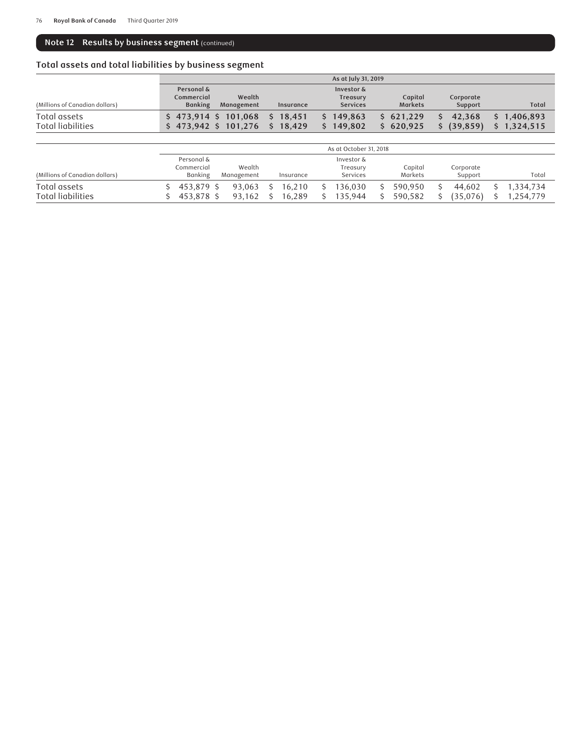## **Note 12 Results by business segment** (continued)

# **Total assets and total liabilities by business segment**

|                                          |                                              |                      |                          | As at July 31, 2019                       |                        |                                |                                |
|------------------------------------------|----------------------------------------------|----------------------|--------------------------|-------------------------------------------|------------------------|--------------------------------|--------------------------------|
| (Millions of Canadian dollars)           | Personal &<br>Commercial<br><b>Banking</b>   | Wealth<br>Management | Insurance                | Investor &<br>Treasury<br><b>Services</b> | Capital<br>Markets     | Corporate<br>Support           | Total                          |
| Total assets<br><b>Total liabilities</b> | $$473,914 \$101,068$<br>$$473,942 \$101,276$ |                      | 18,451<br>S.<br>\$18.429 | 149,863<br>S.<br>149,802<br>S             | \$621,229<br>\$620,925 | 42.368<br>S<br>(39, 859)<br>S. | 1,406,893<br>S.<br>\$1,324,515 |
|                                          |                                              |                      |                          |                                           |                        |                                |                                |
|                                          |                                              |                      |                          | As at October 31, 2018                    |                        |                                |                                |
|                                          | Personal &                                   |                      |                          | Investor &                                |                        |                                |                                |
|                                          | Commercial                                   | Wealth               |                          | Treasury                                  | Capital                | Corporate                      |                                |
| (Millions of Canadian dollars)           | Banking                                      | Management           | Insurance                | Services                                  | Markets                | Support                        | Total                          |

Total assets \$ 453,879 \$ 93,063 \$ 16,210 \$ 136,030 \$ 590,950 \$ 44,602 \$ 1,334,734

 $$453,878$$  \$ 93,162 \$ 16,289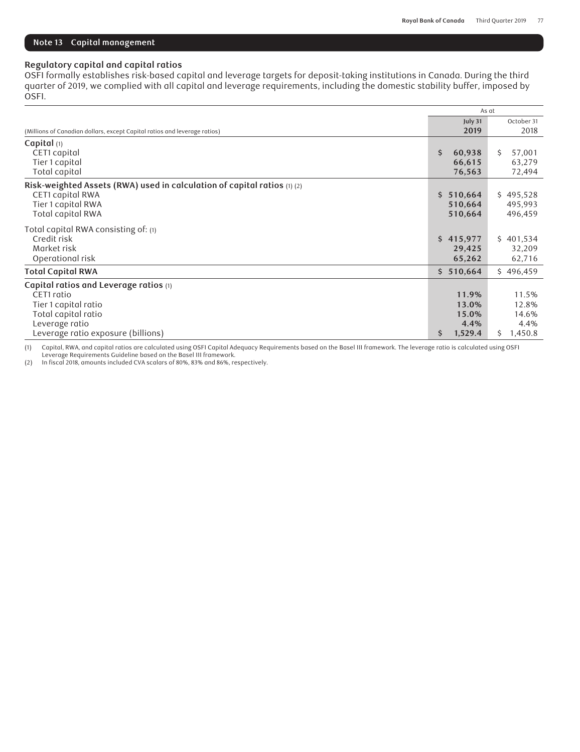## **Note 13 Capital management**

## **Regulatory capital and capital ratios**

OSFI formally establishes risk-based capital and leverage targets for deposit-taking institutions in Canada. During the third quarter of 2019, we complied with all capital and leverage requirements, including the domestic stability buffer, imposed by OSFI.

|                                                                                                                                                                               |               | As at         |
|-------------------------------------------------------------------------------------------------------------------------------------------------------------------------------|---------------|---------------|
|                                                                                                                                                                               | July 31       | October 31    |
| (Millions of Canadian dollars, except Capital ratios and leverage ratios)                                                                                                     | 2019          | 2018          |
| Capital $(1)$                                                                                                                                                                 |               |               |
| CET1 capital                                                                                                                                                                  | 60,938<br>\$. | 57,001<br>Ŝ.  |
| Tier 1 capital                                                                                                                                                                | 66,615        | 63,279        |
| Total capital                                                                                                                                                                 | 76,563        | 72,494        |
| Risk-weighted Assets (RWA) used in calculation of capital ratios (1) (2)                                                                                                      |               |               |
| CET1 capital RWA                                                                                                                                                              | 510,664<br>S. | \$495,528     |
| Tier 1 capital RWA                                                                                                                                                            | 510,664       | 495,993       |
| <b>Total capital RWA</b>                                                                                                                                                      | 510,664       | 496,459       |
| Total capital RWA consisting of: (1)                                                                                                                                          |               |               |
| Credit risk                                                                                                                                                                   | \$415,977     | \$401,534     |
| Market risk                                                                                                                                                                   | 29,425        | 32,209        |
| Operational risk                                                                                                                                                              | 65,262        | 62,716        |
| <b>Total Capital RWA</b>                                                                                                                                                      | \$510,664     | \$496,459     |
| Capital ratios and Leverage ratios (1)                                                                                                                                        |               |               |
| CET1 ratio                                                                                                                                                                    | 11.9%         | 11.5%         |
| Tier 1 capital ratio                                                                                                                                                          | 13.0%         | 12.8%         |
| Total capital ratio                                                                                                                                                           | 15.0%         | 14.6%         |
| Leverage ratio                                                                                                                                                                | 4.4%          | 4.4%          |
| Leverage ratio exposure (billions)                                                                                                                                            | 1,529.4<br>\$ | 1,450.8<br>S. |
| Capital, RWA, and capital ratios are calculated using OSFI Capital Adequacy Requirements based on the Basel III framework. The leverage ratio is calculated using OSFI<br>(1) |               |               |

Leverage Requirements Guideline based on the Basel III framework.

(2) In fiscal 2018, amounts included CVA scalars of 80%, 83% and 86%, respectively.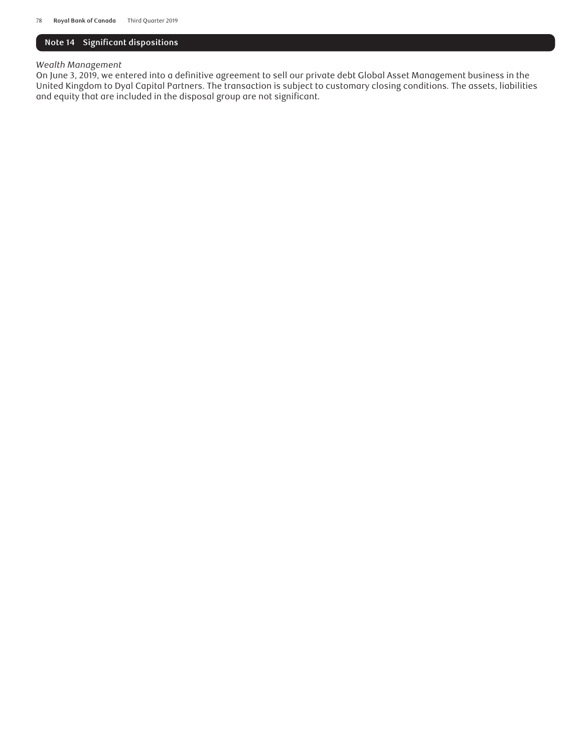## **Note 14 Significant dispositions**

## *Wealth Management*

On June 3, 2019, we entered into a definitive agreement to sell our private debt Global Asset Management business in the United Kingdom to Dyal Capital Partners. The transaction is subject to customary closing conditions. The assets, liabilities and equity that are included in the disposal group are not significant.